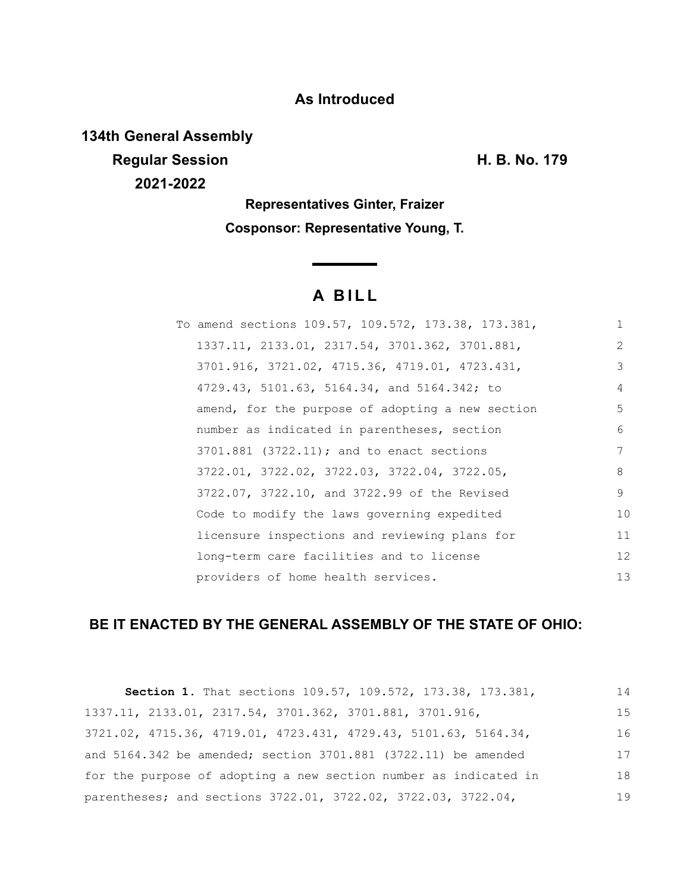# **As Introduced**

**134th General Assembly Regular Session H. B. No. 179 2021-2022**

**Representatives Ginter, Fraizer Cosponsor: Representative Young, T.**

# **A B I L L**

| To amend sections 109.57, 109.572, 173.38, 173.381, | $\mathbf{1}$  |
|-----------------------------------------------------|---------------|
| 1337.11, 2133.01, 2317.54, 3701.362, 3701.881,      | $\mathcal{L}$ |
| 3701.916, 3721.02, 4715.36, 4719.01, 4723.431,      | 3             |
| 4729.43, 5101.63, 5164.34, and 5164.342; to         | 4             |
| amend, for the purpose of adopting a new section    | 5             |
| number as indicated in parentheses, section         | 6             |
| 3701.881 (3722.11); and to enact sections           | 7             |
| 3722.01, 3722.02, 3722.03, 3722.04, 3722.05,        | 8             |
| 3722.07, 3722.10, and 3722.99 of the Revised        | 9             |
| Code to modify the laws governing expedited         | 10            |
| licensure inspections and reviewing plans for       | 11            |
| long-term care facilities and to license            | 12            |
| providers of home health services.                  | 13            |

# **BE IT ENACTED BY THE GENERAL ASSEMBLY OF THE STATE OF OHIO:**

| Section 1. That sections 109.57, 109.572, 173.38, 173.381,         | 14  |
|--------------------------------------------------------------------|-----|
| 1337.11, 2133.01, 2317.54, 3701.362, 3701.881, 3701.916,           | 1.5 |
| 3721.02, 4715.36, 4719.01, 4723.431, 4729.43, 5101.63, 5164.34,    | 16  |
| and $5164.342$ be amended; section $3701.881$ (3722.11) be amended | 17  |
| for the purpose of adopting a new section number as indicated in   | 18  |
| parentheses; and sections 3722.01, 3722.02, 3722.03, 3722.04,      | 19  |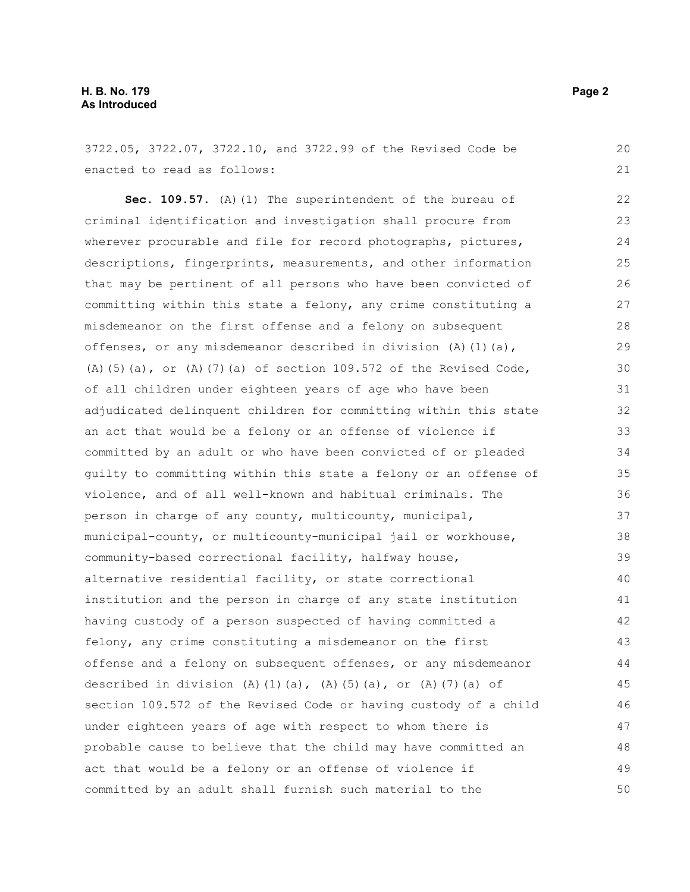| 3722.05, 3722.07, 3722.10, and 3722.99 of the Revised Code be               | 20 |
|-----------------------------------------------------------------------------|----|
| enacted to read as follows:                                                 | 21 |
| Sec. 109.57. (A) (1) The superintendent of the bureau of                    | 22 |
| criminal identification and investigation shall procure from                | 23 |
| wherever procurable and file for record photographs, pictures,              | 24 |
| descriptions, fingerprints, measurements, and other information             | 25 |
| that may be pertinent of all persons who have been convicted of             | 26 |
| committing within this state a felony, any crime constituting a             | 27 |
| misdemeanor on the first offense and a felony on subsequent                 | 28 |
| offenses, or any misdemeanor described in division $(A)$ $(1)$ $(a)$ ,      | 29 |
| (A) $(5)$ (a), or (A) $(7)$ (a) of section 109.572 of the Revised Code,     | 30 |
| of all children under eighteen years of age who have been                   | 31 |
| adjudicated delinquent children for committing within this state            | 32 |
| an act that would be a felony or an offense of violence if                  | 33 |
| committed by an adult or who have been convicted of or pleaded              | 34 |
| quilty to committing within this state a felony or an offense of            | 35 |
| violence, and of all well-known and habitual criminals. The                 | 36 |
| person in charge of any county, multicounty, municipal,                     | 37 |
| municipal-county, or multicounty-municipal jail or workhouse,               | 38 |
| community-based correctional facility, halfway house,                       | 39 |
| alternative residential facility, or state correctional                     | 40 |
| institution and the person in charge of any state institution               | 41 |
| having custody of a person suspected of having committed a                  | 42 |
| felony, any crime constituting a misdemeanor on the first                   | 43 |
| offense and a felony on subsequent offenses, or any misdemeanor             | 44 |
| described in division (A) $(1)$ (a), $(A)$ $(5)$ (a), or $(A)$ $(7)$ (a) of | 45 |
| section 109.572 of the Revised Code or having custody of a child            | 46 |
| under eighteen years of age with respect to whom there is                   | 47 |
| probable cause to believe that the child may have committed an              | 48 |
| act that would be a felony or an offense of violence if                     | 49 |
| committed by an adult shall furnish such material to the                    | 50 |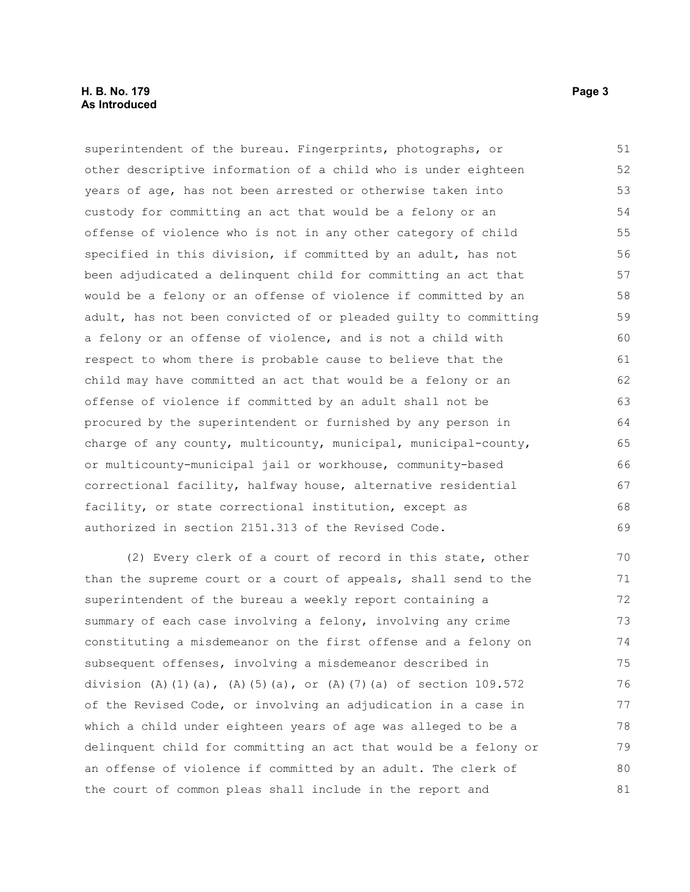## **H. B. No. 179** Page 3 **As Introduced**

superintendent of the bureau. Fingerprints, photographs, or other descriptive information of a child who is under eighteen years of age, has not been arrested or otherwise taken into custody for committing an act that would be a felony or an offense of violence who is not in any other category of child specified in this division, if committed by an adult, has not been adjudicated a delinquent child for committing an act that would be a felony or an offense of violence if committed by an adult, has not been convicted of or pleaded guilty to committing a felony or an offense of violence, and is not a child with respect to whom there is probable cause to believe that the child may have committed an act that would be a felony or an offense of violence if committed by an adult shall not be procured by the superintendent or furnished by any person in charge of any county, multicounty, municipal, municipal-county, or multicounty-municipal jail or workhouse, community-based correctional facility, halfway house, alternative residential facility, or state correctional institution, except as authorized in section 2151.313 of the Revised Code. 51 52 53 54 55 56 57 58 59 60 61 62 63 64 65 66 67 68 69

(2) Every clerk of a court of record in this state, other than the supreme court or a court of appeals, shall send to the superintendent of the bureau a weekly report containing a summary of each case involving a felony, involving any crime constituting a misdemeanor on the first offense and a felony on subsequent offenses, involving a misdemeanor described in division (A)(1)(a), (A)(5)(a), or (A)(7)(a) of section 109.572 of the Revised Code, or involving an adjudication in a case in which a child under eighteen years of age was alleged to be a delinquent child for committing an act that would be a felony or an offense of violence if committed by an adult. The clerk of the court of common pleas shall include in the report and 70 71 72 73 74 75 76 77 78 79 80 81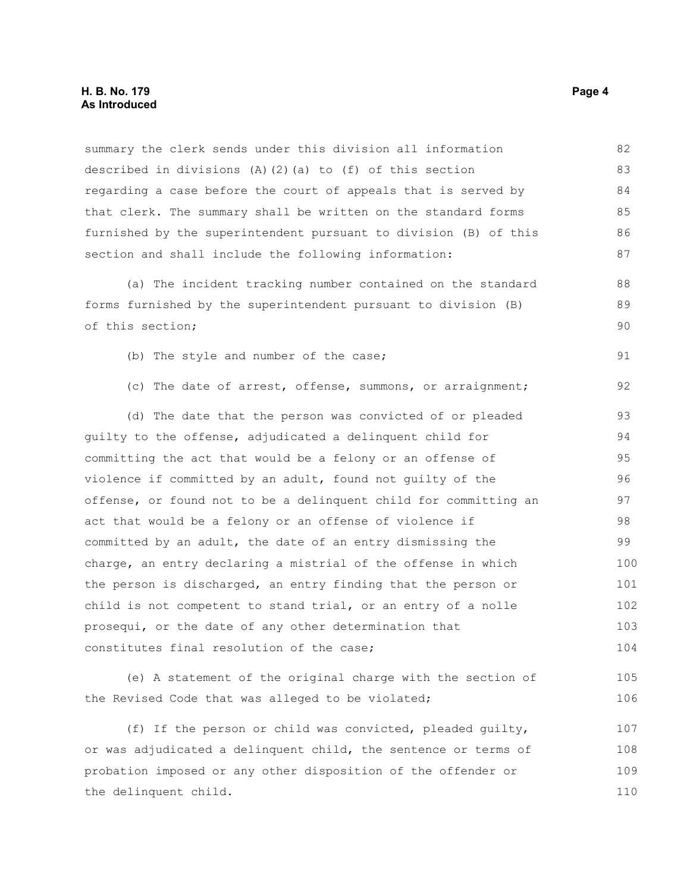#### **H. B. No. 179** Page 4 **As Introduced**

summary the clerk sends under this division all information described in divisions (A)(2)(a) to (f) of this section regarding a case before the court of appeals that is served by that clerk. The summary shall be written on the standard forms furnished by the superintendent pursuant to division (B) of this section and shall include the following information: 82 83 84 85 86 87

(a) The incident tracking number contained on the standard forms furnished by the superintendent pursuant to division (B) of this section;

- (b) The style and number of the case;
	- (c) The date of arrest, offense, summons, or arraignment; 92

(d) The date that the person was convicted of or pleaded guilty to the offense, adjudicated a delinquent child for committing the act that would be a felony or an offense of violence if committed by an adult, found not guilty of the offense, or found not to be a delinquent child for committing an act that would be a felony or an offense of violence if committed by an adult, the date of an entry dismissing the charge, an entry declaring a mistrial of the offense in which the person is discharged, an entry finding that the person or child is not competent to stand trial, or an entry of a nolle prosequi, or the date of any other determination that constitutes final resolution of the case; 93 94 95 96 97 98 99 100 101 102 103 104

(e) A statement of the original charge with the section of the Revised Code that was alleged to be violated; 105 106

(f) If the person or child was convicted, pleaded guilty, or was adjudicated a delinquent child, the sentence or terms of probation imposed or any other disposition of the offender or the delinquent child. 107 108 109 110

88 89  $90$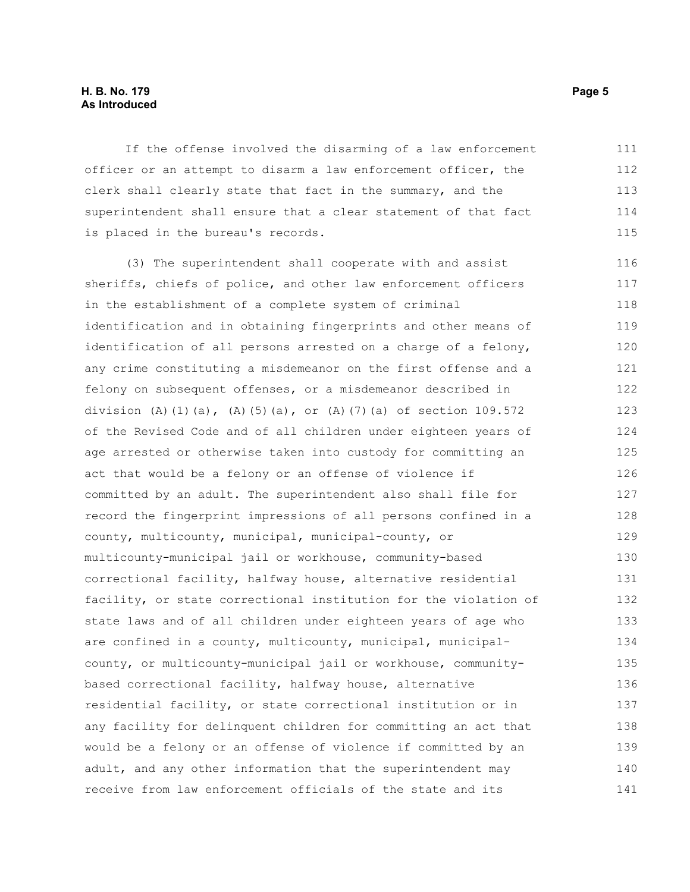## **H. B. No. 179** Page 5 **As Introduced**

If the offense involved the disarming of a law enforcement officer or an attempt to disarm a law enforcement officer, the clerk shall clearly state that fact in the summary, and the superintendent shall ensure that a clear statement of that fact is placed in the bureau's records. 111 112 113 114 115

(3) The superintendent shall cooperate with and assist sheriffs, chiefs of police, and other law enforcement officers in the establishment of a complete system of criminal identification and in obtaining fingerprints and other means of identification of all persons arrested on a charge of a felony, any crime constituting a misdemeanor on the first offense and a felony on subsequent offenses, or a misdemeanor described in division (A)(1)(a), (A)(5)(a), or (A)(7)(a) of section  $109.572$ of the Revised Code and of all children under eighteen years of age arrested or otherwise taken into custody for committing an act that would be a felony or an offense of violence if committed by an adult. The superintendent also shall file for record the fingerprint impressions of all persons confined in a county, multicounty, municipal, municipal-county, or multicounty-municipal jail or workhouse, community-based correctional facility, halfway house, alternative residential facility, or state correctional institution for the violation of state laws and of all children under eighteen years of age who are confined in a county, multicounty, municipal, municipalcounty, or multicounty-municipal jail or workhouse, communitybased correctional facility, halfway house, alternative residential facility, or state correctional institution or in any facility for delinquent children for committing an act that would be a felony or an offense of violence if committed by an adult, and any other information that the superintendent may receive from law enforcement officials of the state and its 116 117 118 119 120 121 122 123 124 125 126 127 128 129 130 131 132 133 134 135 136 137 138 139 140 141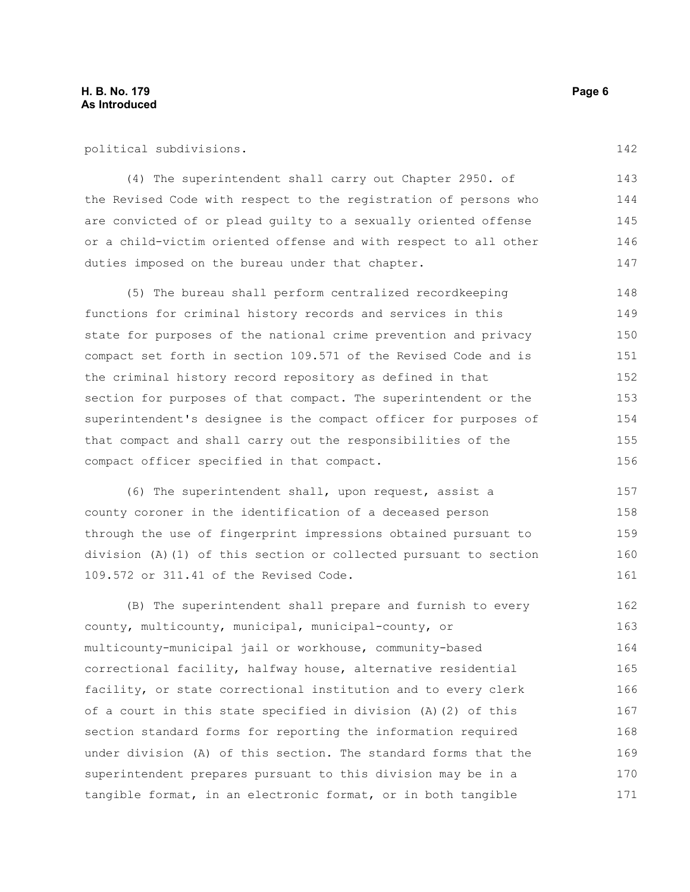political subdivisions.

(4) The superintendent shall carry out Chapter 2950. of the Revised Code with respect to the registration of persons who are convicted of or plead guilty to a sexually oriented offense or a child-victim oriented offense and with respect to all other duties imposed on the bureau under that chapter. 143 144 145 146 147

(5) The bureau shall perform centralized recordkeeping functions for criminal history records and services in this state for purposes of the national crime prevention and privacy compact set forth in section 109.571 of the Revised Code and is the criminal history record repository as defined in that section for purposes of that compact. The superintendent or the superintendent's designee is the compact officer for purposes of that compact and shall carry out the responsibilities of the compact officer specified in that compact. 148 149 150 151 152 153 154 155 156

(6) The superintendent shall, upon request, assist a county coroner in the identification of a deceased person through the use of fingerprint impressions obtained pursuant to division (A)(1) of this section or collected pursuant to section 109.572 or 311.41 of the Revised Code. 157 158 159 160 161

(B) The superintendent shall prepare and furnish to every county, multicounty, municipal, municipal-county, or multicounty-municipal jail or workhouse, community-based correctional facility, halfway house, alternative residential facility, or state correctional institution and to every clerk of a court in this state specified in division (A)(2) of this section standard forms for reporting the information required under division (A) of this section. The standard forms that the superintendent prepares pursuant to this division may be in a tangible format, in an electronic format, or in both tangible 162 163 164 165 166 167 168 169 170 171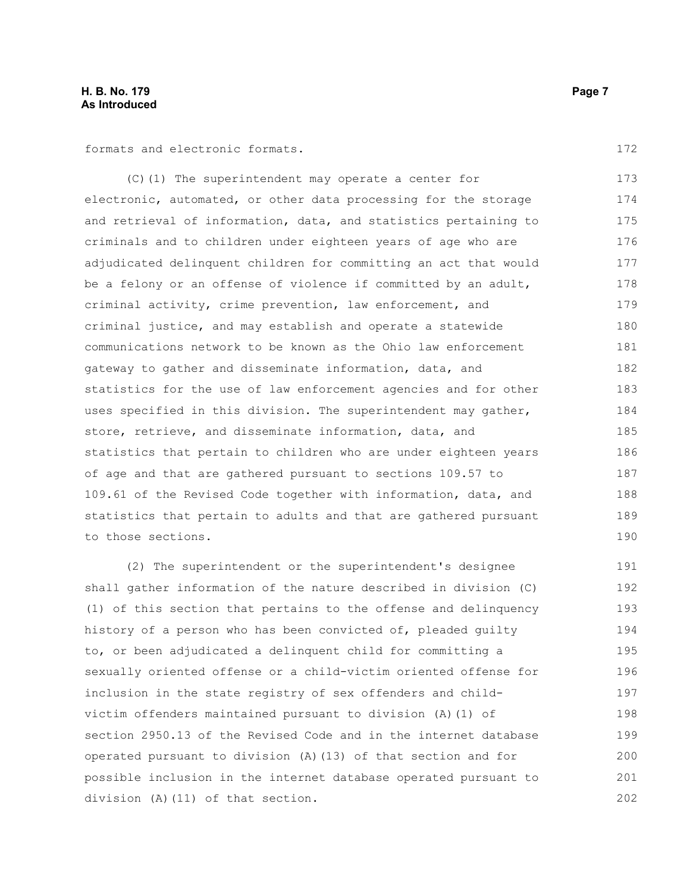formats and electronic formats.

(C)(1) The superintendent may operate a center for electronic, automated, or other data processing for the storage and retrieval of information, data, and statistics pertaining to criminals and to children under eighteen years of age who are adjudicated delinquent children for committing an act that would be a felony or an offense of violence if committed by an adult, criminal activity, crime prevention, law enforcement, and criminal justice, and may establish and operate a statewide communications network to be known as the Ohio law enforcement gateway to gather and disseminate information, data, and statistics for the use of law enforcement agencies and for other uses specified in this division. The superintendent may gather, store, retrieve, and disseminate information, data, and statistics that pertain to children who are under eighteen years of age and that are gathered pursuant to sections 109.57 to 109.61 of the Revised Code together with information, data, and statistics that pertain to adults and that are gathered pursuant to those sections. 173 174 175 176 177 178 179 180 181 182 183 184 185 186 187 188 189 190

(2) The superintendent or the superintendent's designee shall gather information of the nature described in division (C) (1) of this section that pertains to the offense and delinquency history of a person who has been convicted of, pleaded guilty to, or been adjudicated a delinquent child for committing a sexually oriented offense or a child-victim oriented offense for inclusion in the state registry of sex offenders and childvictim offenders maintained pursuant to division (A)(1) of section 2950.13 of the Revised Code and in the internet database operated pursuant to division (A)(13) of that section and for possible inclusion in the internet database operated pursuant to division (A)(11) of that section. 191 192 193 194 195 196 197 198 199 200 201 202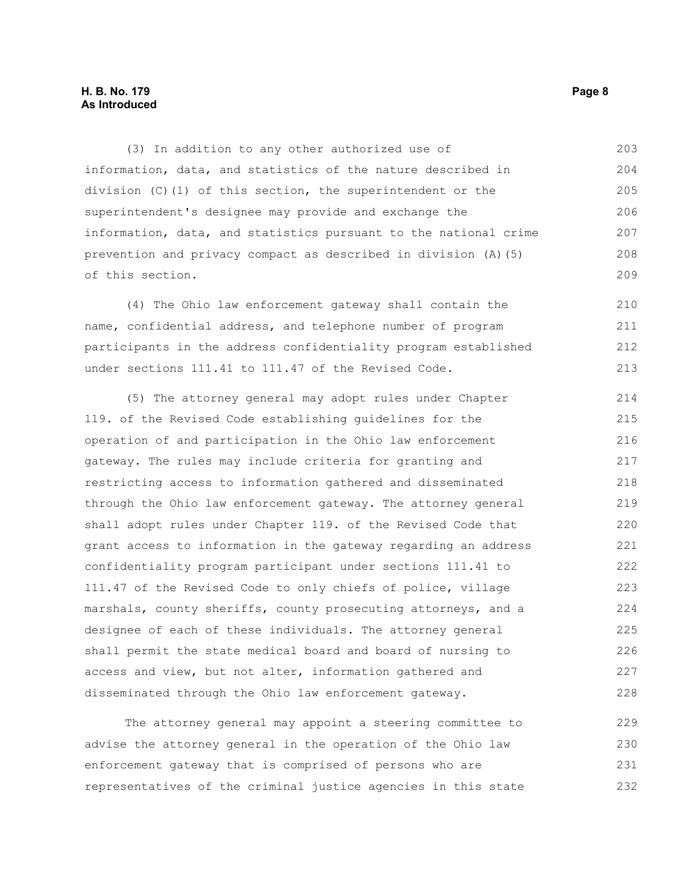# **H. B. No. 179 Page 8 As Introduced**

(3) In addition to any other authorized use of information, data, and statistics of the nature described in division (C)(1) of this section, the superintendent or the superintendent's designee may provide and exchange the information, data, and statistics pursuant to the national crime prevention and privacy compact as described in division (A)(5) of this section. 203 204 205 206 207 208 209

(4) The Ohio law enforcement gateway shall contain the name, confidential address, and telephone number of program participants in the address confidentiality program established under sections 111.41 to 111.47 of the Revised Code. 210 211 212 213

(5) The attorney general may adopt rules under Chapter 119. of the Revised Code establishing guidelines for the operation of and participation in the Ohio law enforcement gateway. The rules may include criteria for granting and restricting access to information gathered and disseminated through the Ohio law enforcement gateway. The attorney general shall adopt rules under Chapter 119. of the Revised Code that grant access to information in the gateway regarding an address confidentiality program participant under sections 111.41 to 111.47 of the Revised Code to only chiefs of police, village marshals, county sheriffs, county prosecuting attorneys, and a designee of each of these individuals. The attorney general shall permit the state medical board and board of nursing to access and view, but not alter, information gathered and disseminated through the Ohio law enforcement gateway. 214 215 216 217 218 219 220 221 222 223 224 225 226 227 228

The attorney general may appoint a steering committee to advise the attorney general in the operation of the Ohio law enforcement gateway that is comprised of persons who are representatives of the criminal justice agencies in this state 229 230 231 232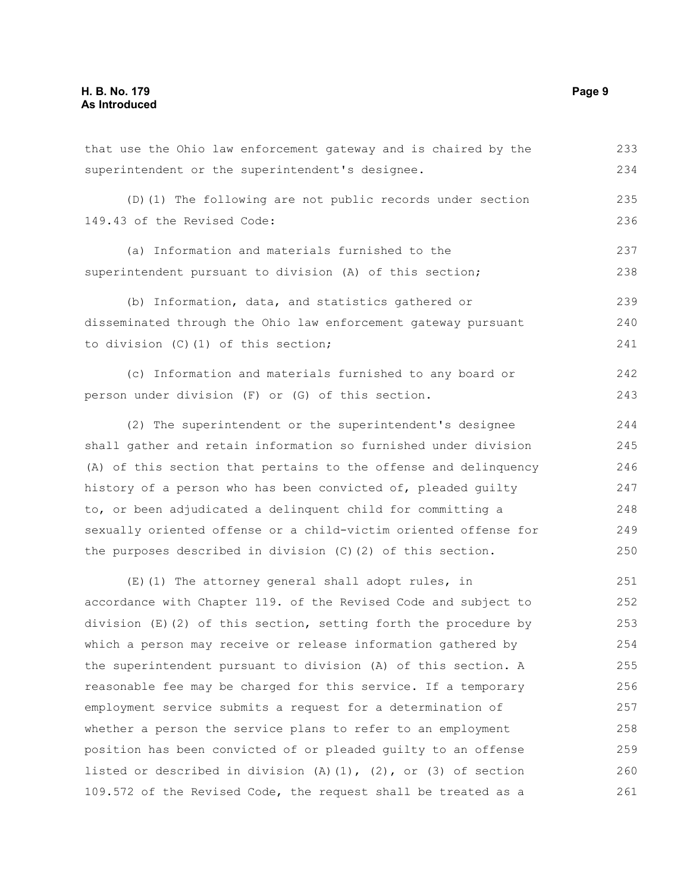| superintendent or the superintendent's designee.                        | 234 |
|-------------------------------------------------------------------------|-----|
| (D) (1) The following are not public records under section              | 235 |
| 149.43 of the Revised Code:                                             | 236 |
| (a) Information and materials furnished to the                          | 237 |
| superintendent pursuant to division (A) of this section;                | 238 |
| (b) Information, data, and statistics gathered or                       | 239 |
| disseminated through the Ohio law enforcement gateway pursuant          | 240 |
| to division (C) (1) of this section;                                    | 241 |
| (c) Information and materials furnished to any board or                 | 242 |
| person under division (F) or (G) of this section.                       | 243 |
| (2) The superintendent or the superintendent's designee                 | 244 |
| shall gather and retain information so furnished under division         | 245 |
| (A) of this section that pertains to the offense and delinquency        | 246 |
| history of a person who has been convicted of, pleaded quilty           | 247 |
| to, or been adjudicated a delinquent child for committing a             | 248 |
| sexually oriented offense or a child-victim oriented offense for        | 249 |
| the purposes described in division $(C)$ $(2)$ of this section.         | 250 |
| (E)(1) The attorney general shall adopt rules, in                       | 251 |
| accordance with Chapter 119. of the Revised Code and subject to         | 252 |
| division $(E)$ (2) of this section, setting forth the procedure by      | 253 |
| which a person may receive or release information gathered by           | 254 |
| the superintendent pursuant to division (A) of this section. A          | 255 |
| reasonable fee may be charged for this service. If a temporary          | 256 |
| employment service submits a request for a determination of             | 257 |
| whether a person the service plans to refer to an employment            | 258 |
| position has been convicted of or pleaded guilty to an offense          | 259 |
| listed or described in division $(A) (1)$ , $(2)$ , or $(3)$ of section | 260 |

109.572 of the Revised Code, the request shall be treated as a

that use the Ohio law enforcement gateway and is chaired by the

233 234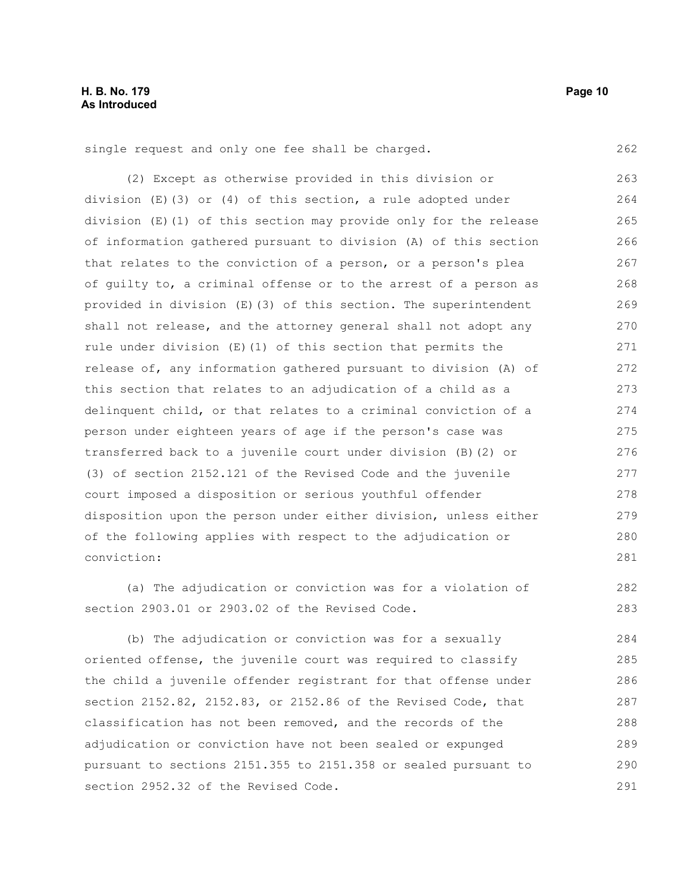single request and only one fee shall be charged.

(2) Except as otherwise provided in this division or division  $(E)(3)$  or  $(4)$  of this section, a rule adopted under division (E)(1) of this section may provide only for the release of information gathered pursuant to division (A) of this section that relates to the conviction of a person, or a person's plea of guilty to, a criminal offense or to the arrest of a person as provided in division (E)(3) of this section. The superintendent shall not release, and the attorney general shall not adopt any rule under division (E)(1) of this section that permits the release of, any information gathered pursuant to division (A) of this section that relates to an adjudication of a child as a delinquent child, or that relates to a criminal conviction of a person under eighteen years of age if the person's case was transferred back to a juvenile court under division (B)(2) or (3) of section 2152.121 of the Revised Code and the juvenile court imposed a disposition or serious youthful offender disposition upon the person under either division, unless either of the following applies with respect to the adjudication or conviction: 263 264 265 266 267 268 269 270 271 272 273 274 275 276 277 278 279 280 281

(a) The adjudication or conviction was for a violation of section 2903.01 or 2903.02 of the Revised Code.

(b) The adjudication or conviction was for a sexually oriented offense, the juvenile court was required to classify the child a juvenile offender registrant for that offense under section 2152.82, 2152.83, or 2152.86 of the Revised Code, that classification has not been removed, and the records of the adjudication or conviction have not been sealed or expunged pursuant to sections 2151.355 to 2151.358 or sealed pursuant to section 2952.32 of the Revised Code. 284 285 286 287 288 289 290 291

262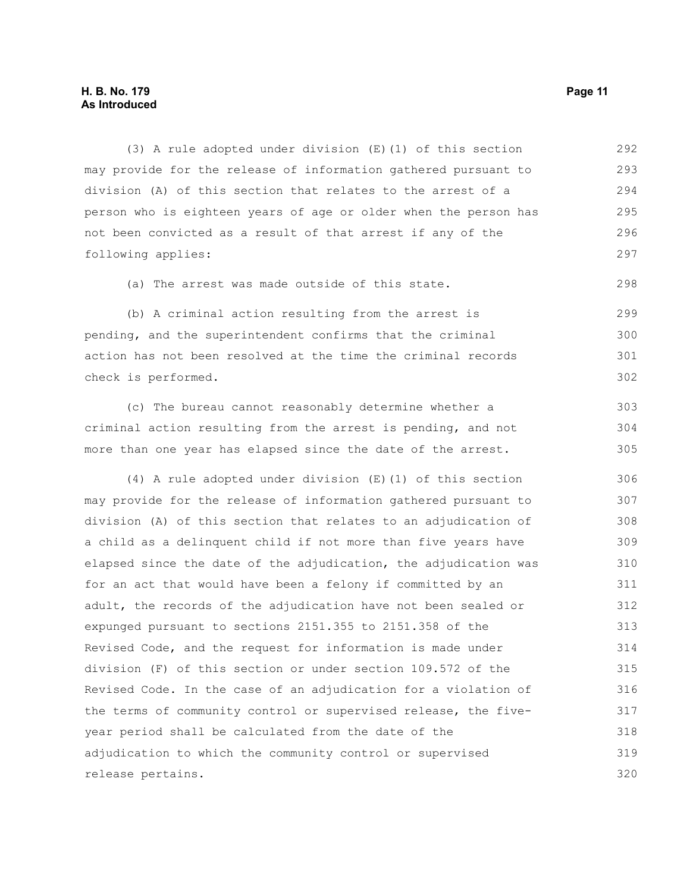# **H. B. No. 179 Page 11 As Introduced**

(3) A rule adopted under division (E)(1) of this section may provide for the release of information gathered pursuant to division (A) of this section that relates to the arrest of a person who is eighteen years of age or older when the person has not been convicted as a result of that arrest if any of the following applies: 292 293 294 295 296 297

(a) The arrest was made outside of this state.

(b) A criminal action resulting from the arrest is pending, and the superintendent confirms that the criminal action has not been resolved at the time the criminal records check is performed. 299 300 301 302

(c) The bureau cannot reasonably determine whether a criminal action resulting from the arrest is pending, and not more than one year has elapsed since the date of the arrest. 303 304 305

(4) A rule adopted under division (E)(1) of this section may provide for the release of information gathered pursuant to division (A) of this section that relates to an adjudication of a child as a delinquent child if not more than five years have elapsed since the date of the adjudication, the adjudication was for an act that would have been a felony if committed by an adult, the records of the adjudication have not been sealed or expunged pursuant to sections 2151.355 to 2151.358 of the Revised Code, and the request for information is made under division (F) of this section or under section 109.572 of the Revised Code. In the case of an adjudication for a violation of the terms of community control or supervised release, the fiveyear period shall be calculated from the date of the adjudication to which the community control or supervised release pertains. 306 307 308 309 310 311 312 313 314 315 316 317 318 319 320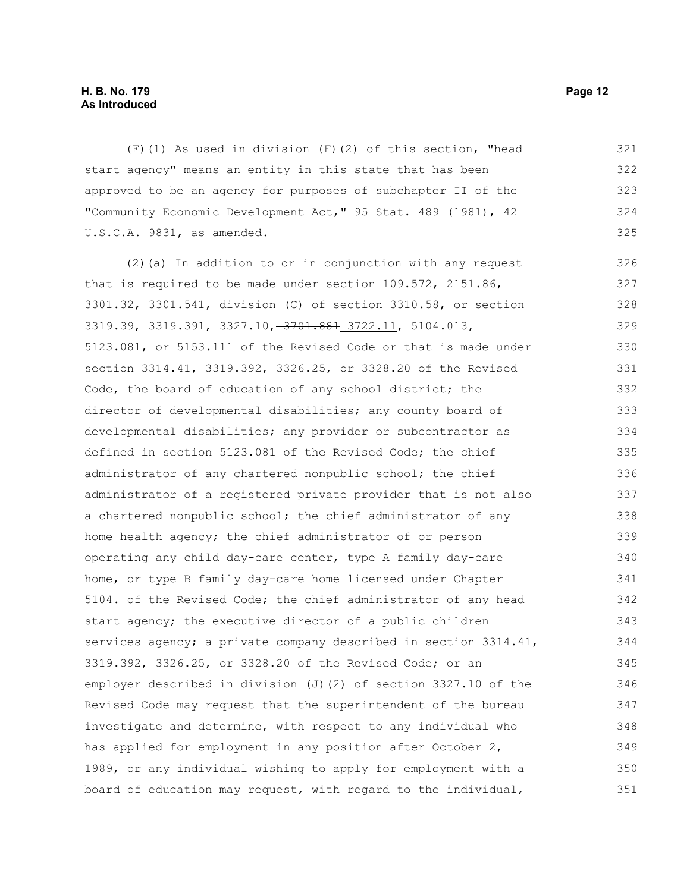# **H. B. No. 179 Page 12 As Introduced**

(F)(1) As used in division (F)(2) of this section, "head start agency" means an entity in this state that has been approved to be an agency for purposes of subchapter II of the "Community Economic Development Act," 95 Stat. 489 (1981), 42 U.S.C.A. 9831, as amended. 321 322 323 324 325

(2)(a) In addition to or in conjunction with any request that is required to be made under section 109.572, 2151.86, 3301.32, 3301.541, division (C) of section 3310.58, or section 3319.39, 3319.391, 3327.10, 3701.881 3722.11, 5104.013, 5123.081, or 5153.111 of the Revised Code or that is made under section 3314.41, 3319.392, 3326.25, or 3328.20 of the Revised Code, the board of education of any school district; the director of developmental disabilities; any county board of developmental disabilities; any provider or subcontractor as defined in section 5123.081 of the Revised Code; the chief administrator of any chartered nonpublic school; the chief administrator of a registered private provider that is not also a chartered nonpublic school; the chief administrator of any home health agency; the chief administrator of or person operating any child day-care center, type A family day-care home, or type B family day-care home licensed under Chapter 5104. of the Revised Code; the chief administrator of any head start agency; the executive director of a public children services agency; a private company described in section 3314.41, 3319.392, 3326.25, or 3328.20 of the Revised Code; or an employer described in division (J)(2) of section 3327.10 of the Revised Code may request that the superintendent of the bureau investigate and determine, with respect to any individual who has applied for employment in any position after October 2, 1989, or any individual wishing to apply for employment with a board of education may request, with regard to the individual, 326 327 328 329 330 331 332 333 334 335 336 337 338 339 340 341 342 343 344 345 346 347 348 349 350 351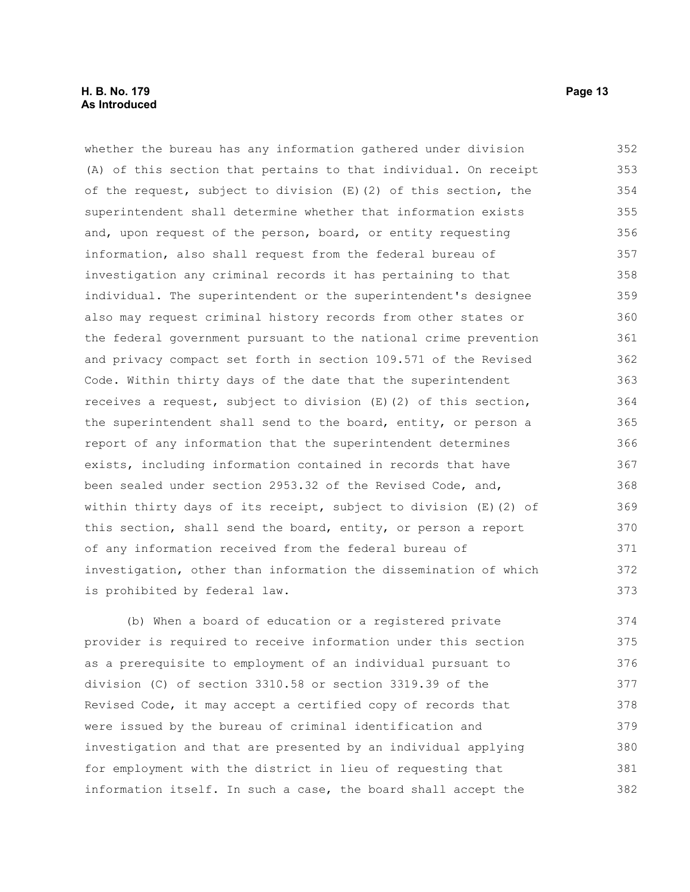# **H. B. No. 179 Page 13 As Introduced**

whether the bureau has any information gathered under division (A) of this section that pertains to that individual. On receipt of the request, subject to division  $(E)(2)$  of this section, the superintendent shall determine whether that information exists and, upon request of the person, board, or entity requesting information, also shall request from the federal bureau of investigation any criminal records it has pertaining to that individual. The superintendent or the superintendent's designee also may request criminal history records from other states or the federal government pursuant to the national crime prevention and privacy compact set forth in section 109.571 of the Revised Code. Within thirty days of the date that the superintendent receives a request, subject to division (E)(2) of this section, the superintendent shall send to the board, entity, or person a report of any information that the superintendent determines exists, including information contained in records that have been sealed under section 2953.32 of the Revised Code, and, within thirty days of its receipt, subject to division (E)(2) of this section, shall send the board, entity, or person a report of any information received from the federal bureau of investigation, other than information the dissemination of which is prohibited by federal law. 352 353 354 355 356 357 358 359 360 361 362 363 364 365 366 367 368 369 370 371 372 373

(b) When a board of education or a registered private provider is required to receive information under this section as a prerequisite to employment of an individual pursuant to division (C) of section 3310.58 or section 3319.39 of the Revised Code, it may accept a certified copy of records that were issued by the bureau of criminal identification and investigation and that are presented by an individual applying for employment with the district in lieu of requesting that information itself. In such a case, the board shall accept the 374 375 376 377 378 379 380 381 382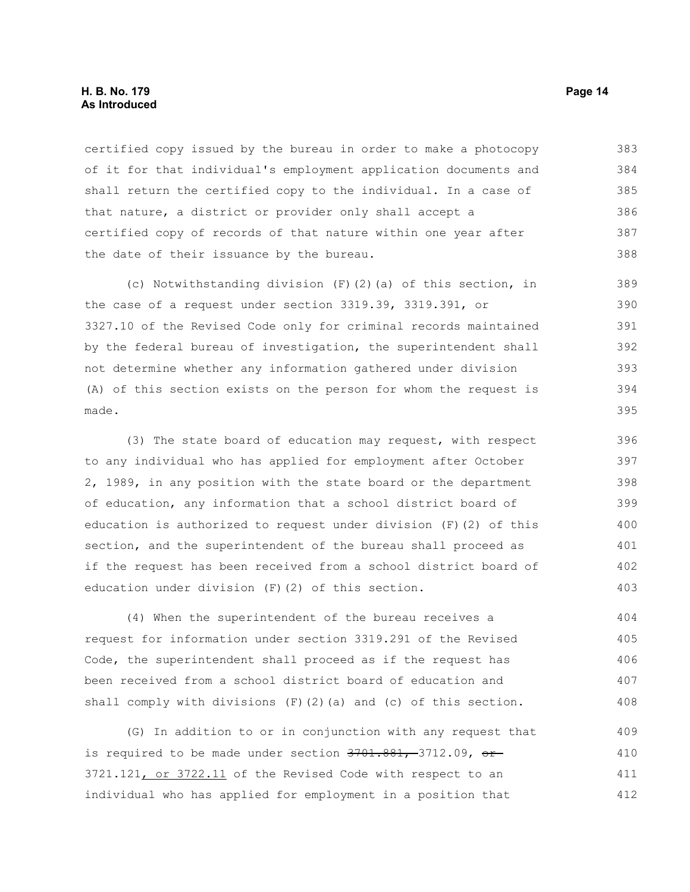## **H. B. No. 179 Page 14 As Introduced**

certified copy issued by the bureau in order to make a photocopy of it for that individual's employment application documents and shall return the certified copy to the individual. In a case of that nature, a district or provider only shall accept a certified copy of records of that nature within one year after the date of their issuance by the bureau. 383 384 385 386 387 388

(c) Notwithstanding division (F)(2)(a) of this section, in the case of a request under section 3319.39, 3319.391, or 3327.10 of the Revised Code only for criminal records maintained by the federal bureau of investigation, the superintendent shall not determine whether any information gathered under division (A) of this section exists on the person for whom the request is made. 389 390 391 392 393 394 395

(3) The state board of education may request, with respect to any individual who has applied for employment after October 2, 1989, in any position with the state board or the department of education, any information that a school district board of education is authorized to request under division (F)(2) of this section, and the superintendent of the bureau shall proceed as if the request has been received from a school district board of education under division (F)(2) of this section. 396 397 398 399 400 401 402 403

(4) When the superintendent of the bureau receives a request for information under section 3319.291 of the Revised Code, the superintendent shall proceed as if the request has been received from a school district board of education and shall comply with divisions  $(F)(2)(a)$  and  $(c)$  of this section. 404 405 406 407 408

(G) In addition to or in conjunction with any request that is required to be made under section  $3701.881, -3712.09$ ,  $\sigma$ -3721.121, or 3722.11 of the Revised Code with respect to an individual who has applied for employment in a position that 409 410 411 412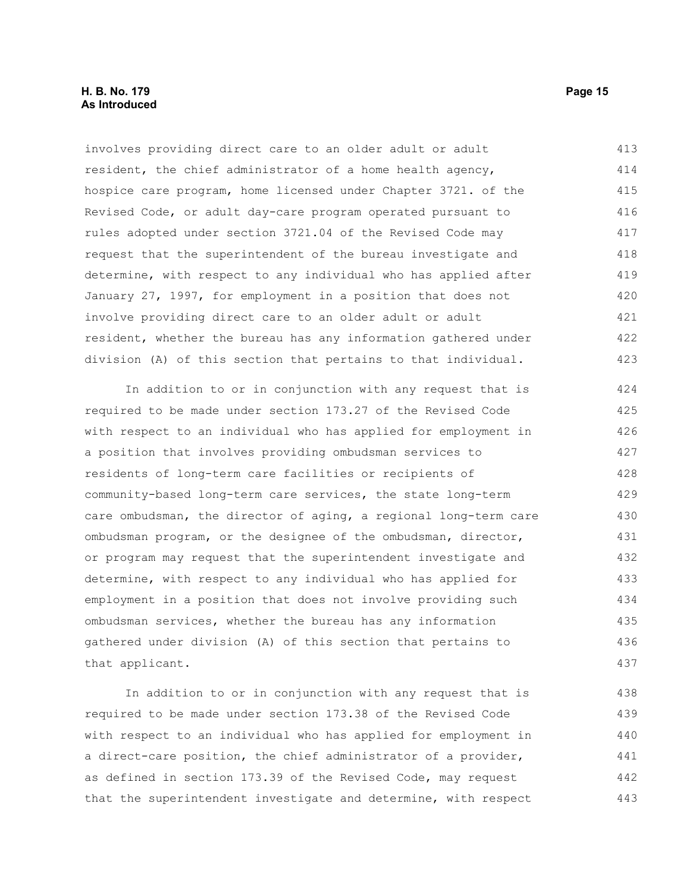# **H. B. No. 179 Page 15 As Introduced**

involves providing direct care to an older adult or adult resident, the chief administrator of a home health agency, hospice care program, home licensed under Chapter 3721. of the Revised Code, or adult day-care program operated pursuant to rules adopted under section 3721.04 of the Revised Code may request that the superintendent of the bureau investigate and determine, with respect to any individual who has applied after January 27, 1997, for employment in a position that does not involve providing direct care to an older adult or adult resident, whether the bureau has any information gathered under division (A) of this section that pertains to that individual. 413 414 415 416 417 418 419 420 421 422 423

In addition to or in conjunction with any request that is required to be made under section 173.27 of the Revised Code with respect to an individual who has applied for employment in a position that involves providing ombudsman services to residents of long-term care facilities or recipients of community-based long-term care services, the state long-term care ombudsman, the director of aging, a regional long-term care ombudsman program, or the designee of the ombudsman, director, or program may request that the superintendent investigate and determine, with respect to any individual who has applied for employment in a position that does not involve providing such ombudsman services, whether the bureau has any information gathered under division (A) of this section that pertains to that applicant. 424 425 426 427 428 429 430 431 432 433 434 435 436 437

In addition to or in conjunction with any request that is required to be made under section 173.38 of the Revised Code with respect to an individual who has applied for employment in a direct-care position, the chief administrator of a provider, as defined in section 173.39 of the Revised Code, may request that the superintendent investigate and determine, with respect 438 439 440 441 442 443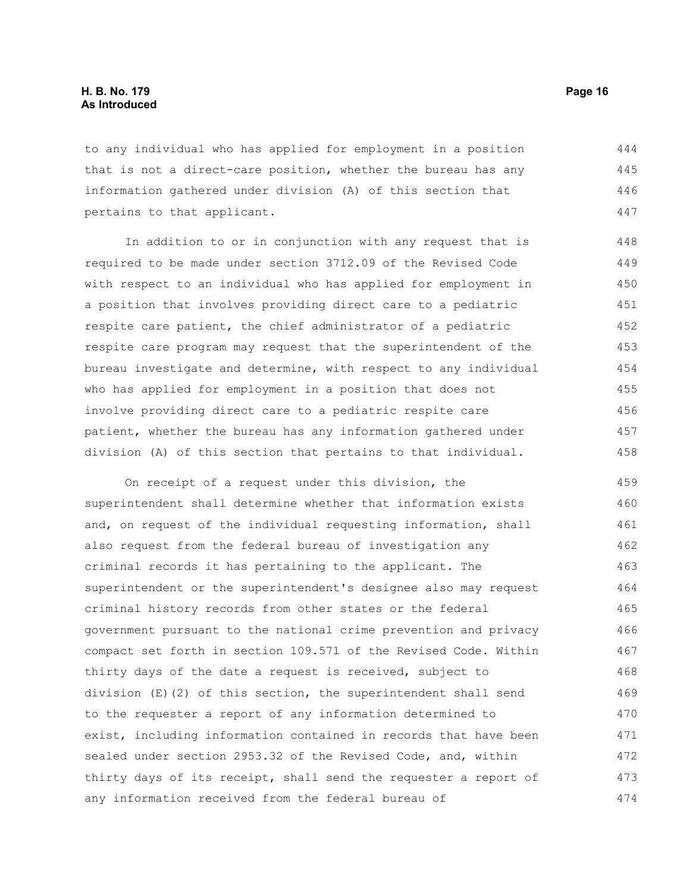# **H. B. No. 179 Page 16 As Introduced**

to any individual who has applied for employment in a position that is not a direct-care position, whether the bureau has any information gathered under division (A) of this section that pertains to that applicant. 444 445 446 447

In addition to or in conjunction with any request that is required to be made under section 3712.09 of the Revised Code with respect to an individual who has applied for employment in a position that involves providing direct care to a pediatric respite care patient, the chief administrator of a pediatric respite care program may request that the superintendent of the bureau investigate and determine, with respect to any individual who has applied for employment in a position that does not involve providing direct care to a pediatric respite care patient, whether the bureau has any information gathered under division (A) of this section that pertains to that individual. 448 449 450 451 452 453 454 455 456 457 458

On receipt of a request under this division, the superintendent shall determine whether that information exists and, on request of the individual requesting information, shall also request from the federal bureau of investigation any criminal records it has pertaining to the applicant. The superintendent or the superintendent's designee also may request criminal history records from other states or the federal government pursuant to the national crime prevention and privacy compact set forth in section 109.571 of the Revised Code. Within thirty days of the date a request is received, subject to division (E)(2) of this section, the superintendent shall send to the requester a report of any information determined to exist, including information contained in records that have been sealed under section 2953.32 of the Revised Code, and, within thirty days of its receipt, shall send the requester a report of any information received from the federal bureau of 459 460 461 462 463 464 465 466 467 468 469 470 471 472 473 474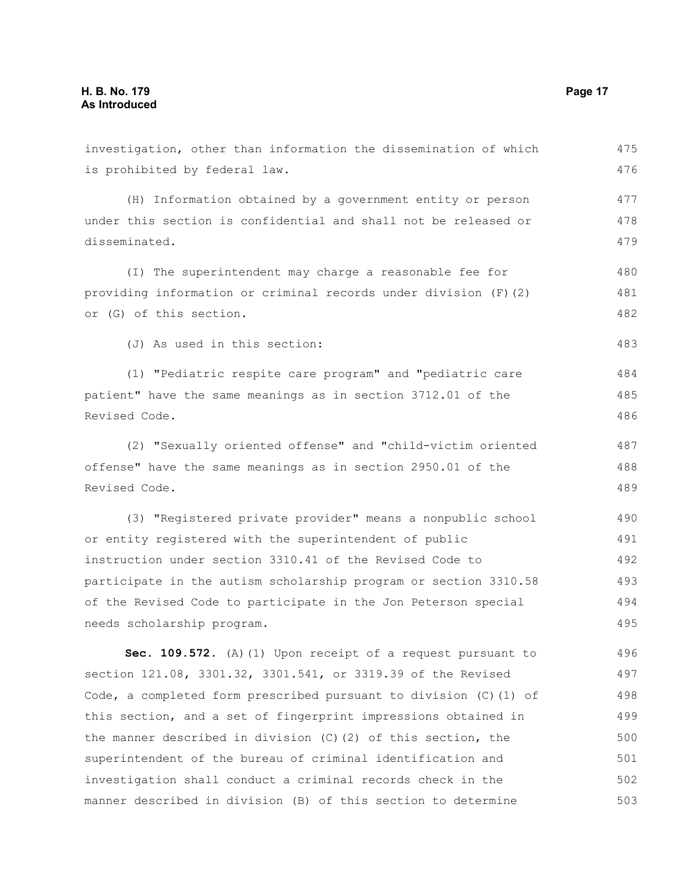| investigation, other than information the dissemination of which |     |
|------------------------------------------------------------------|-----|
| is prohibited by federal law.                                    |     |
| (H) Information obtained by a government entity or person        | 477 |
| under this section is confidential and shall not be released or  | 478 |
|                                                                  |     |
| disseminated.                                                    | 479 |
| (I) The superintendent may charge a reasonable fee for           | 480 |
| providing information or criminal records under division (F)(2)  | 481 |
| or (G) of this section.                                          | 482 |
| (J) As used in this section:                                     | 483 |
|                                                                  |     |
| (1) "Pediatric respite care program" and "pediatric care         | 484 |
| patient" have the same meanings as in section 3712.01 of the     | 485 |
| Revised Code.                                                    | 486 |
| (2) "Sexually oriented offense" and "child-victim oriented       | 487 |
| offense" have the same meanings as in section 2950.01 of the     | 488 |
| Revised Code.                                                    |     |
| (3) "Registered private provider" means a nonpublic school       | 490 |
| or entity registered with the superintendent of public           | 491 |
| instruction under section 3310.41 of the Revised Code to         | 492 |
| participate in the autism scholarship program or section 3310.58 | 493 |
| of the Revised Code to participate in the Jon Peterson special   | 494 |
| needs scholarship program.                                       | 495 |
| Sec. 109.572. (A) (1) Upon receipt of a request pursuant to      | 496 |
| section 121.08, 3301.32, 3301.541, or 3319.39 of the Revised     | 497 |
|                                                                  |     |

Code, a completed form prescribed pursuant to division (C)(1) of this section, and a set of fingerprint impressions obtained in the manner described in division (C)(2) of this section, the superintendent of the bureau of criminal identification and investigation shall conduct a criminal records check in the manner described in division (B) of this section to determine 498 499 500 501 502 503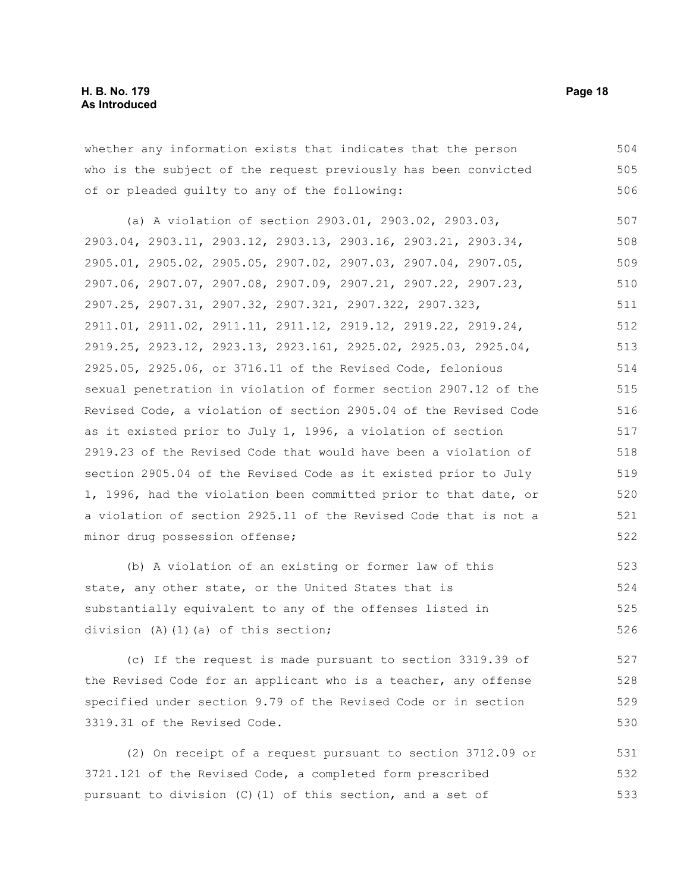whether any information exists that indicates that the person who is the subject of the request previously has been convicted of or pleaded guilty to any of the following: 504 505 506

(a) A violation of section 2903.01, 2903.02, 2903.03, 2903.04, 2903.11, 2903.12, 2903.13, 2903.16, 2903.21, 2903.34, 2905.01, 2905.02, 2905.05, 2907.02, 2907.03, 2907.04, 2907.05, 2907.06, 2907.07, 2907.08, 2907.09, 2907.21, 2907.22, 2907.23, 2907.25, 2907.31, 2907.32, 2907.321, 2907.322, 2907.323, 2911.01, 2911.02, 2911.11, 2911.12, 2919.12, 2919.22, 2919.24, 2919.25, 2923.12, 2923.13, 2923.161, 2925.02, 2925.03, 2925.04, 2925.05, 2925.06, or 3716.11 of the Revised Code, felonious sexual penetration in violation of former section 2907.12 of the Revised Code, a violation of section 2905.04 of the Revised Code as it existed prior to July 1, 1996, a violation of section 2919.23 of the Revised Code that would have been a violation of section 2905.04 of the Revised Code as it existed prior to July 1, 1996, had the violation been committed prior to that date, or a violation of section 2925.11 of the Revised Code that is not a minor drug possession offense; 507 508 509 510 511 512 513 514 515 516 517 518 519 520 521 522

(b) A violation of an existing or former law of this state, any other state, or the United States that is substantially equivalent to any of the offenses listed in division (A)(1)(a) of this section; 523 524 525 526

(c) If the request is made pursuant to section 3319.39 of the Revised Code for an applicant who is a teacher, any offense specified under section 9.79 of the Revised Code or in section 3319.31 of the Revised Code. 527 528 529 530

(2) On receipt of a request pursuant to section 3712.09 or 3721.121 of the Revised Code, a completed form prescribed pursuant to division (C)(1) of this section, and a set of 531 532 533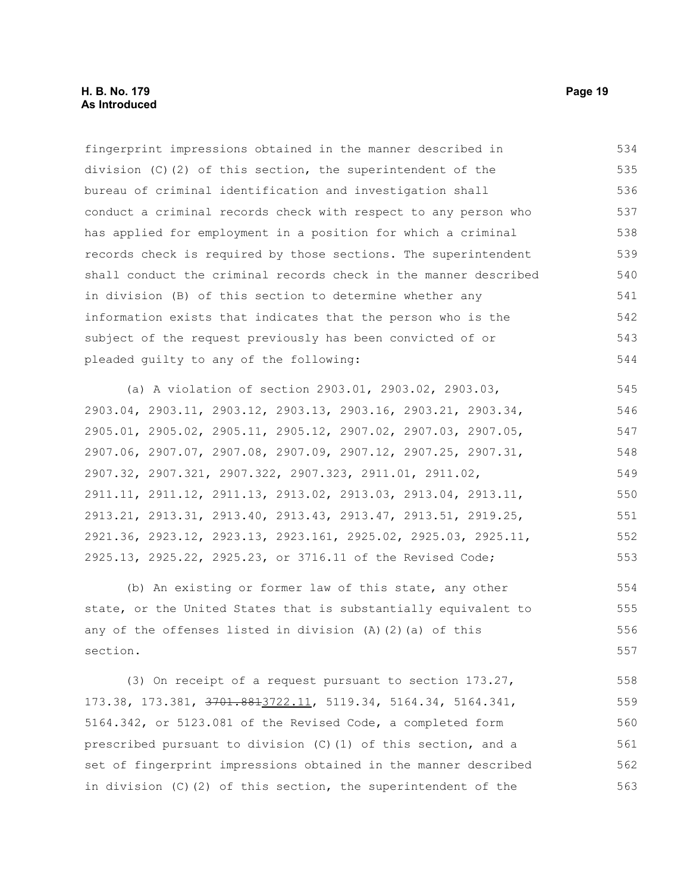## **H. B. No. 179 Page 19 As Introduced**

fingerprint impressions obtained in the manner described in division (C)(2) of this section, the superintendent of the bureau of criminal identification and investigation shall conduct a criminal records check with respect to any person who has applied for employment in a position for which a criminal records check is required by those sections. The superintendent shall conduct the criminal records check in the manner described in division (B) of this section to determine whether any information exists that indicates that the person who is the subject of the request previously has been convicted of or pleaded guilty to any of the following: 534 535 536 537 538 539 540 541 542 543 544

(a) A violation of section 2903.01, 2903.02, 2903.03, 2903.04, 2903.11, 2903.12, 2903.13, 2903.16, 2903.21, 2903.34, 2905.01, 2905.02, 2905.11, 2905.12, 2907.02, 2907.03, 2907.05, 2907.06, 2907.07, 2907.08, 2907.09, 2907.12, 2907.25, 2907.31, 2907.32, 2907.321, 2907.322, 2907.323, 2911.01, 2911.02, 2911.11, 2911.12, 2911.13, 2913.02, 2913.03, 2913.04, 2913.11, 2913.21, 2913.31, 2913.40, 2913.43, 2913.47, 2913.51, 2919.25, 2921.36, 2923.12, 2923.13, 2923.161, 2925.02, 2925.03, 2925.11, 2925.13, 2925.22, 2925.23, or 3716.11 of the Revised Code; 545 546 547 548 549 550 551 552 553

(b) An existing or former law of this state, any other state, or the United States that is substantially equivalent to any of the offenses listed in division (A)(2)(a) of this section. 554 555 556

(3) On receipt of a request pursuant to section 173.27, 173.38, 173.381, 3701.8813722.11, 5119.34, 5164.34, 5164.341, 5164.342, or 5123.081 of the Revised Code, a completed form prescribed pursuant to division (C)(1) of this section, and a set of fingerprint impressions obtained in the manner described in division (C)(2) of this section, the superintendent of the 558 559 560 561 562 563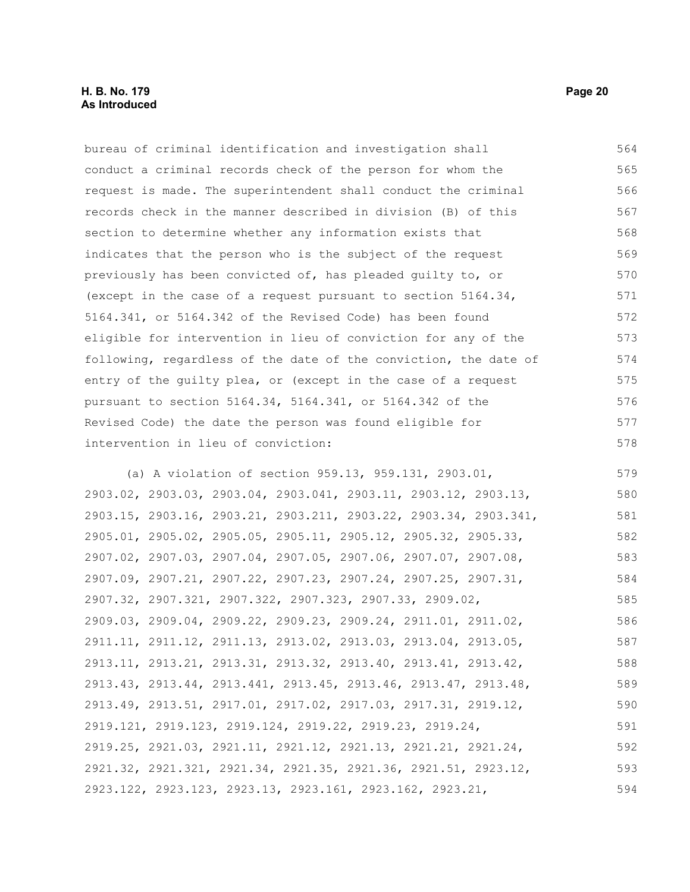# **H. B. No. 179 Page 20 As Introduced**

bureau of criminal identification and investigation shall conduct a criminal records check of the person for whom the request is made. The superintendent shall conduct the criminal records check in the manner described in division (B) of this section to determine whether any information exists that indicates that the person who is the subject of the request previously has been convicted of, has pleaded guilty to, or (except in the case of a request pursuant to section 5164.34, 5164.341, or 5164.342 of the Revised Code) has been found eligible for intervention in lieu of conviction for any of the following, regardless of the date of the conviction, the date of entry of the guilty plea, or (except in the case of a request pursuant to section 5164.34, 5164.341, or 5164.342 of the Revised Code) the date the person was found eligible for intervention in lieu of conviction: (a) A violation of section 959.13, 959.131, 2903.01, 2903.02, 2903.03, 2903.04, 2903.041, 2903.11, 2903.12, 2903.13, 2903.15, 2903.16, 2903.21, 2903.211, 2903.22, 2903.34, 2903.341, 564 565 566 567 568 569 570 571 572 573 574 575 576 577 578 579 580 581 582

2905.01, 2905.02, 2905.05, 2905.11, 2905.12, 2905.32, 2905.33, 2907.02, 2907.03, 2907.04, 2907.05, 2907.06, 2907.07, 2907.08, 2907.09, 2907.21, 2907.22, 2907.23, 2907.24, 2907.25, 2907.31, 2907.32, 2907.321, 2907.322, 2907.323, 2907.33, 2909.02, 2909.03, 2909.04, 2909.22, 2909.23, 2909.24, 2911.01, 2911.02, 2911.11, 2911.12, 2911.13, 2913.02, 2913.03, 2913.04, 2913.05, 2913.11, 2913.21, 2913.31, 2913.32, 2913.40, 2913.41, 2913.42, 2913.43, 2913.44, 2913.441, 2913.45, 2913.46, 2913.47, 2913.48, 2913.49, 2913.51, 2917.01, 2917.02, 2917.03, 2917.31, 2919.12, 2919.121, 2919.123, 2919.124, 2919.22, 2919.23, 2919.24, 2919.25, 2921.03, 2921.11, 2921.12, 2921.13, 2921.21, 2921.24, 2921.32, 2921.321, 2921.34, 2921.35, 2921.36, 2921.51, 2923.12, 2923.122, 2923.123, 2923.13, 2923.161, 2923.162, 2923.21, 583 584 585 586 587 588 589 590 591 592 593 594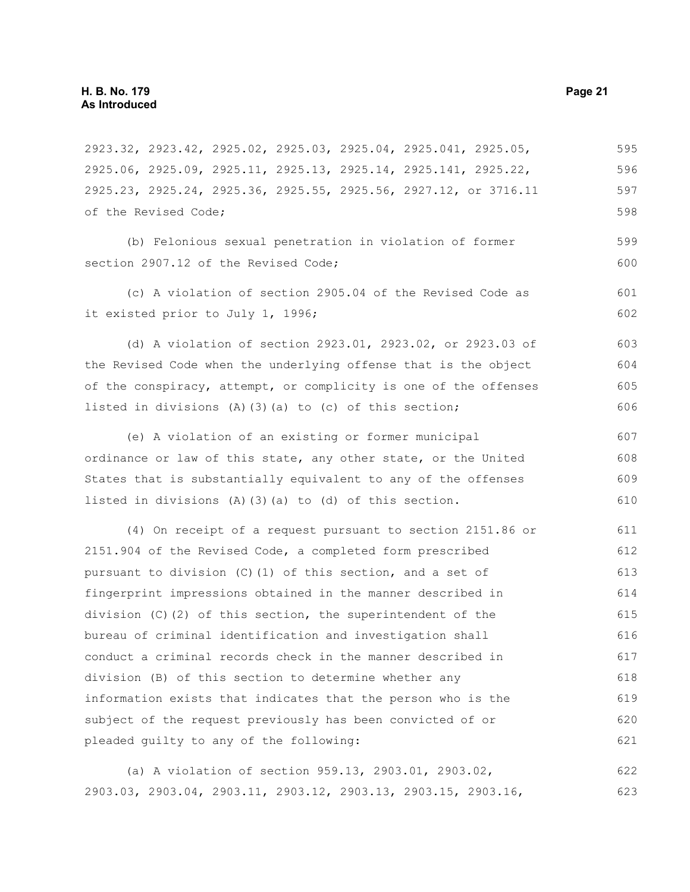2923.32, 2923.42, 2925.02, 2925.03, 2925.04, 2925.041, 2925.05, 2925.06, 2925.09, 2925.11, 2925.13, 2925.14, 2925.141, 2925.22, 2925.23, 2925.24, 2925.36, 2925.55, 2925.56, 2927.12, or 3716.11 of the Revised Code; 595 596 597 598

(b) Felonious sexual penetration in violation of former section 2907.12 of the Revised Code:

(c) A violation of section 2905.04 of the Revised Code as it existed prior to July 1, 1996;

(d) A violation of section 2923.01, 2923.02, or 2923.03 of the Revised Code when the underlying offense that is the object of the conspiracy, attempt, or complicity is one of the offenses listed in divisions  $(A)$   $(3)$   $(a)$  to  $(c)$  of this section; 603 604 605 606

(e) A violation of an existing or former municipal ordinance or law of this state, any other state, or the United States that is substantially equivalent to any of the offenses listed in divisions (A)(3)(a) to (d) of this section. 607 608 609 610

(4) On receipt of a request pursuant to section 2151.86 or 2151.904 of the Revised Code, a completed form prescribed pursuant to division (C)(1) of this section, and a set of fingerprint impressions obtained in the manner described in division (C)(2) of this section, the superintendent of the bureau of criminal identification and investigation shall conduct a criminal records check in the manner described in division (B) of this section to determine whether any information exists that indicates that the person who is the subject of the request previously has been convicted of or pleaded guilty to any of the following: 611 612 613 614 615 616 617 618 619 620 621

(a) A violation of section 959.13, 2903.01, 2903.02, 2903.03, 2903.04, 2903.11, 2903.12, 2903.13, 2903.15, 2903.16, 622 623

599 600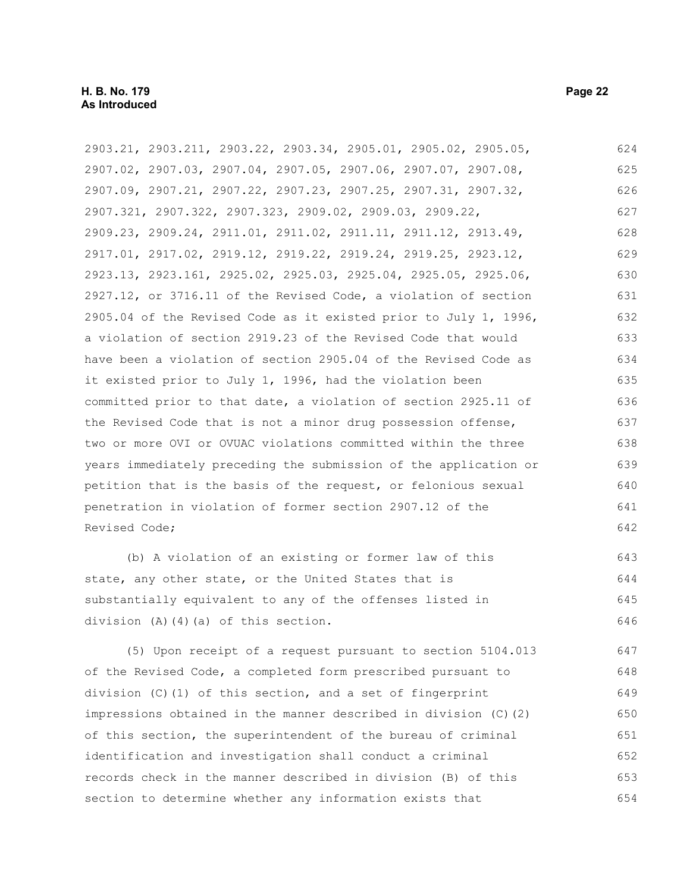2903.21, 2903.211, 2903.22, 2903.34, 2905.01, 2905.02, 2905.05, 2907.02, 2907.03, 2907.04, 2907.05, 2907.06, 2907.07, 2907.08, 2907.09, 2907.21, 2907.22, 2907.23, 2907.25, 2907.31, 2907.32, 2907.321, 2907.322, 2907.323, 2909.02, 2909.03, 2909.22, 2909.23, 2909.24, 2911.01, 2911.02, 2911.11, 2911.12, 2913.49, 624 625 626 627 628

2917.01, 2917.02, 2919.12, 2919.22, 2919.24, 2919.25, 2923.12, 2923.13, 2923.161, 2925.02, 2925.03, 2925.04, 2925.05, 2925.06, 2927.12, or 3716.11 of the Revised Code, a violation of section 2905.04 of the Revised Code as it existed prior to July 1, 1996, a violation of section 2919.23 of the Revised Code that would have been a violation of section 2905.04 of the Revised Code as it existed prior to July 1, 1996, had the violation been committed prior to that date, a violation of section 2925.11 of the Revised Code that is not a minor drug possession offense, two or more OVI or OVUAC violations committed within the three years immediately preceding the submission of the application or petition that is the basis of the request, or felonious sexual penetration in violation of former section 2907.12 of the Revised Code; 629 630 631 632 633 634 635 636 637 638 639 640 641 642

(b) A violation of an existing or former law of this state, any other state, or the United States that is substantially equivalent to any of the offenses listed in division (A)(4)(a) of this section. 643 644 645 646

(5) Upon receipt of a request pursuant to section 5104.013 of the Revised Code, a completed form prescribed pursuant to division (C)(1) of this section, and a set of fingerprint impressions obtained in the manner described in division (C)(2) of this section, the superintendent of the bureau of criminal identification and investigation shall conduct a criminal records check in the manner described in division (B) of this section to determine whether any information exists that 647 648 649 650 651 652 653 654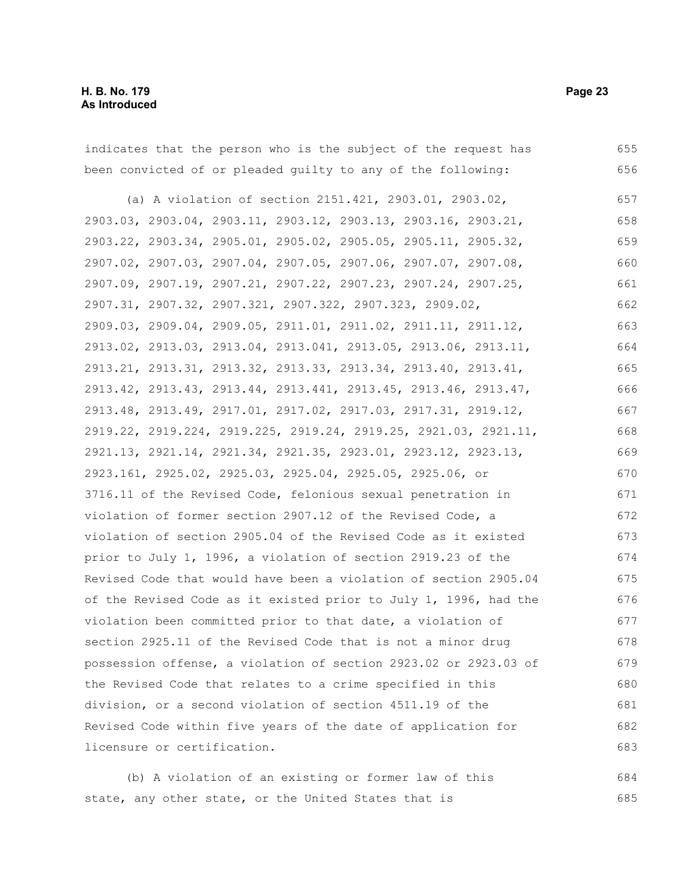685

| indicates that the person who is the subject of the request has  | 655 |
|------------------------------------------------------------------|-----|
| been convicted of or pleaded guilty to any of the following:     | 656 |
| (a) A violation of section 2151.421, 2903.01, 2903.02,           | 657 |
| 2903.03, 2903.04, 2903.11, 2903.12, 2903.13, 2903.16, 2903.21,   | 658 |
| 2903.22, 2903.34, 2905.01, 2905.02, 2905.05, 2905.11, 2905.32,   | 659 |
| 2907.02, 2907.03, 2907.04, 2907.05, 2907.06, 2907.07, 2907.08,   | 660 |
| 2907.09, 2907.19, 2907.21, 2907.22, 2907.23, 2907.24, 2907.25,   | 661 |
| 2907.31, 2907.32, 2907.321, 2907.322, 2907.323, 2909.02,         | 662 |
| 2909.03, 2909.04, 2909.05, 2911.01, 2911.02, 2911.11, 2911.12,   | 663 |
| 2913.02, 2913.03, 2913.04, 2913.041, 2913.05, 2913.06, 2913.11,  | 664 |
| 2913.21, 2913.31, 2913.32, 2913.33, 2913.34, 2913.40, 2913.41,   | 665 |
| 2913.42, 2913.43, 2913.44, 2913.441, 2913.45, 2913.46, 2913.47,  | 666 |
| 2913.48, 2913.49, 2917.01, 2917.02, 2917.03, 2917.31, 2919.12,   | 667 |
| 2919.22, 2919.224, 2919.225, 2919.24, 2919.25, 2921.03, 2921.11, | 668 |
| 2921.13, 2921.14, 2921.34, 2921.35, 2923.01, 2923.12, 2923.13,   | 669 |
| 2923.161, 2925.02, 2925.03, 2925.04, 2925.05, 2925.06, or        | 670 |
| 3716.11 of the Revised Code, felonious sexual penetration in     | 671 |
| violation of former section 2907.12 of the Revised Code, a       | 672 |
| violation of section 2905.04 of the Revised Code as it existed   | 673 |
| prior to July 1, 1996, a violation of section 2919.23 of the     | 674 |
| Revised Code that would have been a violation of section 2905.04 | 675 |
| of the Revised Code as it existed prior to July 1, 1996, had the | 676 |
| violation been committed prior to that date, a violation of      | 677 |
| section 2925.11 of the Revised Code that is not a minor drug     | 678 |
| possession offense, a violation of section 2923.02 or 2923.03 of | 679 |
| the Revised Code that relates to a crime specified in this       | 680 |
| division, or a second violation of section 4511.19 of the        | 681 |
| Revised Code within five years of the date of application for    | 682 |
| licensure or certification.                                      | 683 |
| (b) A violation of an existing or former law of this             | 684 |

state, any other state, or the United States that is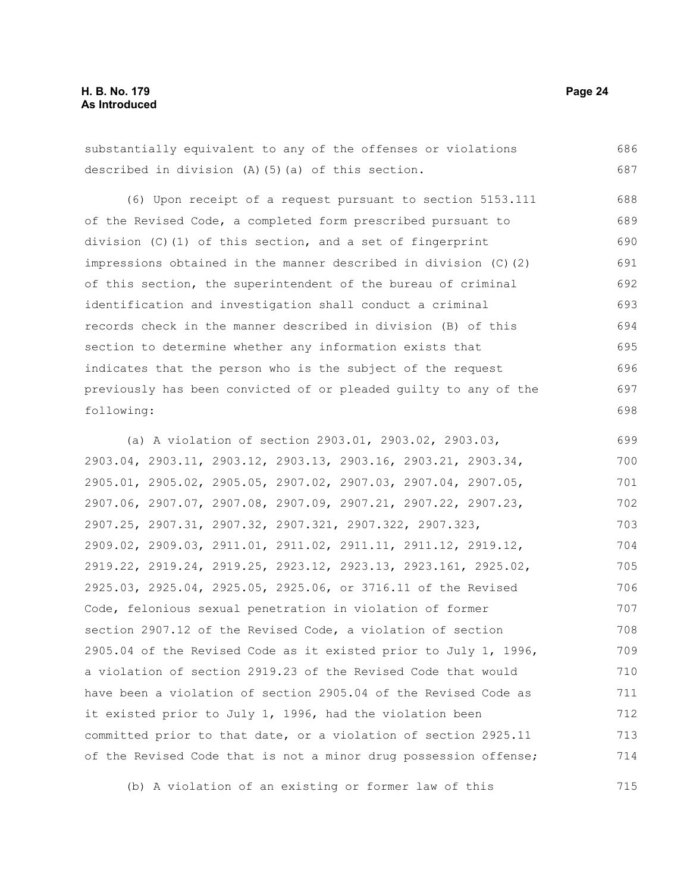substantially equivalent to any of the offenses or violations described in division (A)(5)(a) of this section. 686 687

(6) Upon receipt of a request pursuant to section 5153.111 of the Revised Code, a completed form prescribed pursuant to division (C)(1) of this section, and a set of fingerprint impressions obtained in the manner described in division (C)(2) of this section, the superintendent of the bureau of criminal identification and investigation shall conduct a criminal records check in the manner described in division (B) of this section to determine whether any information exists that indicates that the person who is the subject of the request previously has been convicted of or pleaded guilty to any of the following: 688 689 690 691 692 693 694 695 696 697 698

(a) A violation of section 2903.01, 2903.02, 2903.03, 2903.04, 2903.11, 2903.12, 2903.13, 2903.16, 2903.21, 2903.34, 2905.01, 2905.02, 2905.05, 2907.02, 2907.03, 2907.04, 2907.05, 2907.06, 2907.07, 2907.08, 2907.09, 2907.21, 2907.22, 2907.23, 2907.25, 2907.31, 2907.32, 2907.321, 2907.322, 2907.323, 2909.02, 2909.03, 2911.01, 2911.02, 2911.11, 2911.12, 2919.12, 2919.22, 2919.24, 2919.25, 2923.12, 2923.13, 2923.161, 2925.02, 2925.03, 2925.04, 2925.05, 2925.06, or 3716.11 of the Revised Code, felonious sexual penetration in violation of former section 2907.12 of the Revised Code, a violation of section 2905.04 of the Revised Code as it existed prior to July 1, 1996, a violation of section 2919.23 of the Revised Code that would have been a violation of section 2905.04 of the Revised Code as it existed prior to July 1, 1996, had the violation been committed prior to that date, or a violation of section 2925.11 of the Revised Code that is not a minor drug possession offense; 699 700 701 702 703 704 705 706 707 708 709 710 711 712 713 714

(b) A violation of an existing or former law of this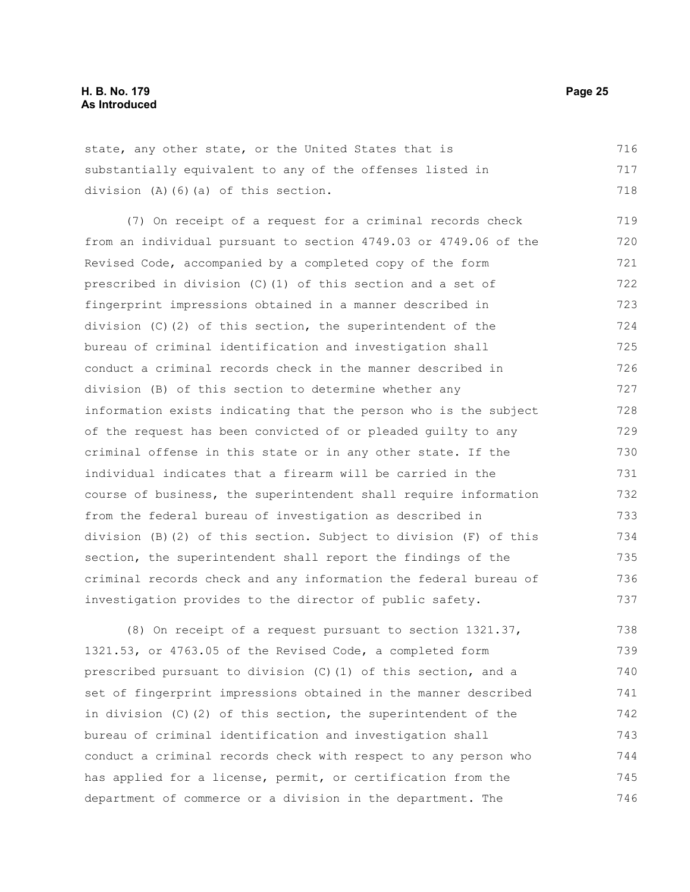state, any other state, or the United States that is substantially equivalent to any of the offenses listed in division (A)(6)(a) of this section. 716 717 718

(7) On receipt of a request for a criminal records check from an individual pursuant to section 4749.03 or 4749.06 of the Revised Code, accompanied by a completed copy of the form prescribed in division (C)(1) of this section and a set of fingerprint impressions obtained in a manner described in division (C)(2) of this section, the superintendent of the bureau of criminal identification and investigation shall conduct a criminal records check in the manner described in division (B) of this section to determine whether any information exists indicating that the person who is the subject of the request has been convicted of or pleaded guilty to any criminal offense in this state or in any other state. If the individual indicates that a firearm will be carried in the course of business, the superintendent shall require information from the federal bureau of investigation as described in division (B)(2) of this section. Subject to division (F) of this section, the superintendent shall report the findings of the criminal records check and any information the federal bureau of investigation provides to the director of public safety. 719 720 721 722 723 724 725 726 727 728 729 730 731 732 733 734 735 736 737

(8) On receipt of a request pursuant to section 1321.37, 1321.53, or 4763.05 of the Revised Code, a completed form prescribed pursuant to division (C)(1) of this section, and a set of fingerprint impressions obtained in the manner described in division (C)(2) of this section, the superintendent of the bureau of criminal identification and investigation shall conduct a criminal records check with respect to any person who has applied for a license, permit, or certification from the department of commerce or a division in the department. The 738 739 740 741 742 743 744 745 746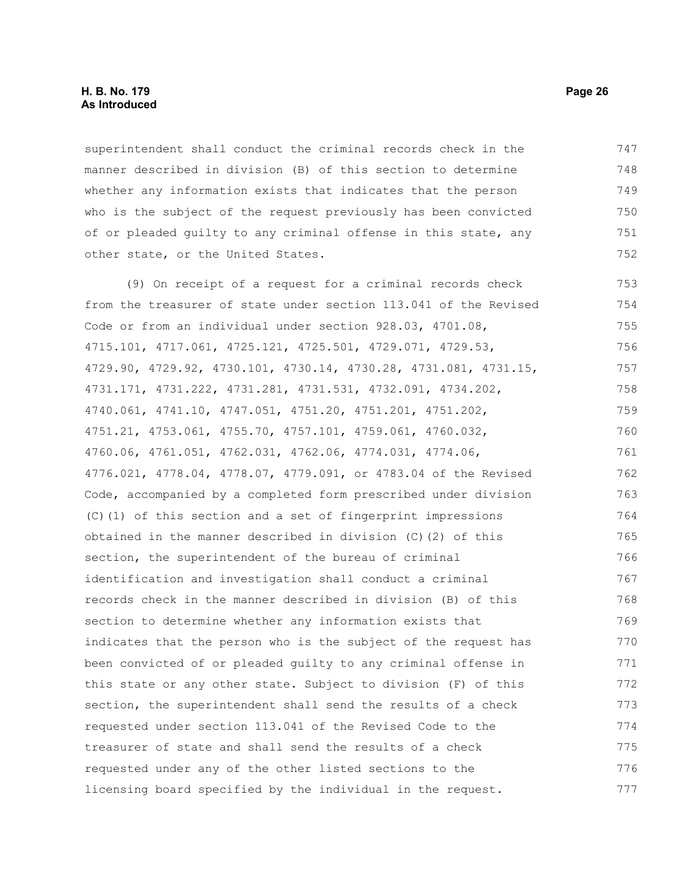## **H. B. No. 179 Page 26 As Introduced**

superintendent shall conduct the criminal records check in the manner described in division (B) of this section to determine whether any information exists that indicates that the person who is the subject of the request previously has been convicted of or pleaded guilty to any criminal offense in this state, any other state, or the United States. 747 748 749 750 751 752

(9) On receipt of a request for a criminal records check from the treasurer of state under section 113.041 of the Revised Code or from an individual under section 928.03, 4701.08, 4715.101, 4717.061, 4725.121, 4725.501, 4729.071, 4729.53, 4729.90, 4729.92, 4730.101, 4730.14, 4730.28, 4731.081, 4731.15, 4731.171, 4731.222, 4731.281, 4731.531, 4732.091, 4734.202, 4740.061, 4741.10, 4747.051, 4751.20, 4751.201, 4751.202, 4751.21, 4753.061, 4755.70, 4757.101, 4759.061, 4760.032, 4760.06, 4761.051, 4762.031, 4762.06, 4774.031, 4774.06, 4776.021, 4778.04, 4778.07, 4779.091, or 4783.04 of the Revised Code, accompanied by a completed form prescribed under division (C)(1) of this section and a set of fingerprint impressions obtained in the manner described in division (C)(2) of this section, the superintendent of the bureau of criminal identification and investigation shall conduct a criminal records check in the manner described in division (B) of this section to determine whether any information exists that indicates that the person who is the subject of the request has been convicted of or pleaded guilty to any criminal offense in this state or any other state. Subject to division (F) of this section, the superintendent shall send the results of a check requested under section 113.041 of the Revised Code to the treasurer of state and shall send the results of a check requested under any of the other listed sections to the licensing board specified by the individual in the request. 753 754 755 756 757 758 759 760 761 762 763 764 765 766 767 768 769 770 771 772 773 774 775 776 777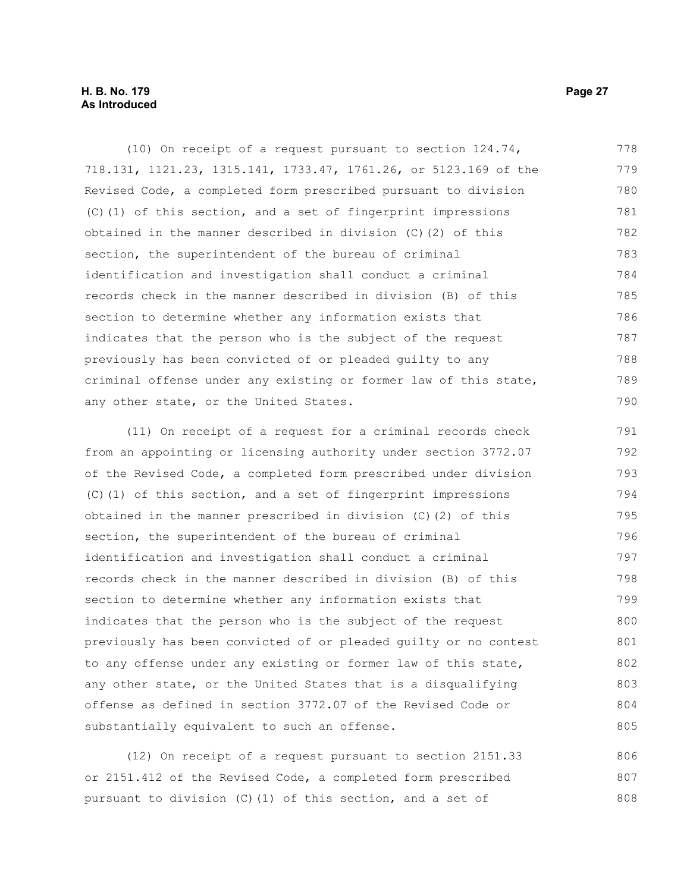# **H. B. No. 179 Page 27 As Introduced**

(10) On receipt of a request pursuant to section 124.74, 718.131, 1121.23, 1315.141, 1733.47, 1761.26, or 5123.169 of the Revised Code, a completed form prescribed pursuant to division (C)(1) of this section, and a set of fingerprint impressions obtained in the manner described in division (C)(2) of this section, the superintendent of the bureau of criminal identification and investigation shall conduct a criminal records check in the manner described in division (B) of this section to determine whether any information exists that indicates that the person who is the subject of the request previously has been convicted of or pleaded guilty to any criminal offense under any existing or former law of this state, any other state, or the United States. 778 779 780 781 782 783 784 785 786 787 788 789 790

(11) On receipt of a request for a criminal records check from an appointing or licensing authority under section 3772.07 of the Revised Code, a completed form prescribed under division (C)(1) of this section, and a set of fingerprint impressions obtained in the manner prescribed in division (C)(2) of this section, the superintendent of the bureau of criminal identification and investigation shall conduct a criminal records check in the manner described in division (B) of this section to determine whether any information exists that indicates that the person who is the subject of the request previously has been convicted of or pleaded guilty or no contest to any offense under any existing or former law of this state, any other state, or the United States that is a disqualifying offense as defined in section 3772.07 of the Revised Code or substantially equivalent to such an offense. 791 792 793 794 795 796 797 798 799 800 801 802 803 804 805

(12) On receipt of a request pursuant to section 2151.33 or 2151.412 of the Revised Code, a completed form prescribed pursuant to division (C)(1) of this section, and a set of 806 807 808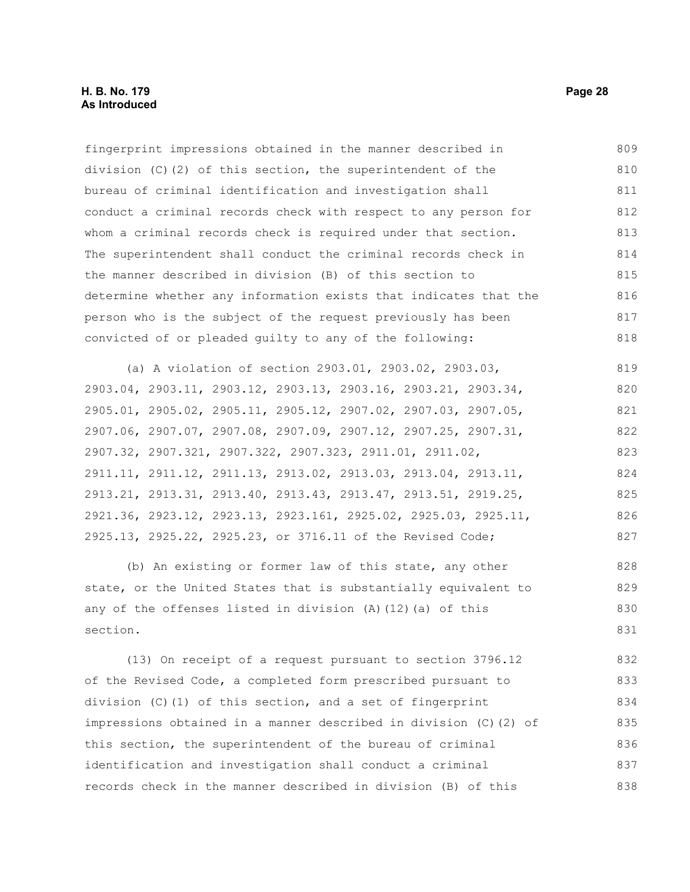## **H. B. No. 179 Page 28 As Introduced**

fingerprint impressions obtained in the manner described in division (C)(2) of this section, the superintendent of the bureau of criminal identification and investigation shall conduct a criminal records check with respect to any person for whom a criminal records check is required under that section. The superintendent shall conduct the criminal records check in the manner described in division (B) of this section to determine whether any information exists that indicates that the person who is the subject of the request previously has been convicted of or pleaded guilty to any of the following: 809 810 811 812 813 814 815 816 817 818

(a) A violation of section 2903.01, 2903.02, 2903.03, 2903.04, 2903.11, 2903.12, 2903.13, 2903.16, 2903.21, 2903.34, 2905.01, 2905.02, 2905.11, 2905.12, 2907.02, 2907.03, 2907.05, 2907.06, 2907.07, 2907.08, 2907.09, 2907.12, 2907.25, 2907.31, 2907.32, 2907.321, 2907.322, 2907.323, 2911.01, 2911.02, 2911.11, 2911.12, 2911.13, 2913.02, 2913.03, 2913.04, 2913.11, 2913.21, 2913.31, 2913.40, 2913.43, 2913.47, 2913.51, 2919.25, 2921.36, 2923.12, 2923.13, 2923.161, 2925.02, 2925.03, 2925.11, 2925.13, 2925.22, 2925.23, or 3716.11 of the Revised Code; 819 820 821 822 823 824 825 826 827

(b) An existing or former law of this state, any other state, or the United States that is substantially equivalent to any of the offenses listed in division  $(A)$   $(12)$   $(a)$  of this section. 828 829 830 831

(13) On receipt of a request pursuant to section 3796.12 of the Revised Code, a completed form prescribed pursuant to division (C)(1) of this section, and a set of fingerprint impressions obtained in a manner described in division (C)(2) of this section, the superintendent of the bureau of criminal identification and investigation shall conduct a criminal records check in the manner described in division (B) of this 832 833 834 835 836 837 838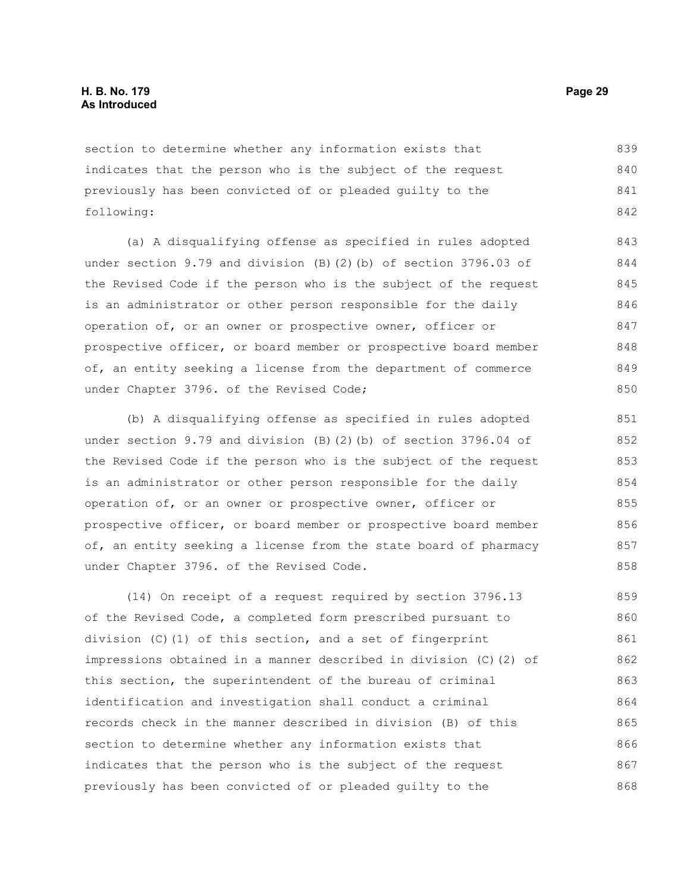section to determine whether any information exists that indicates that the person who is the subject of the request previously has been convicted of or pleaded guilty to the following: 839 840 841 842

(a) A disqualifying offense as specified in rules adopted under section 9.79 and division (B)(2)(b) of section 3796.03 of the Revised Code if the person who is the subject of the request is an administrator or other person responsible for the daily operation of, or an owner or prospective owner, officer or prospective officer, or board member or prospective board member of, an entity seeking a license from the department of commerce under Chapter 3796. of the Revised Code; 843 844 845 846 847 848 849 850

(b) A disqualifying offense as specified in rules adopted under section 9.79 and division (B)(2)(b) of section 3796.04 of the Revised Code if the person who is the subject of the request is an administrator or other person responsible for the daily operation of, or an owner or prospective owner, officer or prospective officer, or board member or prospective board member of, an entity seeking a license from the state board of pharmacy under Chapter 3796. of the Revised Code.

(14) On receipt of a request required by section 3796.13 of the Revised Code, a completed form prescribed pursuant to division (C)(1) of this section, and a set of fingerprint impressions obtained in a manner described in division (C)(2) of this section, the superintendent of the bureau of criminal identification and investigation shall conduct a criminal records check in the manner described in division (B) of this section to determine whether any information exists that indicates that the person who is the subject of the request previously has been convicted of or pleaded guilty to the 859 860 861 862 863 864 865 866 867 868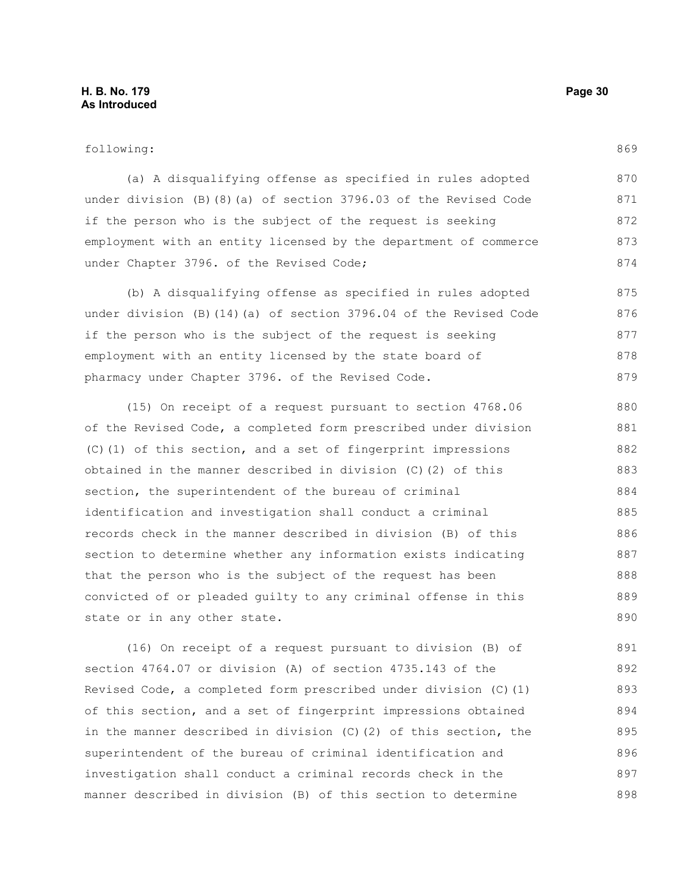#### **H. B. No. 179 Page 30 As Introduced**

(a) A disqualifying offense as specified in rules adopted under division (B)(8)(a) of section 3796.03 of the Revised Code if the person who is the subject of the request is seeking employment with an entity licensed by the department of commerce under Chapter 3796. of the Revised Code; 870 871 872 873 874

(b) A disqualifying offense as specified in rules adopted under division (B)(14)(a) of section 3796.04 of the Revised Code if the person who is the subject of the request is seeking employment with an entity licensed by the state board of pharmacy under Chapter 3796. of the Revised Code. 875 876 877 878 879

(15) On receipt of a request pursuant to section 4768.06 of the Revised Code, a completed form prescribed under division (C)(1) of this section, and a set of fingerprint impressions obtained in the manner described in division (C)(2) of this section, the superintendent of the bureau of criminal identification and investigation shall conduct a criminal records check in the manner described in division (B) of this section to determine whether any information exists indicating that the person who is the subject of the request has been convicted of or pleaded guilty to any criminal offense in this state or in any other state. 880 881 882 883 884 885 886 887 888 889 890

(16) On receipt of a request pursuant to division (B) of section 4764.07 or division (A) of section 4735.143 of the Revised Code, a completed form prescribed under division (C)(1) of this section, and a set of fingerprint impressions obtained in the manner described in division  $(C)$  (2) of this section, the superintendent of the bureau of criminal identification and investigation shall conduct a criminal records check in the manner described in division (B) of this section to determine 891 892 893 894 895 896 897 898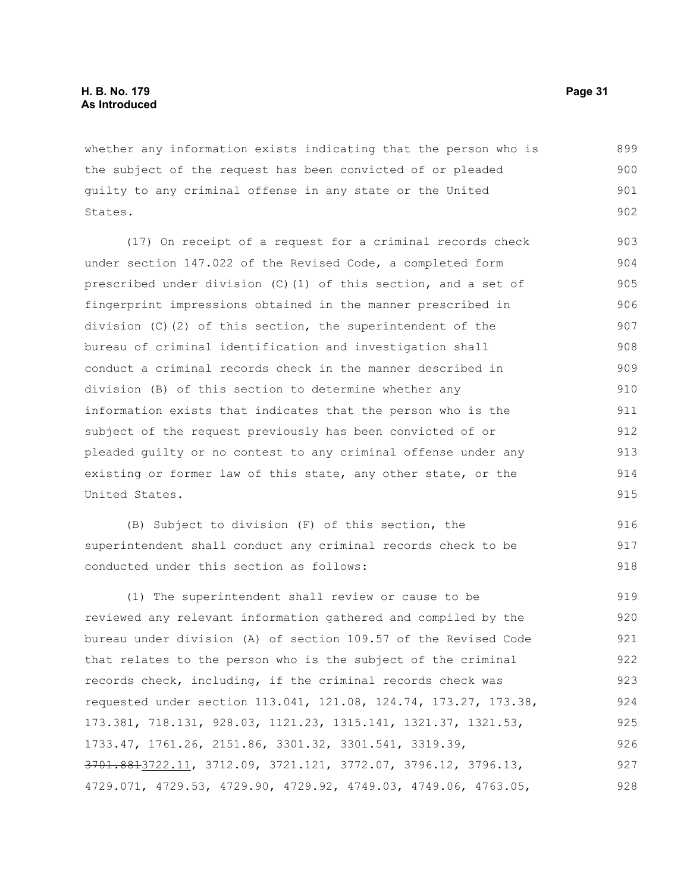whether any information exists indicating that the person who is the subject of the request has been convicted of or pleaded guilty to any criminal offense in any state or the United States. 899 900 901 902

(17) On receipt of a request for a criminal records check under section 147.022 of the Revised Code, a completed form prescribed under division (C)(1) of this section, and a set of fingerprint impressions obtained in the manner prescribed in division (C)(2) of this section, the superintendent of the bureau of criminal identification and investigation shall conduct a criminal records check in the manner described in division (B) of this section to determine whether any information exists that indicates that the person who is the subject of the request previously has been convicted of or pleaded guilty or no contest to any criminal offense under any existing or former law of this state, any other state, or the United States. 903 904 905 906 907 908 909 910 911 912 913 914 915

(B) Subject to division (F) of this section, the superintendent shall conduct any criminal records check to be conducted under this section as follows:

(1) The superintendent shall review or cause to be reviewed any relevant information gathered and compiled by the bureau under division (A) of section 109.57 of the Revised Code that relates to the person who is the subject of the criminal records check, including, if the criminal records check was requested under section 113.041, 121.08, 124.74, 173.27, 173.38, 173.381, 718.131, 928.03, 1121.23, 1315.141, 1321.37, 1321.53, 1733.47, 1761.26, 2151.86, 3301.32, 3301.541, 3319.39, 3701.8813722.11, 3712.09, 3721.121, 3772.07, 3796.12, 3796.13, 4729.071, 4729.53, 4729.90, 4729.92, 4749.03, 4749.06, 4763.05, 919 920 921 922 923 924 925 926 927 928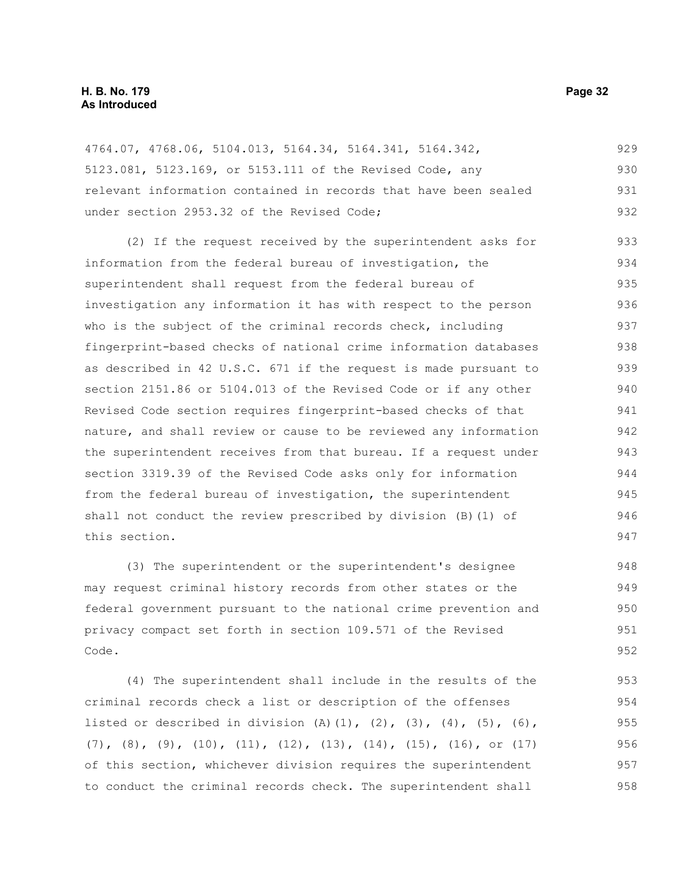#### **H. B. No. 179 Page 32 As Introduced**

| $4764.07$ , $4768.06$ , $5104.013$ , $5164.34$ , $5164.341$ , $5164.342$ , | 929 |
|----------------------------------------------------------------------------|-----|
| 5123.081, 5123.169, or 5153.111 of the Revised Code, any                   | 930 |
| relevant information contained in records that have been sealed            | 931 |
| under section 2953.32 of the Revised Code;                                 | 932 |

(2) If the request received by the superintendent asks for information from the federal bureau of investigation, the superintendent shall request from the federal bureau of investigation any information it has with respect to the person who is the subject of the criminal records check, including fingerprint-based checks of national crime information databases as described in 42 U.S.C. 671 if the request is made pursuant to section 2151.86 or 5104.013 of the Revised Code or if any other Revised Code section requires fingerprint-based checks of that nature, and shall review or cause to be reviewed any information the superintendent receives from that bureau. If a request under section 3319.39 of the Revised Code asks only for information from the federal bureau of investigation, the superintendent shall not conduct the review prescribed by division (B)(1) of this section. 933 934 935 936 937 938 939 940 941 942 943 944 945 946 947

(3) The superintendent or the superintendent's designee may request criminal history records from other states or the federal government pursuant to the national crime prevention and privacy compact set forth in section 109.571 of the Revised Code. 948 949 950 951 952

(4) The superintendent shall include in the results of the criminal records check a list or description of the offenses listed or described in division  $(A)$   $(1)$ ,  $(2)$ ,  $(3)$ ,  $(4)$ ,  $(5)$ ,  $(6)$ ,  $(7)$ ,  $(8)$ ,  $(9)$ ,  $(10)$ ,  $(11)$ ,  $(12)$ ,  $(13)$ ,  $(14)$ ,  $(15)$ ,  $(16)$ , or  $(17)$ of this section, whichever division requires the superintendent to conduct the criminal records check. The superintendent shall 953 954 955 956 957 958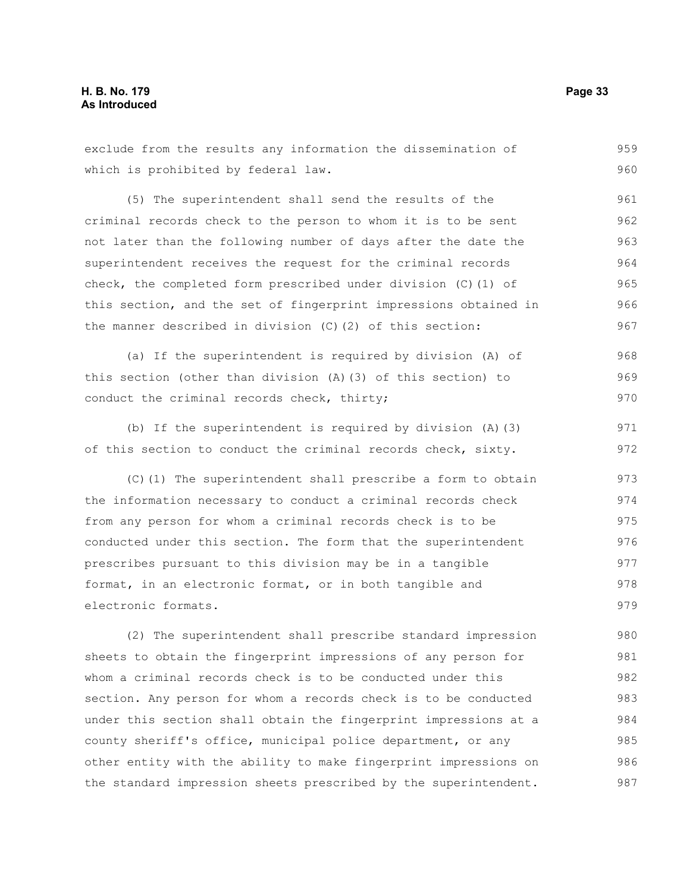| exclude from the results any information the dissemination of    | 959 |
|------------------------------------------------------------------|-----|
| which is prohibited by federal law.                              | 960 |
| (5) The superintendent shall send the results of the             | 961 |
| criminal records check to the person to whom it is to be sent    | 962 |
| not later than the following number of days after the date the   | 963 |
| superintendent receives the request for the criminal records     | 964 |
| check, the completed form prescribed under division (C) (1) of   | 965 |
| this section, and the set of fingerprint impressions obtained in | 966 |
| the manner described in division $(C)$ $(2)$ of this section:    | 967 |
| (a) If the superintendent is required by division (A) of         | 968 |
| this section (other than division (A) (3) of this section) to    | 969 |
| conduct the criminal records check, thirty;                      | 970 |
| (b) If the superintendent is required by division (A) (3)        | 971 |
| of this section to conduct the criminal records check, sixty.    | 972 |
| (C) (1) The superintendent shall prescribe a form to obtain      | 973 |
| the information necessary to conduct a criminal records check    | 974 |
| from any person for whom a criminal records check is to be       | 975 |
| conducted under this section. The form that the superintendent   | 976 |
| prescribes pursuant to this division may be in a tangible        | 977 |
| format, in an electronic format, or in both tangible and         | 978 |
| electronic formats.                                              | 979 |
| (2) The superintendent shall prescribe standard impression       | 980 |
| sheets to obtain the fingerprint impressions of any person for   | 981 |
| whom a criminal records check is to be conducted under this      | 982 |
| section. Any person for whom a records check is to be conducted  | 983 |
| under this section shall obtain the fingerprint impressions at a | 984 |
| county sheriff's office, municipal police department, or any     | 985 |
| other entity with the ability to make fingerprint impressions on | 986 |
| the standard impression sheets prescribed by the superintendent. | 987 |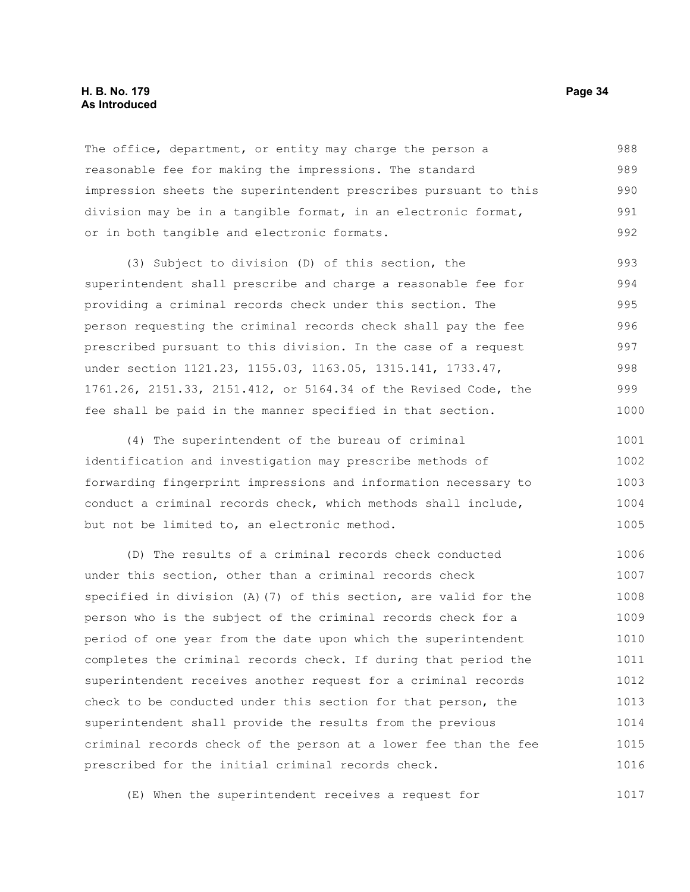#### **H. B. No. 179 Page 34 As Introduced**

The office, department, or entity may charge the person a reasonable fee for making the impressions. The standard impression sheets the superintendent prescribes pursuant to this division may be in a tangible format, in an electronic format, or in both tangible and electronic formats. 988 989 990 991 992

(3) Subject to division (D) of this section, the superintendent shall prescribe and charge a reasonable fee for providing a criminal records check under this section. The person requesting the criminal records check shall pay the fee prescribed pursuant to this division. In the case of a request under section 1121.23, 1155.03, 1163.05, 1315.141, 1733.47, 1761.26, 2151.33, 2151.412, or 5164.34 of the Revised Code, the fee shall be paid in the manner specified in that section. 993 994 995 996 997 998 999 1000

(4) The superintendent of the bureau of criminal identification and investigation may prescribe methods of forwarding fingerprint impressions and information necessary to conduct a criminal records check, which methods shall include, but not be limited to, an electronic method. 1001 1002 1003 1004 1005

(D) The results of a criminal records check conducted under this section, other than a criminal records check specified in division (A)(7) of this section, are valid for the person who is the subject of the criminal records check for a period of one year from the date upon which the superintendent completes the criminal records check. If during that period the superintendent receives another request for a criminal records check to be conducted under this section for that person, the superintendent shall provide the results from the previous criminal records check of the person at a lower fee than the fee prescribed for the initial criminal records check. 1006 1007 1008 1009 1010 1011 1012 1013 1014 1015 1016

(E) When the superintendent receives a request for 1017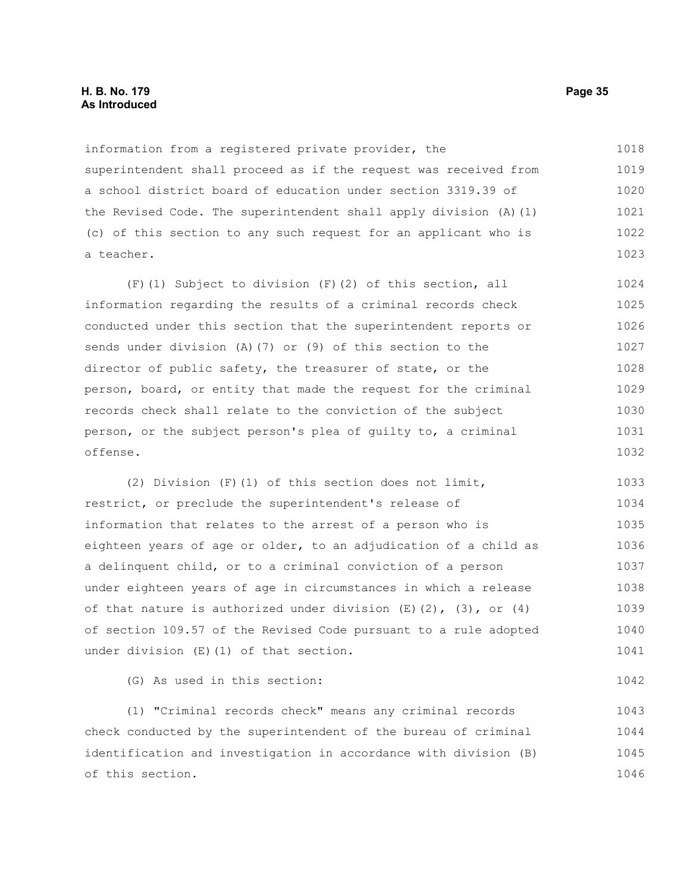#### **H. B. No. 179 Page 35 As Introduced**

information from a registered private provider, the superintendent shall proceed as if the request was received from a school district board of education under section 3319.39 of the Revised Code. The superintendent shall apply division (A)(1) (c) of this section to any such request for an applicant who is a teacher. 1018 1019 1020 1021 1022 1023

(F)(1) Subject to division (F)(2) of this section, all information regarding the results of a criminal records check conducted under this section that the superintendent reports or sends under division (A)(7) or (9) of this section to the director of public safety, the treasurer of state, or the person, board, or entity that made the request for the criminal records check shall relate to the conviction of the subject person, or the subject person's plea of guilty to, a criminal offense. 1024 1025 1026 1027 1028 1029 1030 1031 1032

(2) Division (F)(1) of this section does not limit, restrict, or preclude the superintendent's release of information that relates to the arrest of a person who is eighteen years of age or older, to an adjudication of a child as a delinquent child, or to a criminal conviction of a person under eighteen years of age in circumstances in which a release of that nature is authorized under division  $(E)(2)$ ,  $(3)$ , or  $(4)$ of section 109.57 of the Revised Code pursuant to a rule adopted under division (E)(1) of that section. 1033 1034 1035 1036 1037 1038 1039 1040 1041

(G) As used in this section:

1042

(1) "Criminal records check" means any criminal records check conducted by the superintendent of the bureau of criminal identification and investigation in accordance with division (B) of this section. 1043 1044 1045 1046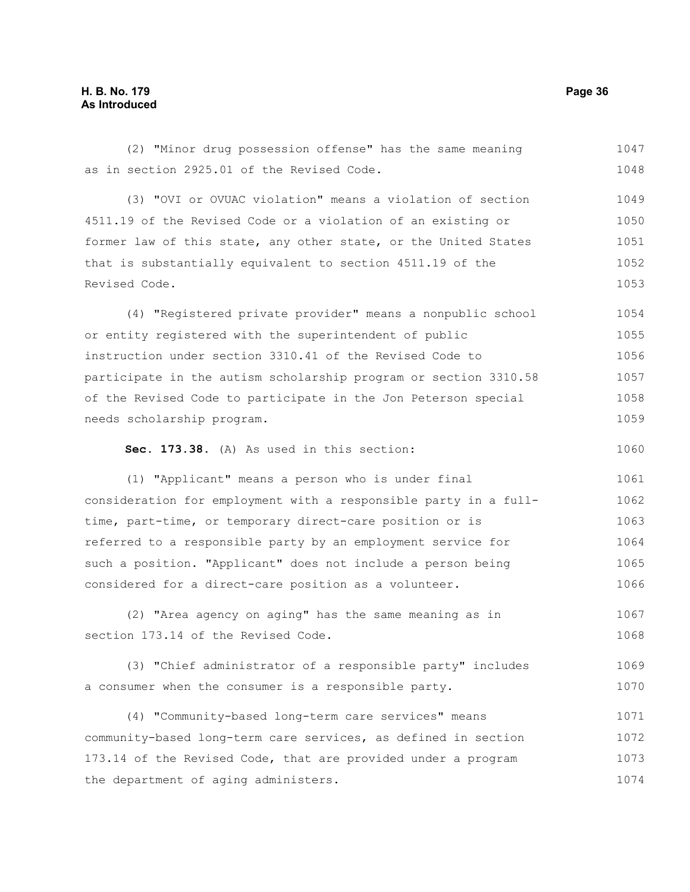# **H. B. No. 179 Page 36 As Introduced**

(2) "Minor drug possession offense" has the same meaning as in section 2925.01 of the Revised Code. (3) "OVI or OVUAC violation" means a violation of section 4511.19 of the Revised Code or a violation of an existing or former law of this state, any other state, or the United States that is substantially equivalent to section 4511.19 of the Revised Code. (4) "Registered private provider" means a nonpublic school or entity registered with the superintendent of public instruction under section 3310.41 of the Revised Code to participate in the autism scholarship program or section 3310.58 of the Revised Code to participate in the Jon Peterson special needs scholarship program. **Sec. 173.38.** (A) As used in this section: (1) "Applicant" means a person who is under final consideration for employment with a responsible party in a fulltime, part-time, or temporary direct-care position or is referred to a responsible party by an employment service for such a position. "Applicant" does not include a person being considered for a direct-care position as a volunteer. (2) "Area agency on aging" has the same meaning as in section 173.14 of the Revised Code. (3) "Chief administrator of a responsible party" includes a consumer when the consumer is a responsible party. (4) "Community-based long-term care services" means community-based long-term care services, as defined in section 173.14 of the Revised Code, that are provided under a program the department of aging administers. 1047 1048 1049 1050 1051 1052 1053 1054 1055 1056 1057 1058 1059 1060 1061 1062 1063 1064 1065 1066 1067 1068 1069 1070 1071 1072 1073 1074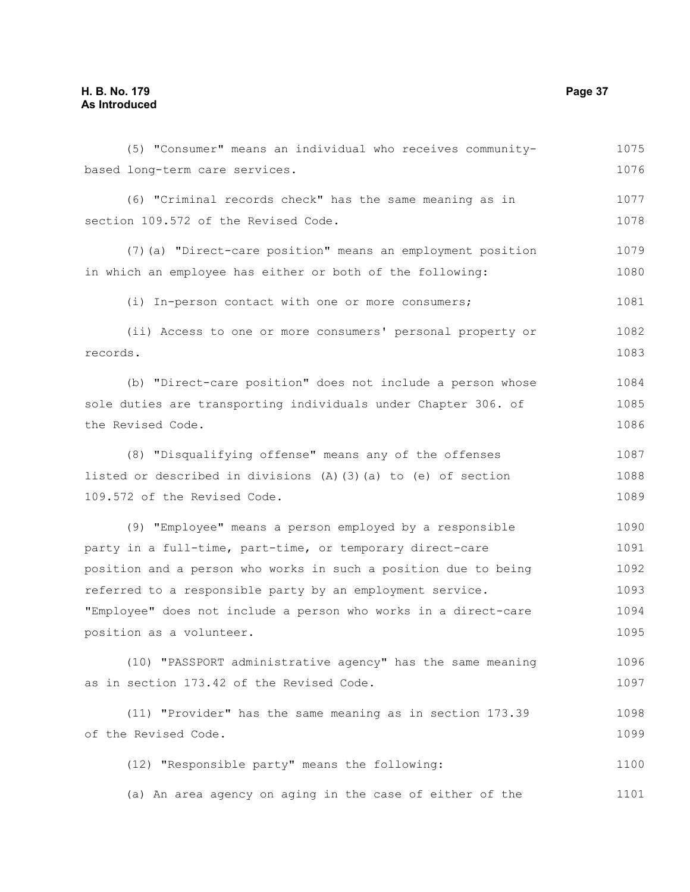based long-term care services. (6) "Criminal records check" has the same meaning as in section 109.572 of the Revised Code. (7)(a) "Direct-care position" means an employment position in which an employee has either or both of the following: (i) In-person contact with one or more consumers; (ii) Access to one or more consumers' personal property or records. (b) "Direct-care position" does not include a person whose sole duties are transporting individuals under Chapter 306. of the Revised Code. (8) "Disqualifying offense" means any of the offenses listed or described in divisions (A)(3)(a) to (e) of section 109.572 of the Revised Code. (9) "Employee" means a person employed by a responsible party in a full-time, part-time, or temporary direct-care position and a person who works in such a position due to being referred to a responsible party by an employment service. "Employee" does not include a person who works in a direct-care position as a volunteer. (10) "PASSPORT administrative agency" has the same meaning as in section 173.42 of the Revised Code. (11) "Provider" has the same meaning as in section 173.39 of the Revised Code. (12) "Responsible party" means the following: (a) An area agency on aging in the case of either of the 1076 1077 1078 1079 1080 1081 1082 1083 1084 1085 1086 1087 1088 1089 1090 1091 1092 1093 1094 1095 1096 1097 1098 1099 1100 1101

(5) "Consumer" means an individual who receives community-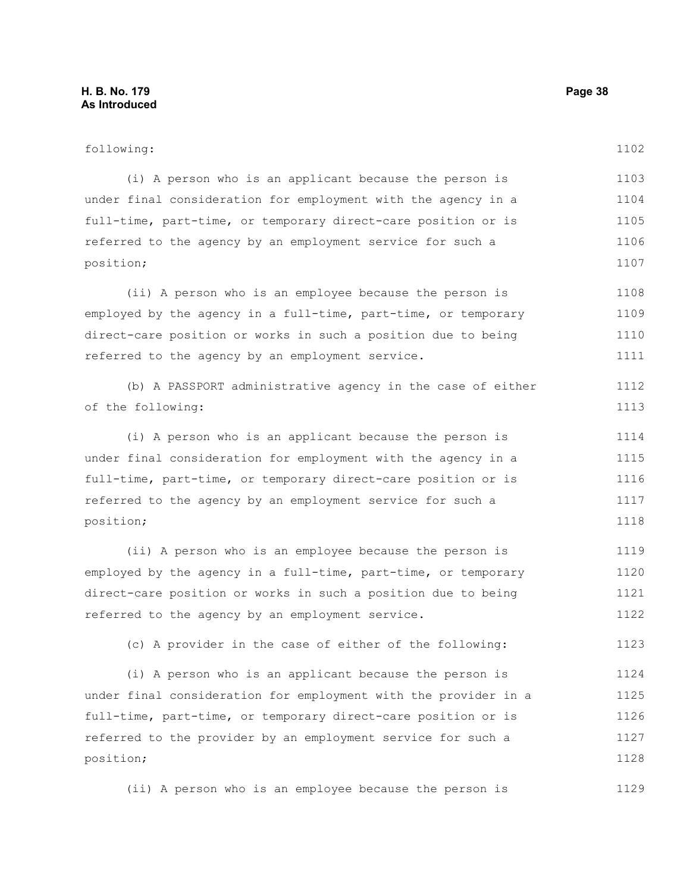position;

following: (i) A person who is an applicant because the person is under final consideration for employment with the agency in a full-time, part-time, or temporary direct-care position or is referred to the agency by an employment service for such a position; (ii) A person who is an employee because the person is employed by the agency in a full-time, part-time, or temporary direct-care position or works in such a position due to being referred to the agency by an employment service. (b) A PASSPORT administrative agency in the case of either of the following: (i) A person who is an applicant because the person is under final consideration for employment with the agency in a full-time, part-time, or temporary direct-care position or is referred to the agency by an employment service for such a position; (ii) A person who is an employee because the person is employed by the agency in a full-time, part-time, or temporary direct-care position or works in such a position due to being referred to the agency by an employment service. (c) A provider in the case of either of the following: (i) A person who is an applicant because the person is under final consideration for employment with the provider in a 1102 1103 1104 1105 1106 1107 1108 1109 1110 1111 1112 1113 1114 1115 1116 1117 1118 1119 1120 1121 1122 1123 1124 1125

(ii) A person who is an employee because the person is

full-time, part-time, or temporary direct-care position or is referred to the provider by an employment service for such a

1128

1129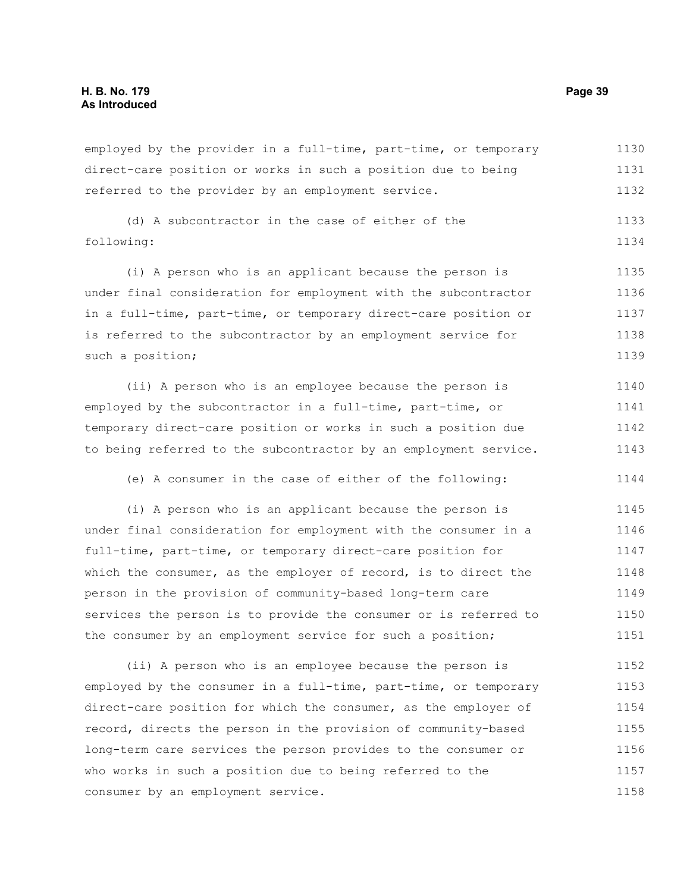employed by the provider in a full-time, part-time, or temporary direct-care position or works in such a position due to being referred to the provider by an employment service. 1130 1131 1132

(d) A subcontractor in the case of either of the following: 1133 1134

(i) A person who is an applicant because the person is under final consideration for employment with the subcontractor in a full-time, part-time, or temporary direct-care position or is referred to the subcontractor by an employment service for such a position; 1135 1136 1137 1138 1139

(ii) A person who is an employee because the person is employed by the subcontractor in a full-time, part-time, or temporary direct-care position or works in such a position due to being referred to the subcontractor by an employment service. 1140 1141 1142 1143

(e) A consumer in the case of either of the following:

(i) A person who is an applicant because the person is under final consideration for employment with the consumer in a full-time, part-time, or temporary direct-care position for which the consumer, as the employer of record, is to direct the person in the provision of community-based long-term care services the person is to provide the consumer or is referred to the consumer by an employment service for such a position; 1145 1146 1147 1148 1149 1150 1151

(ii) A person who is an employee because the person is employed by the consumer in a full-time, part-time, or temporary direct-care position for which the consumer, as the employer of record, directs the person in the provision of community-based long-term care services the person provides to the consumer or who works in such a position due to being referred to the consumer by an employment service. 1152 1153 1154 1155 1156 1157 1158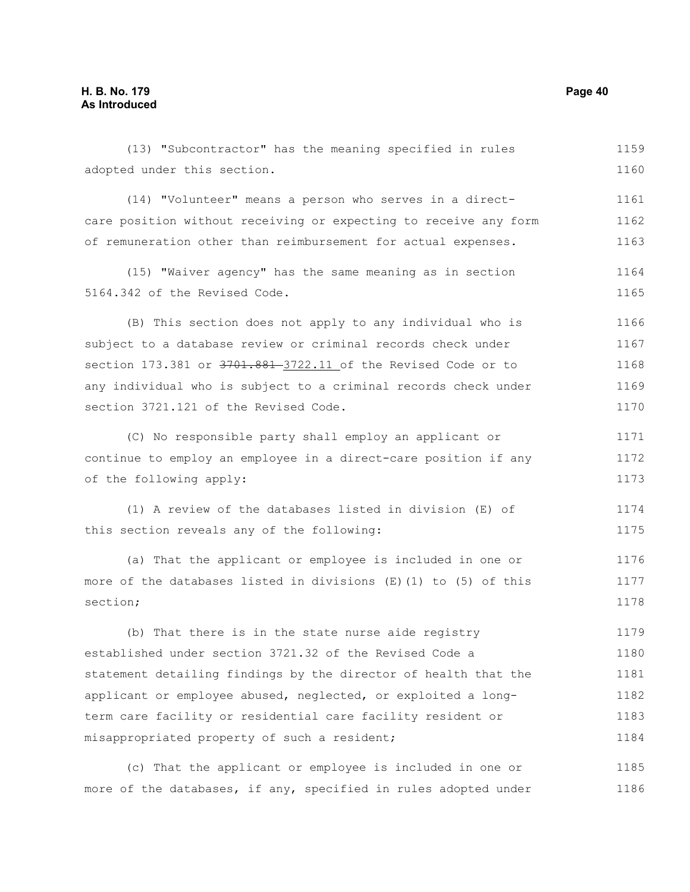(13) "Subcontractor" has the meaning specified in rules adopted under this section. (14) "Volunteer" means a person who serves in a directcare position without receiving or expecting to receive any form of remuneration other than reimbursement for actual expenses. (15) "Waiver agency" has the same meaning as in section 5164.342 of the Revised Code. (B) This section does not apply to any individual who is subject to a database review or criminal records check under section 173.381 or  $3701.881 - 3722.11$  of the Revised Code or to any individual who is subject to a criminal records check under section 3721.121 of the Revised Code. (C) No responsible party shall employ an applicant or continue to employ an employee in a direct-care position if any of the following apply: (1) A review of the databases listed in division (E) of this section reveals any of the following: (a) That the applicant or employee is included in one or more of the databases listed in divisions (E)(1) to (5) of this section; (b) That there is in the state nurse aide registry established under section 3721.32 of the Revised Code a statement detailing findings by the director of health that the 1159 1160 1161 1162 1163 1164 1165 1166 1167 1168 1169 1170 1171 1172 1173 1174 1175 1176 1177 1178 1179 1180 1181

applicant or employee abused, neglected, or exploited a longterm care facility or residential care facility resident or misappropriated property of such a resident; 1182 1183 1184

(c) That the applicant or employee is included in one or more of the databases, if any, specified in rules adopted under 1185 1186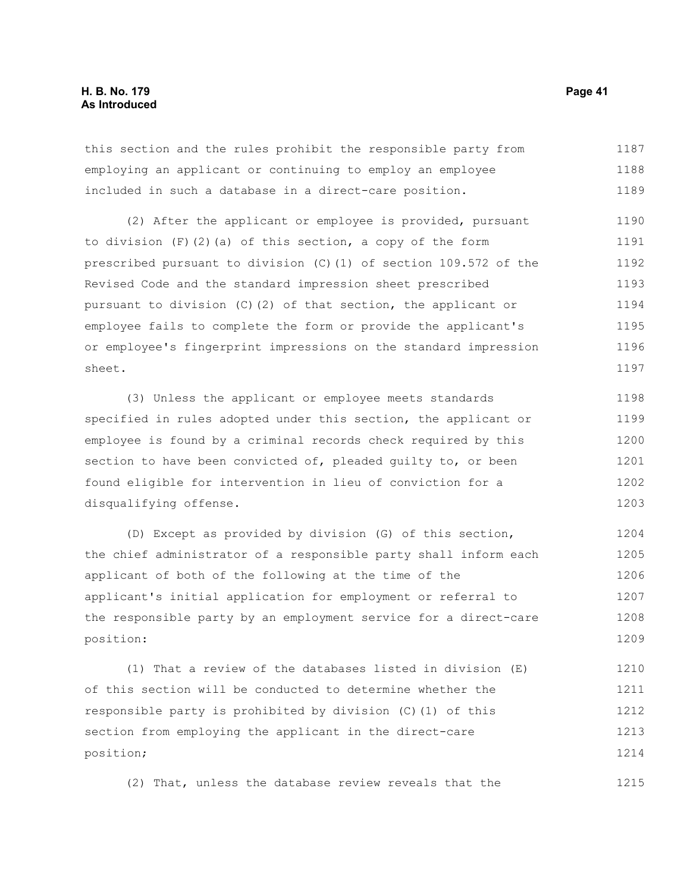this section and the rules prohibit the responsible party from employing an applicant or continuing to employ an employee included in such a database in a direct-care position. 1187 1188 1189

(2) After the applicant or employee is provided, pursuant to division (F)(2)(a) of this section, a copy of the form prescribed pursuant to division (C)(1) of section 109.572 of the Revised Code and the standard impression sheet prescribed pursuant to division  $(C)$  (2) of that section, the applicant or employee fails to complete the form or provide the applicant's or employee's fingerprint impressions on the standard impression sheet. 1190 1191 1192 1193 1194 1195 1196 1197

(3) Unless the applicant or employee meets standards specified in rules adopted under this section, the applicant or employee is found by a criminal records check required by this section to have been convicted of, pleaded guilty to, or been found eligible for intervention in lieu of conviction for a disqualifying offense. 1198 1199 1200 1201 1202 1203

(D) Except as provided by division (G) of this section, the chief administrator of a responsible party shall inform each applicant of both of the following at the time of the applicant's initial application for employment or referral to the responsible party by an employment service for a direct-care position: 1204 1205 1206 1207 1208 1209

(1) That a review of the databases listed in division (E) of this section will be conducted to determine whether the responsible party is prohibited by division (C)(1) of this section from employing the applicant in the direct-care position; 1210 1211 1212 1213 1214

(2) That, unless the database review reveals that the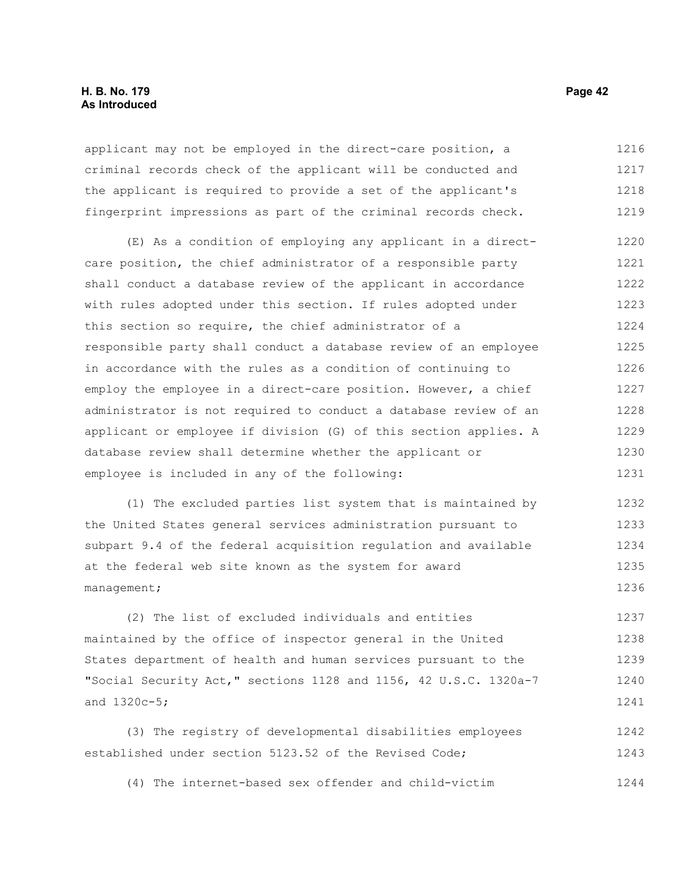#### **H. B. No. 179 Page 42 As Introduced**

applicant may not be employed in the direct-care position, a criminal records check of the applicant will be conducted and the applicant is required to provide a set of the applicant's fingerprint impressions as part of the criminal records check. 1216 1217 1218 1219

(E) As a condition of employing any applicant in a directcare position, the chief administrator of a responsible party shall conduct a database review of the applicant in accordance with rules adopted under this section. If rules adopted under this section so require, the chief administrator of a responsible party shall conduct a database review of an employee in accordance with the rules as a condition of continuing to employ the employee in a direct-care position. However, a chief administrator is not required to conduct a database review of an applicant or employee if division (G) of this section applies. A database review shall determine whether the applicant or employee is included in any of the following: 1220 1221 1222 1223 1224 1225 1226 1227 1228 1229 1230 1231

(1) The excluded parties list system that is maintained by the United States general services administration pursuant to subpart 9.4 of the federal acquisition regulation and available at the federal web site known as the system for award management; 1232 1233 1234 1235 1236

(2) The list of excluded individuals and entities maintained by the office of inspector general in the United States department of health and human services pursuant to the "Social Security Act," sections 1128 and 1156, 42 U.S.C. 1320a-7 and 1320c-5; 1237 1238 1239 1240 1241

(3) The registry of developmental disabilities employees established under section 5123.52 of the Revised Code; 1242 1243

(4) The internet-based sex offender and child-victim 1244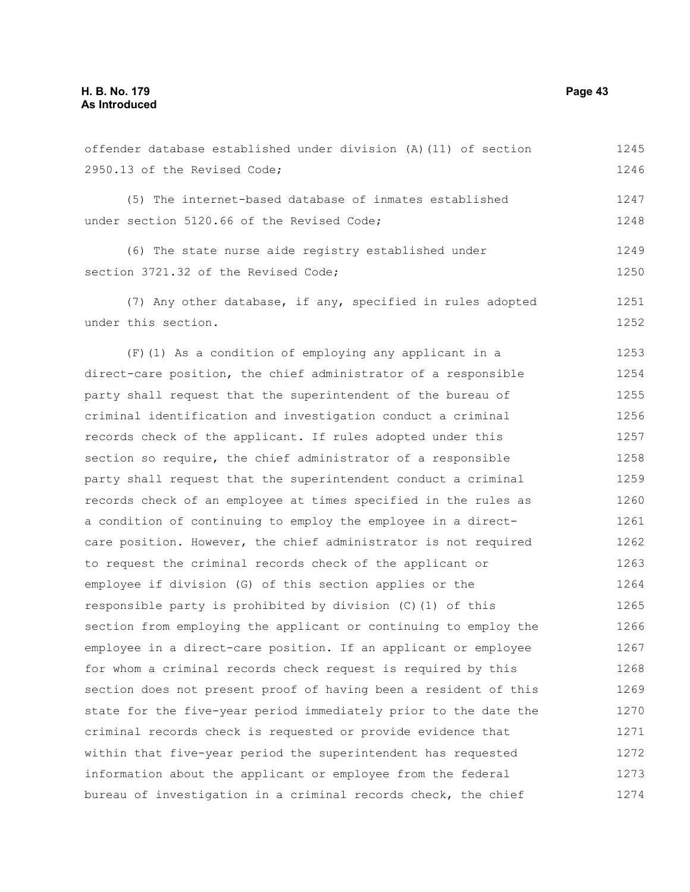offender database established under division (A)(11) of section 2950.13 of the Revised Code; (5) The internet-based database of inmates established under section 5120.66 of the Revised Code; (6) The state nurse aide registry established under section 3721.32 of the Revised Code; (7) Any other database, if any, specified in rules adopted under this section. (F)(1) As a condition of employing any applicant in a direct-care position, the chief administrator of a responsible party shall request that the superintendent of the bureau of criminal identification and investigation conduct a criminal records check of the applicant. If rules adopted under this section so require, the chief administrator of a responsible party shall request that the superintendent conduct a criminal records check of an employee at times specified in the rules as a condition of continuing to employ the employee in a directcare position. However, the chief administrator is not required to request the criminal records check of the applicant or employee if division (G) of this section applies or the responsible party is prohibited by division (C)(1) of this section from employing the applicant or continuing to employ the employee in a direct-care position. If an applicant or employee for whom a criminal records check request is required by this section does not present proof of having been a resident of this state for the five-year period immediately prior to the date the criminal records check is requested or provide evidence that within that five-year period the superintendent has requested information about the applicant or employee from the federal 1245 1246 1247 1248 1249 1250 1251 1252 1253 1254 1255 1256 1257 1258 1259 1260 1261 1262 1263 1264 1265 1266 1267 1268 1269 1270 1271 1272 1273

bureau of investigation in a criminal records check, the chief 1274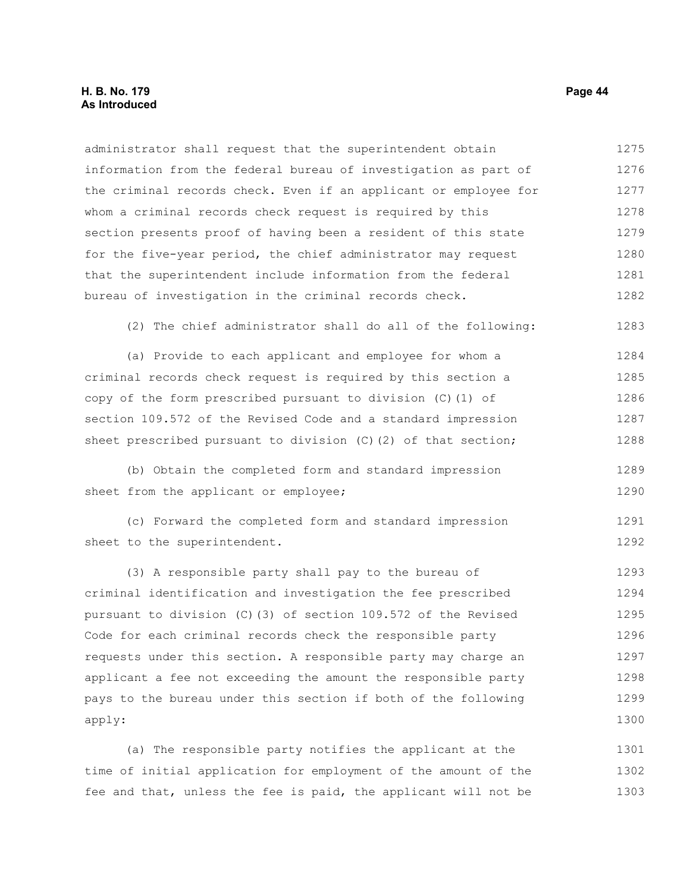#### **H. B. No. 179 Page 44 As Introduced**

administrator shall request that the superintendent obtain information from the federal bureau of investigation as part of the criminal records check. Even if an applicant or employee for whom a criminal records check request is required by this section presents proof of having been a resident of this state for the five-year period, the chief administrator may request that the superintendent include information from the federal bureau of investigation in the criminal records check. 1275 1276 1277 1278 1279 1280 1281 1282

(2) The chief administrator shall do all of the following: 1283

(a) Provide to each applicant and employee for whom a criminal records check request is required by this section a copy of the form prescribed pursuant to division (C)(1) of section 109.572 of the Revised Code and a standard impression sheet prescribed pursuant to division (C)(2) of that section; 1284 1285 1286 1287 1288

(b) Obtain the completed form and standard impression sheet from the applicant or employee; 1289 1290

(c) Forward the completed form and standard impression sheet to the superintendent. 1291 1292

(3) A responsible party shall pay to the bureau of criminal identification and investigation the fee prescribed pursuant to division (C)(3) of section 109.572 of the Revised Code for each criminal records check the responsible party requests under this section. A responsible party may charge an applicant a fee not exceeding the amount the responsible party pays to the bureau under this section if both of the following apply: 1293 1294 1295 1296 1297 1298 1299 1300

(a) The responsible party notifies the applicant at the time of initial application for employment of the amount of the fee and that, unless the fee is paid, the applicant will not be 1301 1302 1303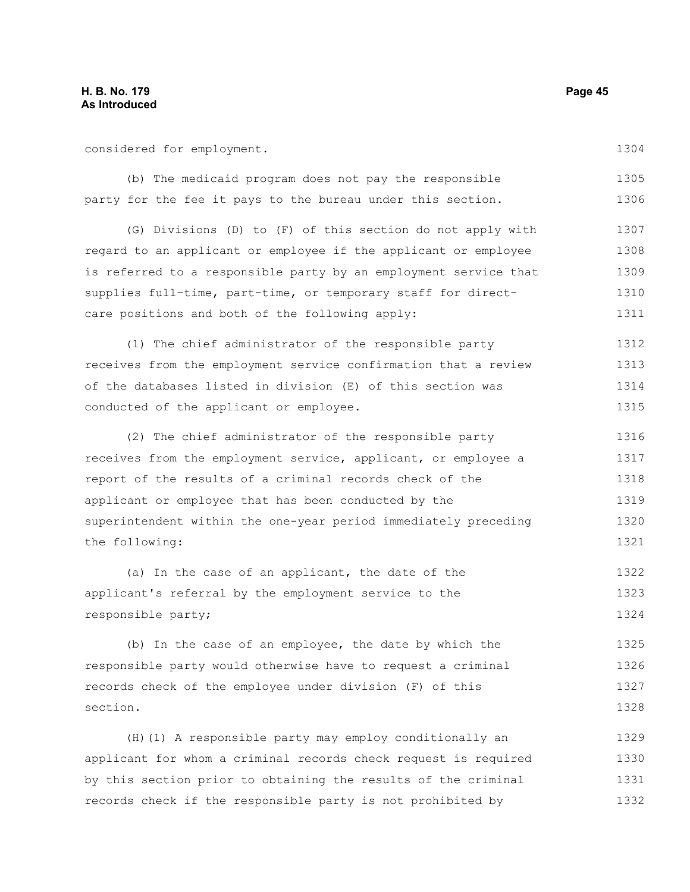considered for employment.

1304

(b) The medicaid program does not pay the responsible party for the fee it pays to the bureau under this section. 1305 1306

(G) Divisions (D) to (F) of this section do not apply with regard to an applicant or employee if the applicant or employee is referred to a responsible party by an employment service that supplies full-time, part-time, or temporary staff for directcare positions and both of the following apply: 1307 1308 1309 1310 1311

(1) The chief administrator of the responsible party receives from the employment service confirmation that a review of the databases listed in division (E) of this section was conducted of the applicant or employee. 1312 1313 1314 1315

(2) The chief administrator of the responsible party receives from the employment service, applicant, or employee a report of the results of a criminal records check of the applicant or employee that has been conducted by the superintendent within the one-year period immediately preceding the following: 1316 1317 1318 1319 1320 1321

(a) In the case of an applicant, the date of the applicant's referral by the employment service to the responsible party; 1322 1323 1324

(b) In the case of an employee, the date by which the responsible party would otherwise have to request a criminal records check of the employee under division (F) of this section. 1325 1326 1327 1328

(H)(1) A responsible party may employ conditionally an applicant for whom a criminal records check request is required by this section prior to obtaining the results of the criminal records check if the responsible party is not prohibited by 1329 1330 1331 1332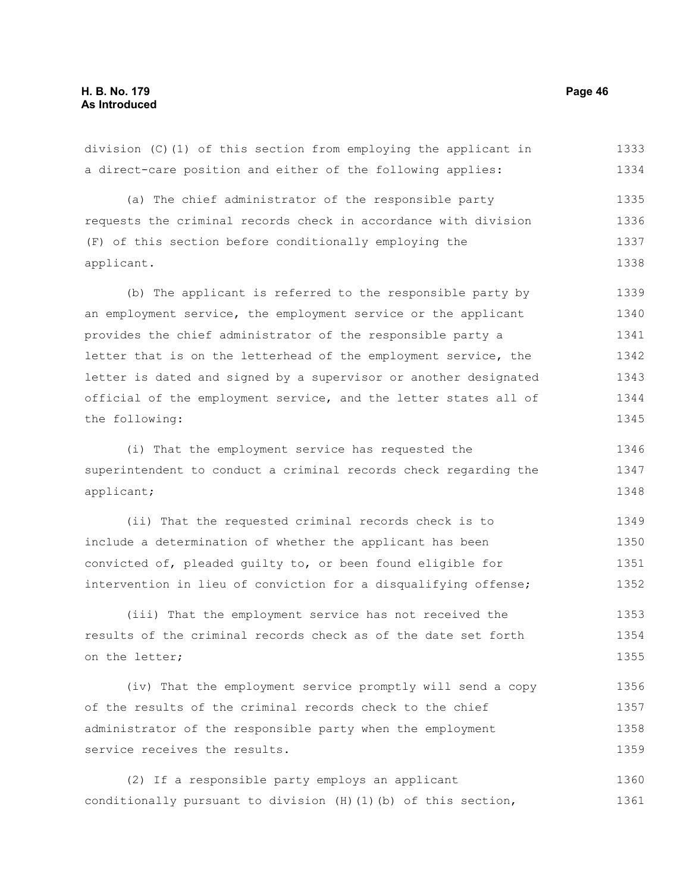division (C)(1) of this section from employing the applicant in a direct-care position and either of the following applies: (a) The chief administrator of the responsible party requests the criminal records check in accordance with division (F) of this section before conditionally employing the applicant. (b) The applicant is referred to the responsible party by an employment service, the employment service or the applicant provides the chief administrator of the responsible party a letter that is on the letterhead of the employment service, the letter is dated and signed by a supervisor or another designated official of the employment service, and the letter states all of the following: (i) That the employment service has requested the superintendent to conduct a criminal records check regarding the applicant; (ii) That the requested criminal records check is to include a determination of whether the applicant has been convicted of, pleaded guilty to, or been found eligible for intervention in lieu of conviction for a disqualifying offense; (iii) That the employment service has not received the results of the criminal records check as of the date set forth on the letter; (iv) That the employment service promptly will send a copy of the results of the criminal records check to the chief administrator of the responsible party when the employment service receives the results. (2) If a responsible party employs an applicant 1333 1334 1335 1336 1337 1338 1339 1340 1341 1342 1343 1344 1345 1346 1347 1348 1349 1350 1351 1352 1353 1354 1355 1356 1357 1358 1359 1360

conditionally pursuant to division (H)(1)(b) of this section, 1361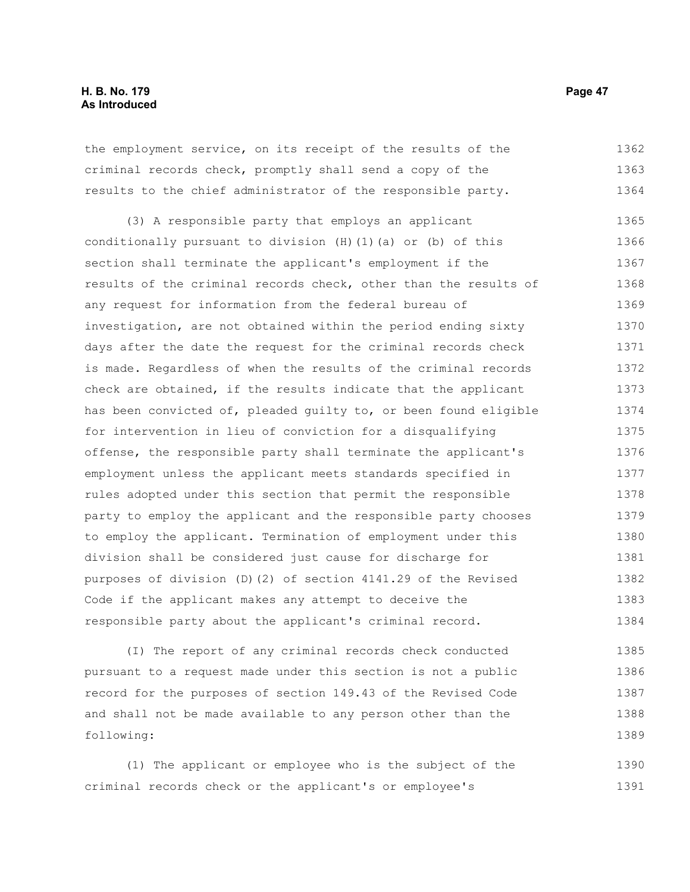the employment service, on its receipt of the results of the criminal records check, promptly shall send a copy of the results to the chief administrator of the responsible party. 1362 1363 1364

(3) A responsible party that employs an applicant conditionally pursuant to division (H)(1)(a) or (b) of this section shall terminate the applicant's employment if the results of the criminal records check, other than the results of any request for information from the federal bureau of investigation, are not obtained within the period ending sixty days after the date the request for the criminal records check is made. Regardless of when the results of the criminal records check are obtained, if the results indicate that the applicant has been convicted of, pleaded guilty to, or been found eligible for intervention in lieu of conviction for a disqualifying offense, the responsible party shall terminate the applicant's employment unless the applicant meets standards specified in rules adopted under this section that permit the responsible party to employ the applicant and the responsible party chooses to employ the applicant. Termination of employment under this division shall be considered just cause for discharge for purposes of division (D)(2) of section 4141.29 of the Revised Code if the applicant makes any attempt to deceive the responsible party about the applicant's criminal record. 1365 1366 1367 1368 1369 1370 1371 1372 1373 1374 1375 1376 1377 1378 1379 1380 1381 1382 1383 1384

(I) The report of any criminal records check conducted pursuant to a request made under this section is not a public record for the purposes of section 149.43 of the Revised Code and shall not be made available to any person other than the following: 1385 1386 1387 1388 1389

(1) The applicant or employee who is the subject of the criminal records check or the applicant's or employee's 1390 1391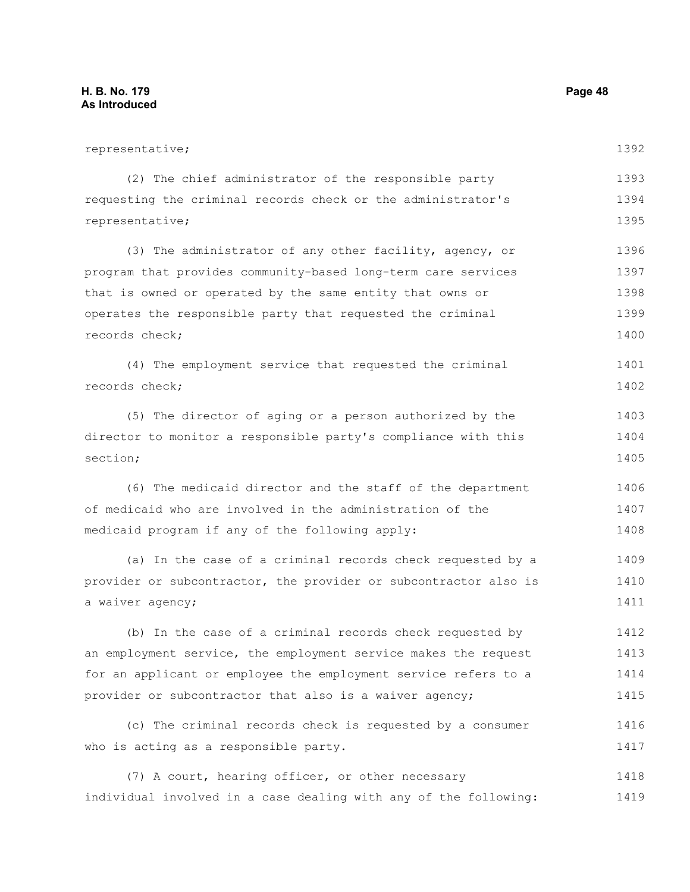representative; (2) The chief administrator of the responsible party requesting the criminal records check or the administrator's representative; (3) The administrator of any other facility, agency, or program that provides community-based long-term care services that is owned or operated by the same entity that owns or operates the responsible party that requested the criminal records check; (4) The employment service that requested the criminal records check; (5) The director of aging or a person authorized by the director to monitor a responsible party's compliance with this section; (6) The medicaid director and the staff of the department of medicaid who are involved in the administration of the medicaid program if any of the following apply: (a) In the case of a criminal records check requested by a provider or subcontractor, the provider or subcontractor also is a waiver agency; (b) In the case of a criminal records check requested by an employment service, the employment service makes the request for an applicant or employee the employment service refers to a provider or subcontractor that also is a waiver agency; (c) The criminal records check is requested by a consumer who is acting as a responsible party. (7) A court, hearing officer, or other necessary 1392 1393 1394 1395 1396 1397 1398 1399 1400 1401 1402 1403 1404 1405 1406 1407 1408 1409 1410 1411 1412 1413 1414 1415 1416 1417 1418

individual involved in a case dealing with any of the following: 1419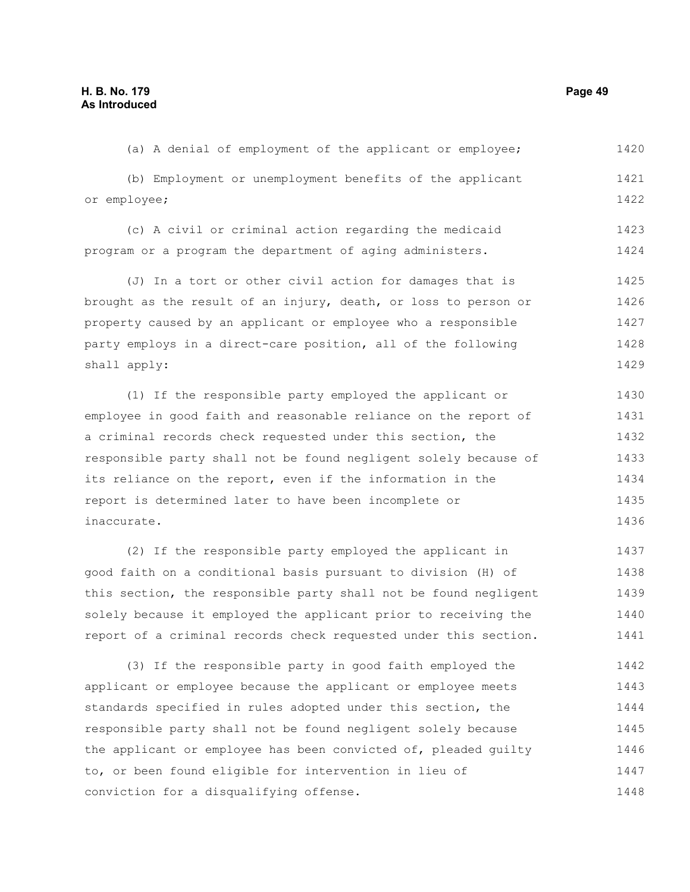(b) Employment or unemployment benefits of the applicant or employee; (c) A civil or criminal action regarding the medicaid program or a program the department of aging administers. (J) In a tort or other civil action for damages that is brought as the result of an injury, death, or loss to person or property caused by an applicant or employee who a responsible party employs in a direct-care position, all of the following shall apply: (1) If the responsible party employed the applicant or employee in good faith and reasonable reliance on the report of a criminal records check requested under this section, the responsible party shall not be found negligent solely because of its reliance on the report, even if the information in the report is determined later to have been incomplete or inaccurate. (2) If the responsible party employed the applicant in good faith on a conditional basis pursuant to division (H) of this section, the responsible party shall not be found negligent solely because it employed the applicant prior to receiving the report of a criminal records check requested under this section. (3) If the responsible party in good faith employed the applicant or employee because the applicant or employee meets standards specified in rules adopted under this section, the responsible party shall not be found negligent solely because 1421 1422 1423 1424 1425 1426 1427 1428 1429 1430 1431 1432 1433 1434 1435 1436 1437 1438 1439 1440 1441 1442 1443 1444 1445

(a) A denial of employment of the applicant or employee;

to, or been found eligible for intervention in lieu of conviction for a disqualifying offense. 1447 1448

the applicant or employee has been convicted of, pleaded guilty

1420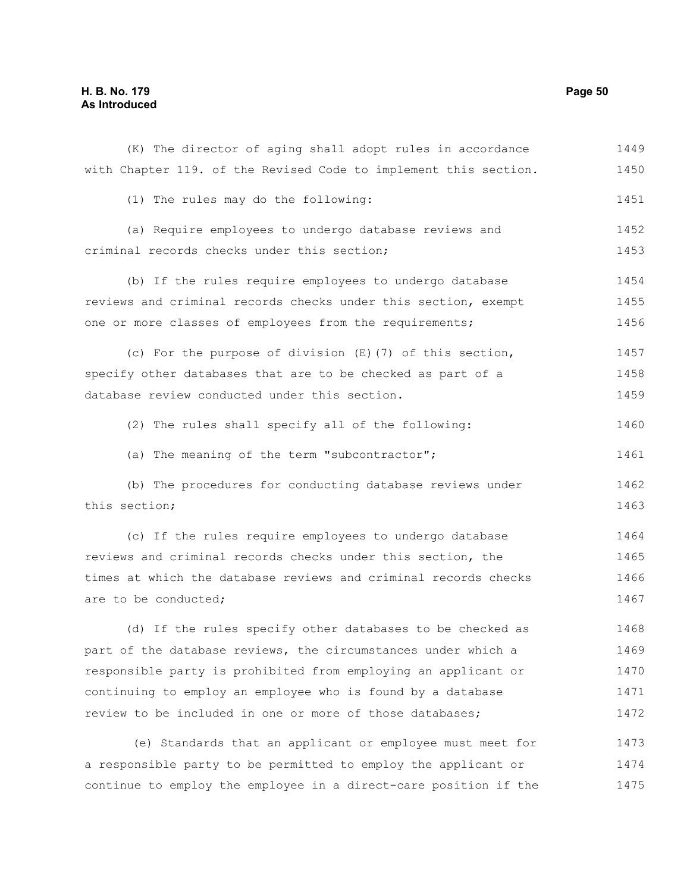# **H. B. No. 179 Page 50 As Introduced**

| (K) The director of aging shall adopt rules in accordance        | 1449 |
|------------------------------------------------------------------|------|
| with Chapter 119. of the Revised Code to implement this section. | 1450 |
| (1) The rules may do the following:                              | 1451 |
| (a) Require employees to undergo database reviews and            | 1452 |
| criminal records checks under this section;                      | 1453 |
| (b) If the rules require employees to undergo database           | 1454 |
| reviews and criminal records checks under this section, exempt   | 1455 |
| one or more classes of employees from the requirements;          | 1456 |
| (c) For the purpose of division (E) (7) of this section,         | 1457 |
| specify other databases that are to be checked as part of a      | 1458 |
| database review conducted under this section.                    | 1459 |
| (2) The rules shall specify all of the following:                | 1460 |
| (a) The meaning of the term "subcontractor";                     | 1461 |
| (b) The procedures for conducting database reviews under         | 1462 |
| this section;                                                    | 1463 |
| (c) If the rules require employees to undergo database           | 1464 |
| reviews and criminal records checks under this section, the      | 1465 |
| times at which the database reviews and criminal records checks  | 1466 |
| are to be conducted;                                             | 1467 |
| (d) If the rules specify other databases to be checked as        | 1468 |
| part of the database reviews, the circumstances under which a    | 1469 |
| responsible party is prohibited from employing an applicant or   | 1470 |
| continuing to employ an employee who is found by a database      | 1471 |
| review to be included in one or more of those databases;         | 1472 |
| (e) Standards that an applicant or employee must meet for        | 1473 |
| a responsible party to be permitted to employ the applicant or   | 1474 |

continue to employ the employee in a direct-care position if the 1475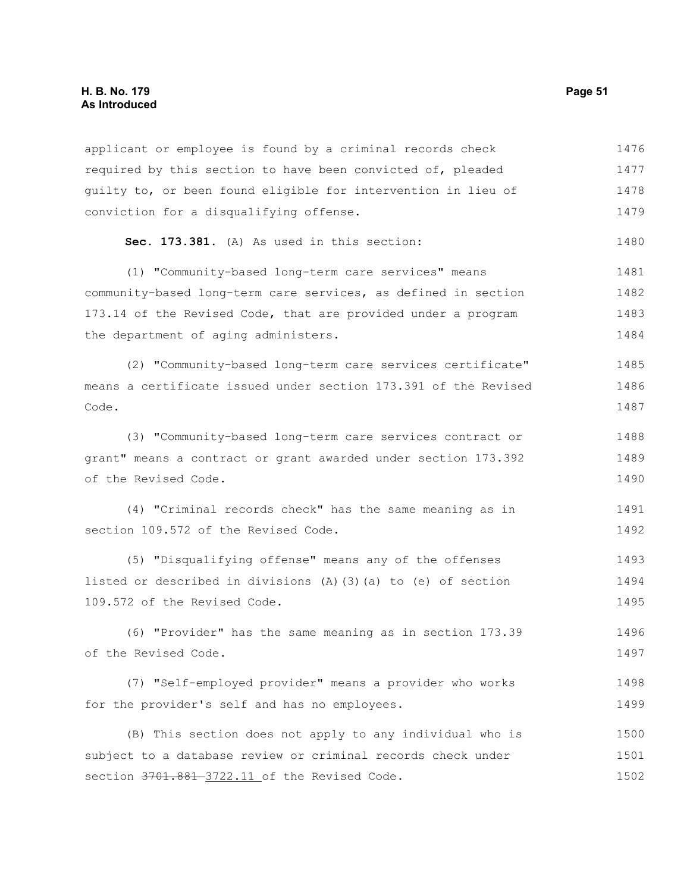applicant or employee is found by a criminal records check required by this section to have been convicted of, pleaded guilty to, or been found eligible for intervention in lieu of conviction for a disqualifying offense. 1476 1477 1478 1479

```
Sec. 173.381. (A) As used in this section:
                                                          1480
```
(1) "Community-based long-term care services" means community-based long-term care services, as defined in section 173.14 of the Revised Code, that are provided under a program the department of aging administers. 1481 1482 1483 1484

(2) "Community-based long-term care services certificate" means a certificate issued under section 173.391 of the Revised Code. 1485 1486 1487

(3) "Community-based long-term care services contract or grant" means a contract or grant awarded under section 173.392 of the Revised Code. 1488 1489 1490

(4) "Criminal records check" has the same meaning as in section 109.572 of the Revised Code. 1491 1492

(5) "Disqualifying offense" means any of the offenses listed or described in divisions (A)(3)(a) to (e) of section 109.572 of the Revised Code. 1493 1494 1495

(6) "Provider" has the same meaning as in section 173.39 of the Revised Code. 1496 1497

(7) "Self-employed provider" means a provider who works for the provider's self and has no employees. 1498 1499

(B) This section does not apply to any individual who is subject to a database review or criminal records check under section 3701.881-3722.11 of the Revised Code. 1500 1501 1502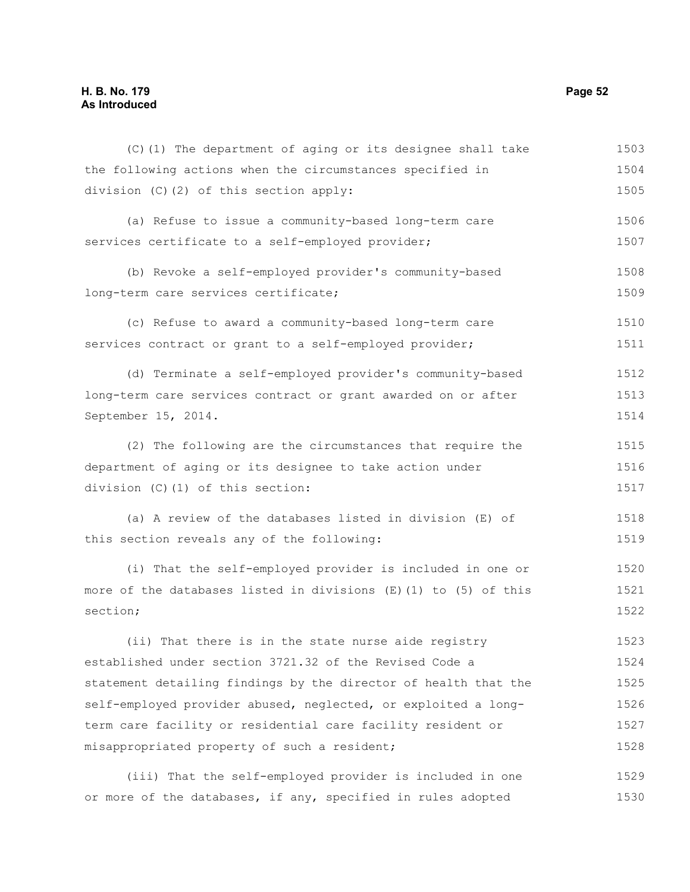# **H. B. No. 179 Page 52 As Introduced**

| (C) (1) The department of aging or its designee shall take         | 1503 |
|--------------------------------------------------------------------|------|
| the following actions when the circumstances specified in          | 1504 |
| division (C)(2) of this section apply:                             | 1505 |
| (a) Refuse to issue a community-based long-term care               | 1506 |
| services certificate to a self-employed provider;                  | 1507 |
| (b) Revoke a self-employed provider's community-based              | 1508 |
| long-term care services certificate;                               | 1509 |
| (c) Refuse to award a community-based long-term care               | 1510 |
| services contract or grant to a self-employed provider;            | 1511 |
| (d) Terminate a self-employed provider's community-based           | 1512 |
| long-term care services contract or grant awarded on or after      | 1513 |
| September 15, 2014.                                                | 1514 |
| (2) The following are the circumstances that require the           | 1515 |
| department of aging or its designee to take action under           | 1516 |
| division (C)(1) of this section:                                   | 1517 |
| (a) A review of the databases listed in division (E) of            | 1518 |
| this section reveals any of the following:                         | 1519 |
| (i) That the self-employed provider is included in one or          | 1520 |
| more of the databases listed in divisions $(E)$ (1) to (5) of this | 1521 |
| section;                                                           | 1522 |
| (ii) That there is in the state nurse aide registry                | 1523 |
| established under section 3721.32 of the Revised Code a            | 1524 |
| statement detailing findings by the director of health that the    | 1525 |
| self-employed provider abused, neglected, or exploited a long-     | 1526 |
| term care facility or residential care facility resident or        | 1527 |
| misappropriated property of such a resident;                       | 1528 |
| (iii) That the self-employed provider is included in one           | 1529 |
| or more of the databases, if any, specified in rules adopted       | 1530 |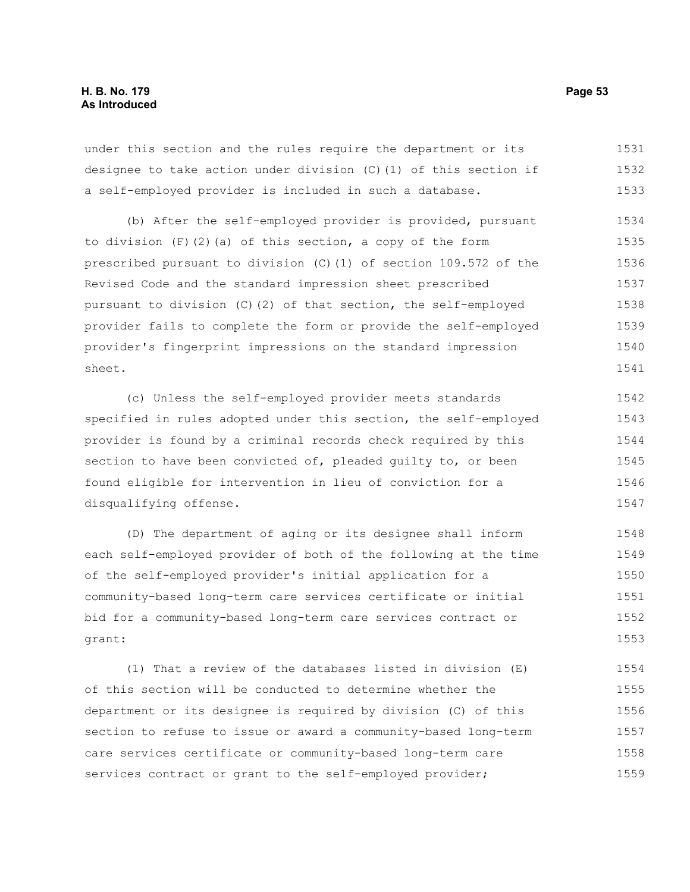# **H. B. No. 179 Page 53 As Introduced**

under this section and the rules require the department or its designee to take action under division (C)(1) of this section if a self-employed provider is included in such a database. 1531 1532 1533

(b) After the self-employed provider is provided, pursuant to division (F)(2)(a) of this section, a copy of the form prescribed pursuant to division (C)(1) of section 109.572 of the Revised Code and the standard impression sheet prescribed pursuant to division (C)(2) of that section, the self-employed provider fails to complete the form or provide the self-employed provider's fingerprint impressions on the standard impression sheet. 1534 1535 1536 1537 1538 1539 1540 1541

(c) Unless the self-employed provider meets standards specified in rules adopted under this section, the self-employed provider is found by a criminal records check required by this section to have been convicted of, pleaded guilty to, or been found eligible for intervention in lieu of conviction for a disqualifying offense. 1542 1543 1544 1545 1546 1547

(D) The department of aging or its designee shall inform each self-employed provider of both of the following at the time of the self-employed provider's initial application for a community-based long-term care services certificate or initial bid for a community-based long-term care services contract or grant: 1548 1549 1550 1551 1552 1553

(1) That a review of the databases listed in division (E) of this section will be conducted to determine whether the department or its designee is required by division (C) of this section to refuse to issue or award a community-based long-term care services certificate or community-based long-term care services contract or grant to the self-employed provider; 1554 1555 1556 1557 1558 1559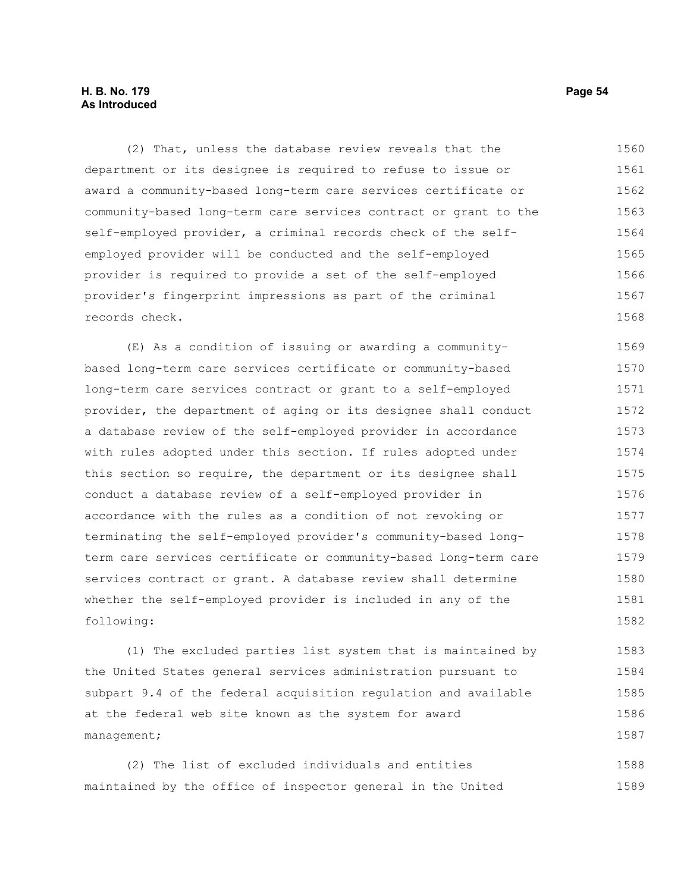# **H. B. No. 179 Page 54 As Introduced**

(2) That, unless the database review reveals that the department or its designee is required to refuse to issue or award a community-based long-term care services certificate or community-based long-term care services contract or grant to the self-employed provider, a criminal records check of the selfemployed provider will be conducted and the self-employed provider is required to provide a set of the self-employed provider's fingerprint impressions as part of the criminal records check. 1560 1561 1562 1563 1564 1565 1566 1567 1568

(E) As a condition of issuing or awarding a communitybased long-term care services certificate or community-based long-term care services contract or grant to a self-employed provider, the department of aging or its designee shall conduct a database review of the self-employed provider in accordance with rules adopted under this section. If rules adopted under this section so require, the department or its designee shall conduct a database review of a self-employed provider in accordance with the rules as a condition of not revoking or terminating the self-employed provider's community-based longterm care services certificate or community-based long-term care services contract or grant. A database review shall determine whether the self-employed provider is included in any of the following: 1569 1570 1571 1572 1573 1574 1575 1576 1577 1578 1579 1580 1581 1582

(1) The excluded parties list system that is maintained by the United States general services administration pursuant to subpart 9.4 of the federal acquisition regulation and available at the federal web site known as the system for award management; 1583 1584 1585 1586 1587

(2) The list of excluded individuals and entities maintained by the office of inspector general in the United 1588 1589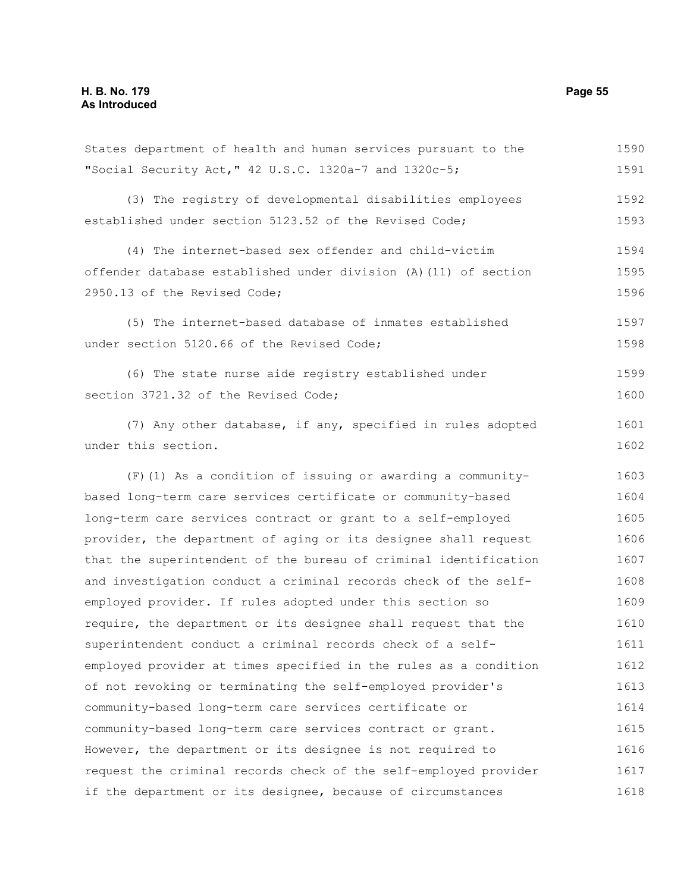| States department of health and human services pursuant to the   | 1590 |
|------------------------------------------------------------------|------|
| "Social Security Act," 42 U.S.C. 1320a-7 and 1320c-5;            | 1591 |
| (3) The registry of developmental disabilities employees         | 1592 |
| established under section 5123.52 of the Revised Code;           | 1593 |
| (4) The internet-based sex offender and child-victim             | 1594 |
| offender database established under division (A) (11) of section | 1595 |
| 2950.13 of the Revised Code;                                     | 1596 |
| (5) The internet-based database of inmates established           | 1597 |
| under section 5120.66 of the Revised Code;                       | 1598 |
| (6) The state nurse aide registry established under              | 1599 |
| section 3721.32 of the Revised Code;                             | 1600 |
| (7) Any other database, if any, specified in rules adopted       | 1601 |
| under this section.                                              | 1602 |
| (F) (1) As a condition of issuing or awarding a community-       | 1603 |
| based long-term care services certificate or community-based     | 1604 |
| long-term care services contract or grant to a self-employed     | 1605 |
| provider, the department of aging or its designee shall request  | 1606 |
| that the superintendent of the bureau of criminal identification | 1607 |
| and investigation conduct a criminal records check of the self-  | 1608 |
| employed provider. If rules adopted under this section so        | 1609 |
| require, the department or its designee shall request that the   | 1610 |
| superintendent conduct a criminal records check of a self-       | 1611 |
| employed provider at times specified in the rules as a condition | 1612 |
| of not revoking or terminating the self-employed provider's      | 1613 |
| community-based long-term care services certificate or           | 1614 |
| community-based long-term care services contract or grant.       | 1615 |
| However, the department or its designee is not required to       | 1616 |
| request the criminal records check of the self-employed provider | 1617 |
| if the department or its designee, because of circumstances      | 1618 |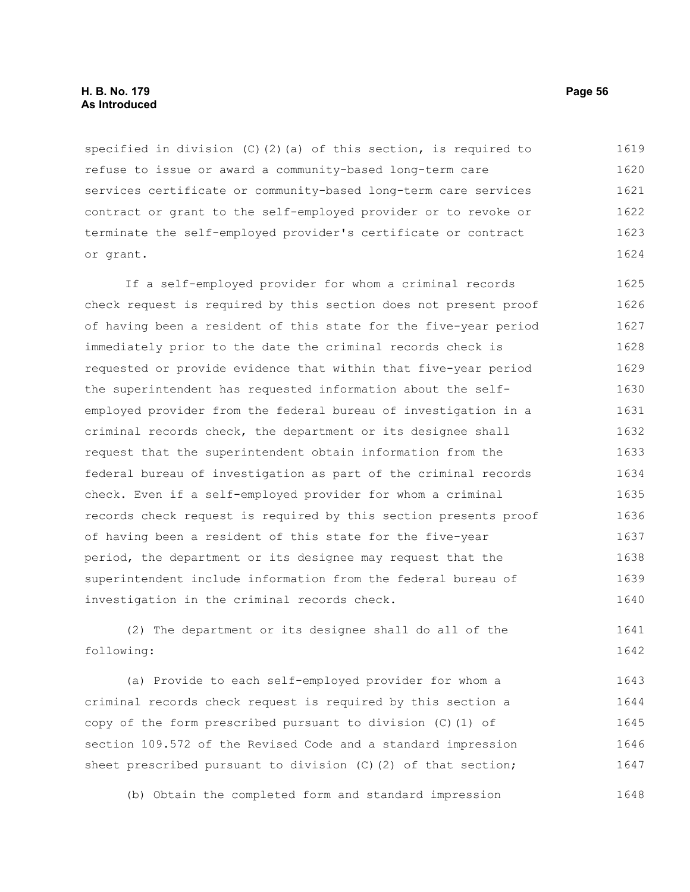specified in division  $(C)$   $(2)$   $(a)$  of this section, is required to refuse to issue or award a community-based long-term care services certificate or community-based long-term care services contract or grant to the self-employed provider or to revoke or terminate the self-employed provider's certificate or contract or grant. 1619 1620 1621 1622 1623 1624

If a self-employed provider for whom a criminal records check request is required by this section does not present proof of having been a resident of this state for the five-year period immediately prior to the date the criminal records check is requested or provide evidence that within that five-year period the superintendent has requested information about the selfemployed provider from the federal bureau of investigation in a criminal records check, the department or its designee shall request that the superintendent obtain information from the federal bureau of investigation as part of the criminal records check. Even if a self-employed provider for whom a criminal records check request is required by this section presents proof of having been a resident of this state for the five-year period, the department or its designee may request that the superintendent include information from the federal bureau of investigation in the criminal records check. 1625 1626 1627 1628 1629 1630 1631 1632 1633 1634 1635 1636 1637 1638 1639 1640

(2) The department or its designee shall do all of the following: 1641 1642

(a) Provide to each self-employed provider for whom a criminal records check request is required by this section a copy of the form prescribed pursuant to division (C)(1) of section 109.572 of the Revised Code and a standard impression sheet prescribed pursuant to division (C)(2) of that section; 1643 1644 1645 1646 1647

(b) Obtain the completed form and standard impression 1648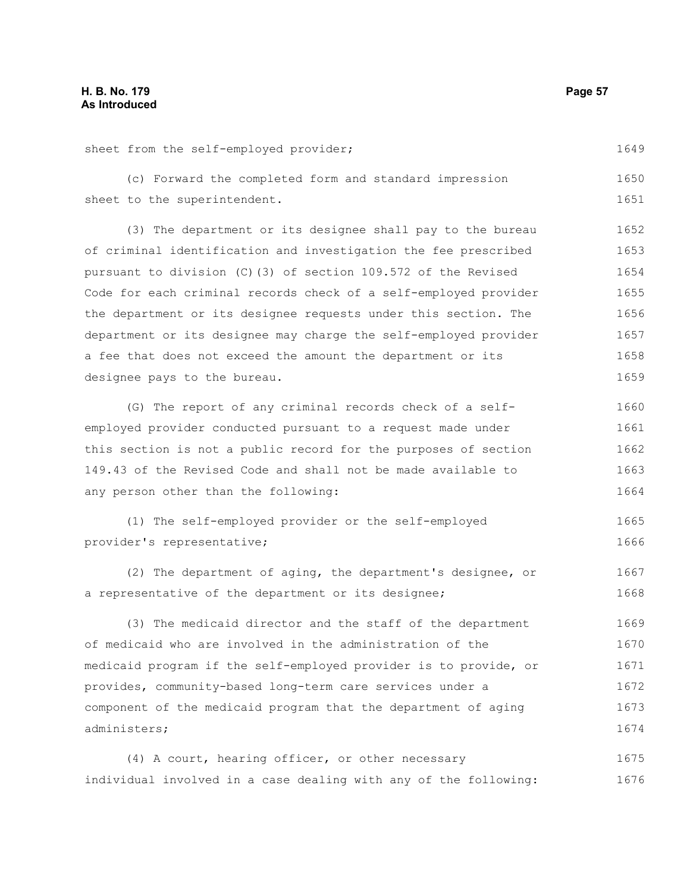sheet from the self-employed provider; (c) Forward the completed form and standard impression sheet to the superintendent. (3) The department or its designee shall pay to the bureau of criminal identification and investigation the fee prescribed pursuant to division (C)(3) of section 109.572 of the Revised Code for each criminal records check of a self-employed provider the department or its designee requests under this section. The department or its designee may charge the self-employed provider a fee that does not exceed the amount the department or its designee pays to the bureau. (G) The report of any criminal records check of a selfemployed provider conducted pursuant to a request made under this section is not a public record for the purposes of section 149.43 of the Revised Code and shall not be made available to any person other than the following: (1) The self-employed provider or the self-employed provider's representative; (2) The department of aging, the department's designee, or a representative of the department or its designee; (3) The medicaid director and the staff of the department 1649 1650 1651 1652 1653 1654 1655 1656 1657 1658 1659 1660 1661 1662 1663 1664 1665 1666 1667 1668 1669

of medicaid who are involved in the administration of the medicaid program if the self-employed provider is to provide, or provides, community-based long-term care services under a component of the medicaid program that the department of aging administers; 1670 1671 1672 1673 1674

(4) A court, hearing officer, or other necessary individual involved in a case dealing with any of the following: 1675 1676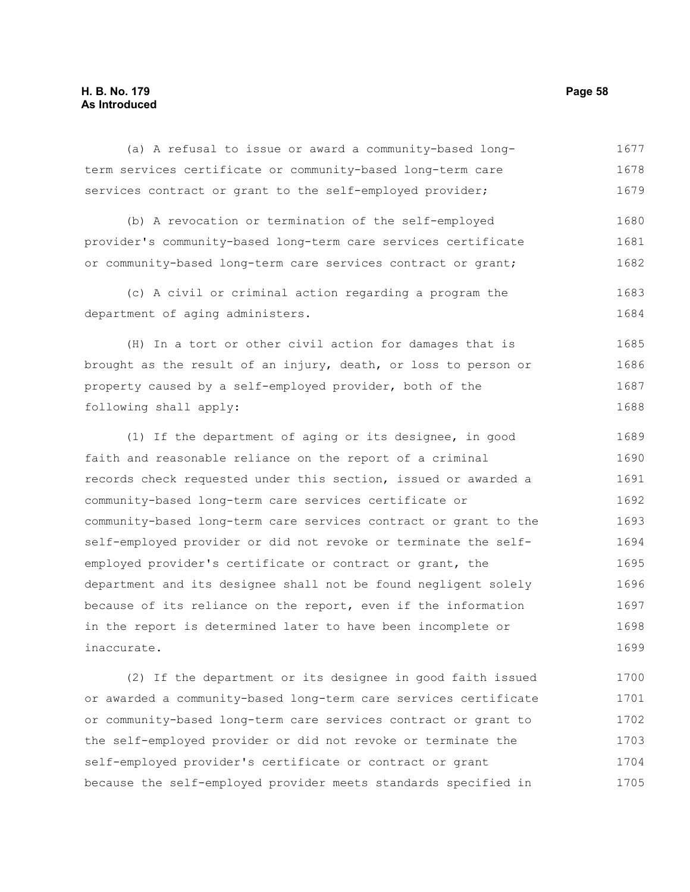# **H. B. No. 179 Page 58 As Introduced**

term services certificate or community-based long-term care services contract or grant to the self-employed provider; (b) A revocation or termination of the self-employed provider's community-based long-term care services certificate or community-based long-term care services contract or grant; (c) A civil or criminal action regarding a program the department of aging administers. (H) In a tort or other civil action for damages that is brought as the result of an injury, death, or loss to person or property caused by a self-employed provider, both of the following shall apply: (1) If the department of aging or its designee, in good faith and reasonable reliance on the report of a criminal records check requested under this section, issued or awarded a community-based long-term care services certificate or community-based long-term care services contract or grant to the self-employed provider or did not revoke or terminate the selfemployed provider's certificate or contract or grant, the department and its designee shall not be found negligent solely because of its reliance on the report, even if the information in the report is determined later to have been incomplete or inaccurate. (2) If the department or its designee in good faith issued or awarded a community-based long-term care services certificate or community-based long-term care services contract or grant to 1678 1679 1680 1681 1682 1683 1684 1685 1686 1687 1688 1689 1690 1691 1692 1693 1694 1695 1696 1697 1698 1699 1700 1701 1702

(a) A refusal to issue or award a community-based long-

the self-employed provider or did not revoke or terminate the self-employed provider's certificate or contract or grant because the self-employed provider meets standards specified in 1703 1704 1705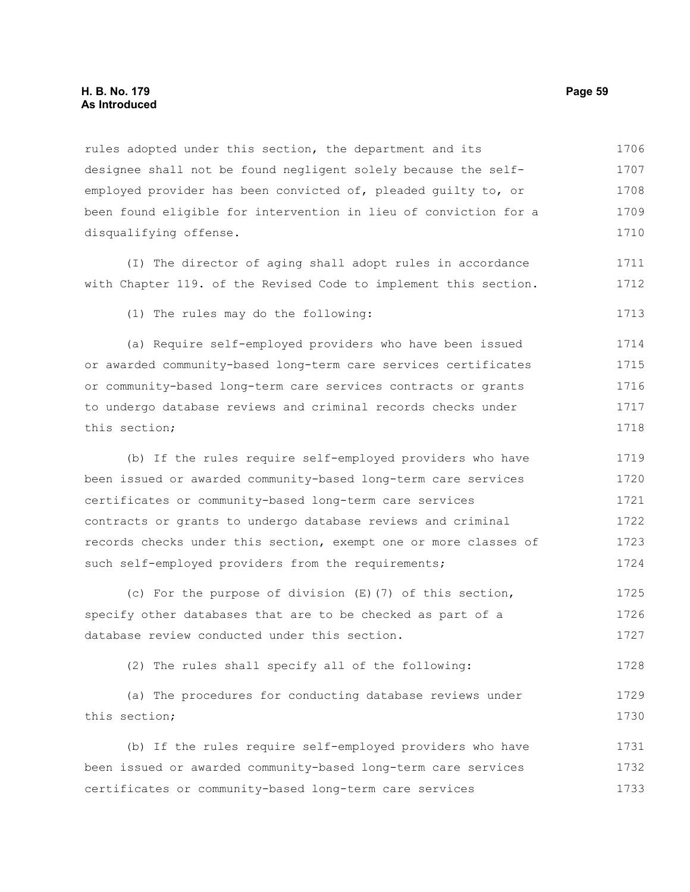rules adopted under this section, the department and its designee shall not be found negligent solely because the selfemployed provider has been convicted of, pleaded guilty to, or been found eligible for intervention in lieu of conviction for a disqualifying offense. 1706 1707 1708 1709 1710

(I) The director of aging shall adopt rules in accordance with Chapter 119. of the Revised Code to implement this section. 1711 1712

(1) The rules may do the following: 1713

(a) Require self-employed providers who have been issued or awarded community-based long-term care services certificates or community-based long-term care services contracts or grants to undergo database reviews and criminal records checks under this section; 1714 1715 1716 1717 1718

(b) If the rules require self-employed providers who have been issued or awarded community-based long-term care services certificates or community-based long-term care services contracts or grants to undergo database reviews and criminal records checks under this section, exempt one or more classes of such self-employed providers from the requirements; 1719 1720 1721 1722 1723 1724

(c) For the purpose of division (E)(7) of this section, specify other databases that are to be checked as part of a database review conducted under this section. 1725 1726 1727

(2) The rules shall specify all of the following: 1728

(a) The procedures for conducting database reviews under this section; 1729 1730

(b) If the rules require self-employed providers who have been issued or awarded community-based long-term care services certificates or community-based long-term care services 1731 1732 1733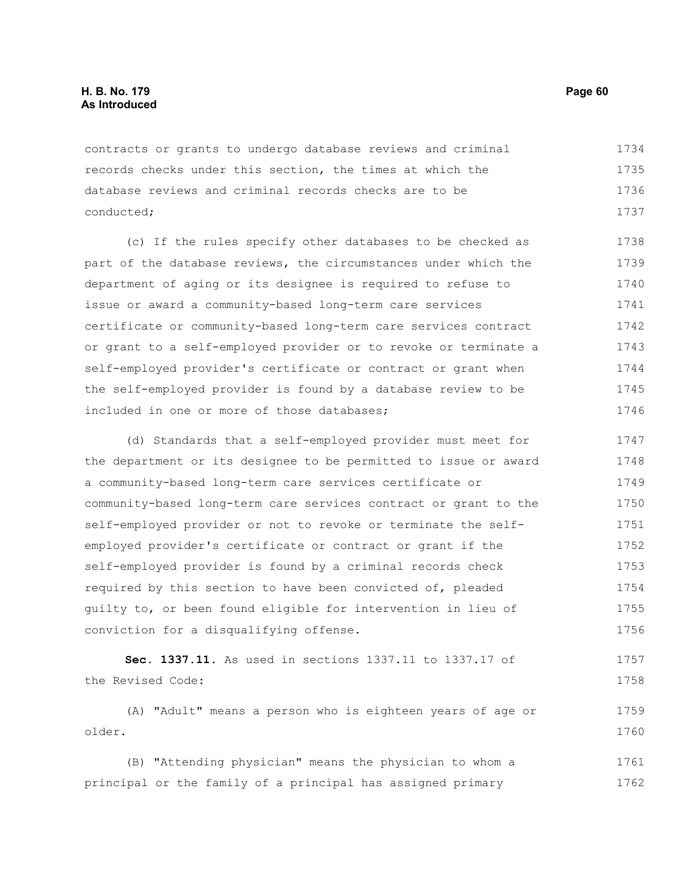contracts or grants to undergo database reviews and criminal records checks under this section, the times at which the database reviews and criminal records checks are to be conducted; 1734 1735 1736 1737

(c) If the rules specify other databases to be checked as part of the database reviews, the circumstances under which the department of aging or its designee is required to refuse to issue or award a community-based long-term care services certificate or community-based long-term care services contract or grant to a self-employed provider or to revoke or terminate a self-employed provider's certificate or contract or grant when the self-employed provider is found by a database review to be included in one or more of those databases; 1738 1739 1740 1741 1742 1743 1744 1745 1746

(d) Standards that a self-employed provider must meet for the department or its designee to be permitted to issue or award a community-based long-term care services certificate or community-based long-term care services contract or grant to the self-employed provider or not to revoke or terminate the selfemployed provider's certificate or contract or grant if the self-employed provider is found by a criminal records check required by this section to have been convicted of, pleaded guilty to, or been found eligible for intervention in lieu of conviction for a disqualifying offense. 1747 1748 1749 1750 1751 1752 1753 1754 1755 1756

**Sec. 1337.11.** As used in sections 1337.11 to 1337.17 of the Revised Code: 1757 1758

(A) "Adult" means a person who is eighteen years of age or older. 1759 1760

(B) "Attending physician" means the physician to whom a principal or the family of a principal has assigned primary 1761 1762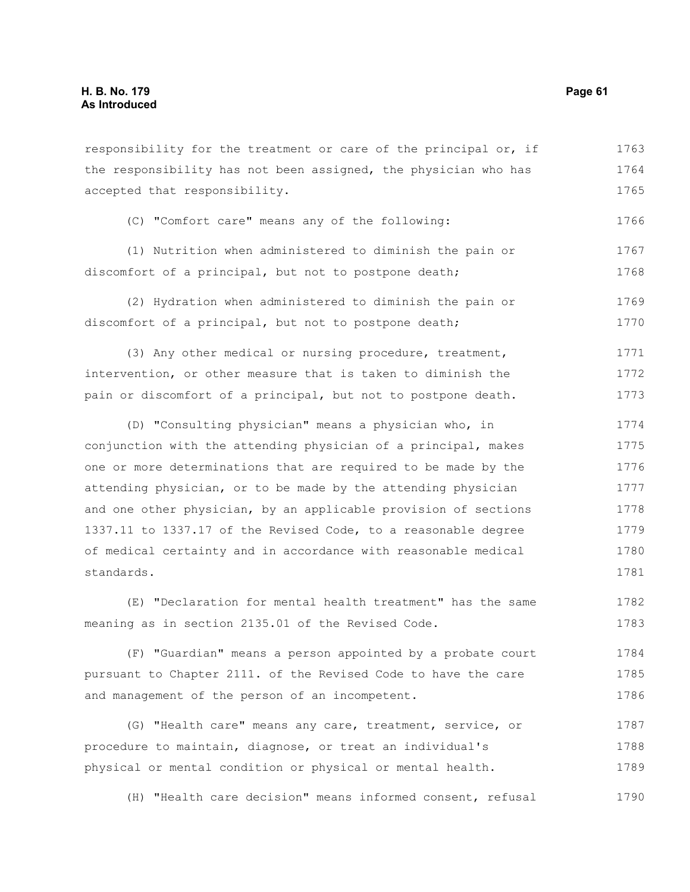responsibility for the treatment or care of the principal or, if the responsibility has not been assigned, the physician who has accepted that responsibility. 1763 1764 1765

(C) "Comfort care" means any of the following: 1766

(1) Nutrition when administered to diminish the pain or discomfort of a principal, but not to postpone death; 1767 1768

(2) Hydration when administered to diminish the pain or discomfort of a principal, but not to postpone death; 1769 1770

(3) Any other medical or nursing procedure, treatment, intervention, or other measure that is taken to diminish the pain or discomfort of a principal, but not to postpone death. 1771 1772 1773

(D) "Consulting physician" means a physician who, in conjunction with the attending physician of a principal, makes one or more determinations that are required to be made by the attending physician, or to be made by the attending physician and one other physician, by an applicable provision of sections 1337.11 to 1337.17 of the Revised Code, to a reasonable degree of medical certainty and in accordance with reasonable medical standards. 1774 1775 1776 1777 1778 1779 1780 1781

(E) "Declaration for mental health treatment" has the same meaning as in section 2135.01 of the Revised Code. 1782 1783

(F) "Guardian" means a person appointed by a probate court pursuant to Chapter 2111. of the Revised Code to have the care and management of the person of an incompetent. 1784 1785 1786

(G) "Health care" means any care, treatment, service, or procedure to maintain, diagnose, or treat an individual's physical or mental condition or physical or mental health. 1787 1788 1789

(H) "Health care decision" means informed consent, refusal 1790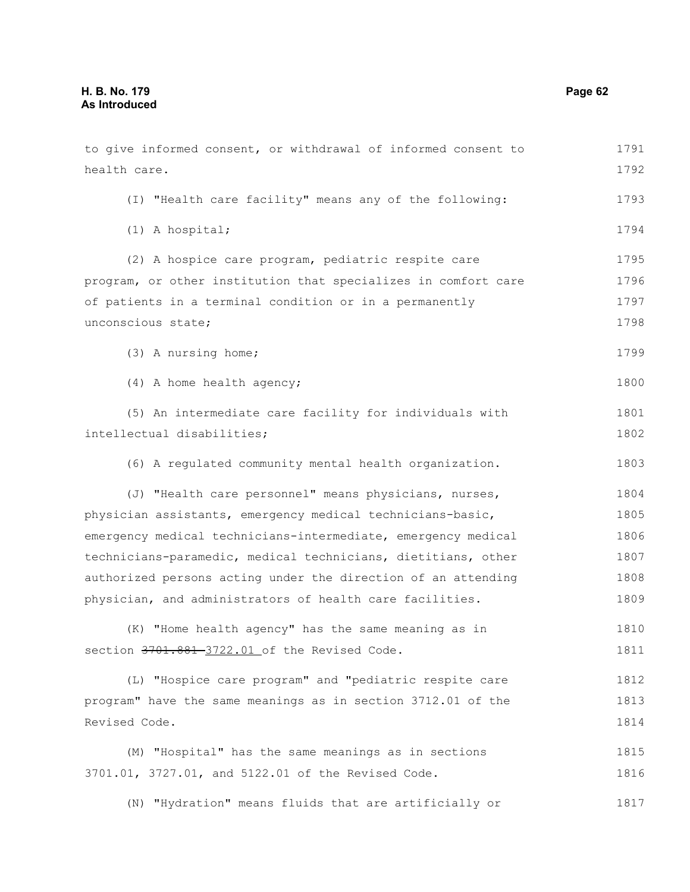to give informed consent, or withdrawal of informed consent to health care. (I) "Health care facility" means any of the following: (1) A hospital; (2) A hospice care program, pediatric respite care program, or other institution that specializes in comfort care of patients in a terminal condition or in a permanently unconscious state; (3) A nursing home; (4) A home health agency; (5) An intermediate care facility for individuals with intellectual disabilities; (6) A regulated community mental health organization. (J) "Health care personnel" means physicians, nurses, physician assistants, emergency medical technicians-basic, emergency medical technicians-intermediate, emergency medical technicians-paramedic, medical technicians, dietitians, other authorized persons acting under the direction of an attending physician, and administrators of health care facilities. (K) "Home health agency" has the same meaning as in section 3701.881 3722.01 of the Revised Code. (L) "Hospice care program" and "pediatric respite care program" have the same meanings as in section 3712.01 of the Revised Code. (M) "Hospital" has the same meanings as in sections 3701.01, 3727.01, and 5122.01 of the Revised Code. (N) "Hydration" means fluids that are artificially or 1791 1792 1793 1794 1795 1796 1797 1798 1799 1800 1801 1802 1803 1804 1805 1806 1807 1808 1809 1810 1811 1812 1813 1814 1815 1816 1817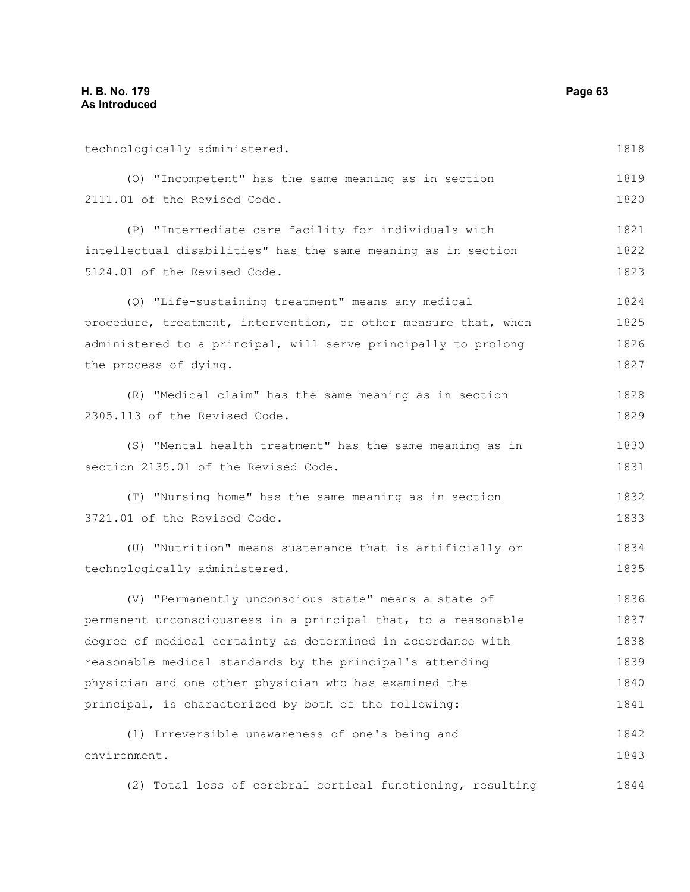technologically administered. (O) "Incompetent" has the same meaning as in section 2111.01 of the Revised Code. (P) "Intermediate care facility for individuals with intellectual disabilities" has the same meaning as in section 5124.01 of the Revised Code. (Q) "Life-sustaining treatment" means any medical procedure, treatment, intervention, or other measure that, when administered to a principal, will serve principally to prolong the process of dying. (R) "Medical claim" has the same meaning as in section 2305.113 of the Revised Code. (S) "Mental health treatment" has the same meaning as in section 2135.01 of the Revised Code. (T) "Nursing home" has the same meaning as in section 3721.01 of the Revised Code. (U) "Nutrition" means sustenance that is artificially or technologically administered. (V) "Permanently unconscious state" means a state of permanent unconsciousness in a principal that, to a reasonable degree of medical certainty as determined in accordance with reasonable medical standards by the principal's attending physician and one other physician who has examined the principal, is characterized by both of the following: (1) Irreversible unawareness of one's being and environment. (2) Total loss of cerebral cortical functioning, resulting 1818 1819 1820 1821 1822 1823 1824 1825 1826 1827 1828 1829 1830 1831 1832 1833 1834 1835 1836 1837 1838 1839 1840 1841 1842 1843 1844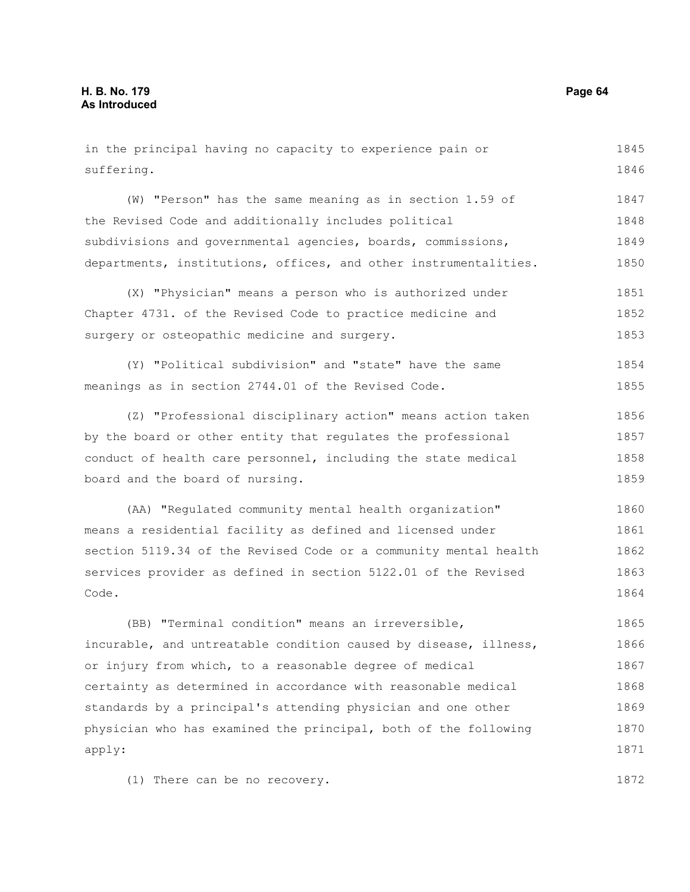in the principal having no capacity to experience pain or suffering. (W) "Person" has the same meaning as in section 1.59 of 1845 1846 1847

the Revised Code and additionally includes political subdivisions and governmental agencies, boards, commissions, departments, institutions, offices, and other instrumentalities. 1848 1849 1850

(X) "Physician" means a person who is authorized under Chapter 4731. of the Revised Code to practice medicine and surgery or osteopathic medicine and surgery. 1851 1852 1853

(Y) "Political subdivision" and "state" have the same meanings as in section 2744.01 of the Revised Code. 1854 1855

(Z) "Professional disciplinary action" means action taken by the board or other entity that regulates the professional conduct of health care personnel, including the state medical board and the board of nursing. 1856 1857 1858 1859

(AA) "Regulated community mental health organization" means a residential facility as defined and licensed under section 5119.34 of the Revised Code or a community mental health services provider as defined in section 5122.01 of the Revised Code. 1860 1861 1862 1863 1864

(BB) "Terminal condition" means an irreversible, incurable, and untreatable condition caused by disease, illness, or injury from which, to a reasonable degree of medical certainty as determined in accordance with reasonable medical standards by a principal's attending physician and one other physician who has examined the principal, both of the following apply: 1865 1866 1867 1868 1869 1870 1871

(1) There can be no recovery.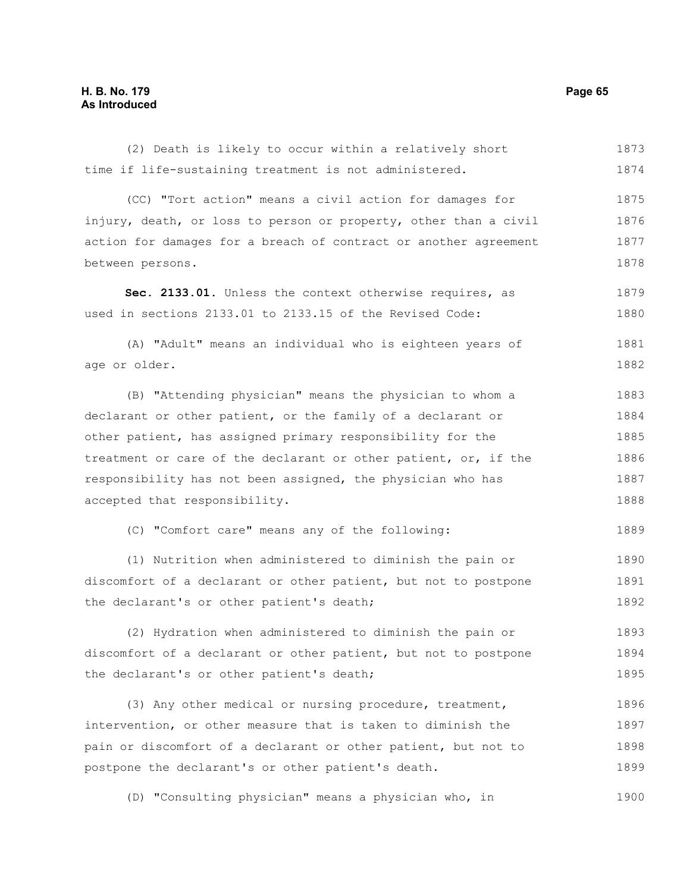(2) Death is likely to occur within a relatively short time if life-sustaining treatment is not administered. (CC) "Tort action" means a civil action for damages for injury, death, or loss to person or property, other than a civil action for damages for a breach of contract or another agreement between persons. **Sec. 2133.01.** Unless the context otherwise requires, as used in sections 2133.01 to 2133.15 of the Revised Code: (A) "Adult" means an individual who is eighteen years of age or older. (B) "Attending physician" means the physician to whom a declarant or other patient, or the family of a declarant or other patient, has assigned primary responsibility for the treatment or care of the declarant or other patient, or, if the responsibility has not been assigned, the physician who has accepted that responsibility. (C) "Comfort care" means any of the following: (1) Nutrition when administered to diminish the pain or discomfort of a declarant or other patient, but not to postpone the declarant's or other patient's death; (2) Hydration when administered to diminish the pain or discomfort of a declarant or other patient, but not to postpone the declarant's or other patient's death; (3) Any other medical or nursing procedure, treatment, intervention, or other measure that is taken to diminish the 1873 1874 1875 1876 1877 1878 1879 1880 1881 1882 1883 1884 1885 1886 1887 1888 1889 1890 1891 1892 1893 1894 1895 1896 1897

(D) "Consulting physician" means a physician who, in 1900

pain or discomfort of a declarant or other patient, but not to

postpone the declarant's or other patient's death.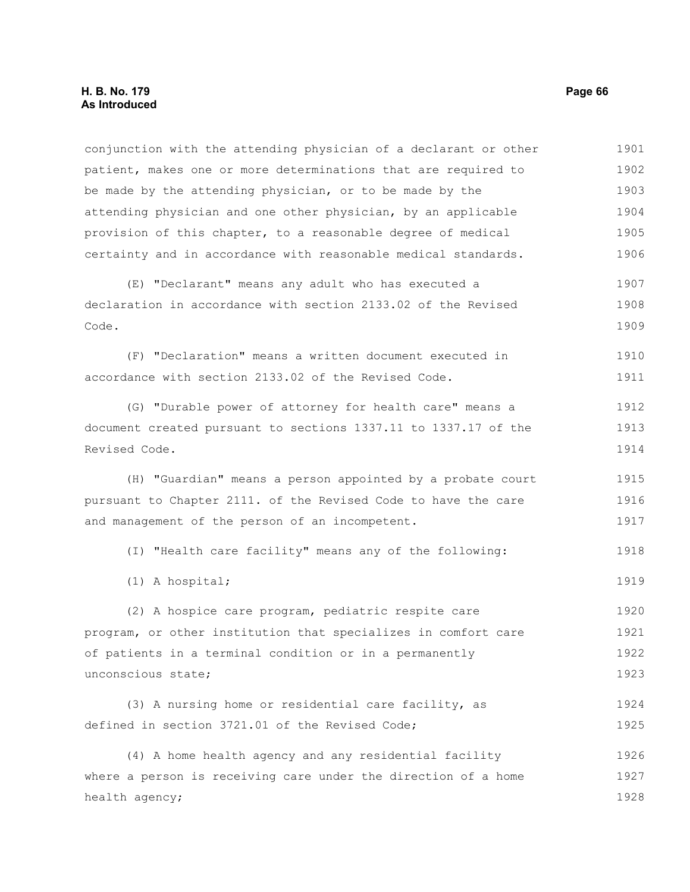#### **H. B. No. 179 Page 66 As Introduced**

conjunction with the attending physician of a declarant or other patient, makes one or more determinations that are required to be made by the attending physician, or to be made by the attending physician and one other physician, by an applicable provision of this chapter, to a reasonable degree of medical certainty and in accordance with reasonable medical standards. 1901 1902 1903 1904 1905 1906

(E) "Declarant" means any adult who has executed a declaration in accordance with section 2133.02 of the Revised Code. 1907 1908 1909

(F) "Declaration" means a written document executed in accordance with section 2133.02 of the Revised Code. 1910 1911

(G) "Durable power of attorney for health care" means a document created pursuant to sections 1337.11 to 1337.17 of the Revised Code. 1912 1913 1914

(H) "Guardian" means a person appointed by a probate court pursuant to Chapter 2111. of the Revised Code to have the care and management of the person of an incompetent. 1915 1916 1917

(I) "Health care facility" means any of the following: 1918

(1) A hospital;

(2) A hospice care program, pediatric respite care program, or other institution that specializes in comfort care of patients in a terminal condition or in a permanently unconscious state; 1920 1921 1922 1923

(3) A nursing home or residential care facility, as defined in section 3721.01 of the Revised Code; 1924 1925

(4) A home health agency and any residential facility where a person is receiving care under the direction of a home health agency; 1926 1927 1928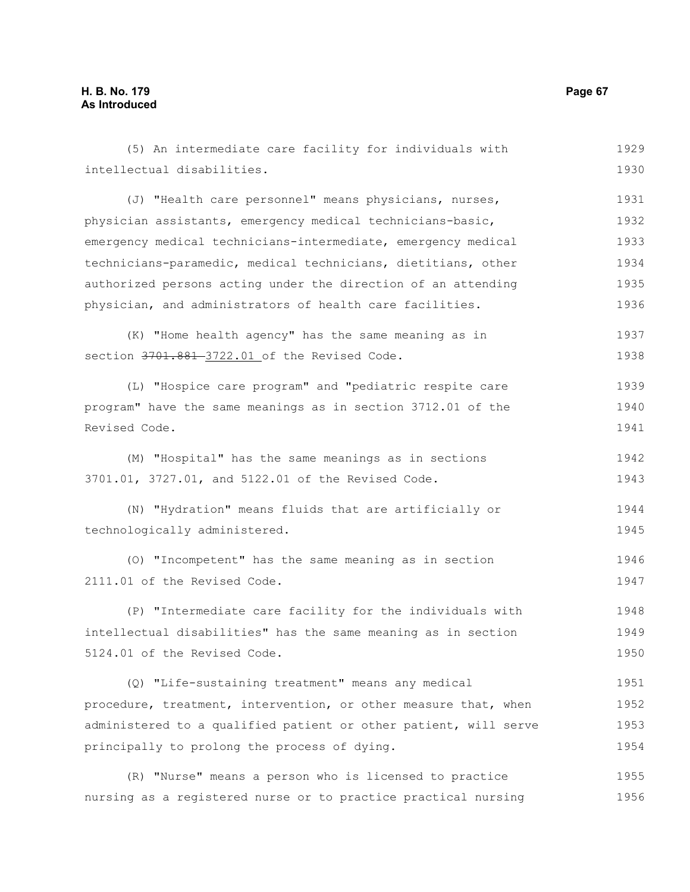(5) An intermediate care facility for individuals with intellectual disabilities. (J) "Health care personnel" means physicians, nurses, physician assistants, emergency medical technicians-basic, emergency medical technicians-intermediate, emergency medical technicians-paramedic, medical technicians, dietitians, other authorized persons acting under the direction of an attending physician, and administrators of health care facilities. (K) "Home health agency" has the same meaning as in section 3701.881-3722.01 of the Revised Code. (L) "Hospice care program" and "pediatric respite care program" have the same meanings as in section 3712.01 of the Revised Code. (M) "Hospital" has the same meanings as in sections 3701.01, 3727.01, and 5122.01 of the Revised Code. (N) "Hydration" means fluids that are artificially or technologically administered. (O) "Incompetent" has the same meaning as in section 2111.01 of the Revised Code. (P) "Intermediate care facility for the individuals with intellectual disabilities" has the same meaning as in section 5124.01 of the Revised Code. (Q) "Life-sustaining treatment" means any medical procedure, treatment, intervention, or other measure that, when administered to a qualified patient or other patient, will serve principally to prolong the process of dying. 1929 1930 1931 1932 1933 1934 1935 1936 1937 1938 1939 1940 1941 1942 1943 1944 1945 1946 1947 1948 1949 1950 1951 1952 1953 1954

(R) "Nurse" means a person who is licensed to practice nursing as a registered nurse or to practice practical nursing 1955 1956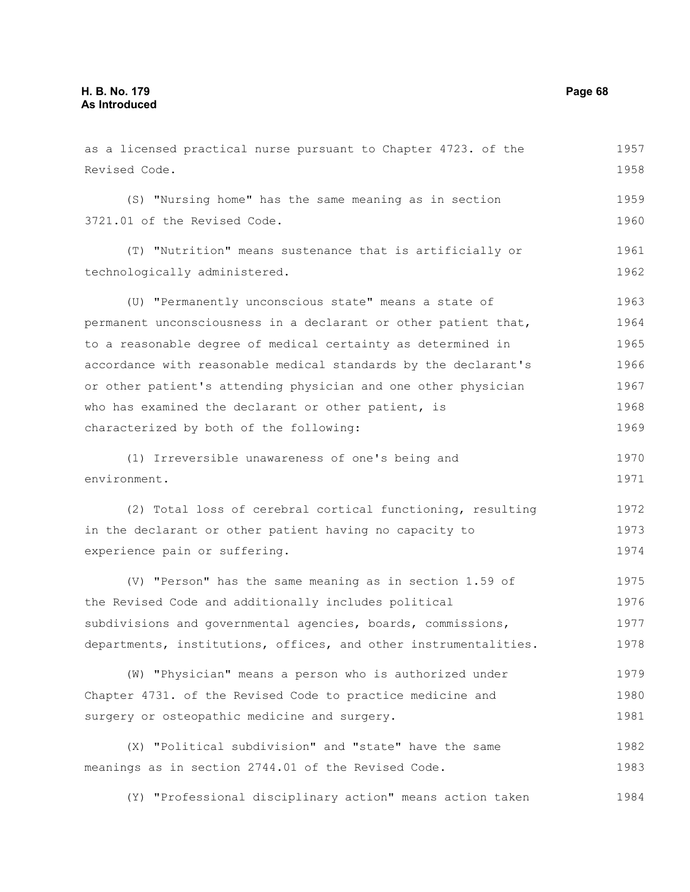as a licensed practical nurse pursuant to Chapter 4723. of the Revised Code. (S) "Nursing home" has the same meaning as in section 3721.01 of the Revised Code. (T) "Nutrition" means sustenance that is artificially or technologically administered. (U) "Permanently unconscious state" means a state of permanent unconsciousness in a declarant or other patient that, to a reasonable degree of medical certainty as determined in accordance with reasonable medical standards by the declarant's or other patient's attending physician and one other physician who has examined the declarant or other patient, is characterized by both of the following: (1) Irreversible unawareness of one's being and environment. (2) Total loss of cerebral cortical functioning, resulting in the declarant or other patient having no capacity to experience pain or suffering. (V) "Person" has the same meaning as in section 1.59 of the Revised Code and additionally includes political subdivisions and governmental agencies, boards, commissions, departments, institutions, offices, and other instrumentalities. (W) "Physician" means a person who is authorized under Chapter 4731. of the Revised Code to practice medicine and surgery or osteopathic medicine and surgery. (X) "Political subdivision" and "state" have the same meanings as in section 2744.01 of the Revised Code. (Y) "Professional disciplinary action" means action taken 1957 1958 1959 1960 1961 1962 1963 1964 1965 1966 1967 1968 1969 1970 1971 1972 1973 1974 1975 1976 1977 1978 1979 1980 1981 1982 1983 1984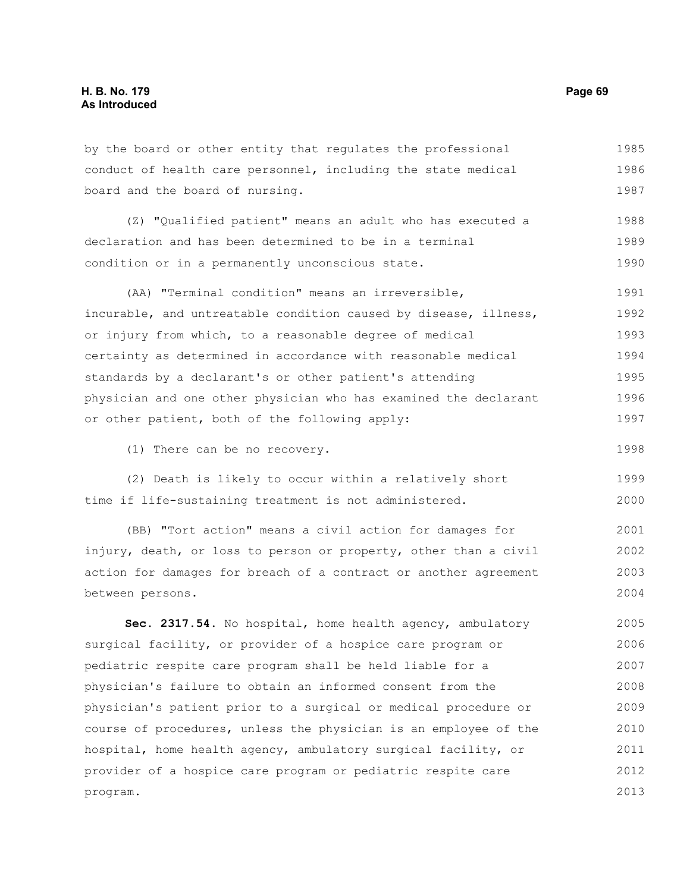by the board or other entity that regulates the professional conduct of health care personnel, including the state medical board and the board of nursing. 1985 1986 1987

(Z) "Qualified patient" means an adult who has executed a declaration and has been determined to be in a terminal condition or in a permanently unconscious state. 1988 1989 1990

(AA) "Terminal condition" means an irreversible, incurable, and untreatable condition caused by disease, illness, or injury from which, to a reasonable degree of medical certainty as determined in accordance with reasonable medical standards by a declarant's or other patient's attending physician and one other physician who has examined the declarant or other patient, both of the following apply: 1991 1992 1993 1994 1995 1996 1997

(1) There can be no recovery.

(2) Death is likely to occur within a relatively short time if life-sustaining treatment is not administered. 1999 2000

(BB) "Tort action" means a civil action for damages for injury, death, or loss to person or property, other than a civil action for damages for breach of a contract or another agreement between persons. 2001 2002 2003 2004

Sec. 2317.54. No hospital, home health agency, ambulatory surgical facility, or provider of a hospice care program or pediatric respite care program shall be held liable for a physician's failure to obtain an informed consent from the physician's patient prior to a surgical or medical procedure or course of procedures, unless the physician is an employee of the hospital, home health agency, ambulatory surgical facility, or provider of a hospice care program or pediatric respite care program. 2005 2006 2007 2008 2009 2010 2011 2012 2013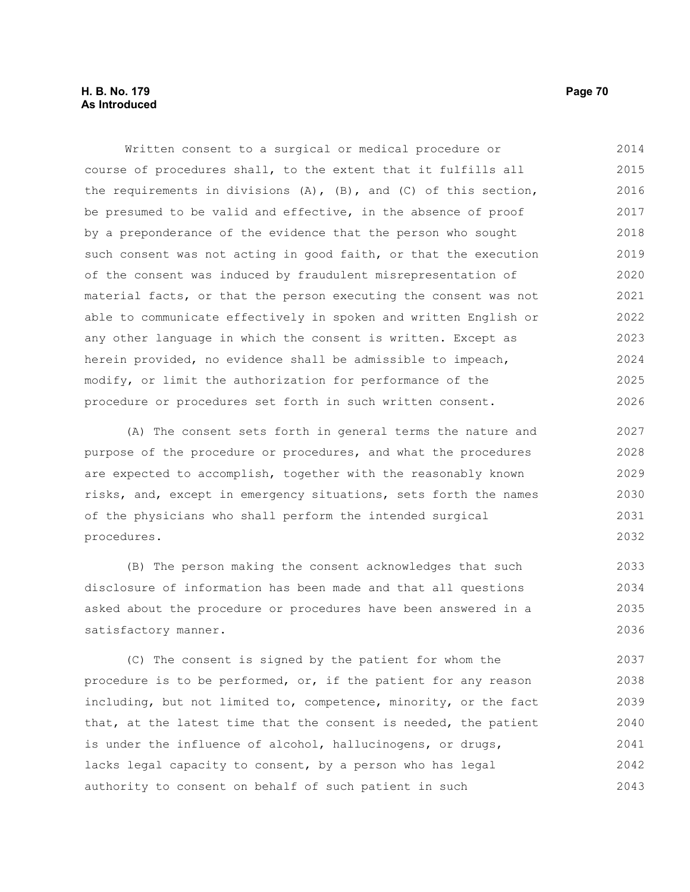Written consent to a surgical or medical procedure or course of procedures shall, to the extent that it fulfills all the requirements in divisions  $(A)$ ,  $(B)$ , and  $(C)$  of this section, be presumed to be valid and effective, in the absence of proof by a preponderance of the evidence that the person who sought such consent was not acting in good faith, or that the execution of the consent was induced by fraudulent misrepresentation of material facts, or that the person executing the consent was not able to communicate effectively in spoken and written English or any other language in which the consent is written. Except as herein provided, no evidence shall be admissible to impeach, modify, or limit the authorization for performance of the procedure or procedures set forth in such written consent. 2014 2015 2016 2017 2018 2019 2020 2021 2022 2023 2024 2025 2026

(A) The consent sets forth in general terms the nature and purpose of the procedure or procedures, and what the procedures are expected to accomplish, together with the reasonably known risks, and, except in emergency situations, sets forth the names of the physicians who shall perform the intended surgical procedures. 2027 2028 2029 2030

(B) The person making the consent acknowledges that such disclosure of information has been made and that all questions asked about the procedure or procedures have been answered in a satisfactory manner. 2033 2034 2035 2036

(C) The consent is signed by the patient for whom the procedure is to be performed, or, if the patient for any reason including, but not limited to, competence, minority, or the fact that, at the latest time that the consent is needed, the patient is under the influence of alcohol, hallucinogens, or drugs, lacks legal capacity to consent, by a person who has legal authority to consent on behalf of such patient in such 2037 2038 2039 2040 2041 2042 2043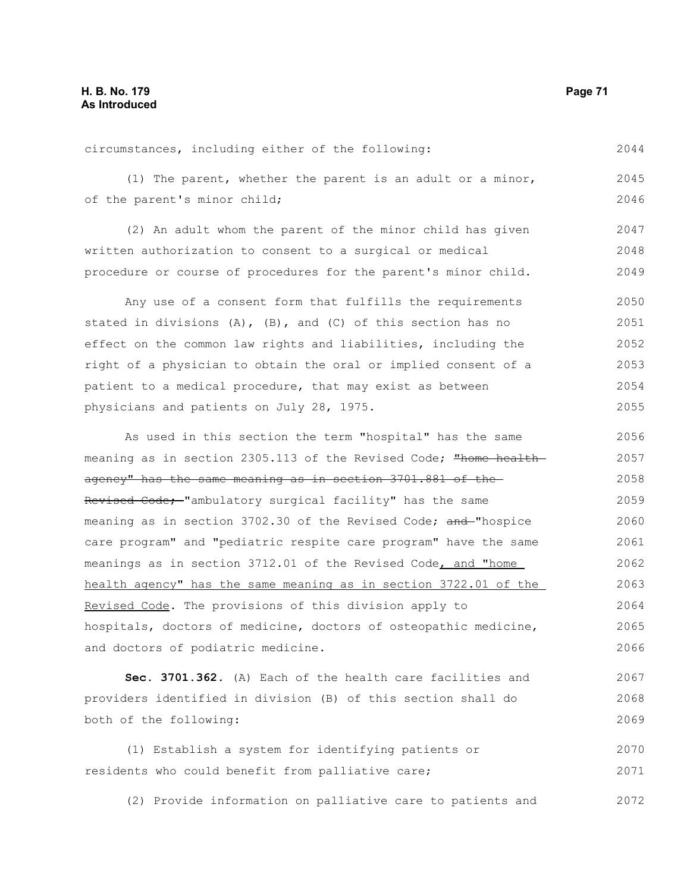circumstances, including either of the following: (1) The parent, whether the parent is an adult or a minor, of the parent's minor child; (2) An adult whom the parent of the minor child has given written authorization to consent to a surgical or medical procedure or course of procedures for the parent's minor child. Any use of a consent form that fulfills the requirements stated in divisions (A), (B), and (C) of this section has no effect on the common law rights and liabilities, including the right of a physician to obtain the oral or implied consent of a patient to a medical procedure, that may exist as between physicians and patients on July 28, 1975. As used in this section the term "hospital" has the same meaning as in section 2305.113 of the Revised Code; "home healthagency" has the same meaning as in section 3701.881 of the 2044 2045 2046 2047 2048 2049 2050 2051 2052 2053 2054 2055 2056 2057 2058

Revised Code; "ambulatory surgical facility" has the same meaning as in section 3702.30 of the Revised Code; and "hospice care program" and "pediatric respite care program" have the same meanings as in section 3712.01 of the Revised Code, and "home health agency" has the same meaning as in section 3722.01 of the Revised Code. The provisions of this division apply to hospitals, doctors of medicine, doctors of osteopathic medicine, and doctors of podiatric medicine. 2059 2060 2061 2062 2063 2064 2065 2066

**Sec. 3701.362.** (A) Each of the health care facilities and providers identified in division (B) of this section shall do both of the following: 2067 2068 2069

(1) Establish a system for identifying patients or residents who could benefit from palliative care; 2070 2071

(2) Provide information on palliative care to patients and 2072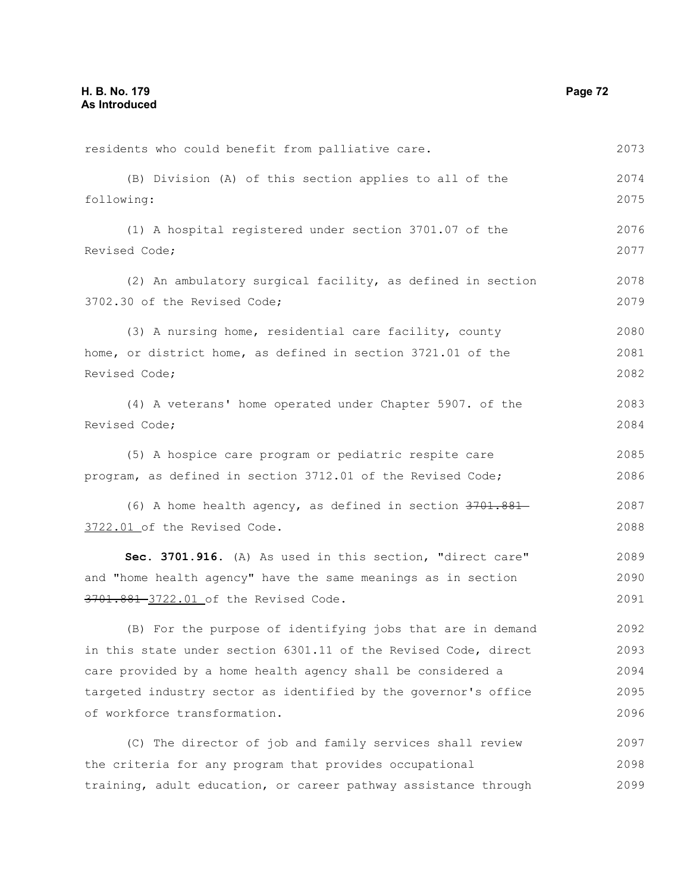| residents who could benefit from palliative care.               | 2073 |
|-----------------------------------------------------------------|------|
| (B) Division (A) of this section applies to all of the          | 2074 |
| following:                                                      | 2075 |
| (1) A hospital registered under section 3701.07 of the          | 2076 |
| Revised Code;                                                   | 2077 |
| (2) An ambulatory surgical facility, as defined in section      | 2078 |
| 3702.30 of the Revised Code;                                    | 2079 |
| (3) A nursing home, residential care facility, county           | 2080 |
| home, or district home, as defined in section 3721.01 of the    | 2081 |
| Revised Code;                                                   | 2082 |
| (4) A veterans' home operated under Chapter 5907. of the        | 2083 |
| Revised Code;                                                   | 2084 |
| (5) A hospice care program or pediatric respite care            | 2085 |
| program, as defined in section 3712.01 of the Revised Code;     | 2086 |
| (6) A home health agency, as defined in section 3701.881        | 2087 |
| 3722.01 of the Revised Code.                                    | 2088 |
| Sec. 3701.916. (A) As used in this section, "direct care"       | 2089 |
| and "home health agency" have the same meanings as in section   | 2090 |
| 3701.881-3722.01 of the Revised Code.                           | 2091 |
| (B) For the purpose of identifying jobs that are in demand      | 2092 |
| in this state under section 6301.11 of the Revised Code, direct | 2093 |
| care provided by a home health agency shall be considered a     | 2094 |
| targeted industry sector as identified by the governor's office | 2095 |
| of workforce transformation.                                    | 2096 |
| (C) The director of job and family services shall review        | 2097 |
| the criteria for any program that provides occupational         | 2098 |
| training, adult education, or career pathway assistance through | 2099 |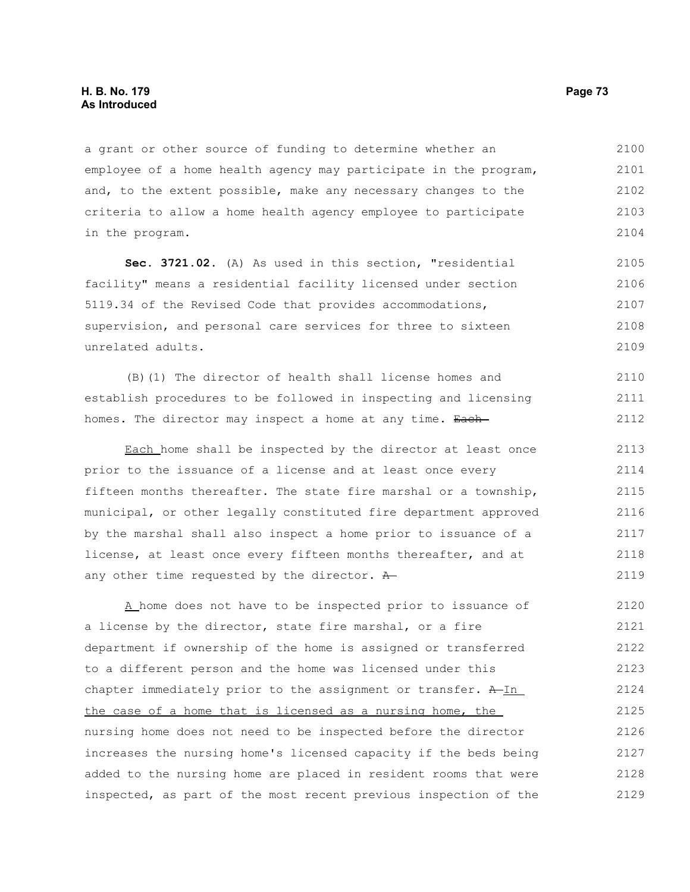a grant or other source of funding to determine whether an employee of a home health agency may participate in the program, and, to the extent possible, make any necessary changes to the criteria to allow a home health agency employee to participate in the program. 2100 2101 2102 2103 2104

**Sec. 3721.02.** (A) As used in this section, "residential facility" means a residential facility licensed under section 5119.34 of the Revised Code that provides accommodations, supervision, and personal care services for three to sixteen unrelated adults. 2105 2106 2107 2108 2109

(B)(1) The director of health shall license homes and establish procedures to be followed in inspecting and licensing homes. The director may inspect a home at any time. Each-2110 2111 2112

Each home shall be inspected by the director at least once prior to the issuance of a license and at least once every fifteen months thereafter. The state fire marshal or a township, municipal, or other legally constituted fire department approved by the marshal shall also inspect a home prior to issuance of a license, at least once every fifteen months thereafter, and at any other time requested by the director.  $A$ -2113 2114 2115 2116 2117 2118 2119

A home does not have to be inspected prior to issuance of a license by the director, state fire marshal, or a fire department if ownership of the home is assigned or transferred to a different person and the home was licensed under this chapter immediately prior to the assignment or transfer.  $A$ In the case of a home that is licensed as a nursing home, the nursing home does not need to be inspected before the director increases the nursing home's licensed capacity if the beds being added to the nursing home are placed in resident rooms that were inspected, as part of the most recent previous inspection of the 2120 2121 2122 2123 2124 2125 2126 2127 2128 2129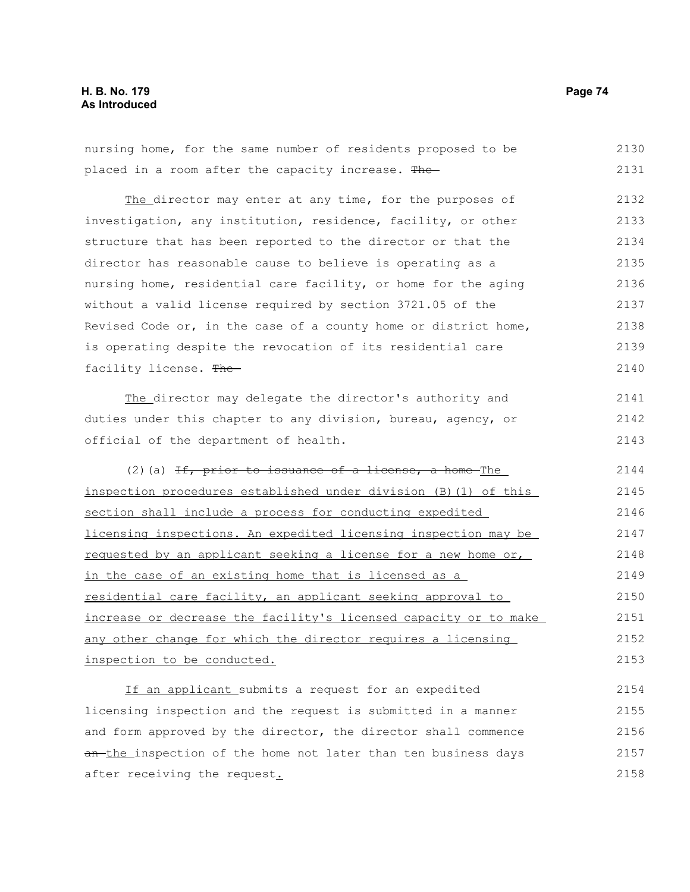nursing home, for the same number of residents proposed to be placed in a room after the capacity increase. The 2130 2131

The director may enter at any time, for the purposes of investigation, any institution, residence, facility, or other structure that has been reported to the director or that the director has reasonable cause to believe is operating as a nursing home, residential care facility, or home for the aging without a valid license required by section 3721.05 of the Revised Code or, in the case of a county home or district home, is operating despite the revocation of its residential care facility license. The 2132 2133 2134 2135 2136 2137 2138 2139 2140

The director may delegate the director's authority and duties under this chapter to any division, bureau, agency, or official of the department of health.

(2)(a) If, prior to issuance of a license, a home The inspection procedures established under division (B)(1) of this section shall include a process for conducting expedited licensing inspections. An expedited licensing inspection may be requested by an applicant seeking a license for a new home or, in the case of an existing home that is licensed as a residential care facility, an applicant seeking approval to increase or decrease the facility's licensed capacity or to make any other change for which the director requires a licensing inspection to be conducted. 2144 2145 2146 2147 2148 2149 2150 2151 2152 2153

If an applicant submits a request for an expedited licensing inspection and the request is submitted in a manner and form approved by the director, the director shall commence an-the inspection of the home not later than ten business days after receiving the request. 2154 2155 2156 2157 2158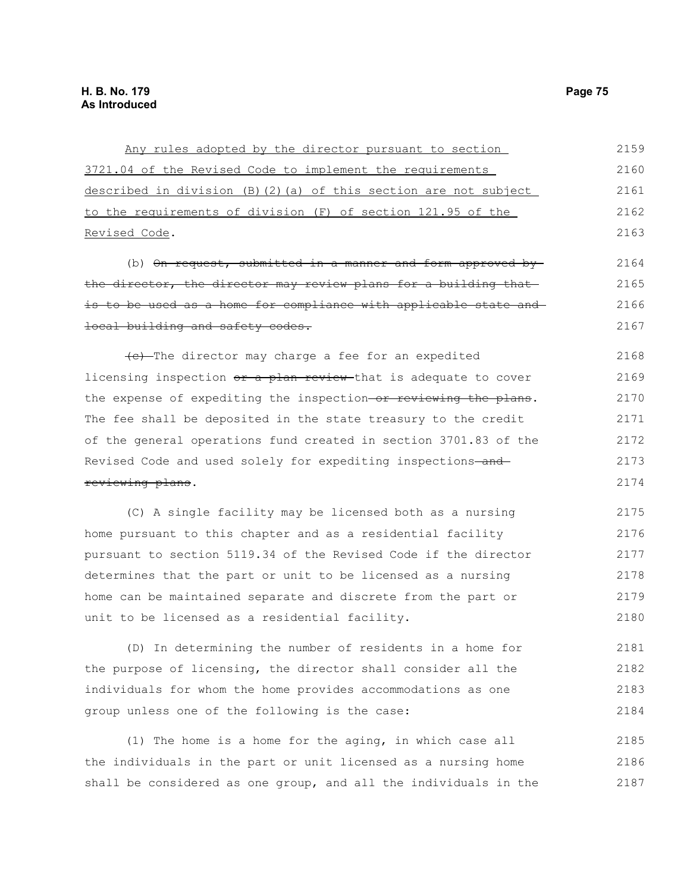| Any rules adopted by the director pursuant to section                        | 2159 |
|------------------------------------------------------------------------------|------|
| 3721.04 of the Revised Code to implement the requirements                    | 2160 |
| described in division (B)(2)(a) of this section are not subject              | 2161 |
| to the requirements of division (F) of section 121.95 of the                 | 2162 |
| Revised Code.                                                                | 2163 |
| (b) $\Theta$ n request, submitted in a manner and form approved by           | 2164 |
| the director, the director may review plans for a building that              | 2165 |
| <del>is to be used as a home for compliance with applicable state and-</del> | 2166 |
| local building and safety codes.                                             | 2167 |
| (e) The director may charge a fee for an expedited                           | 2168 |
| licensing inspection or a plan review that is adequate to cover              | 2169 |
| the expense of expediting the inspection-or reviewing the plans.             | 2170 |
| The fee shall be deposited in the state treasury to the credit               | 2171 |
| of the general operations fund created in section 3701.83 of the             | 2172 |
| Revised Code and used solely for expediting inspections-and-                 | 2173 |
| reviewing plans.                                                             | 2174 |
| (C) A single facility may be licensed both as a nursing                      | 2175 |
| home pursuant to this chapter and as a residential facility                  | 2176 |
| pursuant to section 5119.34 of the Revised Code if the director              | 2177 |
| determines that the part or unit to be licensed as a nursing                 | 2178 |
| home can be maintained separate and discrete from the part or                | 2179 |
| unit to be licensed as a residential facility.                               | 2180 |
| (D) In determining the number of residents in a home for                     | 2181 |
| the purpose of licensing, the director shall consider all the                | 2182 |
| individuals for whom the home provides accommodations as one                 | 2183 |
| group unless one of the following is the case:                               | 2184 |
| (1) The home is a home for the aging, in which case all                      | 2185 |
| the individuals in the part or unit licensed as a nursing home               | 2186 |
| shall be considered as one group, and all the individuals in the             | 2187 |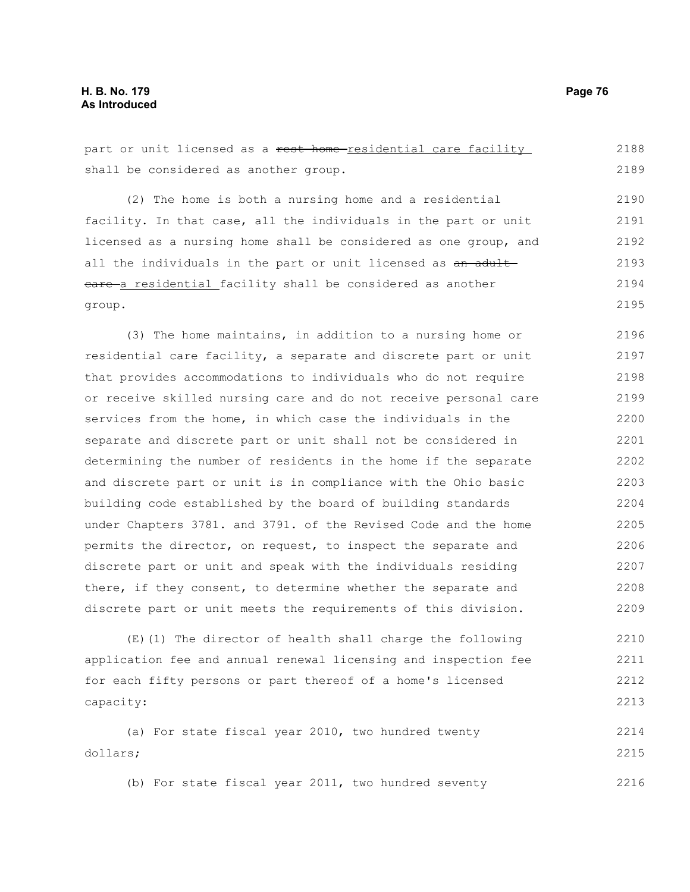part or unit licensed as a rest home residential care facility shall be considered as another group. (2) The home is both a nursing home and a residential facility. In that case, all the individuals in the part or unit 2188 2189 2190 2191

licensed as a nursing home shall be considered as one group, and all the individuals in the part or unit licensed as an adult eare a residential facility shall be considered as another group. 2192 2193 2194 2195

(3) The home maintains, in addition to a nursing home or residential care facility, a separate and discrete part or unit that provides accommodations to individuals who do not require or receive skilled nursing care and do not receive personal care services from the home, in which case the individuals in the separate and discrete part or unit shall not be considered in determining the number of residents in the home if the separate and discrete part or unit is in compliance with the Ohio basic building code established by the board of building standards under Chapters 3781. and 3791. of the Revised Code and the home permits the director, on request, to inspect the separate and discrete part or unit and speak with the individuals residing there, if they consent, to determine whether the separate and discrete part or unit meets the requirements of this division. 2196 2197 2198 2199 2200 2201 2202 2203 2204 2205 2206 2207 2208 2209

(E)(1) The director of health shall charge the following application fee and annual renewal licensing and inspection fee for each fifty persons or part thereof of a home's licensed capacity: 2210 2211 2212 2213

(a) For state fiscal year 2010, two hundred twenty dollars; 2214 2215

(b) For state fiscal year 2011, two hundred seventy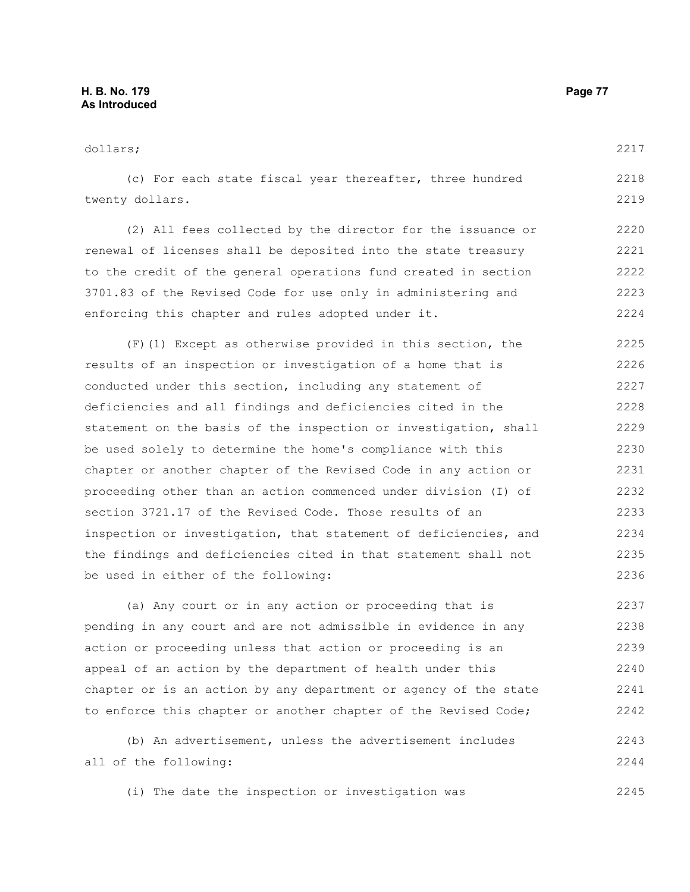dollars; (c) For each state fiscal year thereafter, three hundred twenty dollars. (2) All fees collected by the director for the issuance or renewal of licenses shall be deposited into the state treasury to the credit of the general operations fund created in section 3701.83 of the Revised Code for use only in administering and enforcing this chapter and rules adopted under it. (F)(1) Except as otherwise provided in this section, the results of an inspection or investigation of a home that is conducted under this section, including any statement of deficiencies and all findings and deficiencies cited in the statement on the basis of the inspection or investigation, shall be used solely to determine the home's compliance with this chapter or another chapter of the Revised Code in any action or proceeding other than an action commenced under division (I) of section 3721.17 of the Revised Code. Those results of an inspection or investigation, that statement of deficiencies, and the findings and deficiencies cited in that statement shall not be used in either of the following: (a) Any court or in any action or proceeding that is pending in any court and are not admissible in evidence in any action or proceeding unless that action or proceeding is an 2217 2218 2219 2220 2221 2222 2223 2224 2225 2226 2227 2228 2229 2230 2231 2232 2233 2234 2235 2236 2237 2238 2239

appeal of an action by the department of health under this chapter or is an action by any department or agency of the state to enforce this chapter or another chapter of the Revised Code; 2240 2241 2242

(b) An advertisement, unless the advertisement includes all of the following: 2243 2244

(i) The date the inspection or investigation was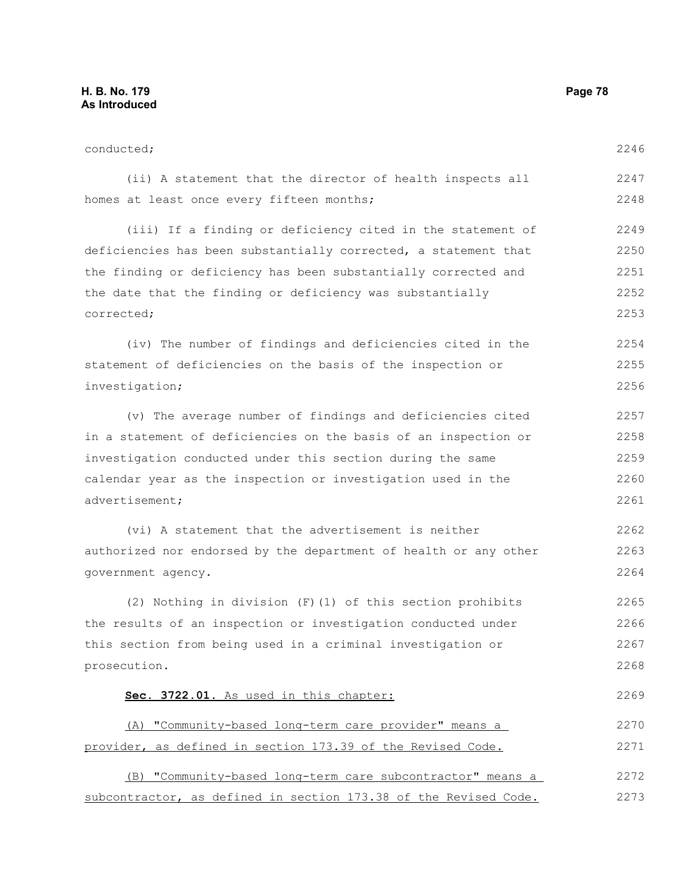conducted; (ii) A statement that the director of health inspects all homes at least once every fifteen months; (iii) If a finding or deficiency cited in the statement of deficiencies has been substantially corrected, a statement that the finding or deficiency has been substantially corrected and the date that the finding or deficiency was substantially corrected; (iv) The number of findings and deficiencies cited in the statement of deficiencies on the basis of the inspection or investigation; (v) The average number of findings and deficiencies cited in a statement of deficiencies on the basis of an inspection or investigation conducted under this section during the same calendar year as the inspection or investigation used in the advertisement; (vi) A statement that the advertisement is neither authorized nor endorsed by the department of health or any other government agency. (2) Nothing in division (F)(1) of this section prohibits the results of an inspection or investigation conducted under this section from being used in a criminal investigation or prosecution. **Sec. 3722.01.** As used in this chapter: 2246 2247 2248 2249 2250 2251 2252 2253 2254 2255 2256 2257 2258 2259 2260 2261 2262 2263 2264 2265 2266 2267 2268 2269

#### (A) "Community-based long-term care provider" means a provider, as defined in section 173.39 of the Revised Code. 2270 2271

(B) "Community-based long-term care subcontractor" means a subcontractor, as defined in section 173.38 of the Revised Code. 2272 2273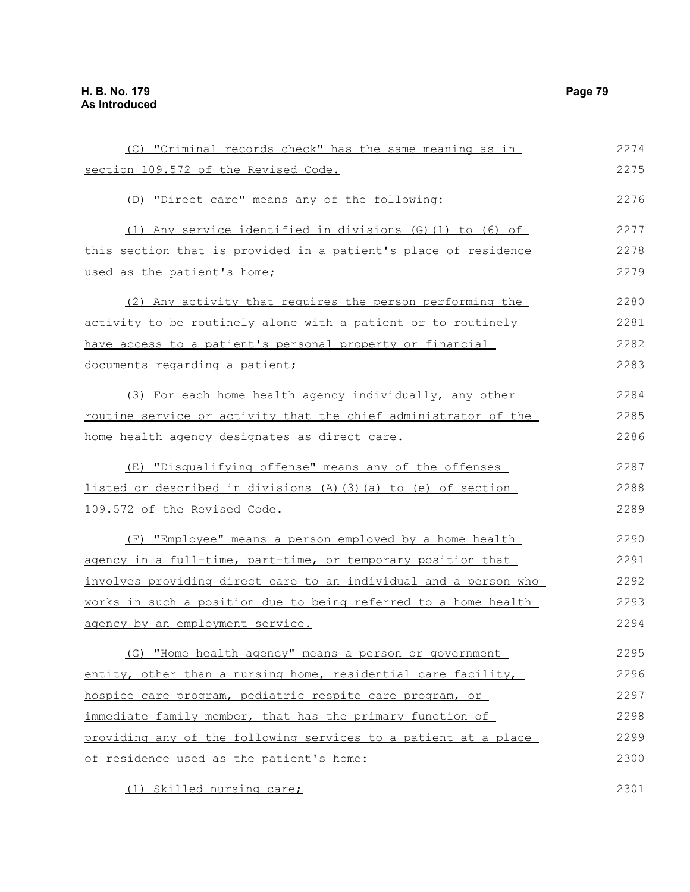| (C) "Criminal records check" has the same meaning as in          | 2274 |
|------------------------------------------------------------------|------|
| section 109.572 of the Revised Code.                             | 2275 |
| (D) "Direct care" means any of the following:                    | 2276 |
| (1) Any service identified in divisions (G) (1) to (6) of        | 2277 |
| this section that is provided in a patient's place of residence  | 2278 |
| used as the patient's home;                                      | 2279 |
| (2) Any activity that requires the person performing the         | 2280 |
| activity to be routinely alone with a patient or to routinely    | 2281 |
| have access to a patient's personal property or financial        | 2282 |
| documents regarding a patient;                                   | 2283 |
| (3) For each home health agency individually, any other          | 2284 |
| routine service or activity that the chief administrator of the  | 2285 |
| home health agency designates as direct care.                    | 2286 |
| (E) "Disqualifying offense" means any of the offenses            | 2287 |
| listed or described in divisions (A) (3) (a) to (e) of section   | 2288 |
| 109.572 of the Revised Code.                                     | 2289 |
| (F) "Employee" means a person employed by a home health          | 2290 |
| agency in a full-time, part-time, or temporary position that     | 2291 |
| involves providing direct care to an individual and a person who | 2292 |
| works in such a position due to being referred to a home health  | 2293 |
| agency by an employment service.                                 | 2294 |
| (G) "Home health agency" means a person or government            | 2295 |
| entity, other than a nursing home, residential care facility,    | 2296 |
| hospice care program, pediatric respite care program, or         | 2297 |
| immediate family member, that has the primary function of        | 2298 |
| providing any of the following services to a patient at a place  | 2299 |
| of residence used as the patient's home:                         | 2300 |
| (1) Skilled nursing care;                                        | 2301 |

(1) Skilled nursing care;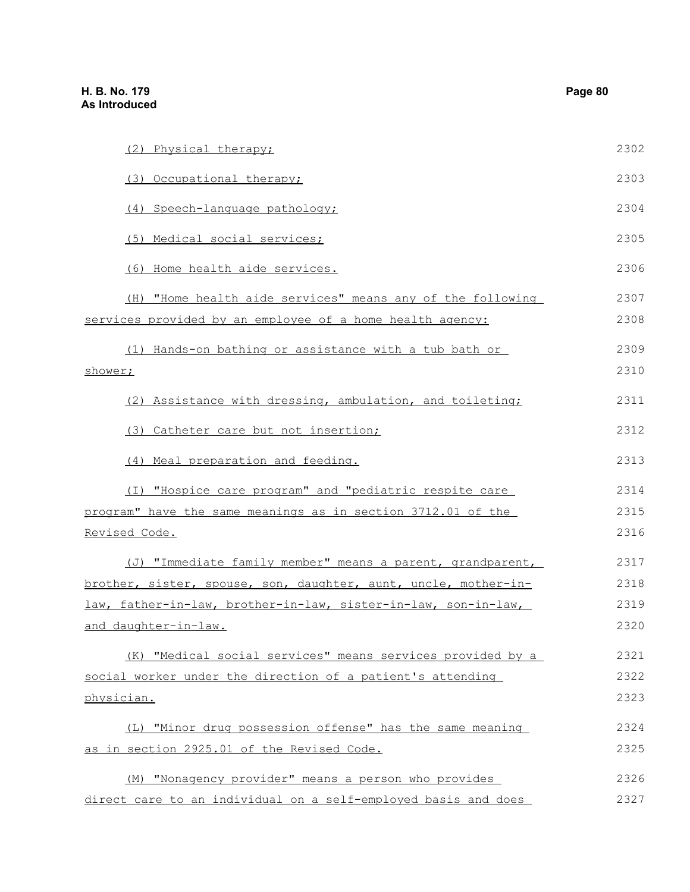| (2) Physical therapy;                                           | 2302 |
|-----------------------------------------------------------------|------|
| (3) Occupational therapy;                                       | 2303 |
| (4) Speech-language pathology;                                  | 2304 |
| (5) Medical social services;                                    | 2305 |
| (6) Home health aide services.                                  | 2306 |
| (H) "Home health aide services" means any of the following      | 2307 |
| services provided by an employee of a home health agency:       | 2308 |
| (1) Hands-on bathing or assistance with a tub bath or           | 2309 |
| shower;                                                         | 2310 |
| (2) Assistance with dressing, ambulation, and toileting;        | 2311 |
| (3) Catheter care but not insertion;                            | 2312 |
| (4) Meal preparation and feeding.                               | 2313 |
| (I) "Hospice care program" and "pediatric respite care          | 2314 |
| program" have the same meanings as in section 3712.01 of the    | 2315 |
| Revised Code.                                                   | 2316 |
| (J) "Immediate family member" means a parent, grandparent,      | 2317 |
| brother, sister, spouse, son, daughter, aunt, uncle, mother-in- | 2318 |
| law, father-in-law, brother-in-law, sister-in-law, son-in-law,  | 2319 |
| and daughter-in-law.                                            | 2320 |
| (K) "Medical social services" means services provided by a      | 2321 |
| social worker under the direction of a patient's attending      | 2322 |
| physician.                                                      | 2323 |
| (L) "Minor drug possession offense" has the same meaning        | 2324 |
| as in section 2925.01 of the Revised Code.                      | 2325 |
| (M) "Nonagency provider" means a person who provides            | 2326 |
| direct care to an individual on a self-employed basis and does  | 2327 |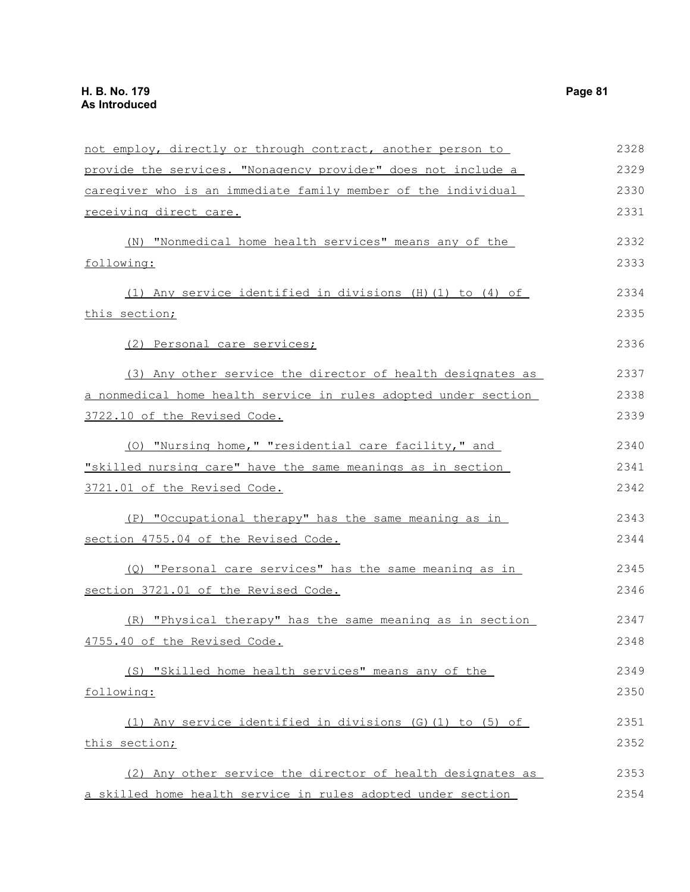| not employ, directly or through contract, another person to     | 2328 |
|-----------------------------------------------------------------|------|
| provide the services. "Nonagency provider" does not include a   | 2329 |
| caregiver who is an immediate family member of the individual   | 2330 |
| receiving direct care.                                          | 2331 |
| (N) "Nonmedical home health services" means any of the          | 2332 |
| following:                                                      | 2333 |
|                                                                 |      |
| (1) Any service identified in divisions (H)(1) to (4) of        | 2334 |
| this section;                                                   | 2335 |
| (2) Personal care services;                                     | 2336 |
| (3) Any other service the director of health designates as      | 2337 |
| a nonmedical home health service in rules adopted under section | 2338 |
| 3722.10 of the Revised Code.                                    | 2339 |
| (0) "Nursing home," "residential care facility," and            | 2340 |
| "skilled nursing care" have the same meanings as in section     | 2341 |
|                                                                 | 2342 |
| 3721.01 of the Revised Code.                                    |      |
| (P) "Occupational therapy" has the same meaning as in           | 2343 |
| section 4755.04 of the Revised Code.                            | 2344 |
| (0) "Personal care services" has the same meaning as in         | 2345 |
| section 3721.01 of the Revised Code.                            | 2346 |
| (R) "Physical therapy" has the same meaning as in section       | 2347 |
| 4755.40 of the Revised Code.                                    | 2348 |
|                                                                 |      |
| (S) "Skilled home health services" means any of the             | 2349 |
| following:                                                      | 2350 |
| (1) Any service identified in divisions (G) (1) to (5) of       | 2351 |
| this section;                                                   | 2352 |
| (2) Any other service the director of health designates as      | 2353 |
| a skilled home health service in rules adopted under section    | 2354 |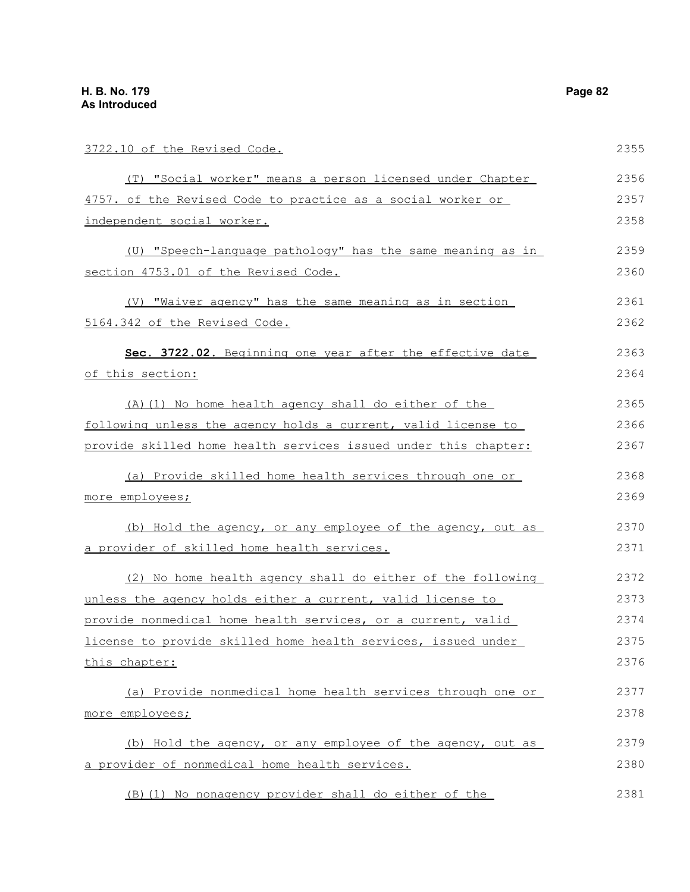| 3722.10 of the Revised Code.                                       | 2355 |
|--------------------------------------------------------------------|------|
| (T) "Social worker" means a person licensed under Chapter          | 2356 |
| 4757. of the Revised Code to practice as a social worker or        | 2357 |
| <u>independent social worker.</u>                                  | 2358 |
| (U) "Speech-language pathology" has the same meaning as in         | 2359 |
| section 4753.01 of the Revised Code.                               | 2360 |
| (V) "Waiver agency" has the same meaning as in section             | 2361 |
| 5164.342 of the Revised Code.                                      | 2362 |
| Sec. 3722.02. Beginning one year after the effective date          | 2363 |
| of this section:                                                   | 2364 |
| (A) (1) No home health agency shall do either of the               | 2365 |
| following unless the agency holds a current, valid license to      | 2366 |
| provide skilled home health services issued under this chapter:    | 2367 |
| (a) Provide skilled home health services through one or            | 2368 |
| <u>more employees;</u>                                             | 2369 |
| (b) Hold the agency, or any employee of the agency, out as         | 2370 |
| a provider of skilled home health services.                        | 2371 |
| (2) No home health agency shall do either of the following         | 2372 |
| <u>unless the agency holds either a current, valid license to </u> | 2373 |
| provide nonmedical home health services, or a current, valid       | 2374 |
| license to provide skilled home health services, issued under      | 2375 |
| this chapter:                                                      | 2376 |
| (a) Provide nonmedical home health services through one or         | 2377 |
| more employees;                                                    | 2378 |
| (b) Hold the agency, or any employee of the agency, out as         | 2379 |
| a provider of nonmedical home health services.                     | 2380 |
| (B) (1) No nonagency provider shall do either of the               | 2381 |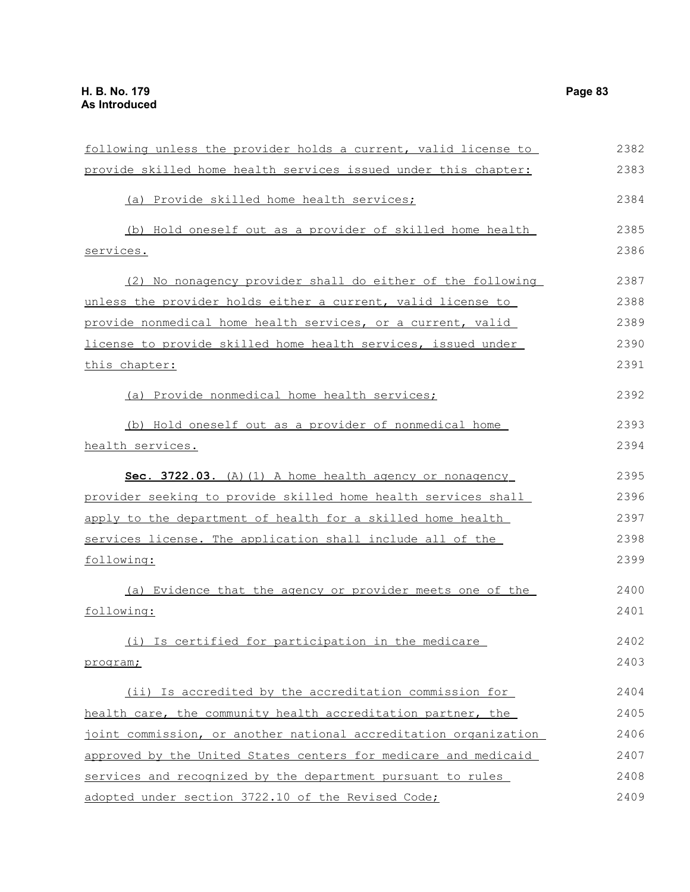| following unless the provider holds a current, valid license to  | 2382 |
|------------------------------------------------------------------|------|
| provide skilled home health services issued under this chapter:  | 2383 |
| (a) Provide skilled home health services;                        | 2384 |
| (b) Hold oneself out as a provider of skilled home health        | 2385 |
| services.                                                        | 2386 |
| (2) No nonagency provider shall do either of the following       | 2387 |
| unless the provider holds either a current, valid license to     | 2388 |
| provide nonmedical home health services, or a current, valid     | 2389 |
| license to provide skilled home health services, issued under    | 2390 |
| this chapter:                                                    | 2391 |
| (a) Provide nonmedical home health services;                     | 2392 |
| (b) Hold oneself out as a provider of nonmedical home            | 2393 |
| health services.                                                 | 2394 |
| Sec. 3722.03. (A) (1) A home health agency or nonagency          | 2395 |
| provider seeking to provide skilled home health services shall   | 2396 |
| apply to the department of health for a skilled home health      | 2397 |
| services license. The application shall include all of the       | 2398 |
| following:                                                       | 2399 |
| (a) Evidence that the agency or provider meets one of the        | 2400 |
| following:                                                       | 2401 |
| (i) Is certified for participation in the medicare               | 2402 |
| program;                                                         | 2403 |
| (ii) Is accredited by the accreditation commission for           | 2404 |
| health care, the community health accreditation partner, the     | 2405 |
| joint commission, or another national accreditation organization | 2406 |
| approved by the United States centers for medicare and medicaid  | 2407 |
| services and recognized by the department pursuant to rules      | 2408 |
| adopted under section 3722.10 of the Revised Code;               | 2409 |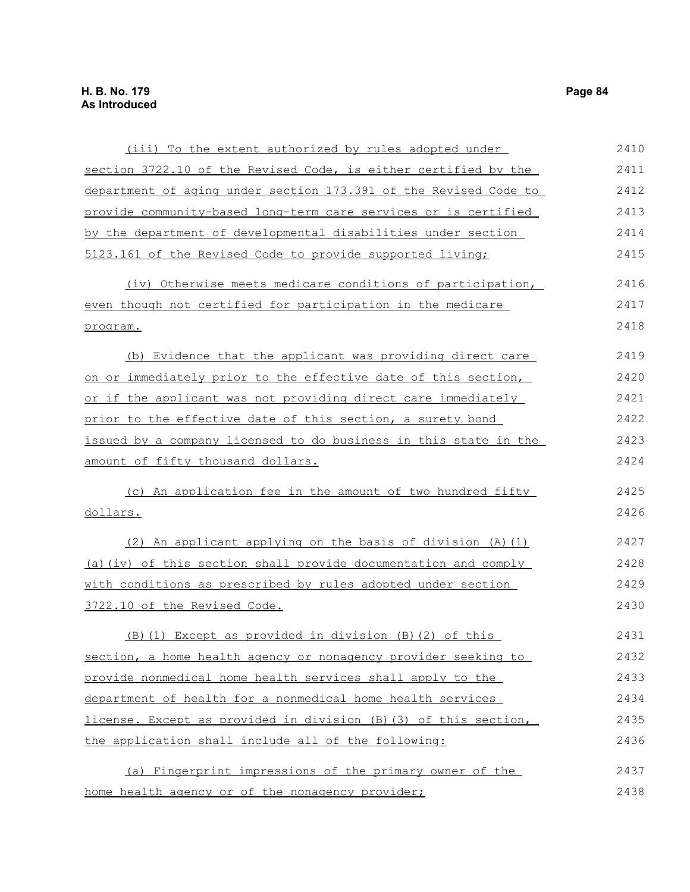| (iii) To the extent authorized by rules adopted under            | 2410 |
|------------------------------------------------------------------|------|
| section 3722.10 of the Revised Code, is either certified by the  | 2411 |
| department of aging under section 173.391 of the Revised Code to | 2412 |
| provide community-based long-term care services or is certified  | 2413 |
| by the department of developmental disabilities under section    | 2414 |
| 5123.161 of the Revised Code to provide supported living;        | 2415 |
| (iv) Otherwise meets medicare conditions of participation,       | 2416 |
| even though not certified for participation in the medicare      | 2417 |
| program.                                                         | 2418 |
| (b) Evidence that the applicant was providing direct care        | 2419 |
| on or immediately prior to the effective date of this section,   | 2420 |
| or if the applicant was not providing direct care immediately    | 2421 |
| prior to the effective date of this section, a surety bond       | 2422 |
| issued by a company licensed to do business in this state in the | 2423 |
| amount of fifty thousand dollars.                                | 2424 |
| (c) An application fee in the amount of two hundred fifty        | 2425 |
| dollars.                                                         | 2426 |
| (2) An applicant applying on the basis of division (A) (1)       | 2427 |
| (a) (iv) of this section shall provide documentation and comply  | 2428 |
| with conditions as prescribed by rules adopted under section     | 2429 |
| 3722.10 of the Revised Code.                                     | 2430 |
| (B) (1) Except as provided in division (B) (2) of this           | 2431 |
| section, a home health agency or nonagency provider seeking to   | 2432 |
| provide nonmedical home health services shall apply to the       | 2433 |
| department of health for a nonmedical home health services       | 2434 |
| license. Except as provided in division (B) (3) of this section, | 2435 |
| the application shall include all of the following:              | 2436 |
| (a) Fingerprint impressions of the primary owner of the          | 2437 |
| home health agency or of the nonagency provider;                 | 2438 |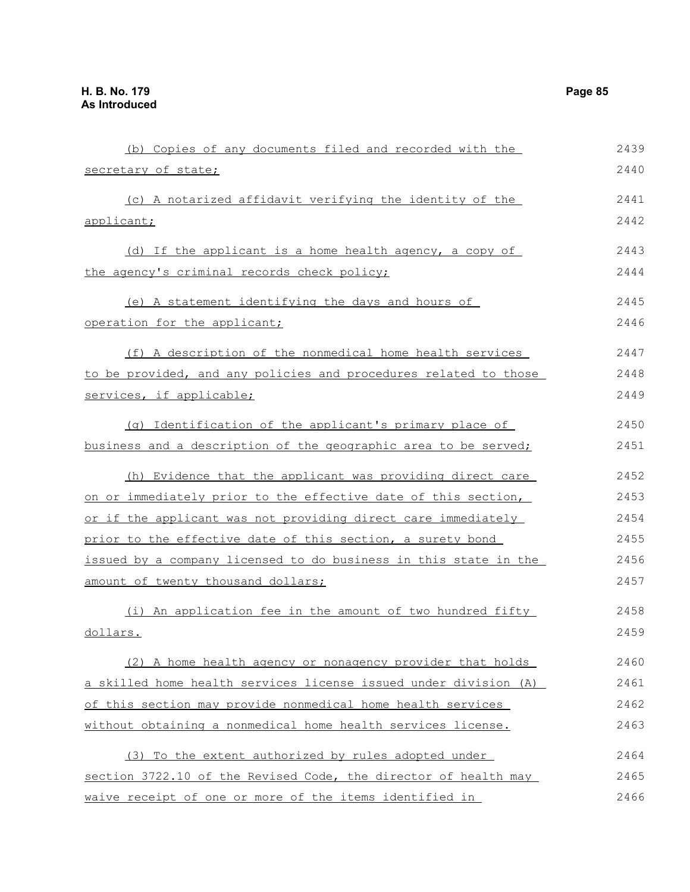| (b) Copies of any documents filed and recorded with the            | 2439 |
|--------------------------------------------------------------------|------|
| secretary of state;                                                | 2440 |
| (c) A notarized affidavit verifying the identity of the            | 2441 |
| applicant;                                                         | 2442 |
| (d) If the applicant is a home health agency, a copy of            | 2443 |
| the agency's criminal records check policy;                        | 2444 |
| (e) A statement identifying the days and hours of                  | 2445 |
| operation for the applicant;                                       | 2446 |
| (f) A description of the nonmedical home health services           | 2447 |
| to be provided, and any policies and procedures related to those   | 2448 |
| services, if applicable;                                           | 2449 |
| (g) Identification of the applicant's primary place of             | 2450 |
| business and a description of the geographic area to be served;    | 2451 |
| (h) Evidence that the applicant was providing direct care          | 2452 |
| on or immediately prior to the effective date of this section,     | 2453 |
| or if the applicant was not providing direct care immediately      | 2454 |
| <u>prior to the effective date of this section, a surety bond </u> | 2455 |
| issued by a company licensed to do business in this state in the   | 2456 |
| amount of twenty thousand dollars;                                 | 2457 |
| (i) An application fee in the amount of two hundred fifty          | 2458 |
| dollars.                                                           | 2459 |
| (2) A home health agency or nonagency provider that holds          | 2460 |
| a skilled home health services license issued under division (A)   | 2461 |
| of this section may provide nonmedical home health services        | 2462 |
| without obtaining a nonmedical home health services license.       | 2463 |
| (3) To the extent authorized by rules adopted under                | 2464 |
| section 3722.10 of the Revised Code, the director of health may    | 2465 |
| waive receipt of one or more of the items identified in            | 2466 |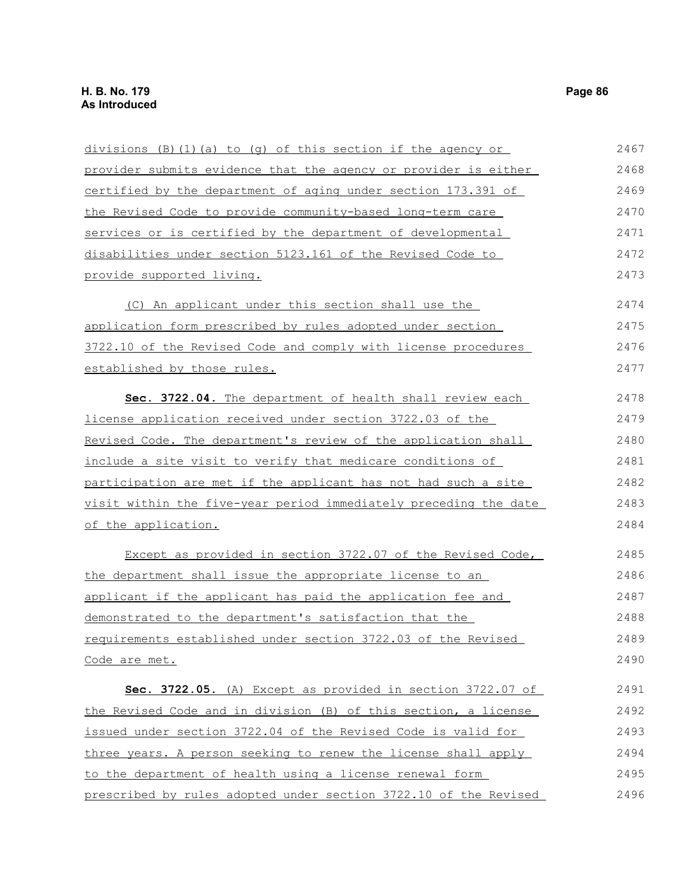| $divisions$ (B) (1) (a) to (q) of this section if the agency or  | 2467 |
|------------------------------------------------------------------|------|
| provider submits evidence that the agency or provider is either  | 2468 |
| certified by the department of aging under section 173.391 of    | 2469 |
| the Revised Code to provide community-based long-term care       | 2470 |
| services or is certified by the department of developmental      | 2471 |
| disabilities under section 5123.161 of the Revised Code to       | 2472 |
| <u>provide supported living.</u>                                 | 2473 |
| (C) An applicant under this section shall use the                | 2474 |
| application form prescribed by rules adopted under section       | 2475 |
| 3722.10 of the Revised Code and comply with license procedures   | 2476 |
| established by those rules.                                      | 2477 |
| Sec. 3722.04. The department of health shall review each         | 2478 |
| license application received under section 3722.03 of the        | 2479 |
| Revised Code. The department's review of the application shall   | 2480 |
| include a site visit to verify that medicare conditions of       | 2481 |
| participation are met if the applicant has not had such a site   | 2482 |
| visit within the five-year period immediately preceding the date | 2483 |
| of the application.                                              | 2484 |
| Except as provided in section 3722.07 of the Revised Code,       | 2485 |
| the department shall issue the appropriate license to an         | 2486 |
| applicant if the applicant has paid the application fee and      | 2487 |
| demonstrated to the department's satisfaction that the           | 2488 |
| requirements established under section 3722.03 of the Revised    | 2489 |
| Code are met.                                                    | 2490 |
| Sec. 3722.05. (A) Except as provided in section 3722.07 of       | 2491 |
| the Revised Code and in division (B) of this section, a license  | 2492 |
| issued under section 3722.04 of the Revised Code is valid for    | 2493 |
| three years. A person seeking to renew the license shall apply   | 2494 |
| to the department of health using a license renewal form         | 2495 |
| prescribed by rules adopted under section 3722.10 of the Revised | 2496 |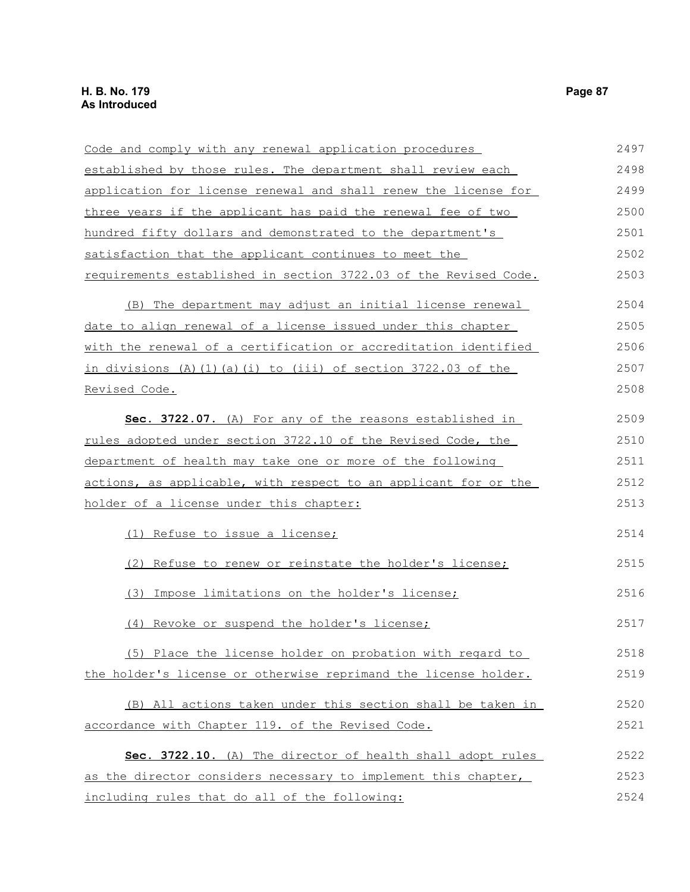| Code and comply with any renewal application procedures          | 2497 |
|------------------------------------------------------------------|------|
| established by those rules. The department shall review each     | 2498 |
| application for license renewal and shall renew the license for  | 2499 |
| three years if the applicant has paid the renewal fee of two     | 2500 |
| hundred fifty dollars and demonstrated to the department's       | 2501 |
| satisfaction that the applicant continues to meet the            | 2502 |
| requirements established in section 3722.03 of the Revised Code. | 2503 |
| (B) The department may adjust an initial license renewal         | 2504 |
| date to align renewal of a license issued under this chapter     | 2505 |
| with the renewal of a certification or accreditation identified  | 2506 |
| in divisions (A)(1)(a)(i) to (iii) of section 3722.03 of the     | 2507 |
| Revised Code.                                                    | 2508 |
| Sec. 3722.07. (A) For any of the reasons established in          | 2509 |
| rules adopted under section 3722.10 of the Revised Code, the     | 2510 |
| department of health may take one or more of the following       | 2511 |
| actions, as applicable, with respect to an applicant for or the  | 2512 |
| holder of a license under this chapter:                          | 2513 |
| (1) Refuse to issue a license;                                   | 2514 |
| (2) Refuse to renew or reinstate the holder's license;           | 2515 |
| (3) Impose limitations on the holder's license;                  | 2516 |
| (4) Revoke or suspend the holder's license;                      | 2517 |
| (5) Place the license holder on probation with regard to         | 2518 |
| the holder's license or otherwise reprimand the license holder.  | 2519 |
| (B) All actions taken under this section shall be taken in       | 2520 |
| accordance with Chapter 119. of the Revised Code.                | 2521 |
| Sec. 3722.10. (A) The director of health shall adopt rules       | 2522 |
| as the director considers necessary to implement this chapter,   | 2523 |
| including rules that do all of the following:                    | 2524 |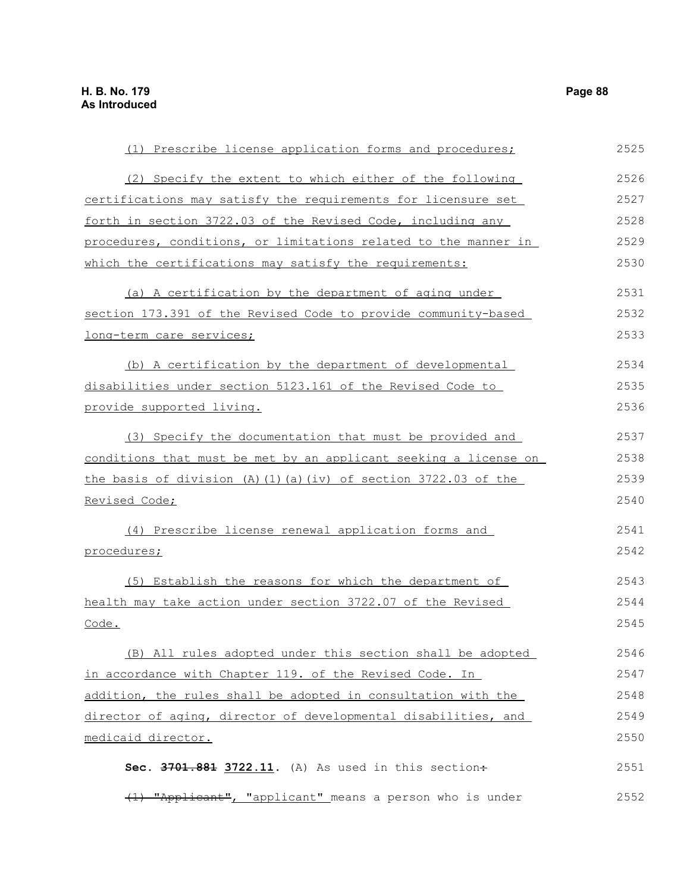| (1) Prescribe license application forms and procedures;              | 2525 |
|----------------------------------------------------------------------|------|
| (2) Specify the extent to which either of the following              | 2526 |
| certifications may satisfy the requirements for licensure set        | 2527 |
| forth in section 3722.03 of the Revised Code, including any          | 2528 |
| procedures, conditions, or limitations related to the manner in      | 2529 |
| which the certifications may satisfy the requirements:               | 2530 |
| (a) A certification by the department of aging under                 | 2531 |
| section 173.391 of the Revised Code to provide community-based       | 2532 |
| long-term care services;                                             | 2533 |
| (b) A certification by the department of developmental               | 2534 |
| disabilities under section 5123.161 of the Revised Code to           | 2535 |
| provide supported living.                                            | 2536 |
| (3) Specify the documentation that must be provided and              | 2537 |
| conditions that must be met by an applicant seeking a license on     | 2538 |
| the basis of division (A) $(1)$ (a) $(iv)$ of section 3722.03 of the | 2539 |
| Revised Code;                                                        | 2540 |
| (4) Prescribe license renewal application forms and                  | 2541 |
| procedures;                                                          | 2542 |
| (5) Establish the reasons for which the department of                | 2543 |
| health may take action under section 3722.07 of the Revised          | 2544 |
| <u>Code.</u>                                                         | 2545 |
| (B) All rules adopted under this section shall be adopted            | 2546 |
| in accordance with Chapter 119. of the Revised Code. In              | 2547 |
| addition, the rules shall be adopted in consultation with the        | 2548 |
| director of aging, director of developmental disabilities, and       | 2549 |
| <u>medicaid director.</u>                                            | 2550 |
| Sec. 3701.881 3722.11. (A) As used in this section:                  | 2551 |
| (1) "Applicant", "applicant" means a person who is under             | 2552 |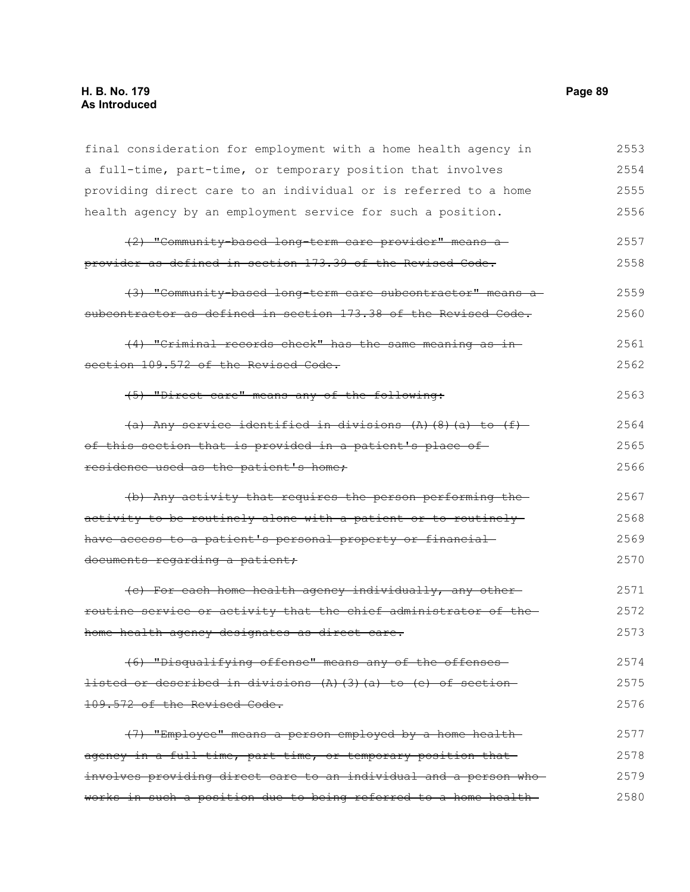| final consideration for employment with a home health agency in    | 2553 |
|--------------------------------------------------------------------|------|
| a full-time, part-time, or temporary position that involves        | 2554 |
| providing direct care to an individual or is referred to a home    | 2555 |
| health agency by an employment service for such a position.        | 2556 |
| (2) "Community-based long-term care provider" means a              | 2557 |
| provider as defined in section 173.39 of the Revised Code.         | 2558 |
| (3) "Community-based long-term care subcontractor" means a         | 2559 |
| subcontractor as defined in section 173.38 of the Revised Code.    | 2560 |
| $(4)$ "Criminal records check" has the same meaning as in-         | 2561 |
| section 109.572 of the Revised Code.                               | 2562 |
| (5) "Direct care" means any of the following:                      | 2563 |
| (a) Any service identified in divisions $(A)$ $(8)$ $(a)$ to $(f)$ | 2564 |
| of this section that is provided in a patient's place of           | 2565 |
| residence used as the patient's home;                              | 2566 |
| (b) Any activity that requires the person performing the-          | 2567 |
| activity to be routinely alone with a patient or to routinely      | 2568 |
| have access to a patient's personal property or financial          | 2569 |
| documents regarding a patient;                                     | 2570 |
| (c) For each home health agency individually, any other-           | 2571 |
| routine service or activity that the chief administrator of the-   | 2572 |
| home health agency designates as direct care.                      | 2573 |
| (6) "Disqualifying offense" means any of the offenses-             | 2574 |
| listed or described in divisions (A) (3) (a) to (e) of section     | 2575 |
| 109.572 of the Revised Code.                                       | 2576 |
| (7) "Employee" means a person employed by a home health-           | 2577 |
| agency in a full-time, part-time, or temporary position that-      | 2578 |
| involves providing direct care to an individual and a person who-  | 2579 |
| works in such a position due to being referred to a home health-   | 2580 |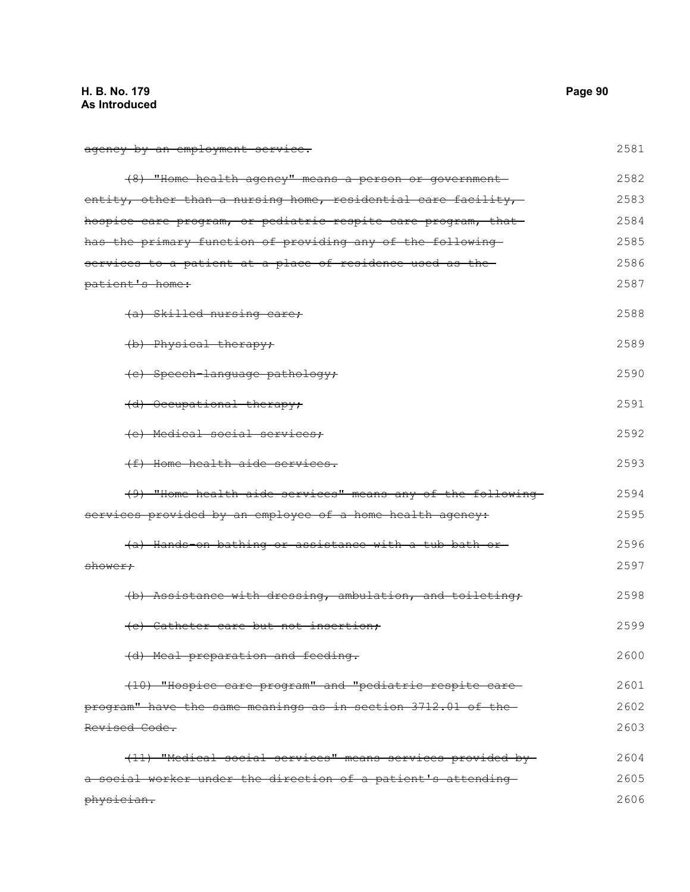# agency by an employment service.

| (8) "Home health agency" means a person or government          | 2582 |
|----------------------------------------------------------------|------|
| entity, other than a nursing home, residential care facility,  | 2583 |
| hospice care program, or pediatric respite care program, that- | 2584 |
| has the primary function of providing any of the following-    | 2585 |
| services to a patient at a place of residence used as the-     | 2586 |
| patient's home:                                                | 2587 |
| (a) Skilled nursing care;                                      | 2588 |
| (b) Physical therapy;                                          | 2589 |
| (c) Speech-language pathology;                                 | 2590 |
| (d) Occupational therapy;                                      | 2591 |
| (e) Medical social services;                                   | 2592 |
| (f) Home health aide services.                                 | 2593 |
| (9) "Home health aide services" means any of the following     | 2594 |
| services provided by an employee of a home health ageney:      | 2595 |
| (a) Hands-on bathing or assistance with a tub bath or-         | 2596 |
| shower;                                                        | 2597 |
| (b) Assistance with dressing, ambulation, and toileting;       | 2598 |
| (e) Catheter care but not insertion;                           | 2599 |
| (d) Meal preparation and feeding.                              | 2600 |
| (10) "Hospice care program" and "pediatric respite care-       | 2601 |
| program" have the same meanings as in section 3712.01 of the   | 2602 |
| Revised Code.                                                  | 2603 |
| (11) "Medical social services" means services provided by-     | 2604 |
| a social worker under the direction of a patient's attending   | 2605 |
| physician.                                                     | 2606 |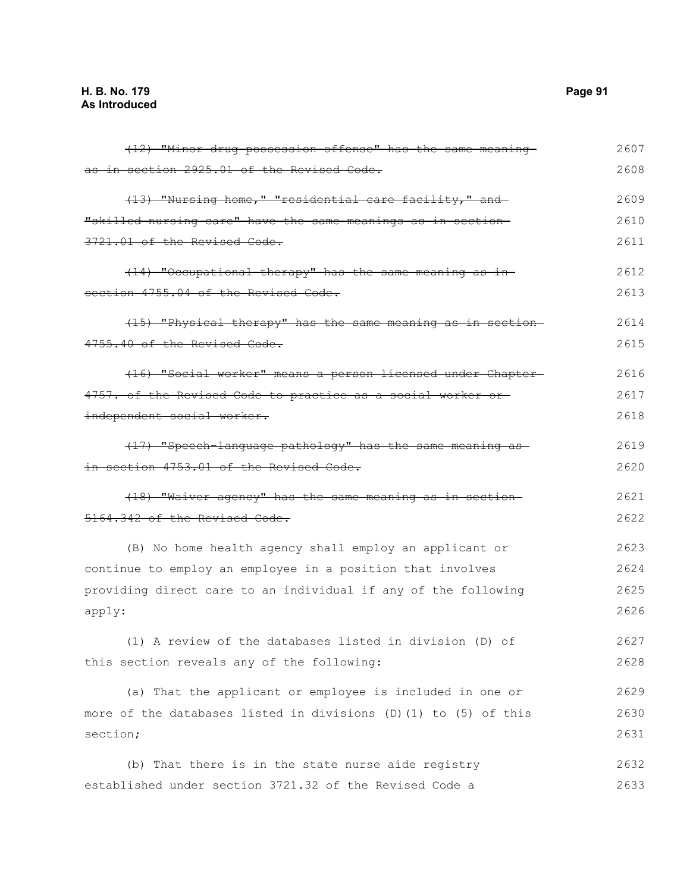| (12) "Minor drug possession offense" has the same meaning       | 2607 |
|-----------------------------------------------------------------|------|
| as in section 2925.01 of the Revised Code.                      | 2608 |
| (13) "Nursing home," "residential care facility," and           | 2609 |
| "skilled nursing care" have the same meanings as in section     | 2610 |
| 3721.01 of the Revised Code.                                    | 2611 |
| $(14)$ "Occupational therapy" has the same meaning as in-       | 2612 |
| section 4755.04 of the Revised Code.                            | 2613 |
| (15) "Physical therapy" has the same meaning as in section-     | 2614 |
| 4755.40 of the Revised Code.                                    | 2615 |
| (16) "Social worker" means a person licensed under Chapter-     | 2616 |
| 4757. of the Revised Code to practice as a social worker or     | 2617 |
| independent social worker.                                      | 2618 |
| (17) "Speech-language pathology" has the same meaning as        | 2619 |
| in section 4753.01 of the Revised Code.                         | 2620 |
| (18) "Waiver agency" has the same meaning as in section         | 2621 |
| 5164.342 of the Revised Code.                                   | 2622 |
| (B) No home health agency shall employ an applicant or          | 2623 |
| continue to employ an employee in a position that involves      | 2624 |
| providing direct care to an individual if any of the following  | 2625 |
| apply:                                                          | 2626 |
| (1) A review of the databases listed in division (D) of         | 2627 |
| this section reveals any of the following:                      | 2628 |
| (a) That the applicant or employee is included in one or        | 2629 |
| more of the databases listed in divisions (D)(1) to (5) of this | 2630 |
| section;                                                        | 2631 |
| (b) That there is in the state nurse aide registry              | 2632 |
| established under section 3721.32 of the Revised Code a         | 2633 |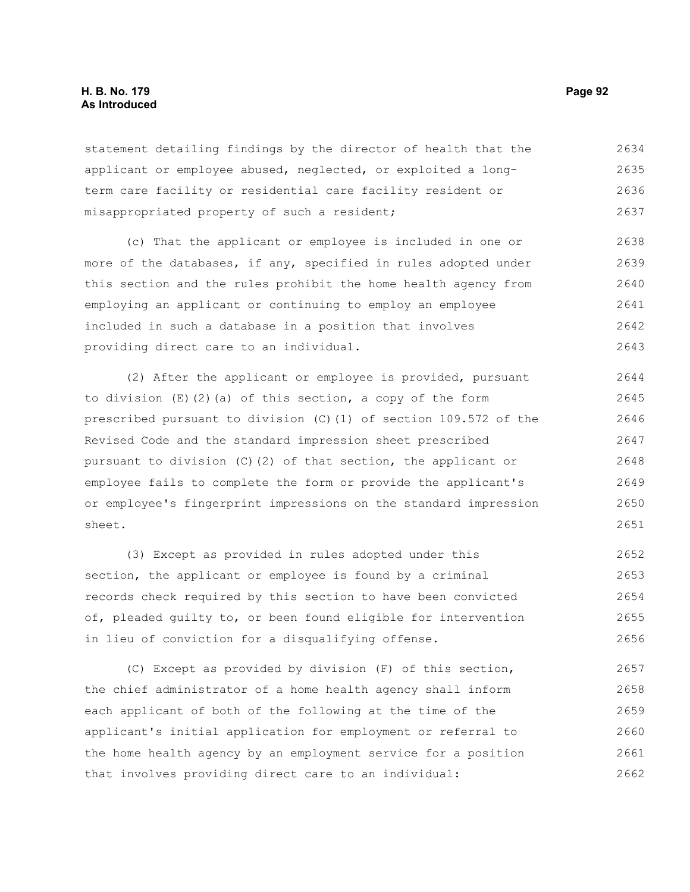## **H. B. No. 179 Page 92 As Introduced**

statement detailing findings by the director of health that the applicant or employee abused, neglected, or exploited a longterm care facility or residential care facility resident or misappropriated property of such a resident; 2634 2635 2636 2637

(c) That the applicant or employee is included in one or more of the databases, if any, specified in rules adopted under this section and the rules prohibit the home health agency from employing an applicant or continuing to employ an employee included in such a database in a position that involves providing direct care to an individual. 2638 2639 2640 2641 2642 2643

(2) After the applicant or employee is provided, pursuant to division  $(E)(2)(a)$  of this section, a copy of the form prescribed pursuant to division (C)(1) of section 109.572 of the Revised Code and the standard impression sheet prescribed pursuant to division  $(C)$  (2) of that section, the applicant or employee fails to complete the form or provide the applicant's or employee's fingerprint impressions on the standard impression sheet. 2644 2645 2646 2647 2648 2649 2650 2651

(3) Except as provided in rules adopted under this section, the applicant or employee is found by a criminal records check required by this section to have been convicted of, pleaded guilty to, or been found eligible for intervention in lieu of conviction for a disqualifying offense. 2652 2653 2654 2655 2656

(C) Except as provided by division (F) of this section, the chief administrator of a home health agency shall inform each applicant of both of the following at the time of the applicant's initial application for employment or referral to the home health agency by an employment service for a position that involves providing direct care to an individual: 2657 2658 2659 2660 2661 2662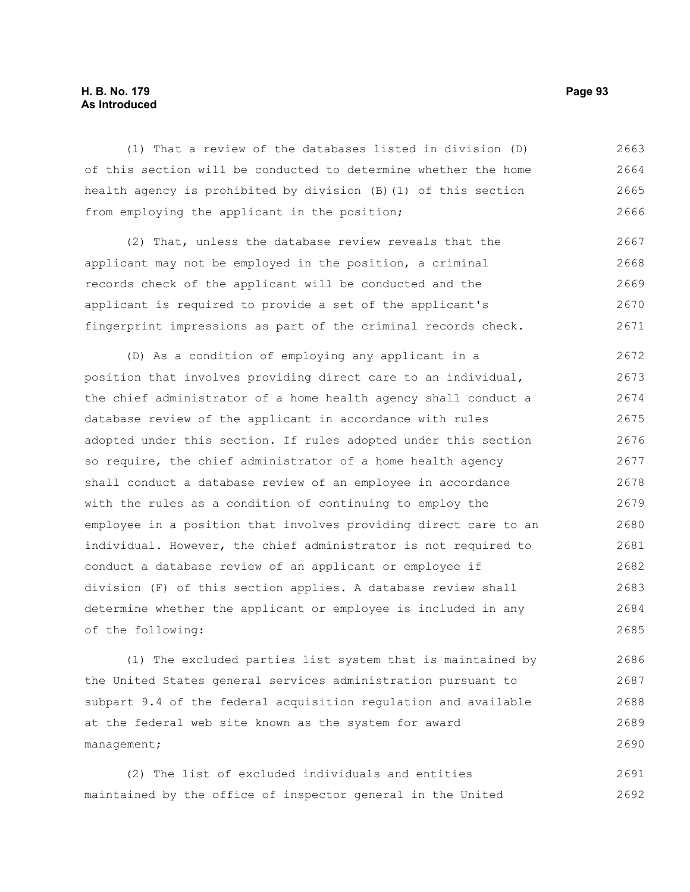## **H. B. No. 179 Page 93 As Introduced**

(1) That a review of the databases listed in division (D) of this section will be conducted to determine whether the home health agency is prohibited by division (B)(1) of this section from employing the applicant in the position; 2663 2664 2665 2666

(2) That, unless the database review reveals that the applicant may not be employed in the position, a criminal records check of the applicant will be conducted and the applicant is required to provide a set of the applicant's fingerprint impressions as part of the criminal records check. 2667 2668 2669 2670 2671

(D) As a condition of employing any applicant in a position that involves providing direct care to an individual, the chief administrator of a home health agency shall conduct a database review of the applicant in accordance with rules adopted under this section. If rules adopted under this section so require, the chief administrator of a home health agency shall conduct a database review of an employee in accordance with the rules as a condition of continuing to employ the employee in a position that involves providing direct care to an individual. However, the chief administrator is not required to conduct a database review of an applicant or employee if division (F) of this section applies. A database review shall determine whether the applicant or employee is included in any of the following: 2672 2673 2674 2675 2676 2677 2678 2679 2680 2681 2682 2683 2684 2685

(1) The excluded parties list system that is maintained by the United States general services administration pursuant to subpart 9.4 of the federal acquisition regulation and available at the federal web site known as the system for award management; 2686 2687 2688 2689 2690

(2) The list of excluded individuals and entities maintained by the office of inspector general in the United 2691 2692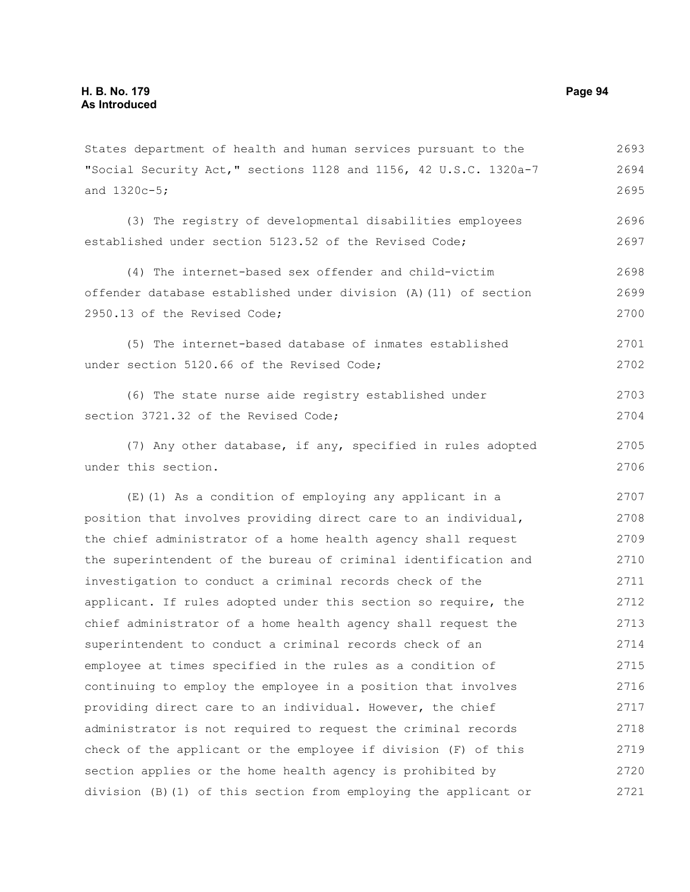States department of health and human services pursuant to the "Social Security Act," sections 1128 and 1156, 42 U.S.C. 1320a-7 and 1320c-5; 2693 2694 2695

(3) The registry of developmental disabilities employees established under section 5123.52 of the Revised Code; 2696 2697

(4) The internet-based sex offender and child-victim offender database established under division (A)(11) of section 2950.13 of the Revised Code; 2698 2699 2700

(5) The internet-based database of inmates established under section 5120.66 of the Revised Code; 2701 2702

(6) The state nurse aide registry established under section 3721.32 of the Revised Code; 2703 2704

(7) Any other database, if any, specified in rules adopted under this section. 2705 2706

(E)(1) As a condition of employing any applicant in a position that involves providing direct care to an individual, the chief administrator of a home health agency shall request the superintendent of the bureau of criminal identification and investigation to conduct a criminal records check of the applicant. If rules adopted under this section so require, the chief administrator of a home health agency shall request the superintendent to conduct a criminal records check of an employee at times specified in the rules as a condition of continuing to employ the employee in a position that involves providing direct care to an individual. However, the chief administrator is not required to request the criminal records check of the applicant or the employee if division (F) of this section applies or the home health agency is prohibited by division (B)(1) of this section from employing the applicant or 2707 2708 2709 2710 2711 2712 2713 2714 2715 2716 2717 2718 2719 2720 2721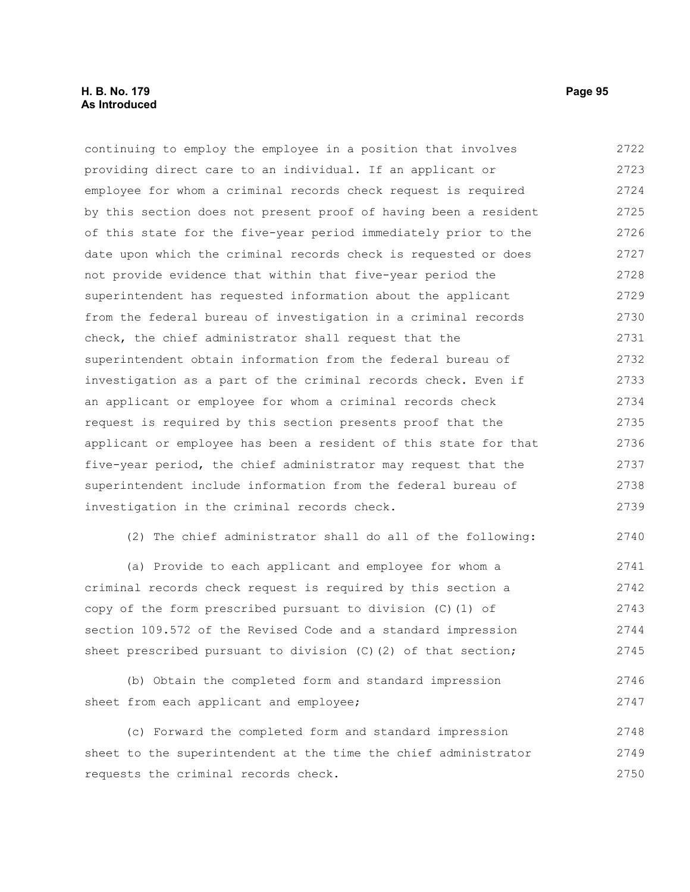## **H. B. No. 179 Page 95 As Introduced**

continuing to employ the employee in a position that involves providing direct care to an individual. If an applicant or employee for whom a criminal records check request is required by this section does not present proof of having been a resident of this state for the five-year period immediately prior to the date upon which the criminal records check is requested or does not provide evidence that within that five-year period the superintendent has requested information about the applicant from the federal bureau of investigation in a criminal records check, the chief administrator shall request that the superintendent obtain information from the federal bureau of investigation as a part of the criminal records check. Even if an applicant or employee for whom a criminal records check request is required by this section presents proof that the applicant or employee has been a resident of this state for that five-year period, the chief administrator may request that the superintendent include information from the federal bureau of investigation in the criminal records check. 2722 2723 2724 2725 2726 2727 2728 2729 2730 2731 2732 2733 2734 2735 2736 2737 2738 2739

(2) The chief administrator shall do all of the following: 2740

(a) Provide to each applicant and employee for whom a criminal records check request is required by this section a copy of the form prescribed pursuant to division (C)(1) of section 109.572 of the Revised Code and a standard impression sheet prescribed pursuant to division (C)(2) of that section; 2741 2742 2743 2744 2745

(b) Obtain the completed form and standard impression sheet from each applicant and employee; 2746 2747

(c) Forward the completed form and standard impression sheet to the superintendent at the time the chief administrator requests the criminal records check. 2748 2749 2750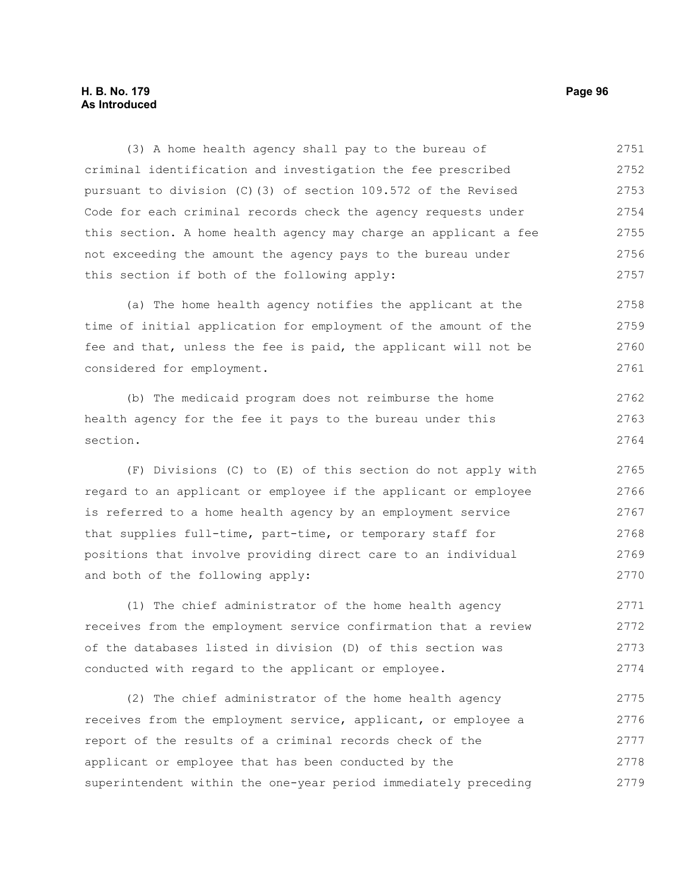## **H. B. No. 179 Page 96 As Introduced**

(3) A home health agency shall pay to the bureau of criminal identification and investigation the fee prescribed pursuant to division (C)(3) of section 109.572 of the Revised Code for each criminal records check the agency requests under this section. A home health agency may charge an applicant a fee not exceeding the amount the agency pays to the bureau under this section if both of the following apply: 2751 2752 2753 2754 2755 2756 2757

(a) The home health agency notifies the applicant at the time of initial application for employment of the amount of the fee and that, unless the fee is paid, the applicant will not be considered for employment. 2758 2759 2760 2761

(b) The medicaid program does not reimburse the home health agency for the fee it pays to the bureau under this section. 2762 2763 2764

(F) Divisions (C) to (E) of this section do not apply with regard to an applicant or employee if the applicant or employee is referred to a home health agency by an employment service that supplies full-time, part-time, or temporary staff for positions that involve providing direct care to an individual and both of the following apply: 2765 2766 2767 2768 2769 2770

(1) The chief administrator of the home health agency receives from the employment service confirmation that a review of the databases listed in division (D) of this section was conducted with regard to the applicant or employee. 2771 2772 2773 2774

(2) The chief administrator of the home health agency receives from the employment service, applicant, or employee a report of the results of a criminal records check of the applicant or employee that has been conducted by the superintendent within the one-year period immediately preceding 2775 2776 2777 2778 2779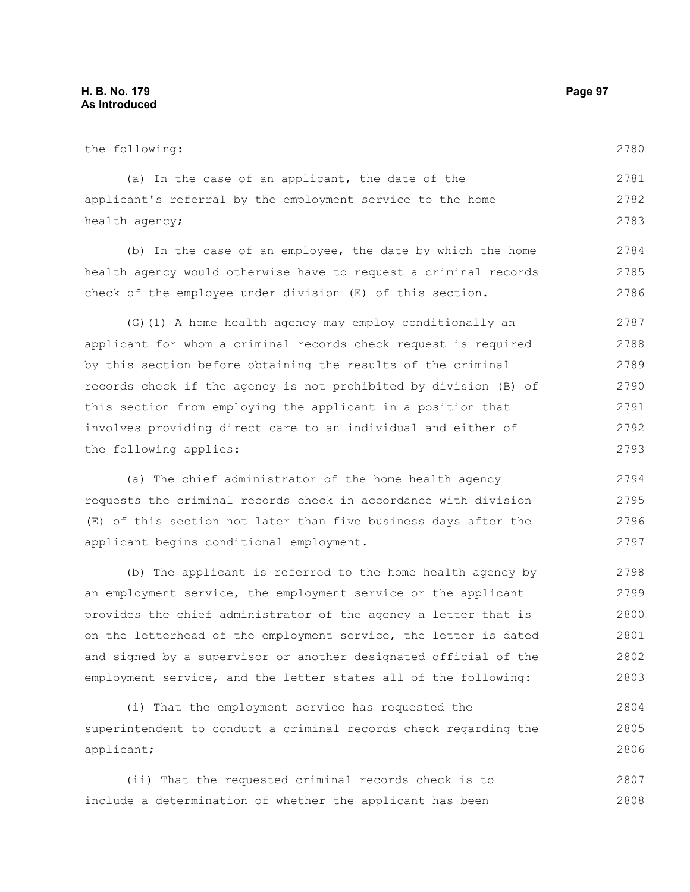| the following:                                                   | 2780 |
|------------------------------------------------------------------|------|
| (a) In the case of an applicant, the date of the                 | 2781 |
| applicant's referral by the employment service to the home       | 2782 |
| health agency;                                                   | 2783 |
| (b) In the case of an employee, the date by which the home       | 2784 |
| health agency would otherwise have to request a criminal records | 2785 |
| check of the employee under division (E) of this section.        | 2786 |
| (G) (1) A home health agency may employ conditionally an         | 2787 |
| applicant for whom a criminal records check request is required  | 2788 |
| by this section before obtaining the results of the criminal     | 2789 |
| records check if the agency is not prohibited by division (B) of | 2790 |
| this section from employing the applicant in a position that     | 2791 |
| involves providing direct care to an individual and either of    | 2792 |
| the following applies:                                           | 2793 |
| (a) The chief administrator of the home health agency            | 2794 |

requests the criminal records check in accordance with division (E) of this section not later than five business days after the applicant begins conditional employment. 2795 2796 2797

(b) The applicant is referred to the home health agency by an employment service, the employment service or the applicant provides the chief administrator of the agency a letter that is on the letterhead of the employment service, the letter is dated and signed by a supervisor or another designated official of the employment service, and the letter states all of the following: 2798 2799 2800 2801 2802 2803

(i) That the employment service has requested the superintendent to conduct a criminal records check regarding the applicant; 2804 2805 2806

(ii) That the requested criminal records check is to include a determination of whether the applicant has been 2807 2808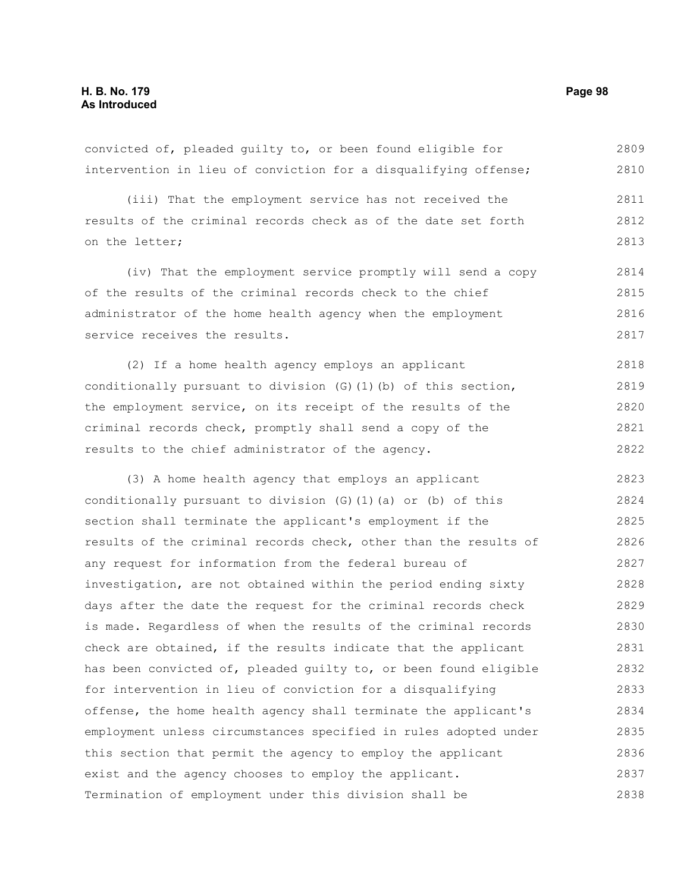convicted of, pleaded guilty to, or been found eligible for intervention in lieu of conviction for a disqualifying offense; 2809 2810

(iii) That the employment service has not received the results of the criminal records check as of the date set forth on the letter; 2811 2812 2813

(iv) That the employment service promptly will send a copy of the results of the criminal records check to the chief administrator of the home health agency when the employment service receives the results. 2814 2815 2816 2817

(2) If a home health agency employs an applicant conditionally pursuant to division (G)(1)(b) of this section, the employment service, on its receipt of the results of the criminal records check, promptly shall send a copy of the results to the chief administrator of the agency. 2818 2819 2820 2821 2822

(3) A home health agency that employs an applicant conditionally pursuant to division  $(G)$   $(1)$   $(a)$  or  $(b)$  of this section shall terminate the applicant's employment if the results of the criminal records check, other than the results of any request for information from the federal bureau of investigation, are not obtained within the period ending sixty days after the date the request for the criminal records check is made. Regardless of when the results of the criminal records check are obtained, if the results indicate that the applicant has been convicted of, pleaded guilty to, or been found eligible for intervention in lieu of conviction for a disqualifying offense, the home health agency shall terminate the applicant's employment unless circumstances specified in rules adopted under this section that permit the agency to employ the applicant exist and the agency chooses to employ the applicant. Termination of employment under this division shall be 2823 2824 2825 2826 2827 2828 2829 2830 2831 2832 2833 2834 2835 2836 2837 2838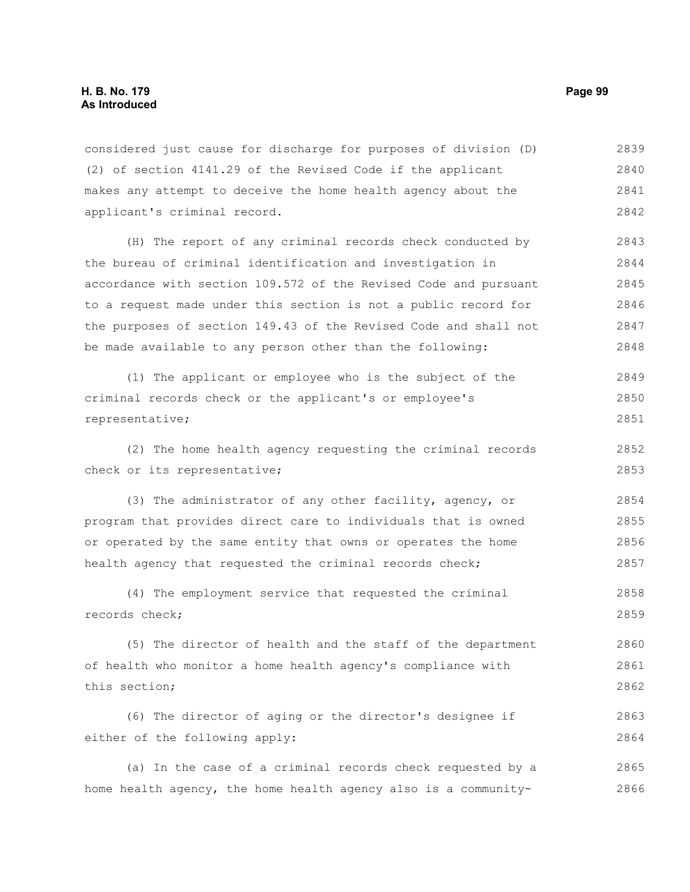considered just cause for discharge for purposes of division (D) (2) of section 4141.29 of the Revised Code if the applicant makes any attempt to deceive the home health agency about the applicant's criminal record. (H) The report of any criminal records check conducted by the bureau of criminal identification and investigation in accordance with section 109.572 of the Revised Code and pursuant to a request made under this section is not a public record for the purposes of section 149.43 of the Revised Code and shall not be made available to any person other than the following: (1) The applicant or employee who is the subject of the criminal records check or the applicant's or employee's representative; (2) The home health agency requesting the criminal records check or its representative; (3) The administrator of any other facility, agency, or program that provides direct care to individuals that is owned or operated by the same entity that owns or operates the home health agency that requested the criminal records check; (4) The employment service that requested the criminal records check; (5) The director of health and the staff of the department of health who monitor a home health agency's compliance with this section; (6) The director of aging or the director's designee if either of the following apply: 2839 2840 2841 2842 2843 2844 2845 2846 2847 2848 2849 2850 2851 2852 2853 2854 2855 2856 2857 2858 2859 2860 2861 2862 2863 2864 2865

(a) In the case of a criminal records check requested by a home health agency, the home health agency also is a community-2866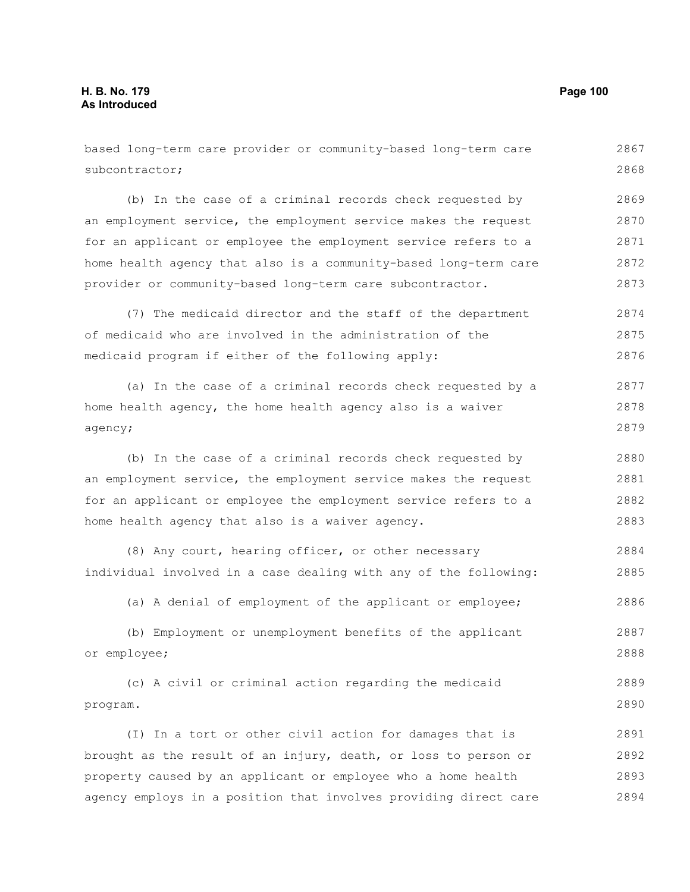| based long-term care provider or community-based long-term care  | 2867 |
|------------------------------------------------------------------|------|
| subcontractor;                                                   | 2868 |
| (b) In the case of a criminal records check requested by         | 2869 |
| an employment service, the employment service makes the request  | 2870 |
| for an applicant or employee the employment service refers to a  | 2871 |
| home health agency that also is a community-based long-term care | 2872 |
| provider or community-based long-term care subcontractor.        | 2873 |
| (7) The medicaid director and the staff of the department        | 2874 |
| of medicaid who are involved in the administration of the        | 2875 |
| medicaid program if either of the following apply:               | 2876 |
| (a) In the case of a criminal records check requested by a       | 2877 |
| home health agency, the home health agency also is a waiver      | 2878 |
| agency;                                                          | 2879 |
| (b) In the case of a criminal records check requested by         | 2880 |
| an employment service, the employment service makes the request  | 2881 |
| for an applicant or employee the employment service refers to a  | 2882 |
| home health agency that also is a waiver agency.                 | 2883 |
| (8) Any court, hearing officer, or other necessary               | 2884 |
| individual involved in a case dealing with any of the following: | 2885 |
| (a) A denial of employment of the applicant or employee;         | 2886 |
| (b) Employment or unemployment benefits of the applicant         | 2887 |
| or employee;                                                     | 2888 |
| (c) A civil or criminal action regarding the medicaid            | 2889 |
| program.                                                         | 2890 |
| (I) In a tort or other civil action for damages that is          | 2891 |
| brought as the result of an injury, death, or loss to person or  | 2892 |
| property caused by an applicant or employee who a home health    | 2893 |
| agency employs in a position that involves providing direct care | 2894 |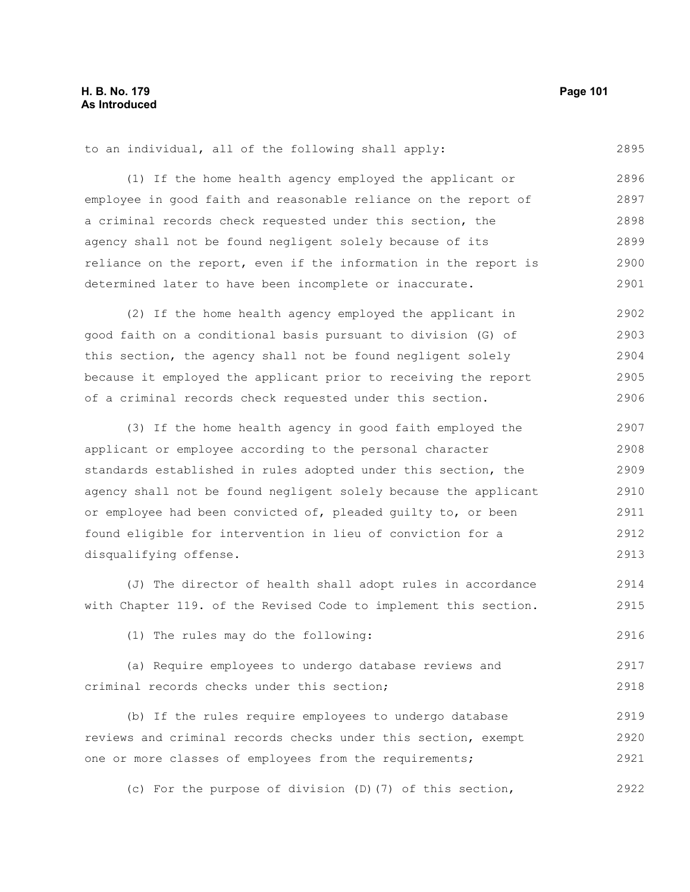2895

to an individual, all of the following shall apply:

(1) If the home health agency employed the applicant or employee in good faith and reasonable reliance on the report of a criminal records check requested under this section, the agency shall not be found negligent solely because of its reliance on the report, even if the information in the report is determined later to have been incomplete or inaccurate. 2896 2897 2898 2899 2900 2901

(2) If the home health agency employed the applicant in good faith on a conditional basis pursuant to division (G) of this section, the agency shall not be found negligent solely because it employed the applicant prior to receiving the report of a criminal records check requested under this section. 2902 2903 2904 2905 2906

(3) If the home health agency in good faith employed the applicant or employee according to the personal character standards established in rules adopted under this section, the agency shall not be found negligent solely because the applicant or employee had been convicted of, pleaded guilty to, or been found eligible for intervention in lieu of conviction for a disqualifying offense. 2907 2908 2909 2910 2911 2912 2913

(J) The director of health shall adopt rules in accordance with Chapter 119. of the Revised Code to implement this section. 2914 2915

(1) The rules may do the following: 2916

(a) Require employees to undergo database reviews and criminal records checks under this section; 2917 2918

(b) If the rules require employees to undergo database reviews and criminal records checks under this section, exempt one or more classes of employees from the requirements; 2919 2920 2921

(c) For the purpose of division (D)(7) of this section, 2922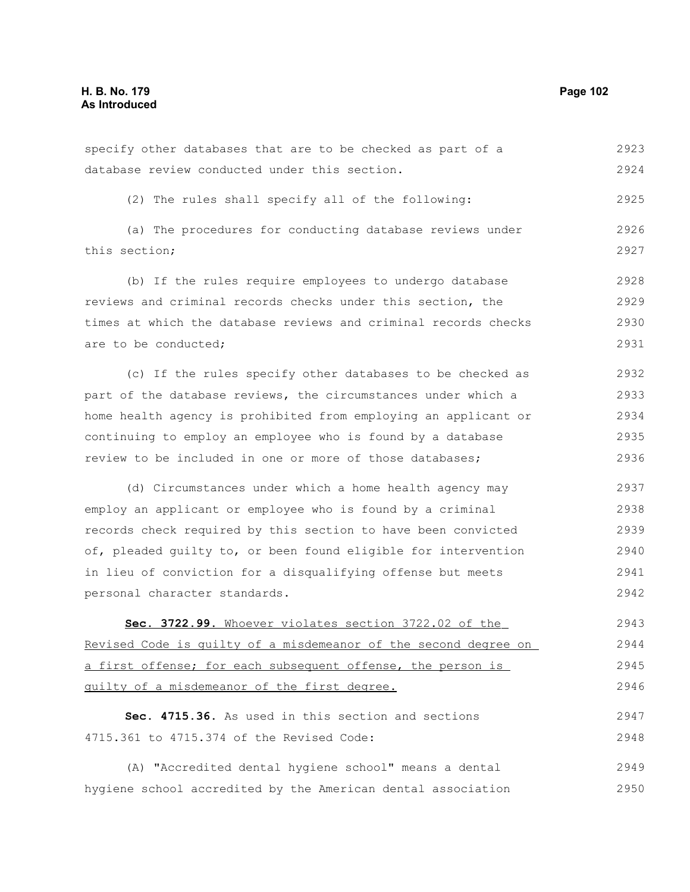#### specify other databases that are to be checked as part of a database review conducted under this section. (2) The rules shall specify all of the following: (a) The procedures for conducting database reviews under this section; (b) If the rules require employees to undergo database reviews and criminal records checks under this section, the times at which the database reviews and criminal records checks are to be conducted; (c) If the rules specify other databases to be checked as part of the database reviews, the circumstances under which a home health agency is prohibited from employing an applicant or continuing to employ an employee who is found by a database review to be included in one or more of those databases; (d) Circumstances under which a home health agency may employ an applicant or employee who is found by a criminal records check required by this section to have been convicted of, pleaded guilty to, or been found eligible for intervention in lieu of conviction for a disqualifying offense but meets personal character standards. **Sec. 3722.99.** Whoever violates section 3722.02 of the Revised Code is guilty of a misdemeanor of the second degree on a first offense; for each subsequent offense, the person is guilty of a misdemeanor of the first degree. **Sec. 4715.36.** As used in this section and sections 4715.361 to 4715.374 of the Revised Code: (A) "Accredited dental hygiene school" means a dental hygiene school accredited by the American dental association 2923 2924 2925 2926 2927 2928 2929 2930 2931 2932 2933 2934 2935 2936 2937 2938 2939 2940 2941 2942 2943 2944 2945 2946 2947 2948 2949 2950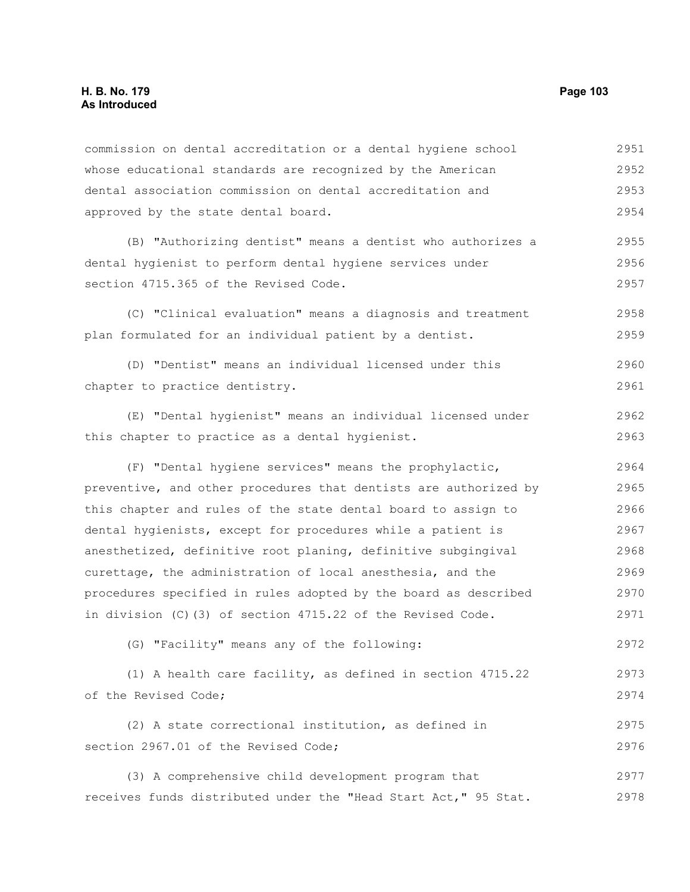commission on dental accreditation or a dental hygiene school whose educational standards are recognized by the American dental association commission on dental accreditation and approved by the state dental board. 2951 2952 2953 2954

(B) "Authorizing dentist" means a dentist who authorizes a dental hygienist to perform dental hygiene services under section 4715.365 of the Revised Code. 2955 2956 2957

(C) "Clinical evaluation" means a diagnosis and treatment plan formulated for an individual patient by a dentist. 2958 2959

(D) "Dentist" means an individual licensed under this chapter to practice dentistry. 2960 2961

(E) "Dental hygienist" means an individual licensed under this chapter to practice as a dental hygienist. 2962 2963

(F) "Dental hygiene services" means the prophylactic, preventive, and other procedures that dentists are authorized by this chapter and rules of the state dental board to assign to dental hygienists, except for procedures while a patient is anesthetized, definitive root planing, definitive subgingival curettage, the administration of local anesthesia, and the procedures specified in rules adopted by the board as described in division (C)(3) of section 4715.22 of the Revised Code. 2964 2965 2966 2967 2968 2969 2970 2971

(G) "Facility" means any of the following: 2972

(1) A health care facility, as defined in section 4715.22 of the Revised Code; 2973 2974

(2) A state correctional institution, as defined in section 2967.01 of the Revised Code; 2975 2976

(3) A comprehensive child development program that receives funds distributed under the "Head Start Act," 95 Stat. 2977 2978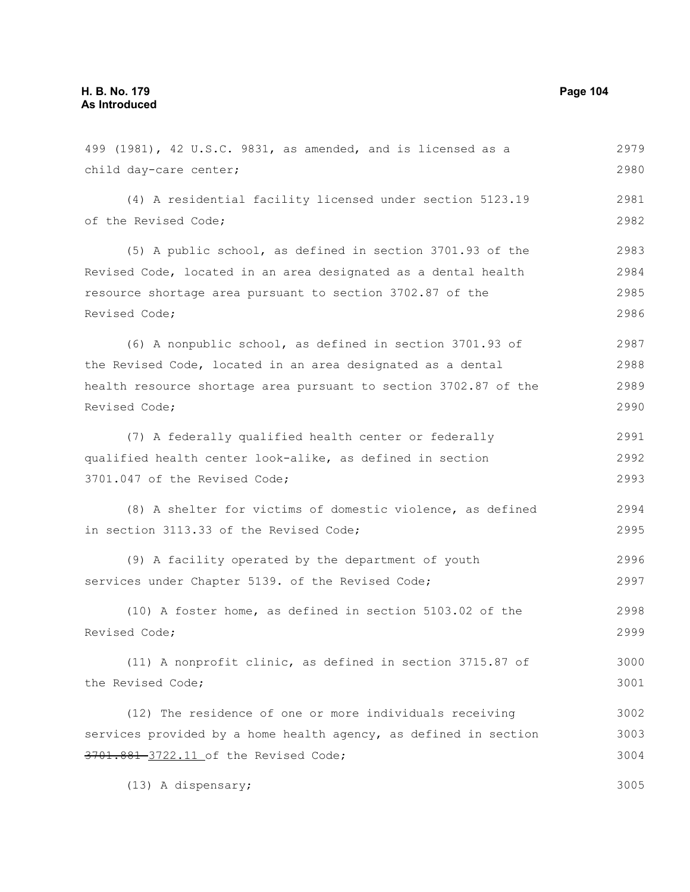499 (1981), 42 U.S.C. 9831, as amended, and is licensed as a child day-care center; (4) A residential facility licensed under section 5123.19 of the Revised Code; (5) A public school, as defined in section 3701.93 of the Revised Code, located in an area designated as a dental health resource shortage area pursuant to section 3702.87 of the Revised Code; (6) A nonpublic school, as defined in section 3701.93 of the Revised Code, located in an area designated as a dental health resource shortage area pursuant to section 3702.87 of the Revised Code; (7) A federally qualified health center or federally qualified health center look-alike, as defined in section 3701.047 of the Revised Code; (8) A shelter for victims of domestic violence, as defined in section 3113.33 of the Revised Code; (9) A facility operated by the department of youth services under Chapter 5139. of the Revised Code; (10) A foster home, as defined in section 5103.02 of the Revised Code; (11) A nonprofit clinic, as defined in section 3715.87 of the Revised Code; (12) The residence of one or more individuals receiving services provided by a home health agency, as defined in section 3701.881 3722.11 of the Revised Code; (13) A dispensary; 2979 2980 2981 2982 2983 2984 2985 2986 2987 2988 2989 2990 2991 2992 2993 2994 2995 2996 2997 2998 2999 3000 3001 3002 3003 3004 3005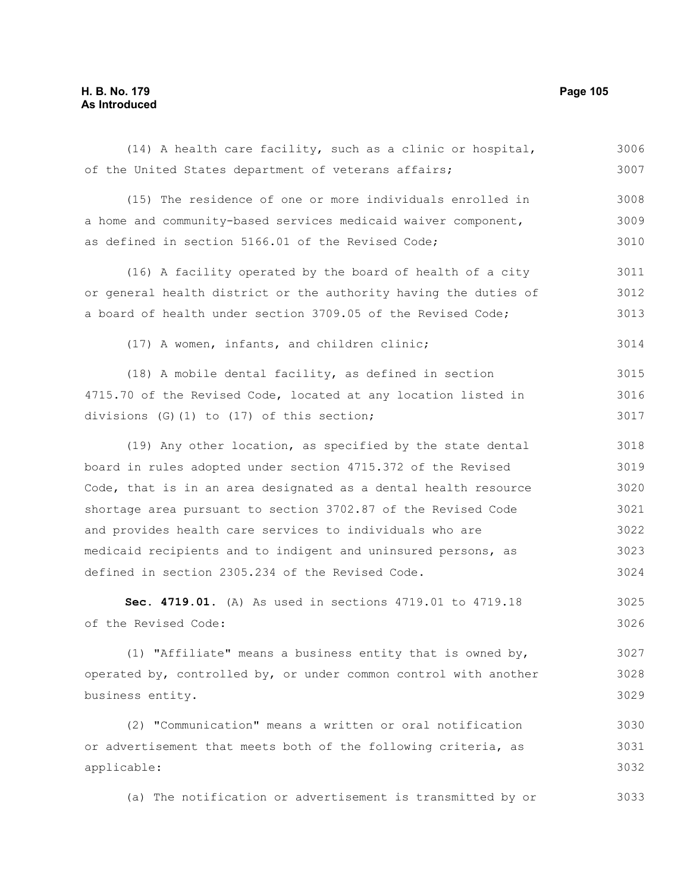## **H. B. No. 179 Page 105 As Introduced**

(14) A health care facility, such as a clinic or hospital, of the United States department of veterans affairs; (15) The residence of one or more individuals enrolled in a home and community-based services medicaid waiver component, as defined in section 5166.01 of the Revised Code; (16) A facility operated by the board of health of a city or general health district or the authority having the duties of a board of health under section 3709.05 of the Revised Code; (17) A women, infants, and children clinic; (18) A mobile dental facility, as defined in section 4715.70 of the Revised Code, located at any location listed in divisions (G)(1) to (17) of this section; (19) Any other location, as specified by the state dental board in rules adopted under section 4715.372 of the Revised Code, that is in an area designated as a dental health resource shortage area pursuant to section 3702.87 of the Revised Code and provides health care services to individuals who are medicaid recipients and to indigent and uninsured persons, as defined in section 2305.234 of the Revised Code. **Sec. 4719.01.** (A) As used in sections 4719.01 to 4719.18 of the Revised Code: (1) "Affiliate" means a business entity that is owned by, operated by, controlled by, or under common control with another business entity. (2) "Communication" means a written or oral notification or advertisement that meets both of the following criteria, as applicable: (a) The notification or advertisement is transmitted by or 3006 3007 3008 3009 3010 3011 3012 3013 3014 3015 3016 3017 3018 3019 3020 3021 3022 3023 3024 3025 3026 3027 3028 3029 3030 3031 3032 3033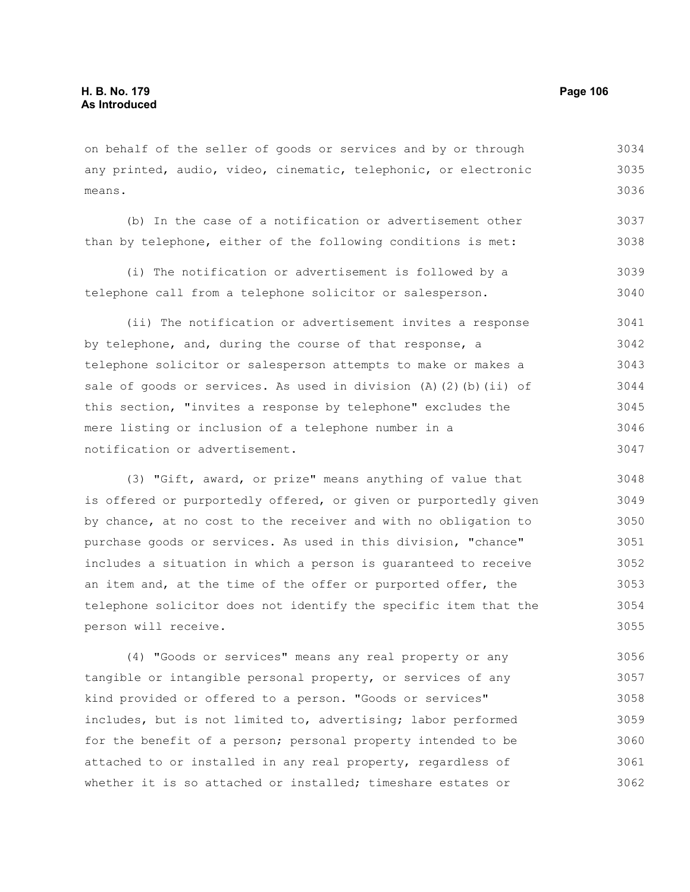on behalf of the seller of goods or services and by or through any printed, audio, video, cinematic, telephonic, or electronic means. 3034 3035 3036

(b) In the case of a notification or advertisement other than by telephone, either of the following conditions is met: 3037 3038

(i) The notification or advertisement is followed by a telephone call from a telephone solicitor or salesperson. 3039 3040

(ii) The notification or advertisement invites a response by telephone, and, during the course of that response, a telephone solicitor or salesperson attempts to make or makes a sale of goods or services. As used in division (A)(2)(b)(ii) of this section, "invites a response by telephone" excludes the mere listing or inclusion of a telephone number in a notification or advertisement. 3041 3042 3043 3044 3045 3046 3047

(3) "Gift, award, or prize" means anything of value that is offered or purportedly offered, or given or purportedly given by chance, at no cost to the receiver and with no obligation to purchase goods or services. As used in this division, "chance" includes a situation in which a person is guaranteed to receive an item and, at the time of the offer or purported offer, the telephone solicitor does not identify the specific item that the person will receive. 3048 3049 3050 3051 3052 3053 3054 3055

(4) "Goods or services" means any real property or any tangible or intangible personal property, or services of any kind provided or offered to a person. "Goods or services" includes, but is not limited to, advertising; labor performed for the benefit of a person; personal property intended to be attached to or installed in any real property, regardless of whether it is so attached or installed; timeshare estates or 3056 3057 3058 3059 3060 3061 3062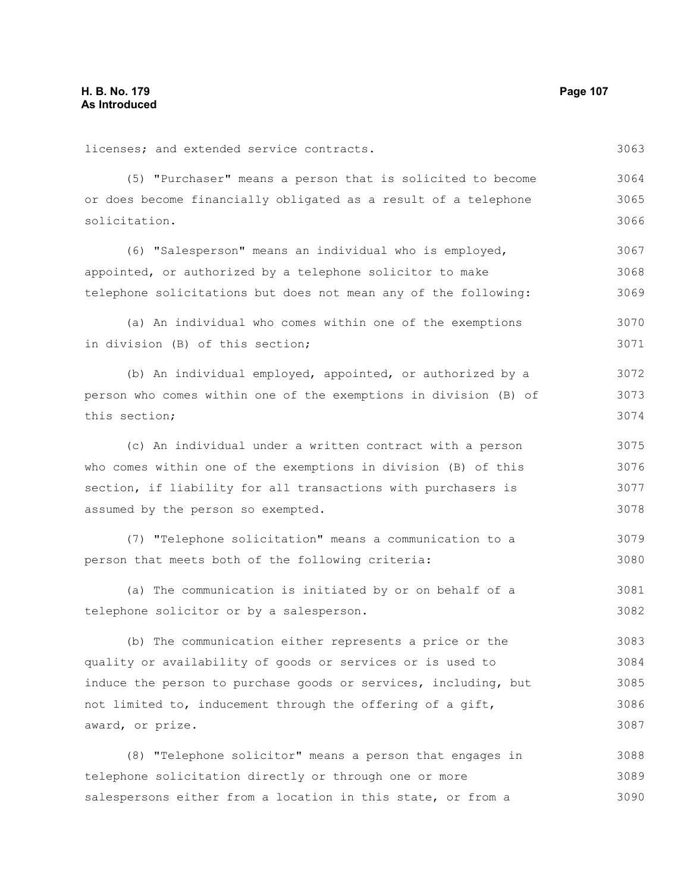licenses; and extended service contracts.

(5) "Purchaser" means a person that is solicited to become or does become financially obligated as a result of a telephone solicitation. (6) "Salesperson" means an individual who is employed, appointed, or authorized by a telephone solicitor to make telephone solicitations but does not mean any of the following: (a) An individual who comes within one of the exemptions in division (B) of this section; (b) An individual employed, appointed, or authorized by a person who comes within one of the exemptions in division (B) of this section; (c) An individual under a written contract with a person who comes within one of the exemptions in division (B) of this section, if liability for all transactions with purchasers is assumed by the person so exempted. (7) "Telephone solicitation" means a communication to a person that meets both of the following criteria: (a) The communication is initiated by or on behalf of a telephone solicitor or by a salesperson. (b) The communication either represents a price or the quality or availability of goods or services or is used to induce the person to purchase goods or services, including, but not limited to, inducement through the offering of a gift, award, or prize. (8) "Telephone solicitor" means a person that engages in telephone solicitation directly or through one or more

salespersons either from a location in this state, or from a

3063

3064 3065 3066

3067 3068 3069

3070 3071

3072 3073 3074

3079 3080

3081 3082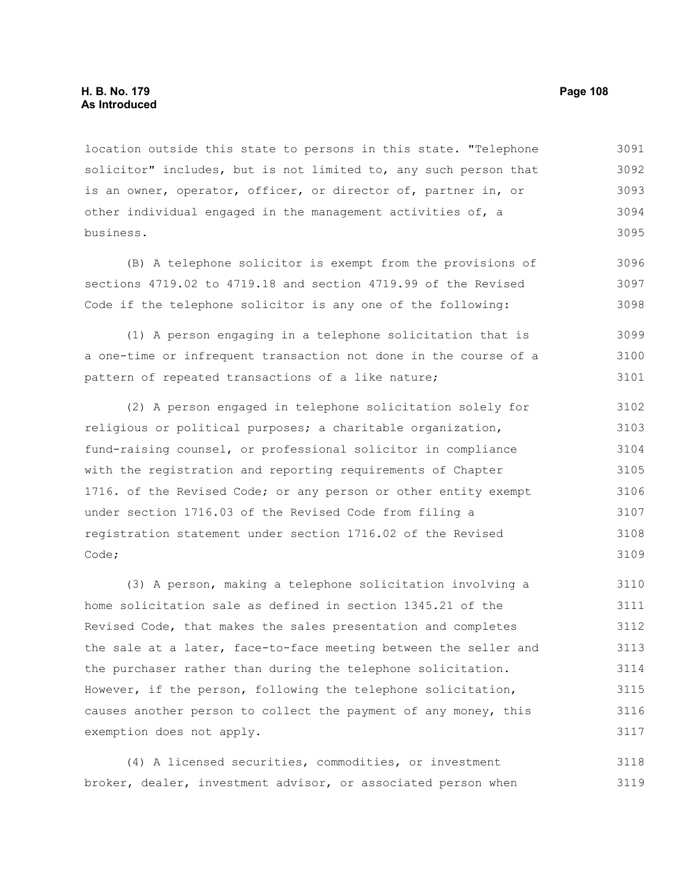location outside this state to persons in this state. "Telephone solicitor" includes, but is not limited to, any such person that is an owner, operator, officer, or director of, partner in, or other individual engaged in the management activities of, a business. 3091 3092 3093 3094 3095

(B) A telephone solicitor is exempt from the provisions of sections 4719.02 to 4719.18 and section 4719.99 of the Revised Code if the telephone solicitor is any one of the following: 3096 3097 3098

(1) A person engaging in a telephone solicitation that is a one-time or infrequent transaction not done in the course of a pattern of repeated transactions of a like nature; 3099 3100 3101

(2) A person engaged in telephone solicitation solely for religious or political purposes; a charitable organization, fund-raising counsel, or professional solicitor in compliance with the registration and reporting requirements of Chapter 1716. of the Revised Code; or any person or other entity exempt under section 1716.03 of the Revised Code from filing a registration statement under section 1716.02 of the Revised Code; 3102 3103 3104 3105 3106 3107 3108 3109

(3) A person, making a telephone solicitation involving a home solicitation sale as defined in section 1345.21 of the Revised Code, that makes the sales presentation and completes the sale at a later, face-to-face meeting between the seller and the purchaser rather than during the telephone solicitation. However, if the person, following the telephone solicitation, causes another person to collect the payment of any money, this exemption does not apply. 3110 3111 3112 3113 3114 3115 3116 3117

(4) A licensed securities, commodities, or investment broker, dealer, investment advisor, or associated person when 3118 3119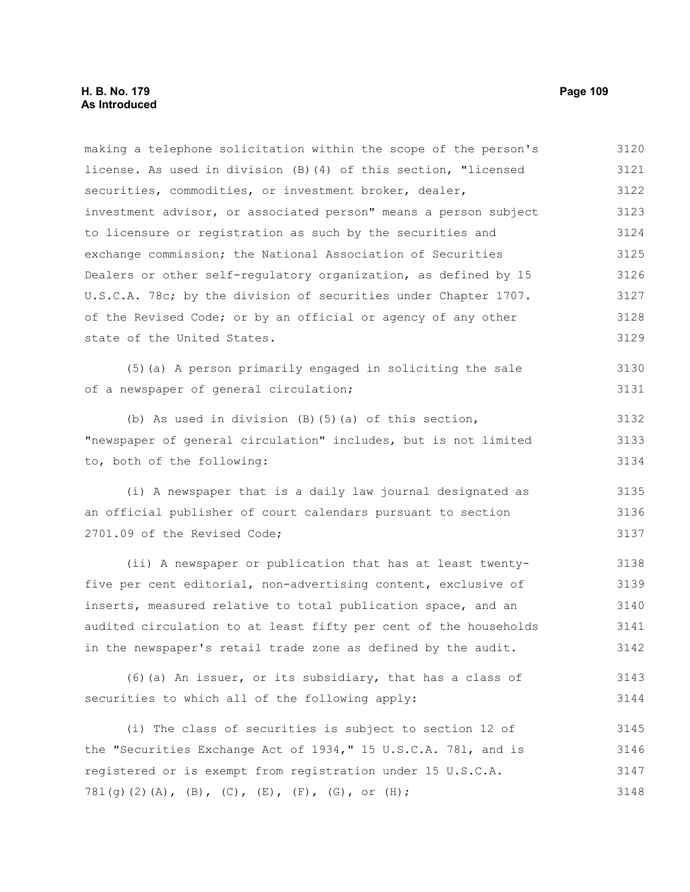## **H. B. No. 179 Page 109 As Introduced**

making a telephone solicitation within the scope of the person's license. As used in division (B)(4) of this section, "licensed securities, commodities, or investment broker, dealer, investment advisor, or associated person" means a person subject to licensure or registration as such by the securities and exchange commission; the National Association of Securities Dealers or other self-regulatory organization, as defined by 15 U.S.C.A. 78c; by the division of securities under Chapter 1707. of the Revised Code; or by an official or agency of any other state of the United States. (5)(a) A person primarily engaged in soliciting the sale of a newspaper of general circulation; (b) As used in division (B)(5)(a) of this section, "newspaper of general circulation" includes, but is not limited to, both of the following: (i) A newspaper that is a daily law journal designated as an official publisher of court calendars pursuant to section 2701.09 of the Revised Code; (ii) A newspaper or publication that has at least twentyfive per cent editorial, non-advertising content, exclusive of inserts, measured relative to total publication space, and an audited circulation to at least fifty per cent of the households in the newspaper's retail trade zone as defined by the audit. (6)(a) An issuer, or its subsidiary, that has a class of securities to which all of the following apply: (i) The class of securities is subject to section 12 of the "Securities Exchange Act of 1934," 15 U.S.C.A. 78l, and is registered or is exempt from registration under 15 U.S.C.A.  $781(g)(2)(A)$ ,  $(B)$ ,  $(C)$ ,  $(E)$ ,  $(F)$ ,  $(G)$ , or  $(H)$ ; 3120 3121 3122 3123 3124 3125 3126 3127 3128 3129 3130 3131 3132 3133 3134 3135 3136 3137 3138 3139 3140 3141 3142 3143 3144 3145 3146 3147 3148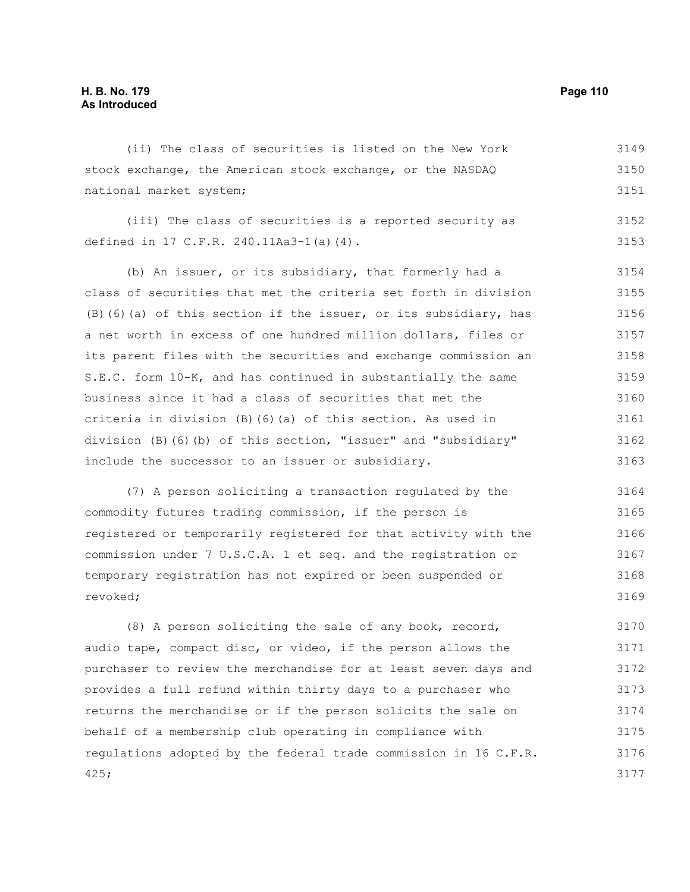#### (ii) The class of securities is listed on the New York stock exchange, the American stock exchange, or the NASDAQ national market system; 3149 3150 3151

(iii) The class of securities is a reported security as defined in 17 C.F.R. 240.11Aa3-1(a)(4). 3152 3153

(b) An issuer, or its subsidiary, that formerly had a class of securities that met the criteria set forth in division (B)(6)(a) of this section if the issuer, or its subsidiary, has a net worth in excess of one hundred million dollars, files or its parent files with the securities and exchange commission an S.E.C. form 10-K, and has continued in substantially the same business since it had a class of securities that met the criteria in division (B)(6)(a) of this section. As used in division (B)(6)(b) of this section, "issuer" and "subsidiary" include the successor to an issuer or subsidiary. 3154 3155 3156 3157 3158 3159 3160 3161 3162 3163

(7) A person soliciting a transaction regulated by the commodity futures trading commission, if the person is registered or temporarily registered for that activity with the commission under 7 U.S.C.A. 1 et seq. and the registration or temporary registration has not expired or been suspended or revoked; 3164 3165 3166 3167 3168 3169

(8) A person soliciting the sale of any book, record, audio tape, compact disc, or video, if the person allows the purchaser to review the merchandise for at least seven days and provides a full refund within thirty days to a purchaser who returns the merchandise or if the person solicits the sale on behalf of a membership club operating in compliance with regulations adopted by the federal trade commission in 16 C.F.R. 425; 3170 3171 3172 3173 3174 3175 3176 3177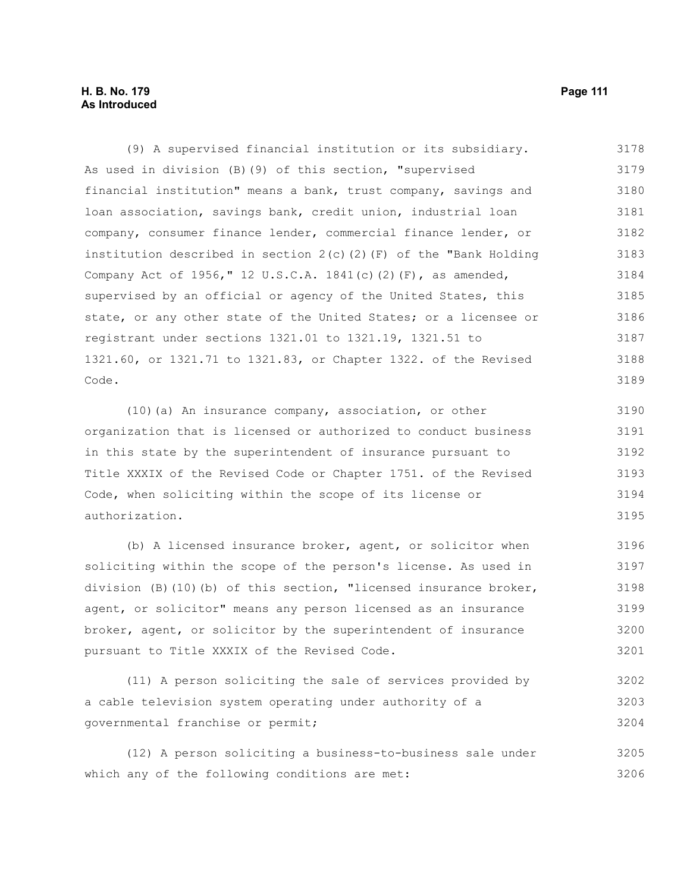## **H. B. No. 179 Page 111 As Introduced**

(9) A supervised financial institution or its subsidiary. As used in division (B)(9) of this section, "supervised financial institution" means a bank, trust company, savings and loan association, savings bank, credit union, industrial loan company, consumer finance lender, commercial finance lender, or institution described in section 2(c)(2)(F) of the "Bank Holding Company Act of  $1956$ , " 12 U.S.C.A. 1841(c)(2)(F), as amended, supervised by an official or agency of the United States, this state, or any other state of the United States; or a licensee or registrant under sections 1321.01 to 1321.19, 1321.51 to 1321.60, or 1321.71 to 1321.83, or Chapter 1322. of the Revised Code. 3178 3179 3180 3181 3182 3183 3184 3185 3186 3187 3188 3189

(10)(a) An insurance company, association, or other organization that is licensed or authorized to conduct business in this state by the superintendent of insurance pursuant to Title XXXIX of the Revised Code or Chapter 1751. of the Revised Code, when soliciting within the scope of its license or authorization. 3190 3191 3192 3193 3194 3195

(b) A licensed insurance broker, agent, or solicitor when soliciting within the scope of the person's license. As used in division (B)(10)(b) of this section, "licensed insurance broker, agent, or solicitor" means any person licensed as an insurance broker, agent, or solicitor by the superintendent of insurance pursuant to Title XXXIX of the Revised Code. 3196 3197 3198 3199 3200 3201

(11) A person soliciting the sale of services provided by a cable television system operating under authority of a governmental franchise or permit; 3202 3203 3204

(12) A person soliciting a business-to-business sale under which any of the following conditions are met: 3205 3206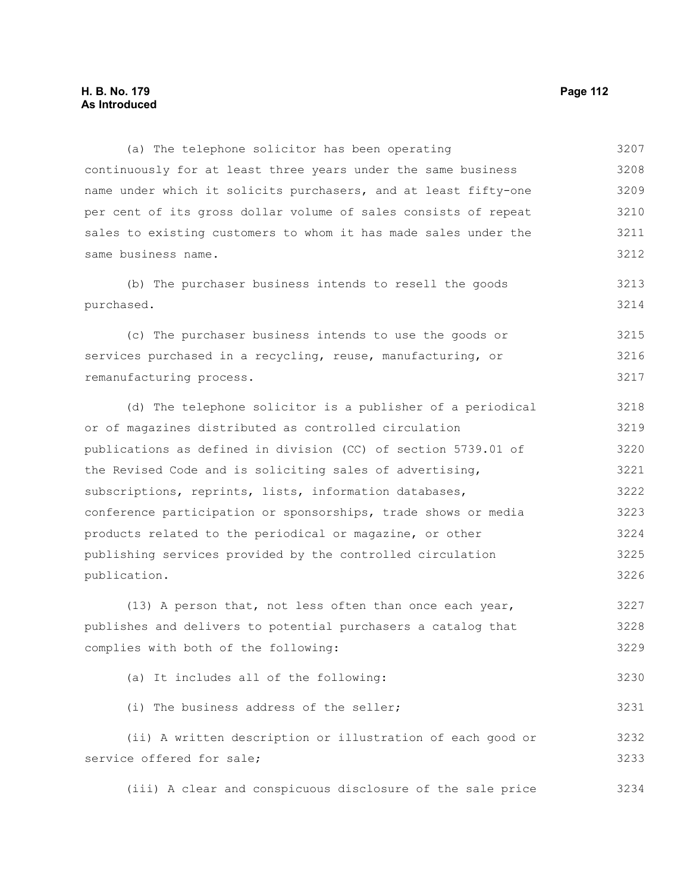(a) The telephone solicitor has been operating continuously for at least three years under the same business name under which it solicits purchasers, and at least fifty-one per cent of its gross dollar volume of sales consists of repeat sales to existing customers to whom it has made sales under the same business name. 3207 3208 3209 3210 3211 3212

(b) The purchaser business intends to resell the goods purchased.

(c) The purchaser business intends to use the goods or services purchased in a recycling, reuse, manufacturing, or remanufacturing process. 3215 3216 3217

(d) The telephone solicitor is a publisher of a periodical or of magazines distributed as controlled circulation publications as defined in division (CC) of section 5739.01 of the Revised Code and is soliciting sales of advertising, subscriptions, reprints, lists, information databases, conference participation or sponsorships, trade shows or media products related to the periodical or magazine, or other publishing services provided by the controlled circulation publication. 3218 3219 3220 3221 3222 3223 3224 3225 3226

(13) A person that, not less often than once each year, publishes and delivers to potential purchasers a catalog that complies with both of the following: 3227 3228 3229

(a) It includes all of the following: 3230

(i) The business address of the seller;

(ii) A written description or illustration of each good or service offered for sale; 3232 3233

(iii) A clear and conspicuous disclosure of the sale price 3234

3213 3214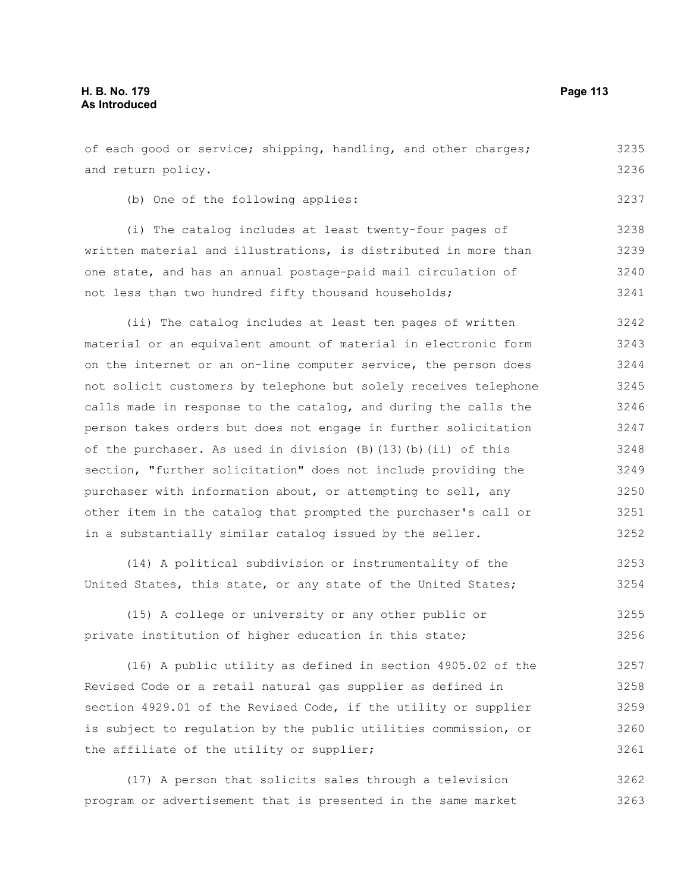3241

#### of each good or service; shipping, handling, and other charges; and return policy. (b) One of the following applies: (i) The catalog includes at least twenty-four pages of written material and illustrations, is distributed in more than one state, and has an annual postage-paid mail circulation of 3235 3236 3237 3238 3239 3240

not less than two hundred fifty thousand households;

(ii) The catalog includes at least ten pages of written material or an equivalent amount of material in electronic form on the internet or an on-line computer service, the person does not solicit customers by telephone but solely receives telephone calls made in response to the catalog, and during the calls the person takes orders but does not engage in further solicitation of the purchaser. As used in division (B)(13)(b)(ii) of this section, "further solicitation" does not include providing the purchaser with information about, or attempting to sell, any other item in the catalog that prompted the purchaser's call or in a substantially similar catalog issued by the seller. 3242 3243 3244 3245 3246 3247 3248 3249 3250 3251 3252

(14) A political subdivision or instrumentality of the United States, this state, or any state of the United States; 3253 3254

(15) A college or university or any other public or private institution of higher education in this state; 3255 3256

(16) A public utility as defined in section 4905.02 of the Revised Code or a retail natural gas supplier as defined in section 4929.01 of the Revised Code, if the utility or supplier is subject to regulation by the public utilities commission, or the affiliate of the utility or supplier; 3257 3258 3259 3260 3261

(17) A person that solicits sales through a television program or advertisement that is presented in the same market 3262 3263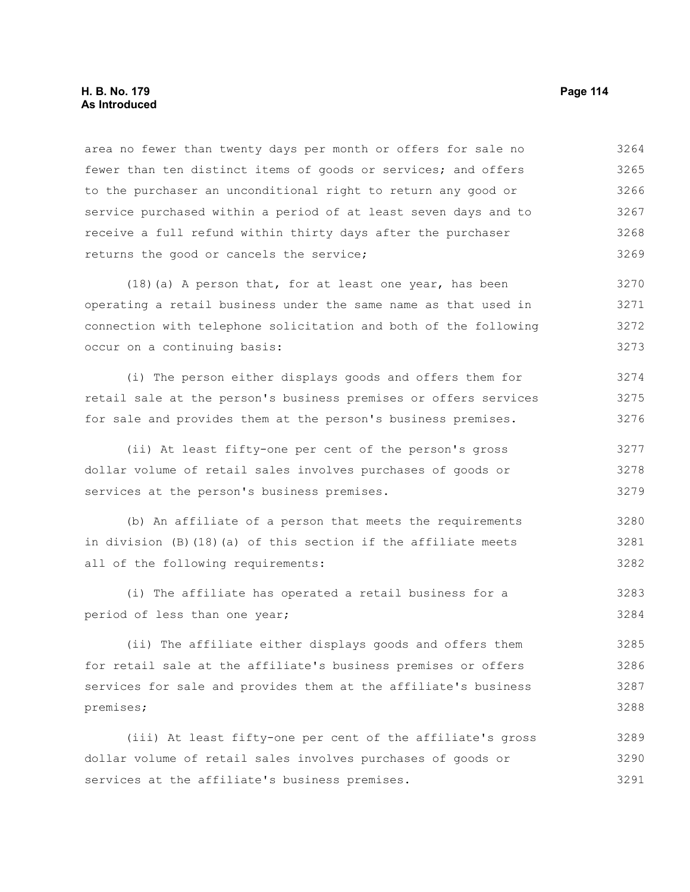#### **H. B. No. 179** Page 114 **As Introduced**

area no fewer than twenty days per month or offers for sale no fewer than ten distinct items of goods or services; and offers to the purchaser an unconditional right to return any good or service purchased within a period of at least seven days and to receive a full refund within thirty days after the purchaser returns the good or cancels the service; 3264 3265 3266 3267 3268 3269

(18)(a) A person that, for at least one year, has been operating a retail business under the same name as that used in connection with telephone solicitation and both of the following occur on a continuing basis: 3270 3271 3272 3273

(i) The person either displays goods and offers them for retail sale at the person's business premises or offers services for sale and provides them at the person's business premises. 3274 3275 3276

(ii) At least fifty-one per cent of the person's gross dollar volume of retail sales involves purchases of goods or services at the person's business premises. 3277 3278 3279

(b) An affiliate of a person that meets the requirements in division (B)(18)(a) of this section if the affiliate meets all of the following requirements: 3280 3281 3282

(i) The affiliate has operated a retail business for a period of less than one year; 3283 3284

(ii) The affiliate either displays goods and offers them for retail sale at the affiliate's business premises or offers services for sale and provides them at the affiliate's business premises; 3285 3286 3287 3288

(iii) At least fifty-one per cent of the affiliate's gross dollar volume of retail sales involves purchases of goods or services at the affiliate's business premises. 3289 3290 3291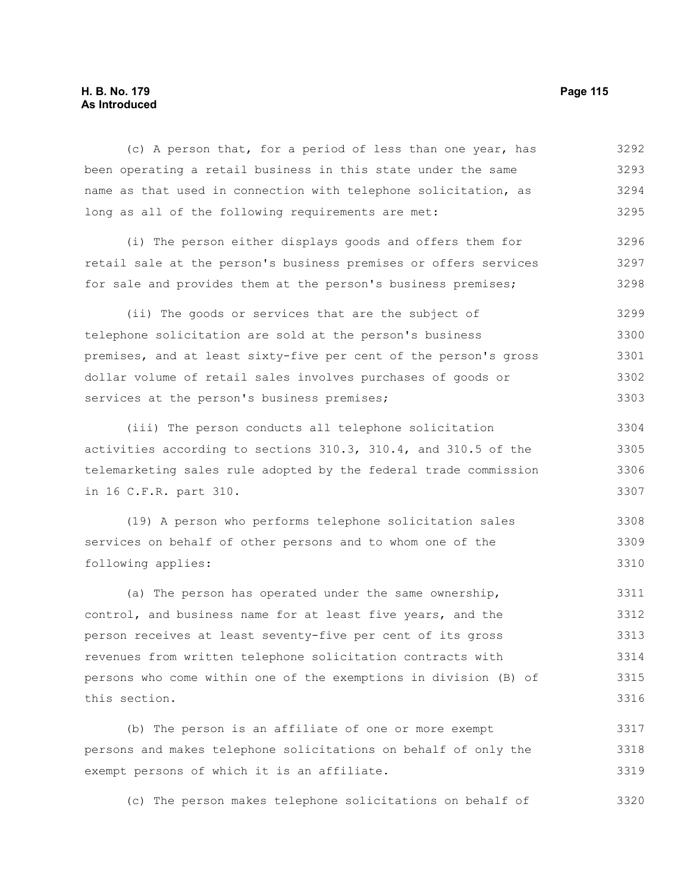## **H. B. No. 179** Page 115 **As Introduced**

(c) A person that, for a period of less than one year, has been operating a retail business in this state under the same name as that used in connection with telephone solicitation, as long as all of the following requirements are met: 3292 3293 3294 3295

(i) The person either displays goods and offers them for retail sale at the person's business premises or offers services for sale and provides them at the person's business premises; 3296 3297 3298

(ii) The goods or services that are the subject of telephone solicitation are sold at the person's business premises, and at least sixty-five per cent of the person's gross dollar volume of retail sales involves purchases of goods or services at the person's business premises; 3299 3300 3301 3302 3303

(iii) The person conducts all telephone solicitation activities according to sections 310.3, 310.4, and 310.5 of the telemarketing sales rule adopted by the federal trade commission in 16 C.F.R. part 310. 3304 3305 3306 3307

(19) A person who performs telephone solicitation sales services on behalf of other persons and to whom one of the following applies: 3308 3309 3310

(a) The person has operated under the same ownership, control, and business name for at least five years, and the person receives at least seventy-five per cent of its gross revenues from written telephone solicitation contracts with persons who come within one of the exemptions in division (B) of this section. 3311 3312 3313 3314 3315 3316

(b) The person is an affiliate of one or more exempt persons and makes telephone solicitations on behalf of only the exempt persons of which it is an affiliate. 3317 3318 3319

(c) The person makes telephone solicitations on behalf of 3320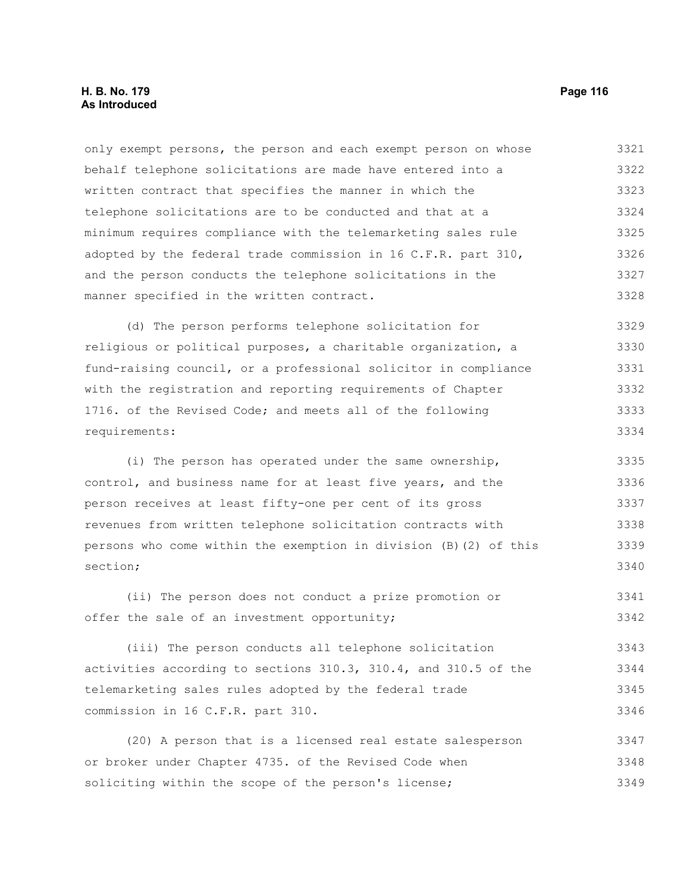#### **H. B. No. 179 Page 116 As Introduced**

only exempt persons, the person and each exempt person on whose behalf telephone solicitations are made have entered into a written contract that specifies the manner in which the telephone solicitations are to be conducted and that at a minimum requires compliance with the telemarketing sales rule adopted by the federal trade commission in 16 C.F.R. part 310, and the person conducts the telephone solicitations in the manner specified in the written contract. (d) The person performs telephone solicitation for religious or political purposes, a charitable organization, a fund-raising council, or a professional solicitor in compliance with the registration and reporting requirements of Chapter 1716. of the Revised Code; and meets all of the following requirements: (i) The person has operated under the same ownership, 3321 3322 3323 3324 3325 3326 3327 3328 3329 3330 3331 3332 3333 3334 3335 3336

control, and business name for at least five years, and the person receives at least fifty-one per cent of its gross revenues from written telephone solicitation contracts with persons who come within the exemption in division (B)(2) of this section; 3337 3338 3339 3340

(ii) The person does not conduct a prize promotion or offer the sale of an investment opportunity; 3341 3342

(iii) The person conducts all telephone solicitation activities according to sections 310.3, 310.4, and 310.5 of the telemarketing sales rules adopted by the federal trade commission in 16 C.F.R. part 310. 3343 3344 3345 3346

(20) A person that is a licensed real estate salesperson or broker under Chapter 4735. of the Revised Code when soliciting within the scope of the person's license; 3347 3348 3349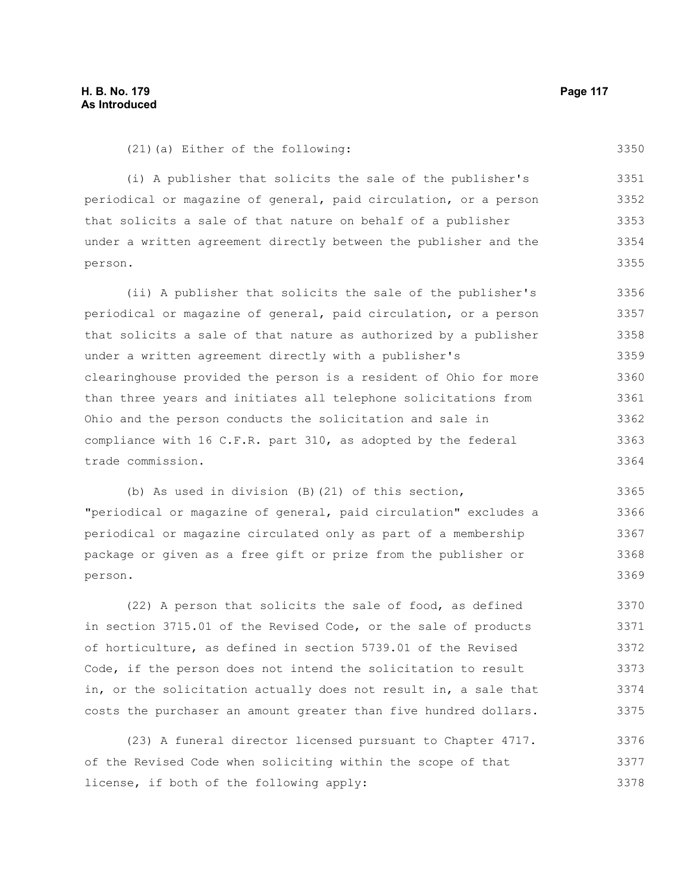3350

(21)(a) Either of the following:

(i) A publisher that solicits the sale of the publisher's periodical or magazine of general, paid circulation, or a person that solicits a sale of that nature on behalf of a publisher under a written agreement directly between the publisher and the person. 3351 3352 3353 3354 3355

(ii) A publisher that solicits the sale of the publisher's periodical or magazine of general, paid circulation, or a person that solicits a sale of that nature as authorized by a publisher under a written agreement directly with a publisher's clearinghouse provided the person is a resident of Ohio for more than three years and initiates all telephone solicitations from Ohio and the person conducts the solicitation and sale in compliance with 16 C.F.R. part 310, as adopted by the federal trade commission. 3356 3357 3358 3359 3360 3361 3362 3363 3364

(b) As used in division (B)(21) of this section, "periodical or magazine of general, paid circulation" excludes a periodical or magazine circulated only as part of a membership package or given as a free gift or prize from the publisher or person. 3365 3366 3367 3368 3369

(22) A person that solicits the sale of food, as defined in section 3715.01 of the Revised Code, or the sale of products of horticulture, as defined in section 5739.01 of the Revised Code, if the person does not intend the solicitation to result in, or the solicitation actually does not result in, a sale that costs the purchaser an amount greater than five hundred dollars. 3370 3371 3372 3373 3374 3375

(23) A funeral director licensed pursuant to Chapter 4717. of the Revised Code when soliciting within the scope of that license, if both of the following apply: 3376 3377 3378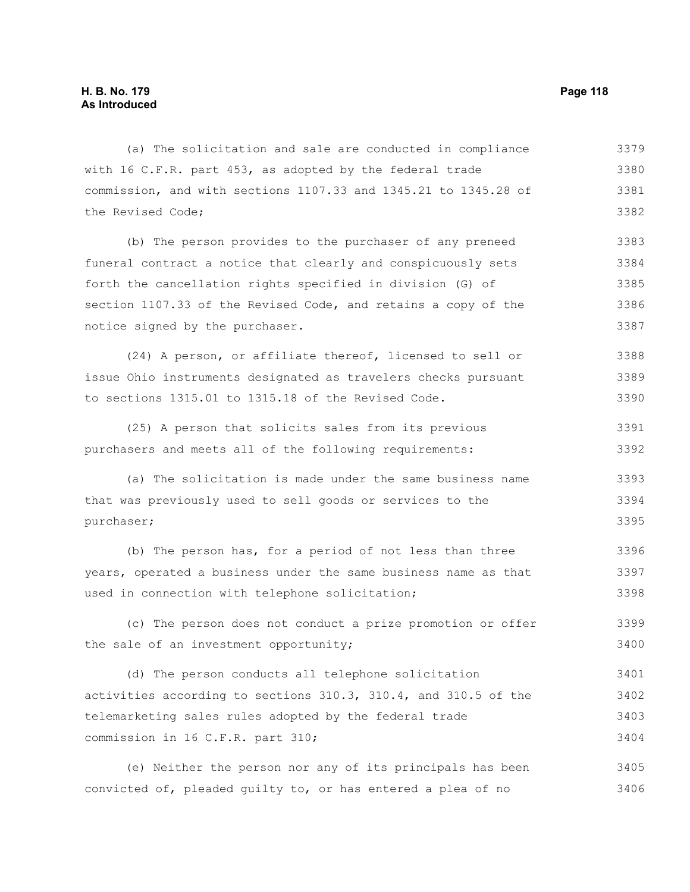(a) The solicitation and sale are conducted in compliance with 16 C.F.R. part 453, as adopted by the federal trade commission, and with sections 1107.33 and 1345.21 to 1345.28 of the Revised Code; (b) The person provides to the purchaser of any preneed funeral contract a notice that clearly and conspicuously sets forth the cancellation rights specified in division (G) of section 1107.33 of the Revised Code, and retains a copy of the notice signed by the purchaser. (24) A person, or affiliate thereof, licensed to sell or issue Ohio instruments designated as travelers checks pursuant to sections 1315.01 to 1315.18 of the Revised Code. (25) A person that solicits sales from its previous purchasers and meets all of the following requirements: (a) The solicitation is made under the same business name that was previously used to sell goods or services to the purchaser; (b) The person has, for a period of not less than three years, operated a business under the same business name as that used in connection with telephone solicitation; (c) The person does not conduct a prize promotion or offer the sale of an investment opportunity; (d) The person conducts all telephone solicitation activities according to sections 310.3, 310.4, and 310.5 of the telemarketing sales rules adopted by the federal trade commission in 16 C.F.R. part 310; 3379 3380 3381 3382 3383 3384 3385 3386 3387 3388 3389 3390 3391 3392 3393 3394 3395 3396 3397 3398 3399 3400 3401 3402 3403 3404

(e) Neither the person nor any of its principals has been convicted of, pleaded guilty to, or has entered a plea of no 3405 3406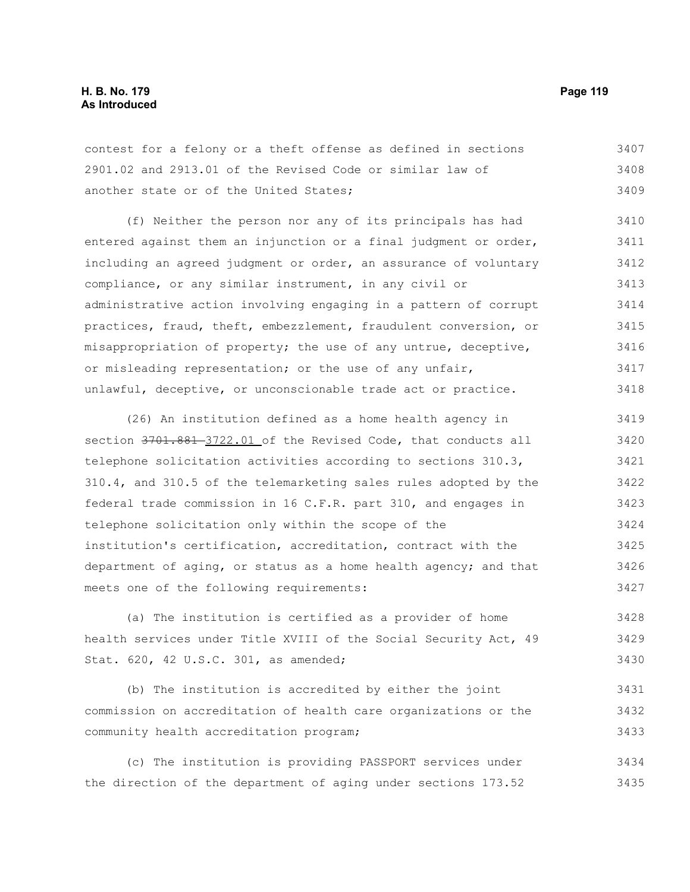contest for a felony or a theft offense as defined in sections 2901.02 and 2913.01 of the Revised Code or similar law of another state or of the United States; 3407 3408 3409

(f) Neither the person nor any of its principals has had entered against them an injunction or a final judgment or order, including an agreed judgment or order, an assurance of voluntary compliance, or any similar instrument, in any civil or administrative action involving engaging in a pattern of corrupt practices, fraud, theft, embezzlement, fraudulent conversion, or misappropriation of property; the use of any untrue, deceptive, or misleading representation; or the use of any unfair, unlawful, deceptive, or unconscionable trade act or practice. 3410 3411 3412 3413 3414 3415 3416 3417 3418

(26) An institution defined as a home health agency in section 3701.881-3722.01 of the Revised Code, that conducts all telephone solicitation activities according to sections 310.3, 310.4, and 310.5 of the telemarketing sales rules adopted by the federal trade commission in 16 C.F.R. part 310, and engages in telephone solicitation only within the scope of the institution's certification, accreditation, contract with the department of aging, or status as a home health agency; and that meets one of the following requirements: 3419 3420 3421 3422 3423 3424 3425 3426 3427

(a) The institution is certified as a provider of home health services under Title XVIII of the Social Security Act, 49 Stat. 620, 42 U.S.C. 301, as amended; 3428 3429 3430

(b) The institution is accredited by either the joint commission on accreditation of health care organizations or the community health accreditation program; 3431 3432 3433

(c) The institution is providing PASSPORT services under the direction of the department of aging under sections 173.52 3434 3435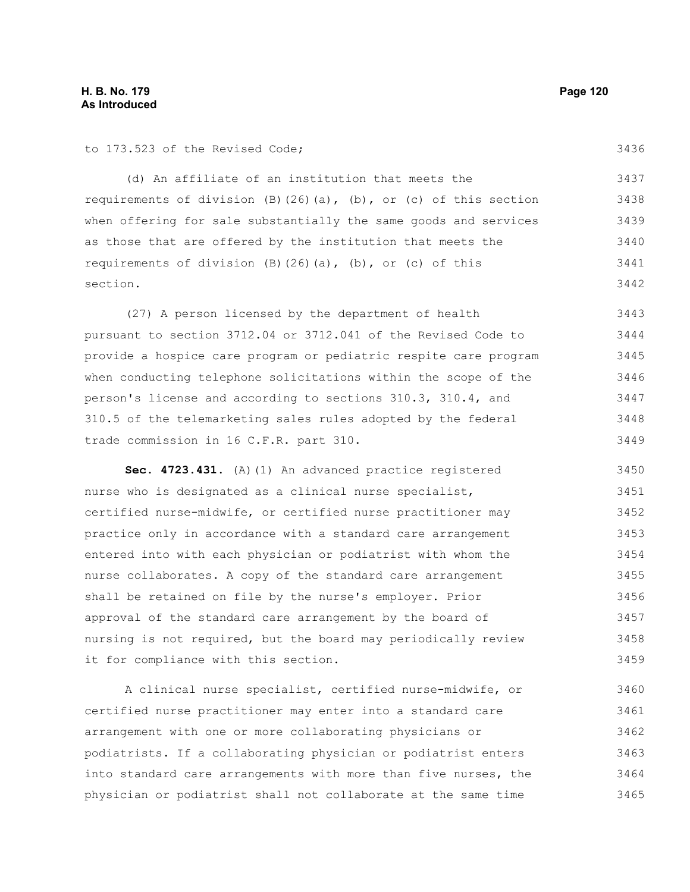to 173.523 of the Revised Code;

(d) An affiliate of an institution that meets the requirements of division  $(B)(26)(a)$ ,  $(b)$ , or (c) of this section when offering for sale substantially the same goods and services as those that are offered by the institution that meets the requirements of division  $(B)$   $(26)$   $(a)$ ,  $(b)$ , or  $(c)$  of this section. 3437 3438 3439 3440 3442

(27) A person licensed by the department of health pursuant to section 3712.04 or 3712.041 of the Revised Code to provide a hospice care program or pediatric respite care program when conducting telephone solicitations within the scope of the person's license and according to sections 310.3, 310.4, and 310.5 of the telemarketing sales rules adopted by the federal trade commission in 16 C.F.R. part 310. 3443 3444 3445 3446 3447 3448 3449

**Sec. 4723.431.** (A)(1) An advanced practice registered nurse who is designated as a clinical nurse specialist, certified nurse-midwife, or certified nurse practitioner may practice only in accordance with a standard care arrangement entered into with each physician or podiatrist with whom the nurse collaborates. A copy of the standard care arrangement shall be retained on file by the nurse's employer. Prior approval of the standard care arrangement by the board of nursing is not required, but the board may periodically review it for compliance with this section. 3450 3451 3452 3453 3454 3455 3456 3457 3458 3459

A clinical nurse specialist, certified nurse-midwife, or certified nurse practitioner may enter into a standard care arrangement with one or more collaborating physicians or podiatrists. If a collaborating physician or podiatrist enters into standard care arrangements with more than five nurses, the physician or podiatrist shall not collaborate at the same time 3460 3461 3462 3463 3464 3465

3436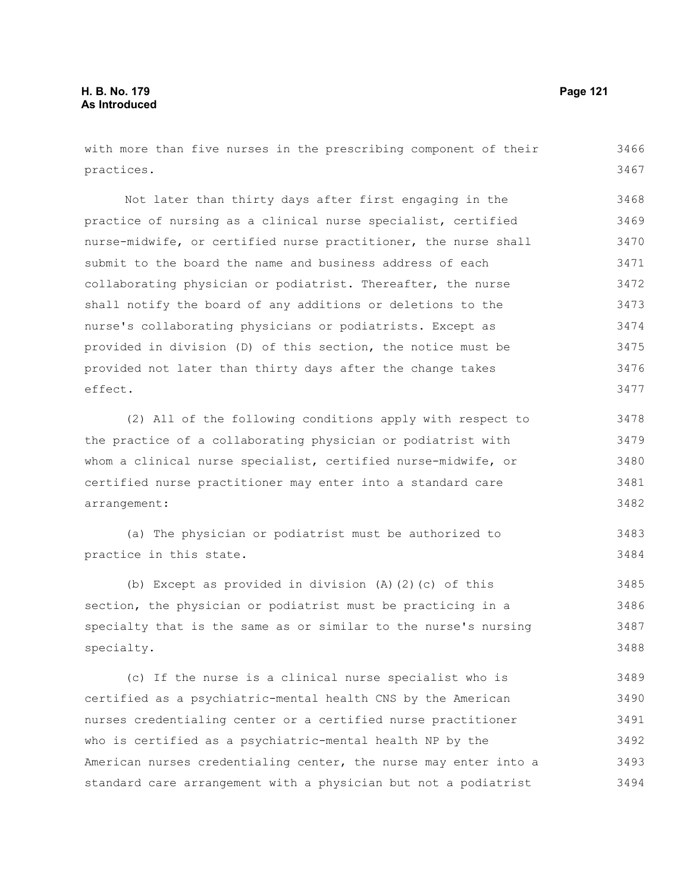with more than five nurses in the prescribing component of their practices. Not later than thirty days after first engaging in the practice of nursing as a clinical nurse specialist, certified nurse-midwife, or certified nurse practitioner, the nurse shall submit to the board the name and business address of each collaborating physician or podiatrist. Thereafter, the nurse shall notify the board of any additions or deletions to the nurse's collaborating physicians or podiatrists. Except as provided in division (D) of this section, the notice must be provided not later than thirty days after the change takes effect. (2) All of the following conditions apply with respect to the practice of a collaborating physician or podiatrist with whom a clinical nurse specialist, certified nurse-midwife, or certified nurse practitioner may enter into a standard care arrangement: (a) The physician or podiatrist must be authorized to practice in this state. (b) Except as provided in division (A)(2)(c) of this section, the physician or podiatrist must be practicing in a specialty that is the same as or similar to the nurse's nursing specialty. (c) If the nurse is a clinical nurse specialist who is certified as a psychiatric-mental health CNS by the American nurses credentialing center or a certified nurse practitioner who is certified as a psychiatric-mental health NP by the American nurses credentialing center, the nurse may enter into a standard care arrangement with a physician but not a podiatrist 3466 3467 3468 3469 3470 3471 3472 3473 3474 3475 3476 3477 3478 3479 3480 3481 3482 3483 3484 3485 3486 3487 3488 3489 3490 3491 3492 3493 3494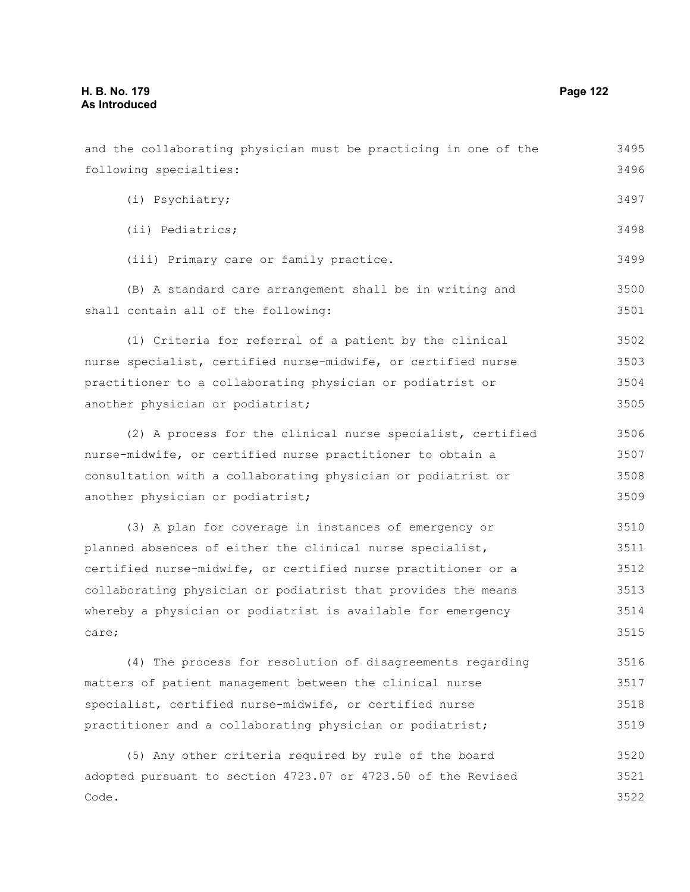| and the collaborating physician must be practicing in one of the | 3495 |
|------------------------------------------------------------------|------|
| following specialties:                                           | 3496 |
| (i) Psychiatry;                                                  | 3497 |
| (ii) Pediatrics;                                                 | 3498 |
| (iii) Primary care or family practice.                           | 3499 |
| (B) A standard care arrangement shall be in writing and          | 3500 |
| shall contain all of the following:                              | 3501 |
| (1) Criteria for referral of a patient by the clinical           | 3502 |
| nurse specialist, certified nurse-midwife, or certified nurse    | 3503 |
| practitioner to a collaborating physician or podiatrist or       | 3504 |
| another physician or podiatrist;                                 | 3505 |
| (2) A process for the clinical nurse specialist, certified       | 3506 |
| nurse-midwife, or certified nurse practitioner to obtain a       | 3507 |
| consultation with a collaborating physician or podiatrist or     | 3508 |
| another physician or podiatrist;                                 | 3509 |
| (3) A plan for coverage in instances of emergency or             | 3510 |
| planned absences of either the clinical nurse specialist,        | 3511 |
| certified nurse-midwife, or certified nurse practitioner or a    | 3512 |
| collaborating physician or podiatrist that provides the means    | 3513 |
| whereby a physician or podiatrist is available for emergency     | 3514 |
| care;                                                            | 3515 |
| (4) The process for resolution of disagreements regarding        | 3516 |
| matters of patient management between the clinical nurse         | 3517 |
| specialist, certified nurse-midwife, or certified nurse          | 3518 |
| practitioner and a collaborating physician or podiatrist;        | 3519 |
| (5) Any other criteria required by rule of the board             | 3520 |
| adopted pursuant to section 4723.07 or 4723.50 of the Revised    | 3521 |
| Code.                                                            | 3522 |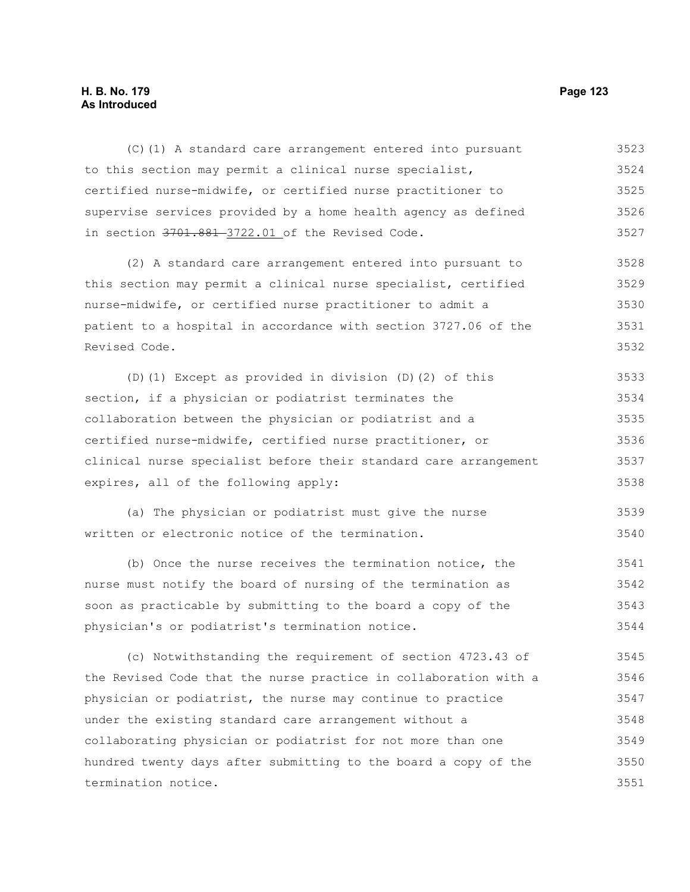## **H. B. No. 179 Page 123 As Introduced**

(C)(1) A standard care arrangement entered into pursuant to this section may permit a clinical nurse specialist, certified nurse-midwife, or certified nurse practitioner to supervise services provided by a home health agency as defined in section 3701.881-3722.01 of the Revised Code. (2) A standard care arrangement entered into pursuant to this section may permit a clinical nurse specialist, certified nurse-midwife, or certified nurse practitioner to admit a patient to a hospital in accordance with section 3727.06 of the Revised Code. (D)(1) Except as provided in division (D)(2) of this section, if a physician or podiatrist terminates the collaboration between the physician or podiatrist and a certified nurse-midwife, certified nurse practitioner, or clinical nurse specialist before their standard care arrangement expires, all of the following apply: (a) The physician or podiatrist must give the nurse written or electronic notice of the termination. (b) Once the nurse receives the termination notice, the nurse must notify the board of nursing of the termination as soon as practicable by submitting to the board a copy of the 3523 3524 3525 3526 3527 3528 3529 3530 3531 3532 3533 3534 3535 3536 3537 3538 3539 3540 3541 3542 3543

(c) Notwithstanding the requirement of section 4723.43 of the Revised Code that the nurse practice in collaboration with a physician or podiatrist, the nurse may continue to practice under the existing standard care arrangement without a collaborating physician or podiatrist for not more than one hundred twenty days after submitting to the board a copy of the termination notice. 3545 3546 3547 3548 3549 3550 3551

physician's or podiatrist's termination notice.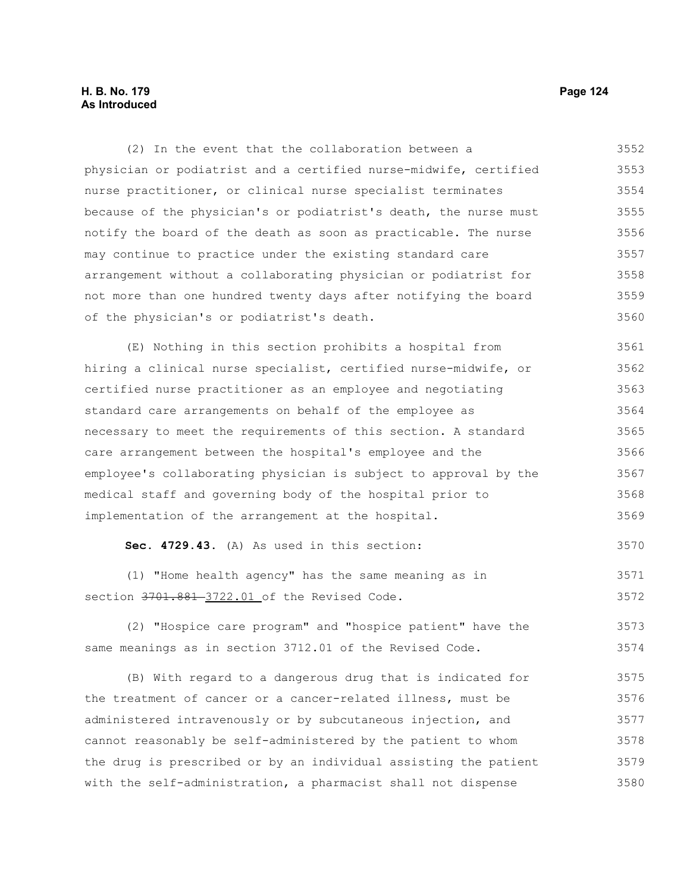## **H. B. No. 179 Page 124 As Introduced**

(2) In the event that the collaboration between a physician or podiatrist and a certified nurse-midwife, certified nurse practitioner, or clinical nurse specialist terminates because of the physician's or podiatrist's death, the nurse must notify the board of the death as soon as practicable. The nurse may continue to practice under the existing standard care arrangement without a collaborating physician or podiatrist for not more than one hundred twenty days after notifying the board of the physician's or podiatrist's death. 3552 3553 3554 3555 3556 3557 3558 3559 3560

(E) Nothing in this section prohibits a hospital from hiring a clinical nurse specialist, certified nurse-midwife, or certified nurse practitioner as an employee and negotiating standard care arrangements on behalf of the employee as necessary to meet the requirements of this section. A standard care arrangement between the hospital's employee and the employee's collaborating physician is subject to approval by the medical staff and governing body of the hospital prior to implementation of the arrangement at the hospital. 3561 3562 3563 3564 3565 3566 3567 3568 3569

**Sec. 4729.43.** (A) As used in this section: 3570

(1) "Home health agency" has the same meaning as in section 3701.881-3722.01 of the Revised Code. 3571 3572

(2) "Hospice care program" and "hospice patient" have the same meanings as in section 3712.01 of the Revised Code. 3573 3574

(B) With regard to a dangerous drug that is indicated for the treatment of cancer or a cancer-related illness, must be administered intravenously or by subcutaneous injection, and cannot reasonably be self-administered by the patient to whom the drug is prescribed or by an individual assisting the patient with the self-administration, a pharmacist shall not dispense 3575 3576 3577 3578 3579 3580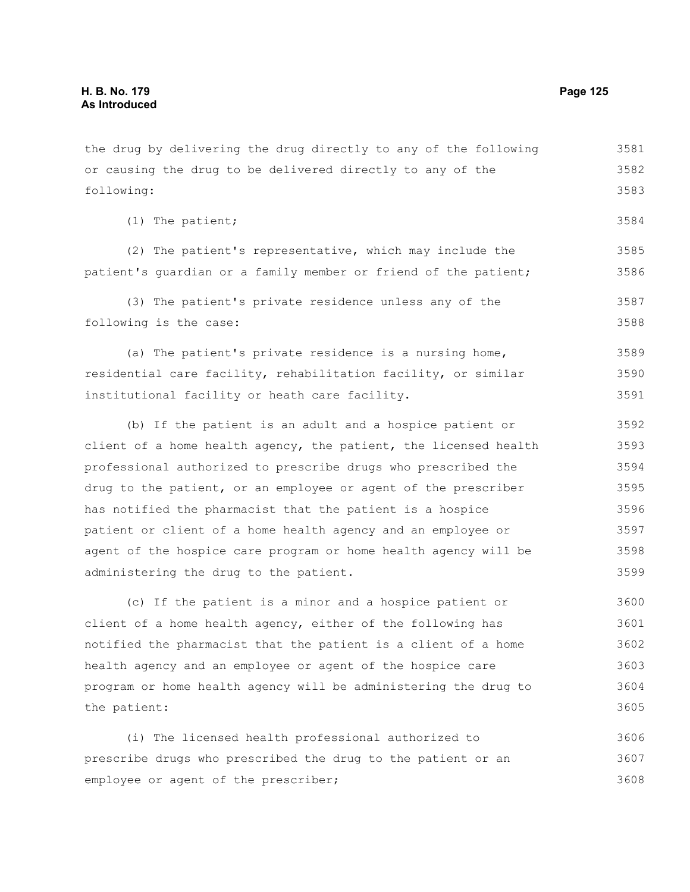the drug by delivering the drug directly to any of the following or causing the drug to be delivered directly to any of the following: 3581 3582 3583

(1) The patient;

(2) The patient's representative, which may include the patient's guardian or a family member or friend of the patient; 3585 3586

(3) The patient's private residence unless any of the following is the case: 3587 3588

(a) The patient's private residence is a nursing home, residential care facility, rehabilitation facility, or similar institutional facility or heath care facility. 3589 3590 3591

(b) If the patient is an adult and a hospice patient or client of a home health agency, the patient, the licensed health professional authorized to prescribe drugs who prescribed the drug to the patient, or an employee or agent of the prescriber has notified the pharmacist that the patient is a hospice patient or client of a home health agency and an employee or agent of the hospice care program or home health agency will be administering the drug to the patient. 3592 3593 3594 3595 3596 3597 3598 3599

(c) If the patient is a minor and a hospice patient or client of a home health agency, either of the following has notified the pharmacist that the patient is a client of a home health agency and an employee or agent of the hospice care program or home health agency will be administering the drug to the patient: 3600 3601 3602 3603 3604 3605

(i) The licensed health professional authorized to prescribe drugs who prescribed the drug to the patient or an employee or agent of the prescriber; 3606 3607 3608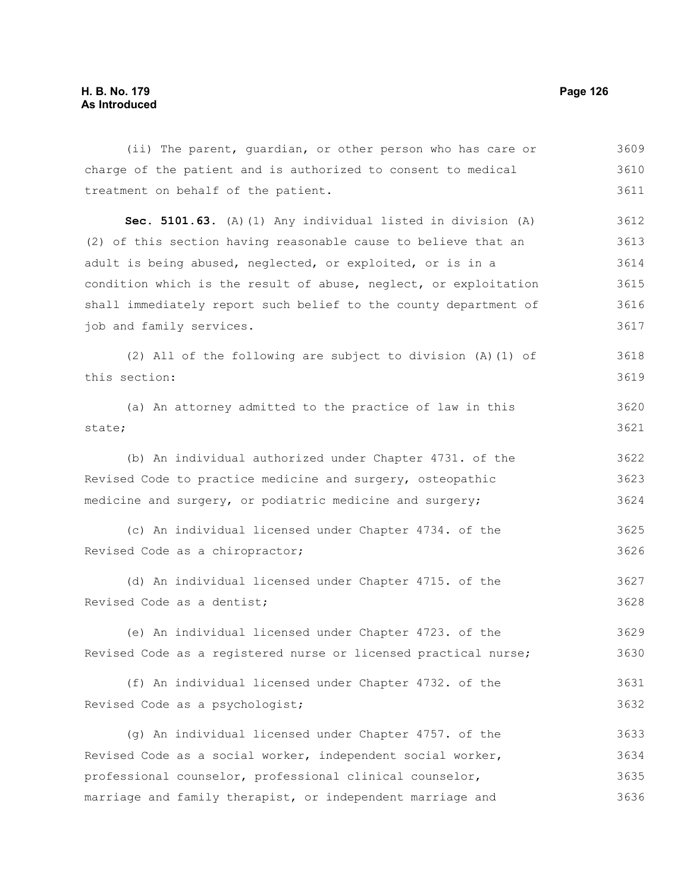**H. B. No. 179 Page 126**

| (ii) The parent, quardian, or other person who has care or       | 3609 |
|------------------------------------------------------------------|------|
| charge of the patient and is authorized to consent to medical    | 3610 |
| treatment on behalf of the patient.                              | 3611 |
| Sec. 5101.63. (A) (1) Any individual listed in division (A)      | 3612 |
| (2) of this section having reasonable cause to believe that an   | 3613 |
| adult is being abused, neglected, or exploited, or is in a       | 3614 |
| condition which is the result of abuse, neglect, or exploitation | 3615 |
| shall immediately report such belief to the county department of | 3616 |
| job and family services.                                         | 3617 |
| (2) All of the following are subject to division (A) (1) of      | 3618 |
| this section:                                                    | 3619 |
| (a) An attorney admitted to the practice of law in this          | 3620 |
| state;                                                           | 3621 |
| (b) An individual authorized under Chapter 4731. of the          | 3622 |
| Revised Code to practice medicine and surgery, osteopathic       | 3623 |
| medicine and surgery, or podiatric medicine and surgery;         | 3624 |
| (c) An individual licensed under Chapter 4734. of the            | 3625 |
| Revised Code as a chiropractor;                                  | 3626 |
| (d) An individual licensed under Chapter 4715. of the            | 3627 |
| Revised Code as a dentist;                                       | 3628 |
| (e) An individual licensed under Chapter 4723. of the            | 3629 |
| Revised Code as a registered nurse or licensed practical nurse;  | 3630 |
| (f) An individual licensed under Chapter 4732. of the            | 3631 |
| Revised Code as a psychologist;                                  | 3632 |
| (q) An individual licensed under Chapter 4757. of the            | 3633 |
| Revised Code as a social worker, independent social worker,      | 3634 |
| professional counselor, professional clinical counselor,         | 3635 |
| marriage and family therapist, or independent marriage and       | 3636 |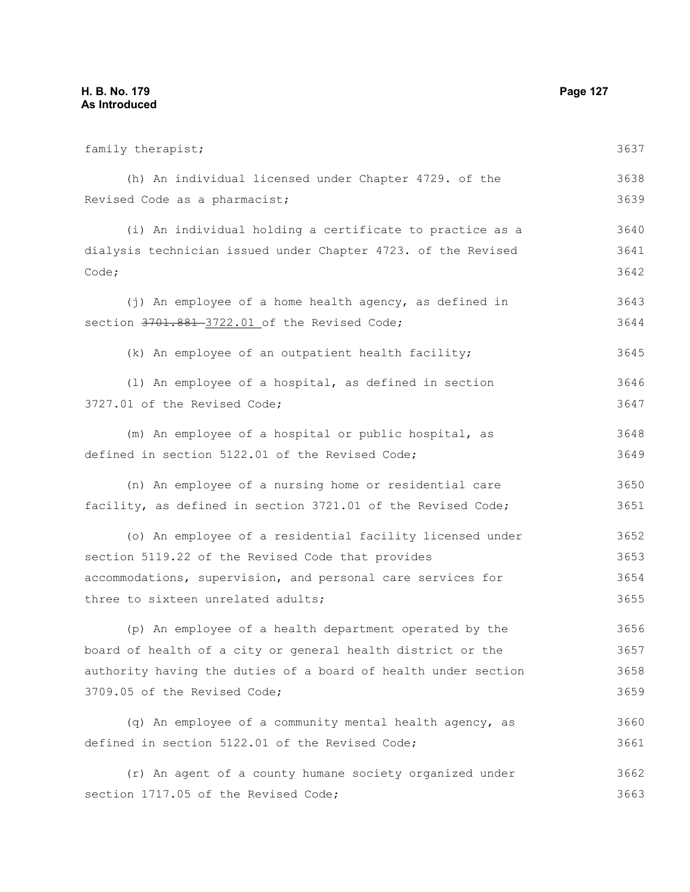| family therapist;                                              | 3637 |
|----------------------------------------------------------------|------|
| (h) An individual licensed under Chapter 4729. of the          | 3638 |
| Revised Code as a pharmacist;                                  | 3639 |
| (i) An individual holding a certificate to practice as a       | 3640 |
| dialysis technician issued under Chapter 4723. of the Revised  | 3641 |
| Code;                                                          | 3642 |
| (j) An employee of a home health agency, as defined in         | 3643 |
| section 3701.881-3722.01 of the Revised Code;                  | 3644 |
| (k) An employee of an outpatient health facility;              | 3645 |
| (1) An employee of a hospital, as defined in section           | 3646 |
| 3727.01 of the Revised Code;                                   | 3647 |
| (m) An employee of a hospital or public hospital, as           | 3648 |
| defined in section 5122.01 of the Revised Code;                | 3649 |
| (n) An employee of a nursing home or residential care          | 3650 |
| facility, as defined in section 3721.01 of the Revised Code;   | 3651 |
| (o) An employee of a residential facility licensed under       | 3652 |
| section 5119.22 of the Revised Code that provides              | 3653 |
| accommodations, supervision, and personal care services for    | 3654 |
| three to sixteen unrelated adults;                             | 3655 |
| (p) An employee of a health department operated by the         | 3656 |
| board of health of a city or general health district or the    | 3657 |
| authority having the duties of a board of health under section | 3658 |
| 3709.05 of the Revised Code;                                   | 3659 |
| (q) An employee of a community mental health agency, as        | 3660 |
| defined in section 5122.01 of the Revised Code;                | 3661 |
| (r) An agent of a county humane society organized under        | 3662 |
| section 1717.05 of the Revised Code;                           | 3663 |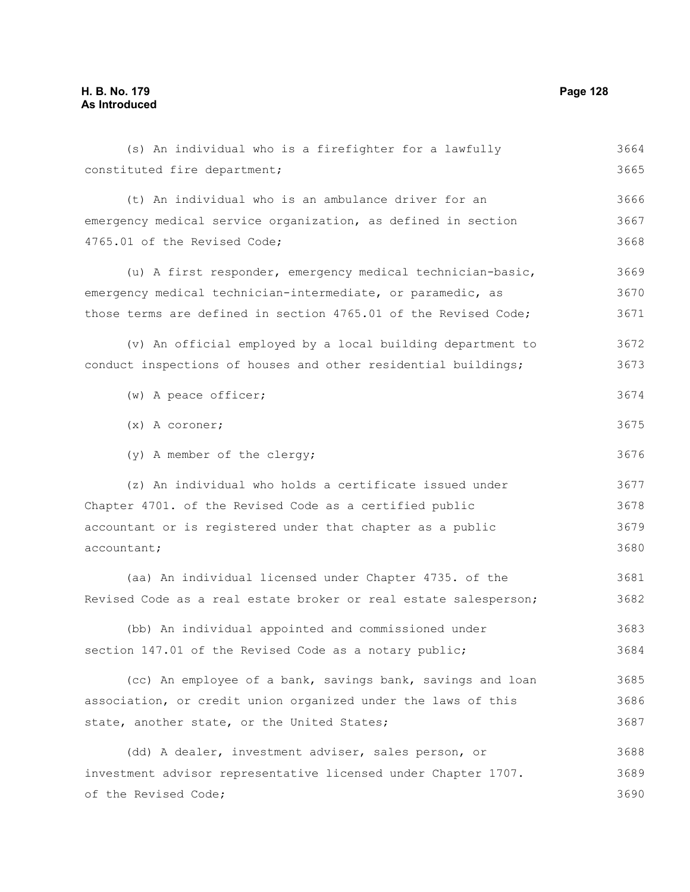| (s) An individual who is a firefighter for a lawfully            | 3664 |
|------------------------------------------------------------------|------|
| constituted fire department;                                     | 3665 |
| (t) An individual who is an ambulance driver for an              | 3666 |
| emergency medical service organization, as defined in section    | 3667 |
| 4765.01 of the Revised Code;                                     | 3668 |
| (u) A first responder, emergency medical technician-basic,       | 3669 |
| emergency medical technician-intermediate, or paramedic, as      | 3670 |
| those terms are defined in section 4765.01 of the Revised Code;  | 3671 |
| (v) An official employed by a local building department to       | 3672 |
| conduct inspections of houses and other residential buildings;   | 3673 |
| (w) A peace officer;                                             | 3674 |
| $(x)$ A coroner;                                                 | 3675 |
| (y) A member of the clergy;                                      | 3676 |
| (z) An individual who holds a certificate issued under           | 3677 |
| Chapter 4701. of the Revised Code as a certified public          | 3678 |
| accountant or is registered under that chapter as a public       | 3679 |
| accountant;                                                      | 3680 |
| (aa) An individual licensed under Chapter 4735. of the           | 3681 |
| Revised Code as a real estate broker or real estate salesperson; | 3682 |
| (bb) An individual appointed and commissioned under              | 3683 |
| section 147.01 of the Revised Code as a notary public;           | 3684 |
| (cc) An employee of a bank, savings bank, savings and loan       | 3685 |
| association, or credit union organized under the laws of this    | 3686 |
| state, another state, or the United States;                      | 3687 |
| (dd) A dealer, investment adviser, sales person, or              | 3688 |
| investment advisor representative licensed under Chapter 1707.   | 3689 |
| of the Revised Code;                                             | 3690 |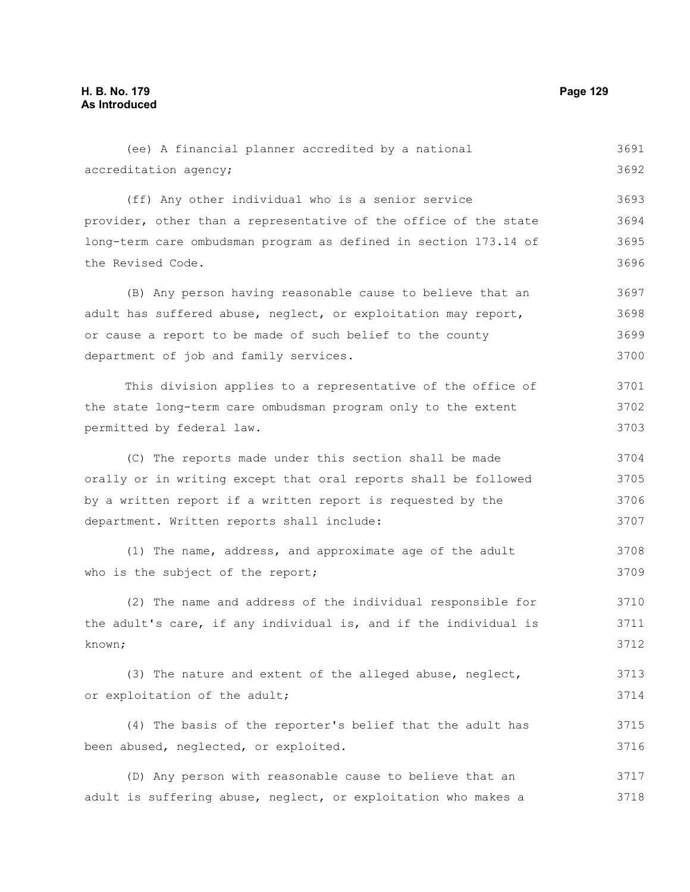(ee) A financial planner accredited by a national accreditation agency; (ff) Any other individual who is a senior service provider, other than a representative of the office of the state long-term care ombudsman program as defined in section 173.14 of the Revised Code. (B) Any person having reasonable cause to believe that an adult has suffered abuse, neglect, or exploitation may report, or cause a report to be made of such belief to the county department of job and family services. This division applies to a representative of the office of the state long-term care ombudsman program only to the extent permitted by federal law. (C) The reports made under this section shall be made orally or in writing except that oral reports shall be followed by a written report if a written report is requested by the department. Written reports shall include: (1) The name, address, and approximate age of the adult who is the subject of the report; (2) The name and address of the individual responsible for the adult's care, if any individual is, and if the individual is known; (3) The nature and extent of the alleged abuse, neglect, or exploitation of the adult; (4) The basis of the reporter's belief that the adult has been abused, neglected, or exploited. (D) Any person with reasonable cause to believe that an adult is suffering abuse, neglect, or exploitation who makes a 3691 3692 3693 3694 3695 3696 3697 3698 3699 3700 3701 3702 3703 3704 3705 3706 3707 3708 3709 3710 3711 3712 3713 3714 3715 3716 3717 3718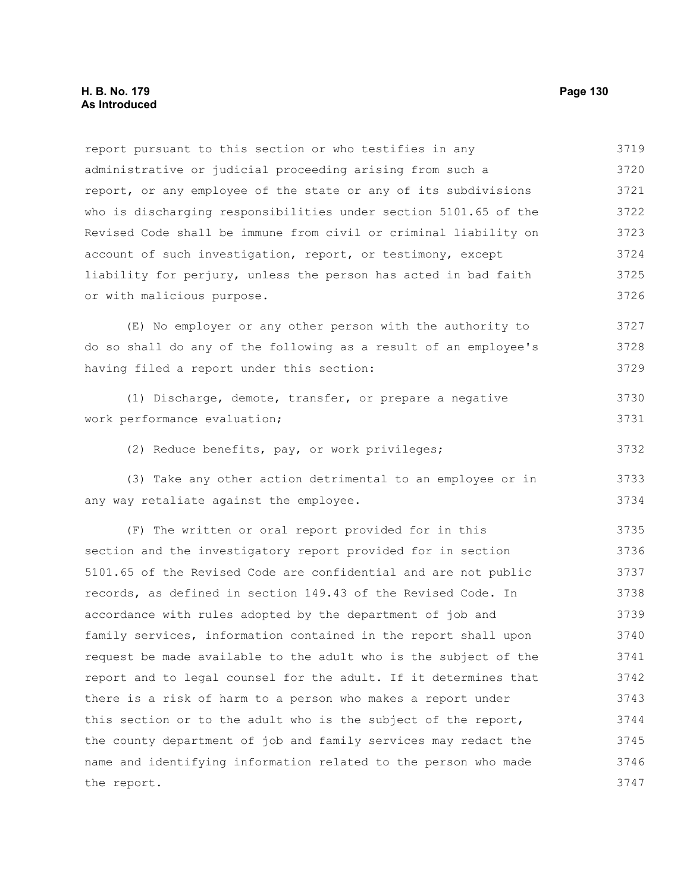administrative or judicial proceeding arising from such a report, or any employee of the state or any of its subdivisions who is discharging responsibilities under section 5101.65 of the Revised Code shall be immune from civil or criminal liability on account of such investigation, report, or testimony, except liability for perjury, unless the person has acted in bad faith or with malicious purpose. (E) No employer or any other person with the authority to do so shall do any of the following as a result of an employee's having filed a report under this section: (1) Discharge, demote, transfer, or prepare a negative work performance evaluation; (2) Reduce benefits, pay, or work privileges; (3) Take any other action detrimental to an employee or in any way retaliate against the employee. (F) The written or oral report provided for in this section and the investigatory report provided for in section 5101.65 of the Revised Code are confidential and are not public records, as defined in section 149.43 of the Revised Code. In accordance with rules adopted by the department of job and family services, information contained in the report shall upon request be made available to the adult who is the subject of the report and to legal counsel for the adult. If it determines that there is a risk of harm to a person who makes a report under this section or to the adult who is the subject of the report, the county department of job and family services may redact the name and identifying information related to the person who made the report. 3720 3721 3722 3723 3724 3725 3726 3727 3728 3729 3730 3731 3732 3733 3734 3735 3736 3737 3738 3739 3740 3741 3742 3743 3744 3745 3746 3747

report pursuant to this section or who testifies in any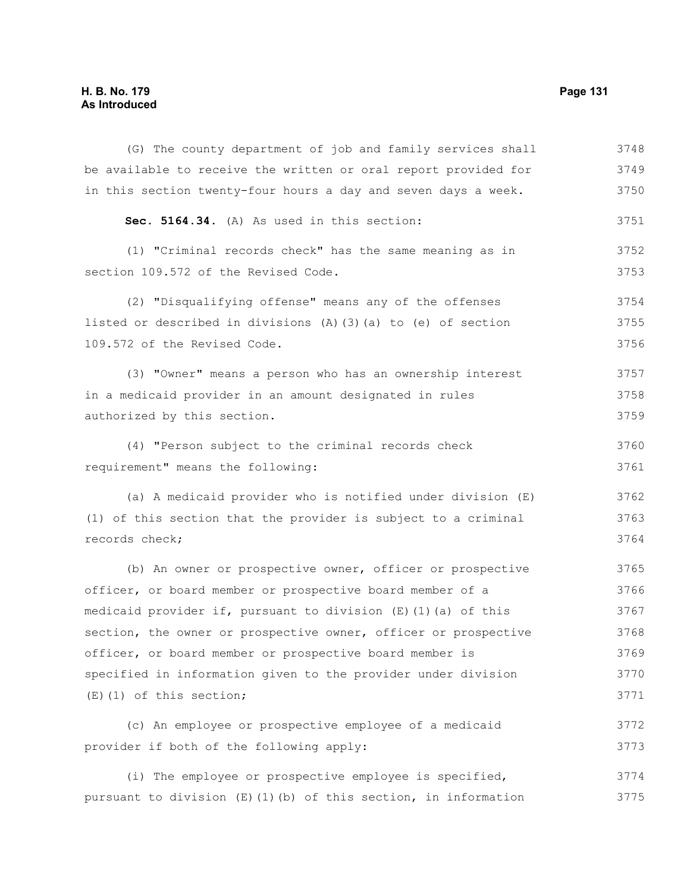# **H. B. No. 179 Page 131 As Introduced**

| (G) The county department of job and family services shall             | 3748 |
|------------------------------------------------------------------------|------|
| be available to receive the written or oral report provided for        | 3749 |
| in this section twenty-four hours a day and seven days a week.         | 3750 |
| Sec. 5164.34. (A) As used in this section:                             | 3751 |
| (1) "Criminal records check" has the same meaning as in                | 3752 |
| section 109.572 of the Revised Code.                                   | 3753 |
| (2) "Disqualifying offense" means any of the offenses                  | 3754 |
| listed or described in divisions $(A)$ $(3)$ $(a)$ to $(e)$ of section | 3755 |
| 109.572 of the Revised Code.                                           | 3756 |
| (3) "Owner" means a person who has an ownership interest               | 3757 |
| in a medicaid provider in an amount designated in rules                | 3758 |
| authorized by this section.                                            | 3759 |
| (4) "Person subject to the criminal records check                      | 3760 |
| requirement" means the following:                                      | 3761 |
| (a) A medicaid provider who is notified under division (E)             | 3762 |
| (1) of this section that the provider is subject to a criminal         | 3763 |
| records check;                                                         | 3764 |
| (b) An owner or prospective owner, officer or prospective              | 3765 |
| officer, or board member or prospective board member of a              | 3766 |
| medicaid provider if, pursuant to division (E) (1) (a) of this         | 3767 |
| section, the owner or prospective owner, officer or prospective        | 3768 |
| officer, or board member or prospective board member is                | 3769 |
| specified in information given to the provider under division          | 3770 |
| $(E)$ (1) of this section;                                             | 3771 |
| (c) An employee or prospective employee of a medicaid                  | 3772 |
| provider if both of the following apply:                               | 3773 |
| (i) The employee or prospective employee is specified,                 | 3774 |
| pursuant to division (E)(1)(b) of this section, in information         | 3775 |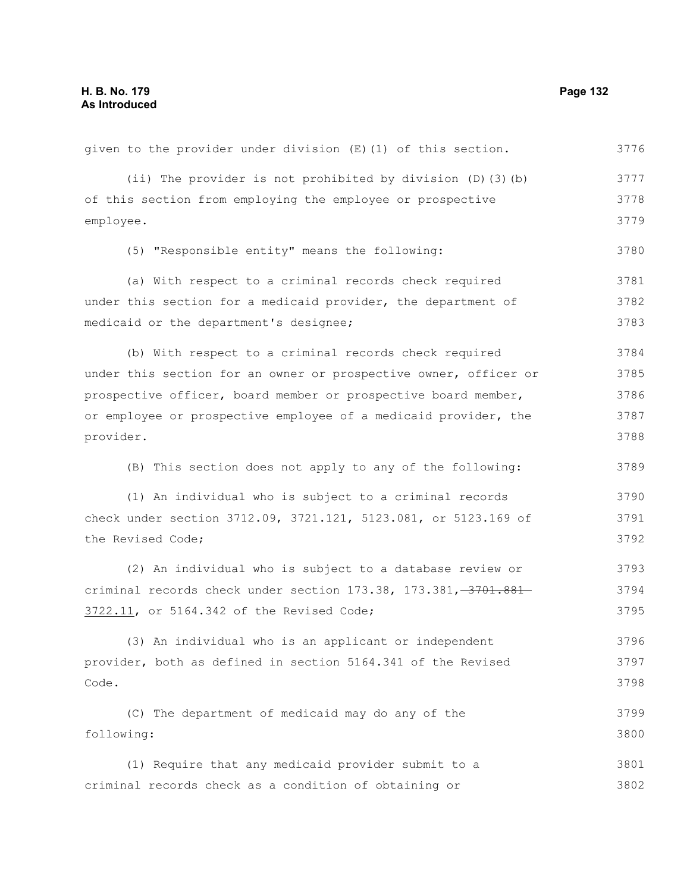given to the provider under division (E)(1) of this section. (ii) The provider is not prohibited by division (D)(3)(b) of this section from employing the employee or prospective employee. (5) "Responsible entity" means the following: (a) With respect to a criminal records check required under this section for a medicaid provider, the department of medicaid or the department's designee; (b) With respect to a criminal records check required under this section for an owner or prospective owner, officer or prospective officer, board member or prospective board member, or employee or prospective employee of a medicaid provider, the provider. (B) This section does not apply to any of the following: (1) An individual who is subject to a criminal records check under section 3712.09, 3721.121, 5123.081, or 5123.169 of the Revised Code; (2) An individual who is subject to a database review or criminal records check under section 173.38, 173.381, 3701.881 3722.11, or 5164.342 of the Revised Code; (3) An individual who is an applicant or independent provider, both as defined in section 5164.341 of the Revised Code. (C) The department of medicaid may do any of the following: (1) Require that any medicaid provider submit to a criminal records check as a condition of obtaining or 3776 3777 3778 3779 3780 3781 3782 3783 3784 3785 3786 3787 3788 3789 3790 3791 3792 3793 3794 3795 3796 3797 3798 3799 3800 3801 3802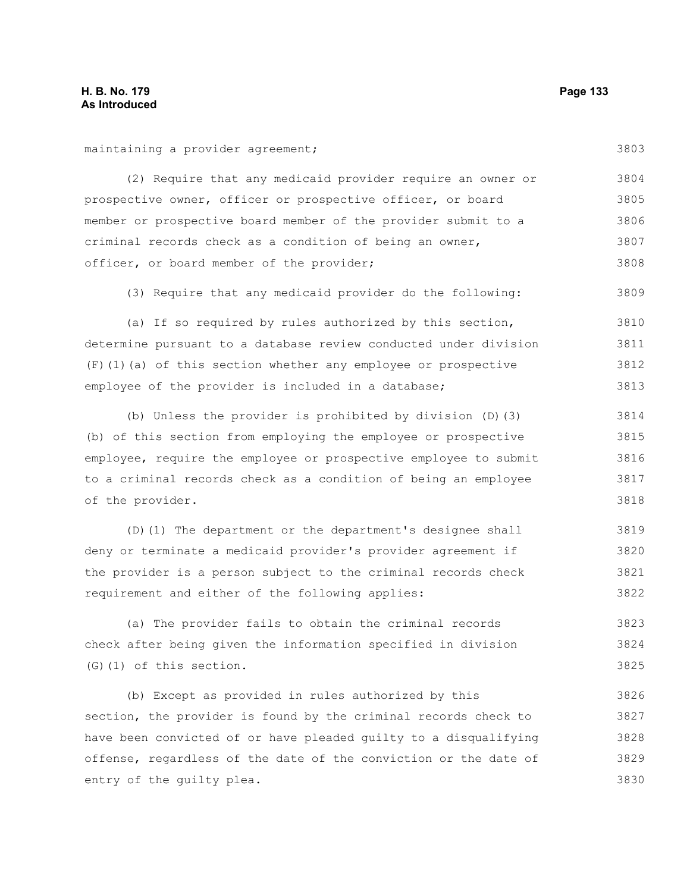maintaining a provider agreement;

(2) Require that any medicaid provider require an owner or prospective owner, officer or prospective officer, or board member or prospective board member of the provider submit to a criminal records check as a condition of being an owner, officer, or board member of the provider; 3804 3805 3806 3807 3808

(3) Require that any medicaid provider do the following: 3809

(a) If so required by rules authorized by this section, determine pursuant to a database review conducted under division (F)(1)(a) of this section whether any employee or prospective employee of the provider is included in a database; 3810 3811 3812 3813

(b) Unless the provider is prohibited by division (D)(3) (b) of this section from employing the employee or prospective employee, require the employee or prospective employee to submit to a criminal records check as a condition of being an employee of the provider. 3814 3815 3816 3817 3818

(D)(1) The department or the department's designee shall deny or terminate a medicaid provider's provider agreement if the provider is a person subject to the criminal records check requirement and either of the following applies: 3819 3820 3821 3822

(a) The provider fails to obtain the criminal records check after being given the information specified in division (G)(1) of this section. 3823 3824 3825

(b) Except as provided in rules authorized by this section, the provider is found by the criminal records check to have been convicted of or have pleaded guilty to a disqualifying offense, regardless of the date of the conviction or the date of entry of the guilty plea. 3826 3827 3828 3829 3830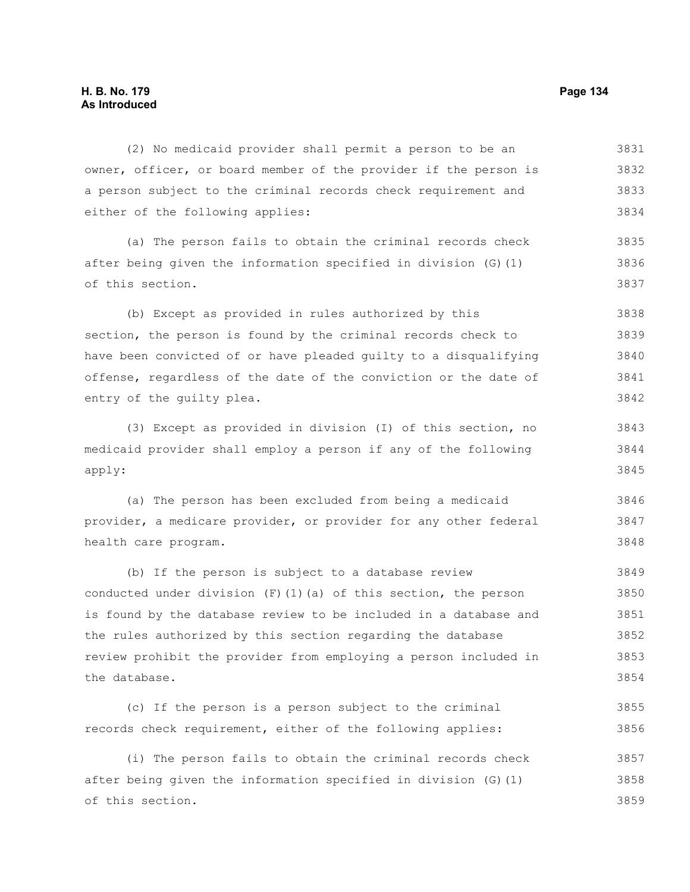(2) No medicaid provider shall permit a person to be an owner, officer, or board member of the provider if the person is a person subject to the criminal records check requirement and either of the following applies: (a) The person fails to obtain the criminal records check after being given the information specified in division (G)(1) of this section. (b) Except as provided in rules authorized by this section, the person is found by the criminal records check to have been convicted of or have pleaded guilty to a disqualifying offense, regardless of the date of the conviction or the date of entry of the guilty plea. (3) Except as provided in division (I) of this section, no medicaid provider shall employ a person if any of the following apply: (a) The person has been excluded from being a medicaid provider, a medicare provider, or provider for any other federal health care program. (b) If the person is subject to a database review conducted under division (F)(1)(a) of this section, the person is found by the database review to be included in a database and the rules authorized by this section regarding the database review prohibit the provider from employing a person included in the database. (c) If the person is a person subject to the criminal records check requirement, either of the following applies: 3831 3832 3833 3834 3835 3836 3837 3838 3839 3840 3841 3842 3843 3844 3845 3846 3847 3848 3849 3850 3851 3852 3853 3854 3855 3856

(i) The person fails to obtain the criminal records check after being given the information specified in division (G)(1) of this section. 3857 3858 3859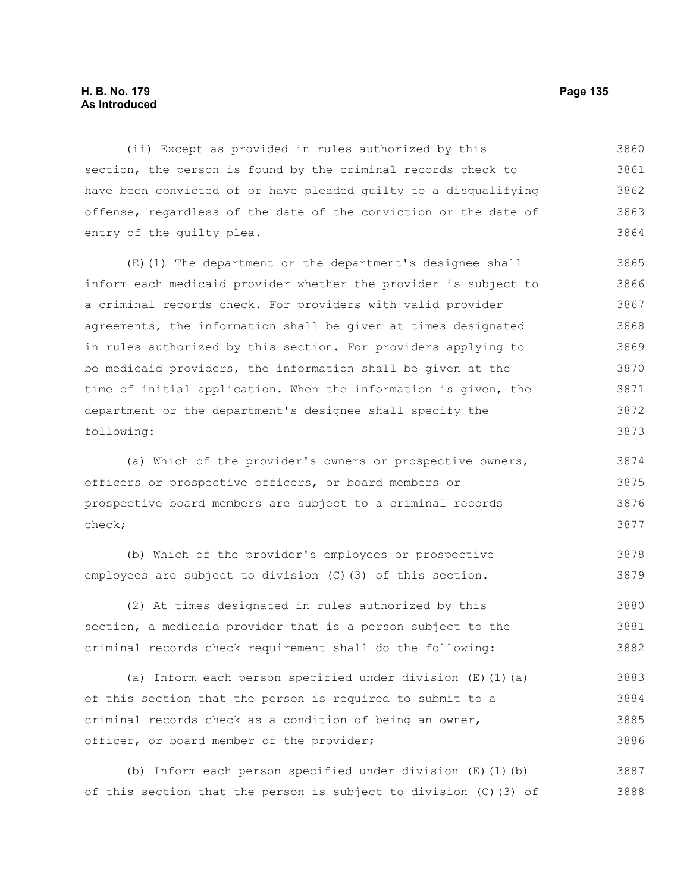## **H. B. No. 179 Page 135 As Introduced**

(ii) Except as provided in rules authorized by this section, the person is found by the criminal records check to have been convicted of or have pleaded guilty to a disqualifying offense, regardless of the date of the conviction or the date of entry of the guilty plea. 3860 3861 3862 3863 3864

(E)(1) The department or the department's designee shall inform each medicaid provider whether the provider is subject to a criminal records check. For providers with valid provider agreements, the information shall be given at times designated in rules authorized by this section. For providers applying to be medicaid providers, the information shall be given at the time of initial application. When the information is given, the department or the department's designee shall specify the following: 3865 3866 3867 3868 3869 3870 3871 3872 3873

(a) Which of the provider's owners or prospective owners, officers or prospective officers, or board members or prospective board members are subject to a criminal records check; 3874 3875 3876 3877

(b) Which of the provider's employees or prospective employees are subject to division (C)(3) of this section. 3878 3879

(2) At times designated in rules authorized by this section, a medicaid provider that is a person subject to the criminal records check requirement shall do the following: 3880 3881 3882

(a) Inform each person specified under division (E)(1)(a) of this section that the person is required to submit to a criminal records check as a condition of being an owner, officer, or board member of the provider; 3883 3884 3885 3886

(b) Inform each person specified under division (E)(1)(b) of this section that the person is subject to division (C)(3) of 3887 3888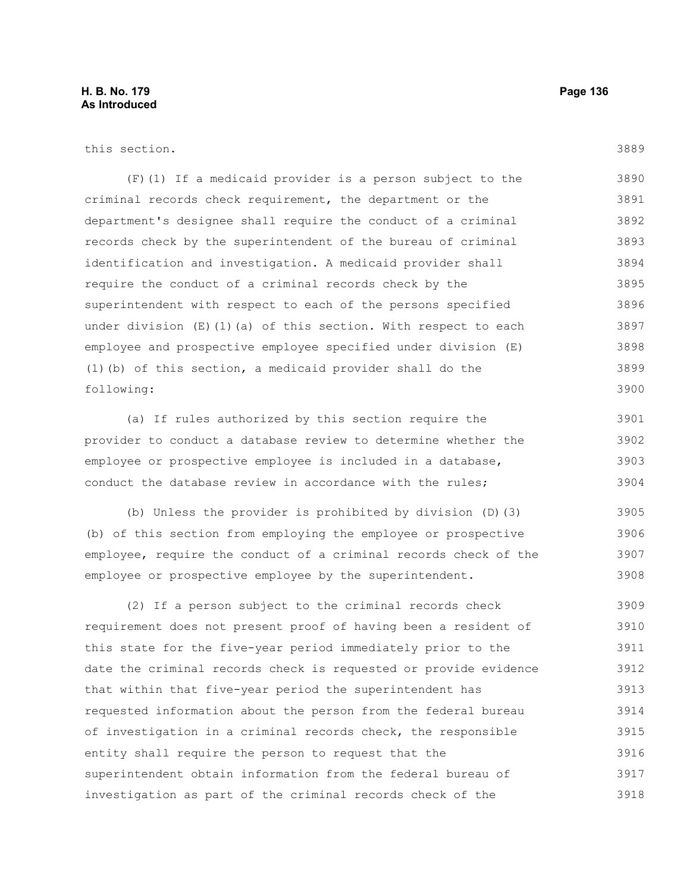this section.

(F)(1) If a medicaid provider is a person subject to the criminal records check requirement, the department or the department's designee shall require the conduct of a criminal records check by the superintendent of the bureau of criminal identification and investigation. A medicaid provider shall require the conduct of a criminal records check by the superintendent with respect to each of the persons specified under division  $(E)(1)(a)$  of this section. With respect to each employee and prospective employee specified under division (E) (1)(b) of this section, a medicaid provider shall do the following: 3890 3891 3892 3893 3894 3895 3896 3897 3898 3899 3900

(a) If rules authorized by this section require the provider to conduct a database review to determine whether the employee or prospective employee is included in a database, conduct the database review in accordance with the rules; 3901 3902 3903 3904

(b) Unless the provider is prohibited by division (D)(3) (b) of this section from employing the employee or prospective employee, require the conduct of a criminal records check of the employee or prospective employee by the superintendent. 3905 3906 3907 3908

(2) If a person subject to the criminal records check requirement does not present proof of having been a resident of this state for the five-year period immediately prior to the date the criminal records check is requested or provide evidence that within that five-year period the superintendent has requested information about the person from the federal bureau of investigation in a criminal records check, the responsible entity shall require the person to request that the superintendent obtain information from the federal bureau of investigation as part of the criminal records check of the 3909 3910 3911 3912 3913 3914 3915 3916 3917 3918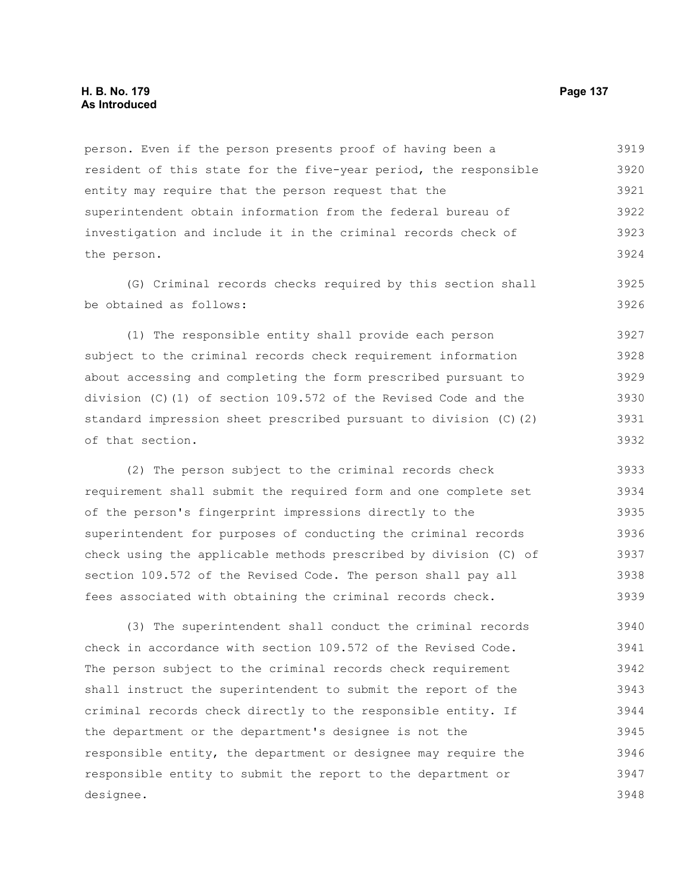#### **H. B. No. 179** Page 137 **As Introduced**

person. Even if the person presents proof of having been a resident of this state for the five-year period, the responsible entity may require that the person request that the superintendent obtain information from the federal bureau of investigation and include it in the criminal records check of the person. 3919 3920 3921 3922 3923 3924

(G) Criminal records checks required by this section shall be obtained as follows:

(1) The responsible entity shall provide each person subject to the criminal records check requirement information about accessing and completing the form prescribed pursuant to division (C)(1) of section 109.572 of the Revised Code and the standard impression sheet prescribed pursuant to division (C)(2) of that section. 3927 3928 3929 3930 3931 3932

(2) The person subject to the criminal records check requirement shall submit the required form and one complete set of the person's fingerprint impressions directly to the superintendent for purposes of conducting the criminal records check using the applicable methods prescribed by division (C) of section 109.572 of the Revised Code. The person shall pay all fees associated with obtaining the criminal records check. 3933 3934 3935 3936 3937 3938 3939

(3) The superintendent shall conduct the criminal records check in accordance with section 109.572 of the Revised Code. The person subject to the criminal records check requirement shall instruct the superintendent to submit the report of the criminal records check directly to the responsible entity. If the department or the department's designee is not the responsible entity, the department or designee may require the responsible entity to submit the report to the department or designee. 3940 3941 3942 3943 3944 3945 3946 3947 3948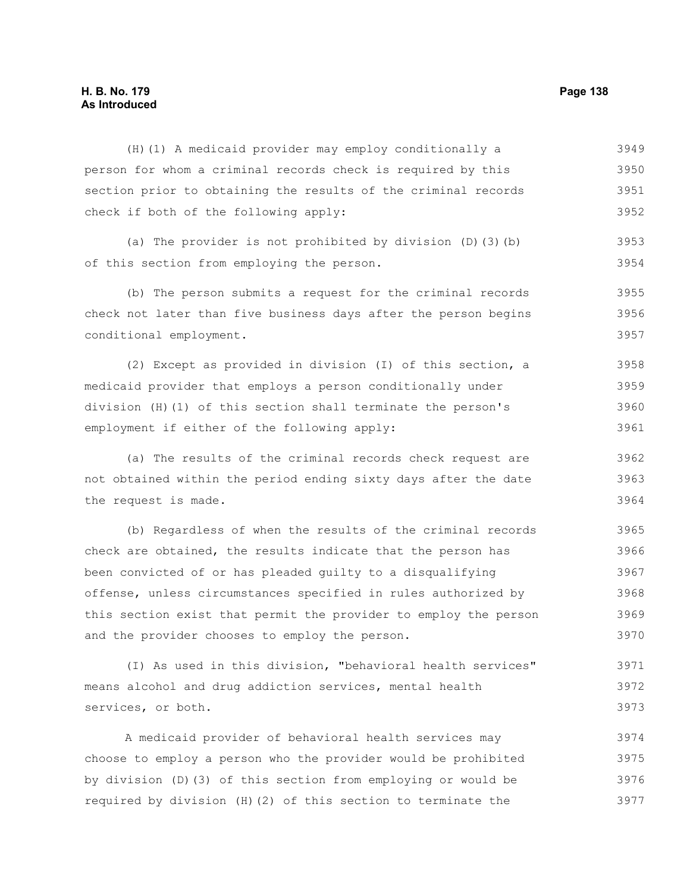## **H. B. No. 179 Page 138 As Introduced**

(H)(1) A medicaid provider may employ conditionally a person for whom a criminal records check is required by this section prior to obtaining the results of the criminal records check if both of the following apply: (a) The provider is not prohibited by division (D)(3)(b) of this section from employing the person. (b) The person submits a request for the criminal records check not later than five business days after the person begins conditional employment. (2) Except as provided in division (I) of this section, a medicaid provider that employs a person conditionally under division (H)(1) of this section shall terminate the person's employment if either of the following apply: (a) The results of the criminal records check request are not obtained within the period ending sixty days after the date the request is made. (b) Regardless of when the results of the criminal records check are obtained, the results indicate that the person has been convicted of or has pleaded guilty to a disqualifying offense, unless circumstances specified in rules authorized by this section exist that permit the provider to employ the person and the provider chooses to employ the person. (I) As used in this division, "behavioral health services" means alcohol and drug addiction services, mental health services, or both. 3949 3950 3951 3952 3953 3954 3955 3956 3957 3958 3959 3960 3961 3962 3963 3964 3965 3966 3967 3968 3969 3970 3971 3972 3973

A medicaid provider of behavioral health services may choose to employ a person who the provider would be prohibited by division (D)(3) of this section from employing or would be required by division (H)(2) of this section to terminate the 3974 3975 3976 3977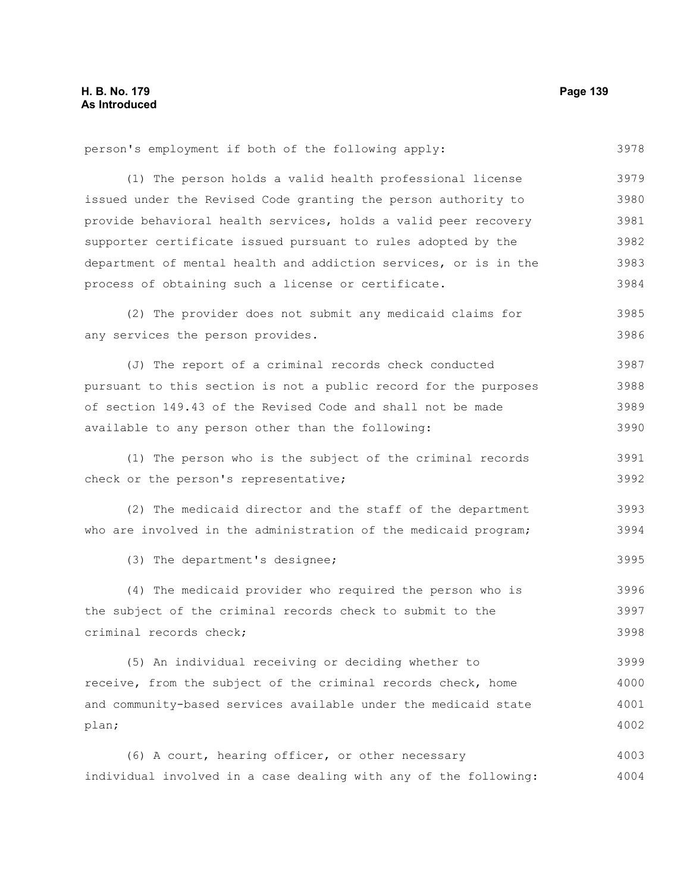person's employment if both of the following apply: (1) The person holds a valid health professional license issued under the Revised Code granting the person authority to provide behavioral health services, holds a valid peer recovery supporter certificate issued pursuant to rules adopted by the department of mental health and addiction services, or is in the process of obtaining such a license or certificate. (2) The provider does not submit any medicaid claims for any services the person provides. (J) The report of a criminal records check conducted pursuant to this section is not a public record for the purposes of section 149.43 of the Revised Code and shall not be made available to any person other than the following: (1) The person who is the subject of the criminal records check or the person's representative; (2) The medicaid director and the staff of the department who are involved in the administration of the medicaid program; (3) The department's designee; (4) The medicaid provider who required the person who is the subject of the criminal records check to submit to the criminal records check; (5) An individual receiving or deciding whether to receive, from the subject of the criminal records check, home and community-based services available under the medicaid state plan; (6) A court, hearing officer, or other necessary individual involved in a case dealing with any of the following: 3978 3979 3980 3981 3982 3983 3984 3985 3986 3987 3988 3989 3990 3991 3992 3993 3994 3995 3996 3997 3998 3999 4000 4001 4002 4003 4004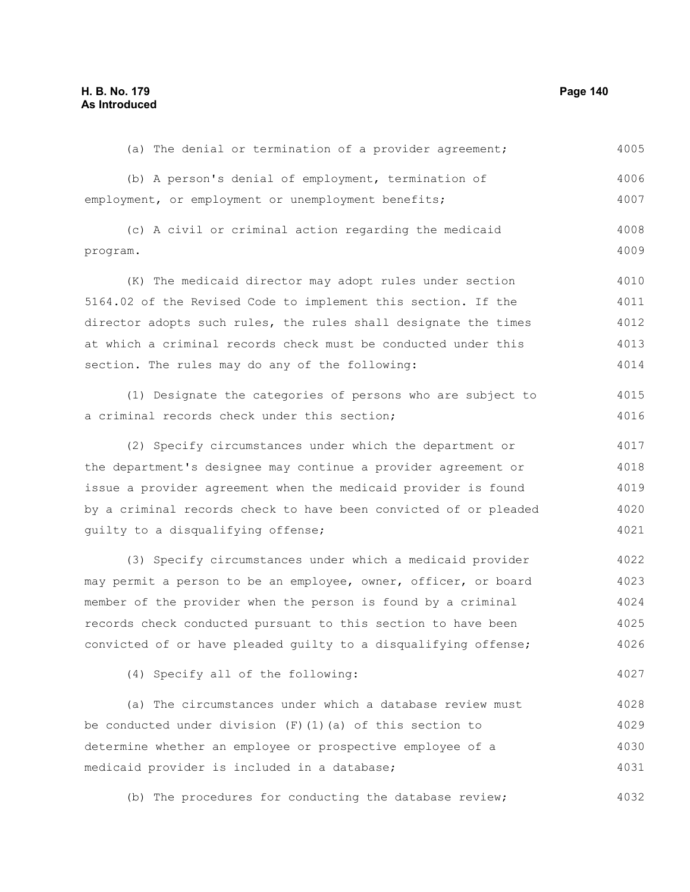(a) The denial or termination of a provider agreement; (b) A person's denial of employment, termination of employment, or employment or unemployment benefits; (c) A civil or criminal action regarding the medicaid program. (K) The medicaid director may adopt rules under section 5164.02 of the Revised Code to implement this section. If the director adopts such rules, the rules shall designate the times at which a criminal records check must be conducted under this section. The rules may do any of the following: (1) Designate the categories of persons who are subject to a criminal records check under this section; (2) Specify circumstances under which the department or the department's designee may continue a provider agreement or issue a provider agreement when the medicaid provider is found by a criminal records check to have been convicted of or pleaded guilty to a disqualifying offense; (3) Specify circumstances under which a medicaid provider may permit a person to be an employee, owner, officer, or board member of the provider when the person is found by a criminal records check conducted pursuant to this section to have been convicted of or have pleaded guilty to a disqualifying offense; (4) Specify all of the following: (a) The circumstances under which a database review must be conducted under division (F)(1)(a) of this section to determine whether an employee or prospective employee of a 4005 4006 4007 4008 4009 4010 4011 4012 4013 4014 4015 4016 4017 4018 4019 4020 4021 4022 4023 4024 4025 4026 4027 4028 4029 4030

(b) The procedures for conducting the database review; 4032

medicaid provider is included in a database;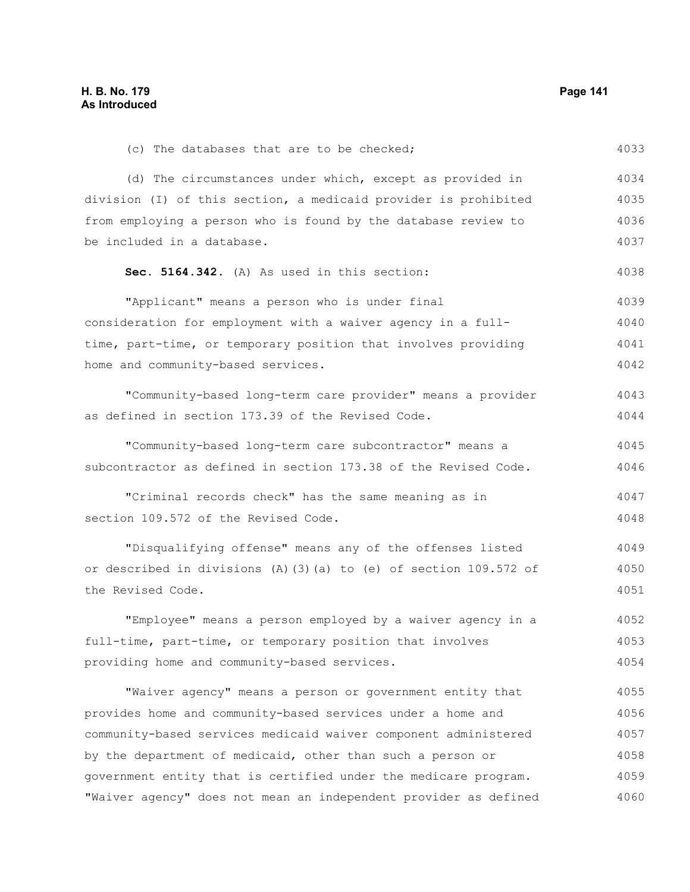(c) The databases that are to be checked; (d) The circumstances under which, except as provided in division (I) of this section, a medicaid provider is prohibited from employing a person who is found by the database review to be included in a database. **Sec. 5164.342.** (A) As used in this section: "Applicant" means a person who is under final consideration for employment with a waiver agency in a fulltime, part-time, or temporary position that involves providing home and community-based services. "Community-based long-term care provider" means a provider as defined in section 173.39 of the Revised Code. "Community-based long-term care subcontractor" means a subcontractor as defined in section 173.38 of the Revised Code. "Criminal records check" has the same meaning as in section 109.572 of the Revised Code. "Disqualifying offense" means any of the offenses listed or described in divisions (A)(3)(a) to (e) of section 109.572 of the Revised Code. "Employee" means a person employed by a waiver agency in a full-time, part-time, or temporary position that involves providing home and community-based services. "Waiver agency" means a person or government entity that provides home and community-based services under a home and community-based services medicaid waiver component administered by the department of medicaid, other than such a person or government entity that is certified under the medicare program. 4033 4034 4035 4036 4037 4038 4039 4040 4041 4042 4043 4044 4045 4046 4047 4048 4049 4050 4051 4052 4053 4054 4055 4056 4057 4058 4059

"Waiver agency" does not mean an independent provider as defined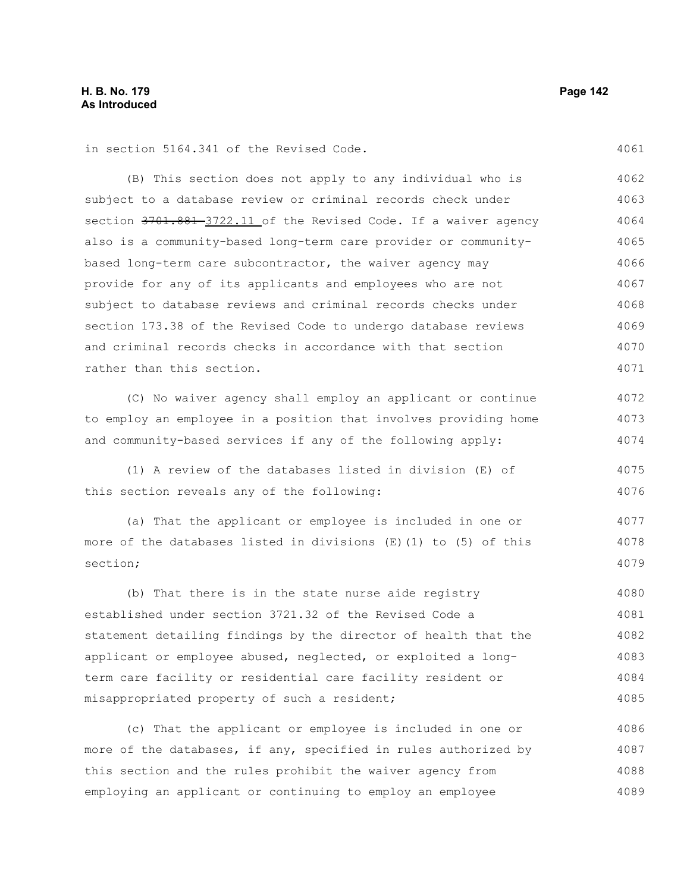4061

4072 4073 4074

in section 5164.341 of the Revised Code.

(B) This section does not apply to any individual who is subject to a database review or criminal records check under section 3701.881 3722.11 of the Revised Code. If a waiver agency also is a community-based long-term care provider or communitybased long-term care subcontractor, the waiver agency may provide for any of its applicants and employees who are not subject to database reviews and criminal records checks under section 173.38 of the Revised Code to undergo database reviews and criminal records checks in accordance with that section rather than this section. 4062 4063 4064 4065 4066 4067 4068 4069 4070 4071

(C) No waiver agency shall employ an applicant or continue to employ an employee in a position that involves providing home and community-based services if any of the following apply:

(1) A review of the databases listed in division (E) of this section reveals any of the following: 4075 4076

(a) That the applicant or employee is included in one or more of the databases listed in divisions (E)(1) to (5) of this section; 4077 4078 4079

(b) That there is in the state nurse aide registry established under section 3721.32 of the Revised Code a statement detailing findings by the director of health that the applicant or employee abused, neglected, or exploited a longterm care facility or residential care facility resident or misappropriated property of such a resident; 4080 4081 4082 4083 4084 4085

(c) That the applicant or employee is included in one or more of the databases, if any, specified in rules authorized by this section and the rules prohibit the waiver agency from employing an applicant or continuing to employ an employee 4086 4087 4088 4089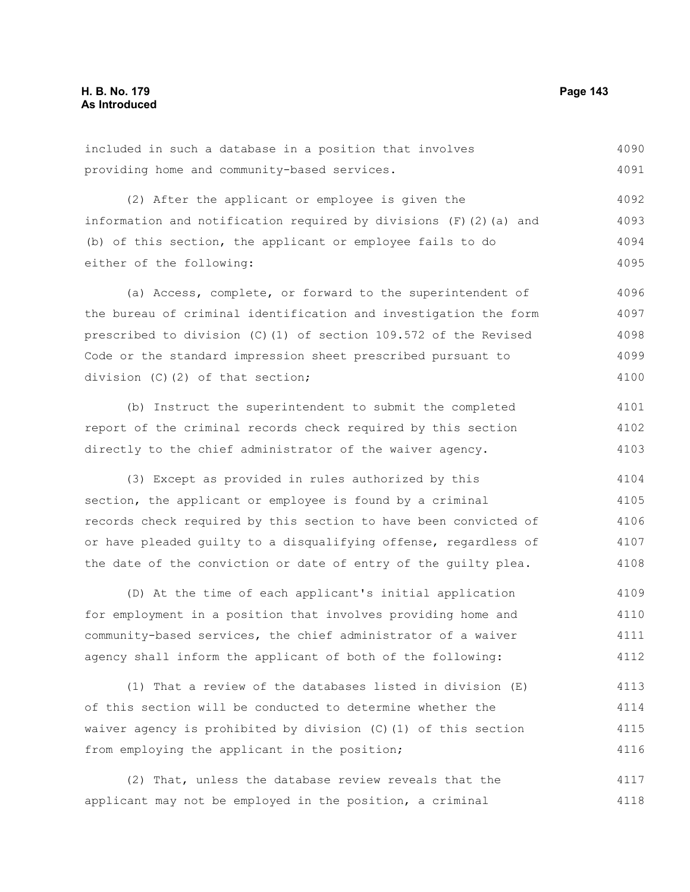included in such a database in a position that involves providing home and community-based services. 4090 4091

(2) After the applicant or employee is given the information and notification required by divisions (F)(2)(a) and (b) of this section, the applicant or employee fails to do either of the following: 4092 4093 4094 4095

(a) Access, complete, or forward to the superintendent of the bureau of criminal identification and investigation the form prescribed to division (C)(1) of section 109.572 of the Revised Code or the standard impression sheet prescribed pursuant to division (C)(2) of that section; 4096 4097 4098 4099 4100

(b) Instruct the superintendent to submit the completed report of the criminal records check required by this section directly to the chief administrator of the waiver agency. 4101 4102 4103

(3) Except as provided in rules authorized by this section, the applicant or employee is found by a criminal records check required by this section to have been convicted of or have pleaded guilty to a disqualifying offense, regardless of the date of the conviction or date of entry of the guilty plea. 4104 4105 4106 4107 4108

(D) At the time of each applicant's initial application for employment in a position that involves providing home and community-based services, the chief administrator of a waiver agency shall inform the applicant of both of the following: 4109 4110 4111 4112

(1) That a review of the databases listed in division (E) of this section will be conducted to determine whether the waiver agency is prohibited by division (C)(1) of this section from employing the applicant in the position; 4113 4114 4115 4116

(2) That, unless the database review reveals that the applicant may not be employed in the position, a criminal 4117 4118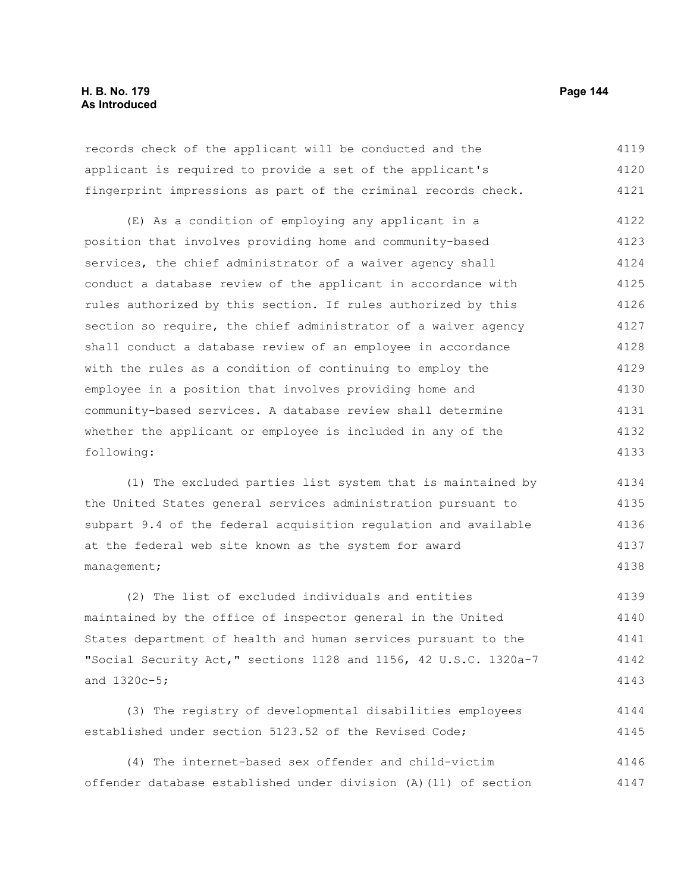records check of the applicant will be conducted and the applicant is required to provide a set of the applicant's fingerprint impressions as part of the criminal records check. 4119 4120 4121

(E) As a condition of employing any applicant in a position that involves providing home and community-based services, the chief administrator of a waiver agency shall conduct a database review of the applicant in accordance with rules authorized by this section. If rules authorized by this section so require, the chief administrator of a waiver agency shall conduct a database review of an employee in accordance with the rules as a condition of continuing to employ the employee in a position that involves providing home and community-based services. A database review shall determine whether the applicant or employee is included in any of the following: 4122 4123 4124 4125 4126 4127 4128 4129 4130 4131 4132 4133

(1) The excluded parties list system that is maintained by the United States general services administration pursuant to subpart 9.4 of the federal acquisition regulation and available at the federal web site known as the system for award management; 4134 4135 4136 4137 4138

(2) The list of excluded individuals and entities maintained by the office of inspector general in the United States department of health and human services pursuant to the "Social Security Act," sections 1128 and 1156, 42 U.S.C. 1320a-7 and 1320c-5; 4139 4140 4141 4142 4143

(3) The registry of developmental disabilities employees established under section 5123.52 of the Revised Code; 4144 4145

(4) The internet-based sex offender and child-victim offender database established under division (A)(11) of section 4146 4147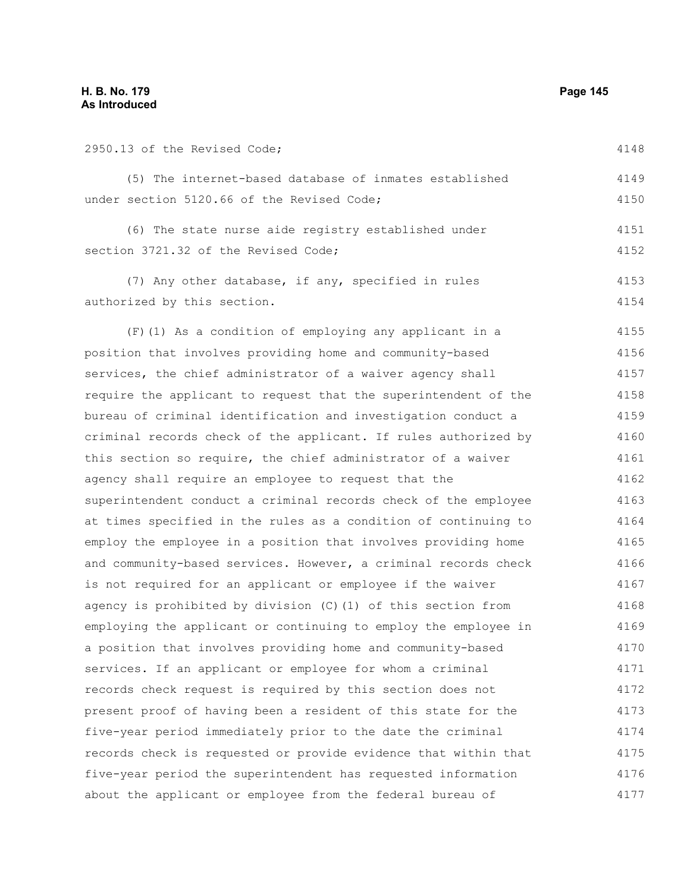| 2950.13 of the Revised Code;                                    | 4148 |
|-----------------------------------------------------------------|------|
| (5) The internet-based database of inmates established          | 4149 |
| under section 5120.66 of the Revised Code;                      | 4150 |
| (6) The state nurse aide registry established under             | 4151 |
| section 3721.32 of the Revised Code;                            | 4152 |
| (7) Any other database, if any, specified in rules              | 4153 |
| authorized by this section.                                     | 4154 |
| (F) (1) As a condition of employing any applicant in a          | 4155 |
| position that involves providing home and community-based       | 4156 |
| services, the chief administrator of a waiver agency shall      | 4157 |
| require the applicant to request that the superintendent of the | 4158 |
| bureau of criminal identification and investigation conduct a   | 4159 |
| criminal records check of the applicant. If rules authorized by | 4160 |
| this section so require, the chief administrator of a waiver    | 4161 |
| agency shall require an employee to request that the            | 4162 |
| superintendent conduct a criminal records check of the employee | 4163 |
| at times specified in the rules as a condition of continuing to | 4164 |
| employ the employee in a position that involves providing home  | 4165 |
| and community-based services. However, a criminal records check | 4166 |
| is not required for an applicant or employee if the waiver      | 4167 |
| agency is prohibited by division (C)(1) of this section from    | 4168 |
| employing the applicant or continuing to employ the employee in | 4169 |
| a position that involves providing home and community-based     | 4170 |
| services. If an applicant or employee for whom a criminal       | 4171 |
| records check request is required by this section does not      | 4172 |
| present proof of having been a resident of this state for the   | 4173 |
| five-year period immediately prior to the date the criminal     | 4174 |
| records check is requested or provide evidence that within that | 4175 |
| five-year period the superintendent has requested information   | 4176 |
| about the applicant or employee from the federal bureau of      | 4177 |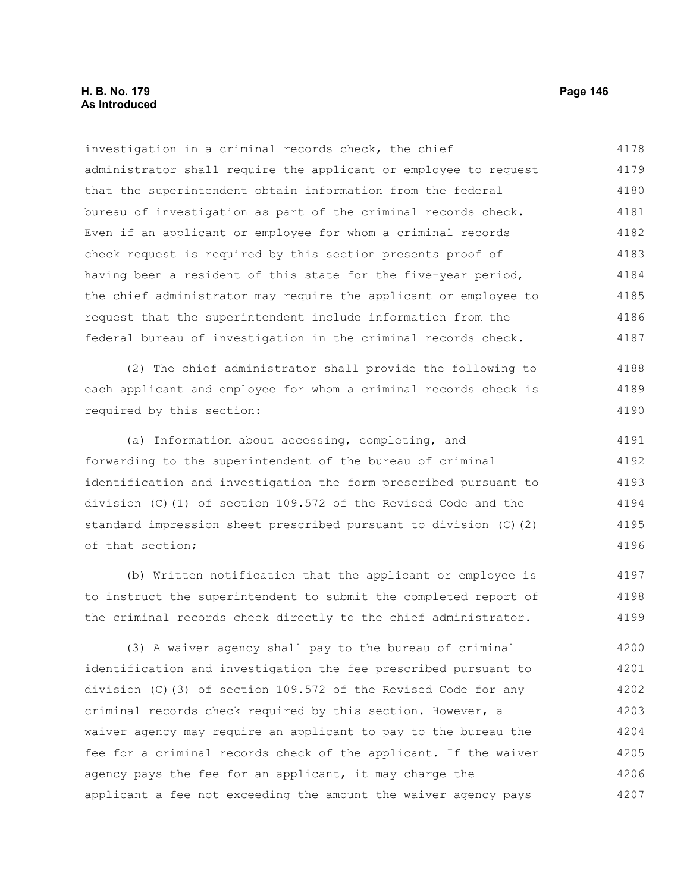investigation in a criminal records check, the chief administrator shall require the applicant or employee to request that the superintendent obtain information from the federal bureau of investigation as part of the criminal records check. Even if an applicant or employee for whom a criminal records check request is required by this section presents proof of having been a resident of this state for the five-year period, the chief administrator may require the applicant or employee to request that the superintendent include information from the federal bureau of investigation in the criminal records check. 4178 4179 4180 4181 4182 4183 4184 4185 4186 4187

(2) The chief administrator shall provide the following to each applicant and employee for whom a criminal records check is required by this section: 4188 4189 4190

(a) Information about accessing, completing, and forwarding to the superintendent of the bureau of criminal identification and investigation the form prescribed pursuant to division (C)(1) of section 109.572 of the Revised Code and the standard impression sheet prescribed pursuant to division (C)(2) of that section; 4191 4192 4193 4194 4195 4196

(b) Written notification that the applicant or employee is to instruct the superintendent to submit the completed report of the criminal records check directly to the chief administrator. 4197 4198 4199

(3) A waiver agency shall pay to the bureau of criminal identification and investigation the fee prescribed pursuant to division (C)(3) of section 109.572 of the Revised Code for any criminal records check required by this section. However, a waiver agency may require an applicant to pay to the bureau the fee for a criminal records check of the applicant. If the waiver agency pays the fee for an applicant, it may charge the applicant a fee not exceeding the amount the waiver agency pays 4200 4201 4202 4203 4204 4205 4206 4207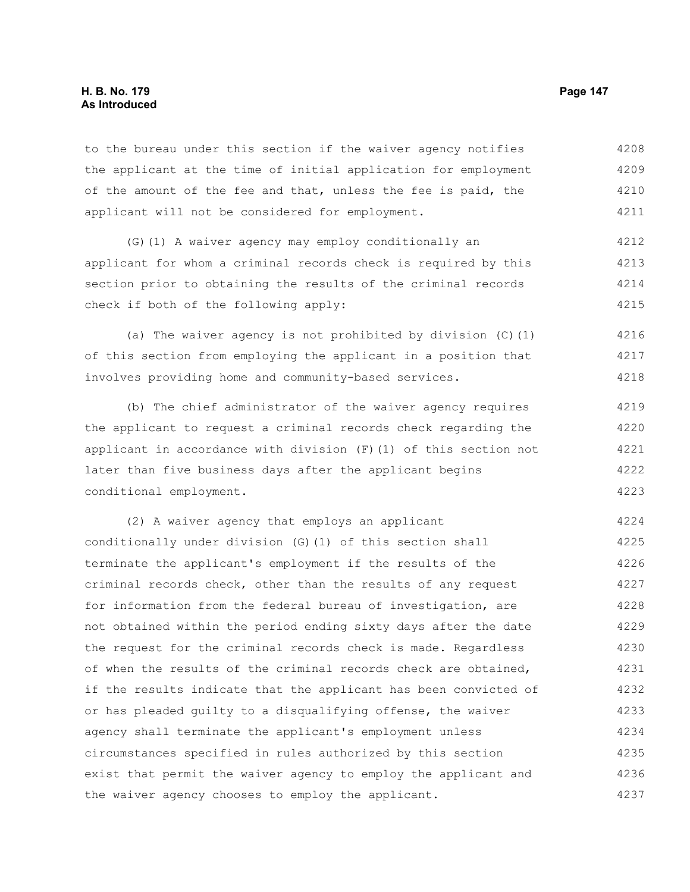## **H. B. No. 179** Page 147 **As Introduced**

to the bureau under this section if the waiver agency notifies the applicant at the time of initial application for employment of the amount of the fee and that, unless the fee is paid, the applicant will not be considered for employment. 4208 4209 4210 4211

(G)(1) A waiver agency may employ conditionally an applicant for whom a criminal records check is required by this section prior to obtaining the results of the criminal records check if both of the following apply: 4212 4213 4214 4215

(a) The waiver agency is not prohibited by division (C)(1) of this section from employing the applicant in a position that involves providing home and community-based services. 4216 4217 4218

(b) The chief administrator of the waiver agency requires the applicant to request a criminal records check regarding the applicant in accordance with division  $(F)$  (1) of this section not later than five business days after the applicant begins conditional employment. 4219 4220 4221 4222 4223

(2) A waiver agency that employs an applicant conditionally under division (G)(1) of this section shall terminate the applicant's employment if the results of the criminal records check, other than the results of any request for information from the federal bureau of investigation, are not obtained within the period ending sixty days after the date the request for the criminal records check is made. Regardless of when the results of the criminal records check are obtained, if the results indicate that the applicant has been convicted of or has pleaded guilty to a disqualifying offense, the waiver agency shall terminate the applicant's employment unless circumstances specified in rules authorized by this section exist that permit the waiver agency to employ the applicant and the waiver agency chooses to employ the applicant. 4224 4225 4226 4227 4228 4229 4230 4231 4232 4233 4234 4235 4236 4237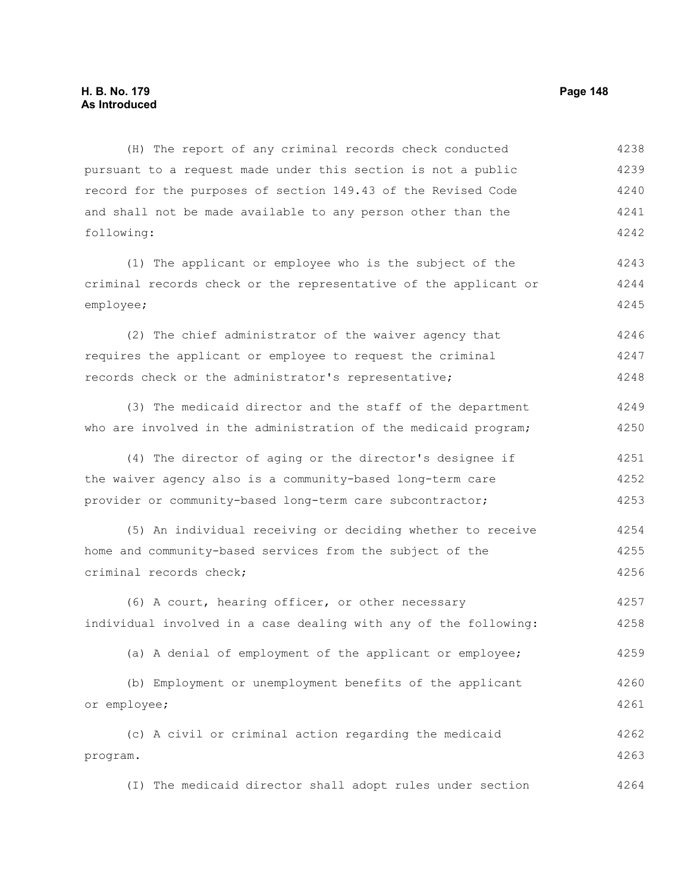(H) The report of any criminal records check conducted pursuant to a request made under this section is not a public record for the purposes of section 149.43 of the Revised Code and shall not be made available to any person other than the following: 4238 4239 4240 4241 4242

(1) The applicant or employee who is the subject of the criminal records check or the representative of the applicant or employee; 4243 4244 4245

(2) The chief administrator of the waiver agency that requires the applicant or employee to request the criminal records check or the administrator's representative; 4246 4247 4248

(3) The medicaid director and the staff of the department who are involved in the administration of the medicaid program; 4249 4250

(4) The director of aging or the director's designee if the waiver agency also is a community-based long-term care provider or community-based long-term care subcontractor; 4251 4252 4253

(5) An individual receiving or deciding whether to receive home and community-based services from the subject of the criminal records check; 4254 4255 4256

(6) A court, hearing officer, or other necessary individual involved in a case dealing with any of the following: 4257 4258

(a) A denial of employment of the applicant or employee; 4259

(b) Employment or unemployment benefits of the applicant or employee; 4260 4261

(c) A civil or criminal action regarding the medicaid program. 4262 4263

(I) The medicaid director shall adopt rules under section 4264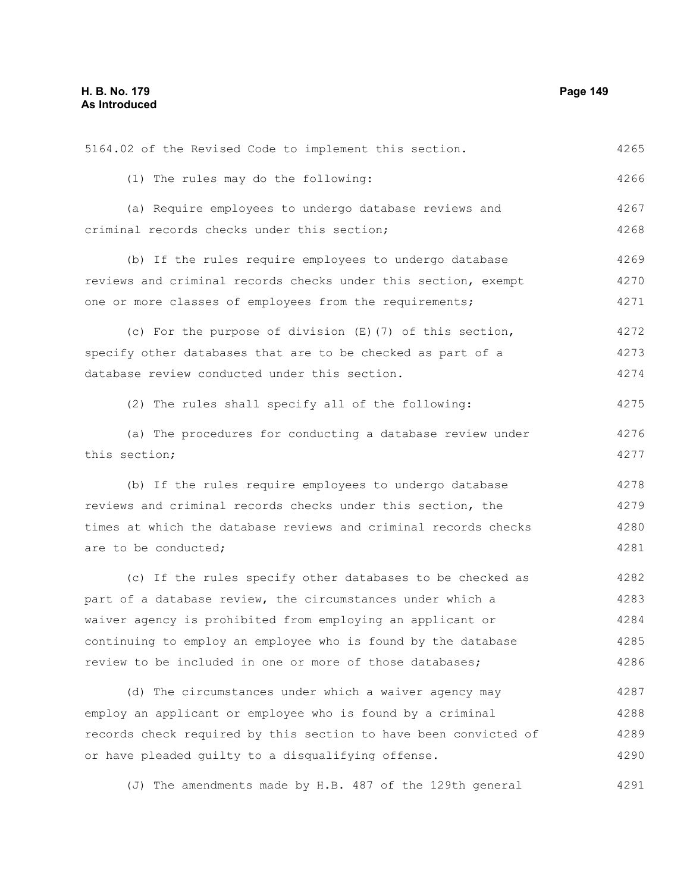5164.02 of the Revised Code to implement this section. (1) The rules may do the following: (a) Require employees to undergo database reviews and criminal records checks under this section; (b) If the rules require employees to undergo database reviews and criminal records checks under this section, exempt one or more classes of employees from the requirements; (c) For the purpose of division (E)(7) of this section, specify other databases that are to be checked as part of a database review conducted under this section. (2) The rules shall specify all of the following: (a) The procedures for conducting a database review under this section; (b) If the rules require employees to undergo database reviews and criminal records checks under this section, the times at which the database reviews and criminal records checks are to be conducted; (c) If the rules specify other databases to be checked as part of a database review, the circumstances under which a waiver agency is prohibited from employing an applicant or continuing to employ an employee who is found by the database review to be included in one or more of those databases; (d) The circumstances under which a waiver agency may employ an applicant or employee who is found by a criminal records check required by this section to have been convicted of or have pleaded guilty to a disqualifying offense. 4265 4266 4267 4268 4269 4270 4271 4272 4273 4274 4275 4276 4277 4278 4279 4280 4281 4282 4283 4284 4285 4286 4287 4288 4289 4290

(J) The amendments made by H.B. 487 of the 129th general 4291